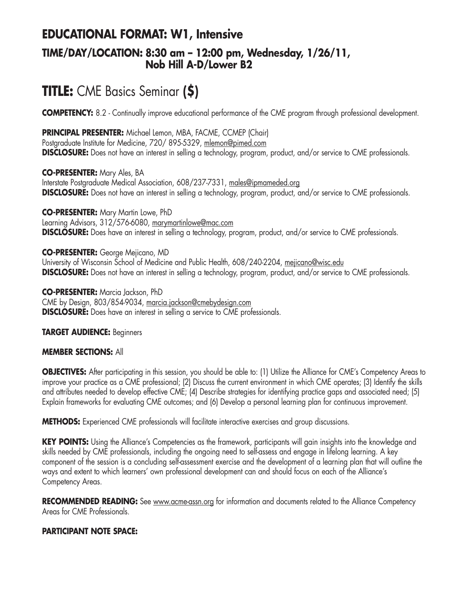# **EDUCATIONAL FORMAT: W1, Intensive**

### **TIME/DAY/LOCATION: 8:30 am – 12:00 pm, Wednesday, 1/26/11, Nob Hill A-D/Lower B2**

# **TITLE:** CME Basics Seminar **(\$)**

**COMPETENCY:** 8.2 - Continually improve educational performance of the CME program through professional development.

**PRINCIPAL PRESENTER:** Michael Lemon, MBA, FACME, CCMEP (Chair) Postgraduate Institute for Medicine, 720/ 895-5329, mlemon@pimed.com

**DISCLOSURE:** Does not have an interest in selling a technology, program, product, and/or service to CME professionals.

**CO-PRESENTER:** Mary Ales, BA Interstate Postgraduate Medical Association, 608/237-7331, males@ipmameded.org **DISCLOSURE:** Does not have an interest in selling a technology, program, product, and/or service to CME professionals.

**CO-PRESENTER:** Mary Martin Lowe, PhD Learning Advisors, 312/576-6080, marymartinlowe@mac.com **DISCLOSURE:** Does have an interest in selling a technology, program, product, and/or service to CME professionals.

**CO-PRESENTER:** George Mejicano, MD University of Wisconsin School of Medicine and Public Health, 608/240-2204, mejicano@wisc.edu **DISCLOSURE:** Does not have an interest in selling a technology, program, product, and/or service to CME professionals.

**CO-PRESENTER:** Marcia Jackson, PhD CME by Design, 803/854-9034, marcia.jackson@cmebydesign.com **DISCLOSURE:** Does have an interest in selling a service to CME professionals.

### **TARGET AUDIENCE:** Beginners

### **MEMBER SECTIONS:** All

**OBJECTIVES:** After participating in this session, you should be able to: (1) Utilize the Alliance for CME's Competency Areas to improve your practice as a CME professional; (2) Discuss the current environment in which CME operates; (3) Identify the skills and attributes needed to develop effective CME; (4) Describe strategies for identifying practice gaps and associated need; (5) Explain frameworks for evaluating CME outcomes; and (6) Develop a personal learning plan for continuous improvement.

**METHODS:** Experienced CME professionals will facilitate interactive exercises and group discussions.

**KEY POINTS:** Using the Alliance's Competencies as the framework, participants will gain insights into the knowledge and skills needed by CME professionals, including the ongoing need to self-assess and engage in lifelong learning. A key component of the session is a concluding self-assessment exercise and the development of a learning plan that will outline the ways and extent to which learners' own professional development can and should focus on each of the Alliance's Competency Areas.

RECOMMENDED READING: See www.acme-assn.org for information and documents related to the Alliance Competency Areas for CME Professionals.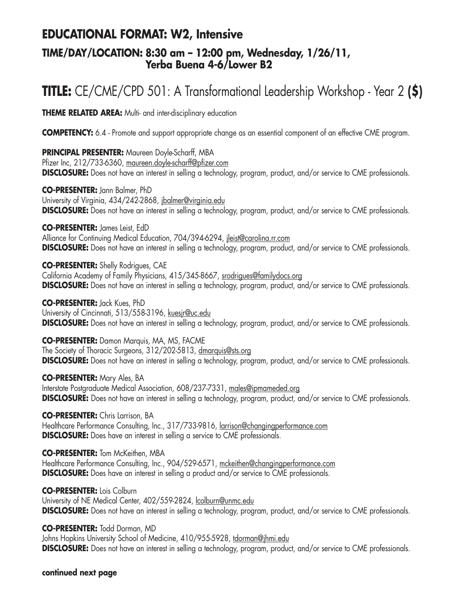## **EDUCATIONAL FORMAT: W2, Intensive**

### **TIME/DAY/LOCATION: 8:30 am – 12:00 pm, Wednesday, 1/26/11, Yerba Buena 4-6/Lower B2**

# **TITLE:** CE/CME/CPD 501: A Transformational Leadership Workshop - Year 2 **(\$)**

**THEME RELATED AREA:** Multi- and inter-disciplinary education

**COMPETENCY:** 6.4 - Promote and support appropriate change as an essential component of an effective CME program.

**PRINCIPAL PRESENTER:** Maureen Doyle-Scharff, MBA Pfizer Inc, 212/733-6360, maureen.doyle-scharff@pfizer.com **DISCLOSURE:** Does not have an interest in selling a technology, program, product, and/or service to CME professionals.

**CO-PRESENTER:** Jann Balmer, PhD University of Virginia, 434/242-2868, jbalmer@virginia.edu **DISCLOSURE:** Does not have an interest in selling a technology, program, product, and/or service to CME professionals.

**CO-PRESENTER:** James Leist, EdD Alliance for Continuing Medical Education, 704/394-6294, jleist@carolina.rr.com **DISCLOSURE:** Does not have an interest in selling a technology, program, product, and/or service to CME professionals.

**CO-PRESENTER:** Shelly Rodrigues, CAE California Academy of Family Physicians, 415/345-8667, srodrigues@familydocs.org **DISCLOSURE:** Does not have an interest in selling a technology, program, product, and/or service to CME professionals.

**CO-PRESENTER:** Jack Kues, PhD University of Cincinnati, 513/558-3196, kuesjr@uc.edu **DISCLOSURE:** Does not have an interest in selling a technology, program, product, and/or service to CME professionals.

**CO-PRESENTER:** Damon Marquis, MA, MS, FACME The Society of Thoracic Surgeons, 312/202-5813, dmarquis@sts.org **DISCLOSURE:** Does not have an interest in selling a technology, program, product, and/or service to CME professionals.

**CO-PRESENTER:** Mary Ales, BA Interstate Postgraduate Medical Association, 608/237-7331, males@ipmameded.org **DISCLOSURE:** Does not have an interest in selling a technology, program, product, and/or service to CME professionals.

**CO-PRESENTER:** Chris Larrison, BA Healthcare Performance Consulting, Inc., 317/733-9816, larrison@changingperformance.com **DISCLOSURE:** Does have an interest in selling a service to CME professionals.

**CO-PRESENTER:** Tom McKeithen, MBA Healthcare Performance Consulting, Inc., 904/529-6571, mckeithen@changingperformance.com **DISCLOSURE:** Does have an interest in selling a product and/or service to CME professionals.

**CO-PRESENTER:** Lois Colburn

University of NE Medical Center, 402/559-2824, lcolburn@unmc.edu **DISCLOSURE:** Does not have an interest in selling a technology, program, product, and/or service to CME professionals.

**CO-PRESENTER:** Todd Dorman, MD

Johns Hopkins University School of Medicine, 410/955-5928, tdorman@jhmi.edu **DISCLOSURE:** Does not have an interest in selling a technology, program, product, and/or service to CME professionals.

**continued next page**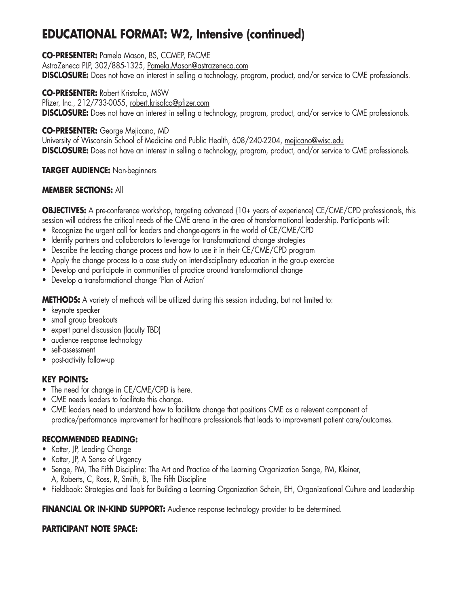# **EDUCATIONAL FORMAT: W2, Intensive (continued)**

### **CO-PRESENTER:** Pamela Mason, BS, CCMEP, FACME

AstraZeneca PLP, 302/885-1325, Pamela.Mason@astrazeneca.com **DISCLOSURE:** Does not have an interest in selling a technology, program, product, and/or service to CME professionals.

#### **CO-PRESENTER:** Robert Kristofco, MSW

Pfizer, Inc., 212/733-0055, robert.krisofco@pfizer.com **DISCLOSURE:** Does not have an interest in selling a technology, program, product, and/or service to CME professionals.

### **CO-PRESENTER:** George Mejicano, MD

University of Wisconsin School of Medicine and Public Health, 608/240-2204, mejicano@wisc.edu **DISCLOSURE:** Does not have an interest in selling a technology, program, product, and/or service to CME professionals.

### **TARGET AUDIENCE:** Non-beginners

### **MEMBER SECTIONS:** All

**OBJECTIVES:** A pre-conference workshop, targeting advanced (10+ years of experience) CE/CME/CPD professionals, this session will address the critical needs of the CME arena in the area of transformational leadership. Participants will:

- Recognize the urgent call for leaders and change-agents in the world of CE/CME/CPD
- Identify partners and collaborators to leverage for transformational change strategies
- Describe the leading change process and how to use it in their CE/CME/CPD program
- Apply the change process to a case study on inter-disciplinary education in the group exercise
- Develop and participate in communities of practice around transformational change
- Develop a transformational change 'Plan of Action'

**METHODS:** A variety of methods will be utilized during this session including, but not limited to:

- keynote speaker
- small group breakouts
- expert panel discussion (faculty TBD)
- audience response technology
- self-assessment
- post-activity follow-up

### **KEY POINTS:**

- The need for change in CE/CME/CPD is here.
- CME needs leaders to facilitate this change.
- CME leaders need to understand how to facilitate change that positions CME as a relevent component of practice/performance improvement for healthcare professionals that leads to improvement patient care/outcomes.

### **RECOMMENDED READING:**

- Kotter, JP, Leading Change
- Kotter, JP, A Sense of Urgency
- Senge, PM, The Fifth Discipline: The Art and Practice of the Learning Organization Senge, PM, Kleiner, A, Roberts, C, Ross, R, Smith, B, The Fifth Discipline
- Fieldbook: Strategies and Tools for Building a Learning Organization Schein, EH, Organizational Culture and Leadership

**FINANCIAL OR IN-KIND SUPPORT:** Audience response technology provider to be determined.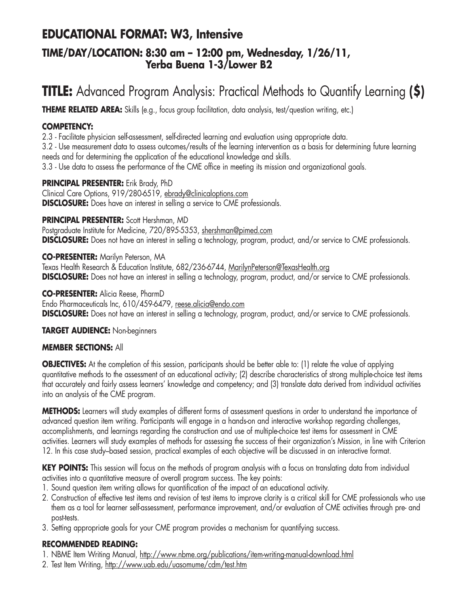## **EDUCATIONAL FORMAT: W3, Intensive**

### **TIME/DAY/LOCATION: 8:30 am – 12:00 pm, Wednesday, 1/26/11, Yerba Buena 1-3/Lower B2**

# **TITLE:** Advanced Program Analysis: Practical Methods to Quantify Learning **(\$)**

**THEME RELATED AREA:** Skills (e.g., focus group facilitation, data analysis, test/question writing, etc.)

### **COMPETENCY:**

2.3 - Facilitate physician self-assessment, self-directed learning and evaluation using appropriate data. 3.2 - Use measurement data to assess outcomes/results of the learning intervention as a basis for determining future learning needs and for determining the application of the educational knowledge and skills. 3.3 - Use data to assess the performance of the CME office in meeting its mission and organizational goals.

### **PRINCIPAL PRESENTER:** Erik Brady, PhD

Clinical Care Options, 919/280-6519, ebrady@clinicaloptions.com **DISCLOSURE:** Does have an interest in selling a service to CME professionals.

### **PRINCIPAL PRESENTER:** Scott Hershman, MD

Postgraduate Institute for Medicine, 720/895-5353, shershman@pimed.com **DISCLOSURE:** Does not have an interest in selling a technology, program, product, and/or service to CME professionals.

### **CO-PRESENTER:** Marilyn Peterson, MA

Texas Health Research & Education Institute, 682/236-6744, MarilynPeterson@TexasHealth.org **DISCLOSURE:** Does not have an interest in selling a technology, program, product, and/or service to CME professionals.

### **CO-PRESENTER:** Alicia Reese, PharmD

Endo Pharmaceuticals Inc, 610/459-6479, reese.alicia@endo.com **DISCLOSURE:** Does not have an interest in selling a technology, program, product, and/or service to CME professionals.

### **TARGET AUDIENCE:** Non-beginners

### **MEMBER SECTIONS:** All

**OBJECTIVES:** At the completion of this session, participants should be better able to: (1) relate the value of applying quantitative methods to the assessment of an educational activity; (2) describe characteristics of strong multiple-choice test items that accurately and fairly assess learners' knowledge and competency; and (3) translate data derived from individual activities into an analysis of the CME program.

**METHODS:** Learners will study examples of different forms of assessment questions in order to understand the importance of advanced question item writing. Participants will engage in a hands-on and interactive workshop regarding challenges, accomplishments, and learnings regarding the construction and use of multiple-choice test items for assessment in CME activities. Learners will study examples of methods for assessing the success of their organization's Mission, in line with Criterion 12. In this case study–based session, practical examples of each objective will be discussed in an interactive format.

KEY POINTS: This session will focus on the methods of program analysis with a focus on translating data from individual activities into a quantitative measure of overall program success. The key points:

- 1. Sound question item writing allows for quantification of the impact of an educational activity.
- 2. Construction of effective test items and revision of test items to improve clarity is a critical skill for CME professionals who use them as a tool for learner self-assessment, performance improvement, and/or evaluation of CME activities through pre- and post-tests.
- 3. Setting appropriate goals for your CME program provides a mechanism for quantifying success.

### **RECOMMENDED READING:**

- 1. NBME Item Writing Manual, http://www.nbme.org/publications/item-writing-manual-download.html
- 2. Test Item Writing, http://www.uab.edu/uasomume/cdm/test.htm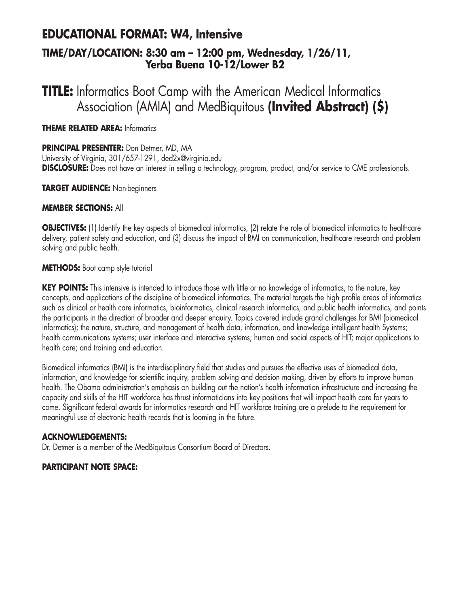## **EDUCATIONAL FORMAT: W4, Intensive TIME/DAY/LOCATION: 8:30 am – 12:00 pm, Wednesday, 1/26/11, Yerba Buena 10-12/Lower B2**

# **TITLE:** Informatics Boot Camp with the American Medical Informatics Association (AMIA) and MedBiquitous **(Invited Abstract) (\$)**

### **THEME RELATED AREA:** Informatics

**PRINCIPAL PRESENTER:** Don Detmer, MD, MA University of Virginia, 301/657-1291, ded2x@virginia.edu **DISCLOSURE:** Does not have an interest in selling a technology, program, product, and/or service to CME professionals.

### **TARGET AUDIENCE:** Non-beginners

### **MEMBER SECTIONS:** All

**OBJECTIVES:** (1) Identify the key aspects of biomedical informatics, (2) relate the role of biomedical informatics to healthcare delivery, patient safety and education, and (3) discuss the impact of BMI on communication, healthcare research and problem solving and public health.

**METHODS:** Boot camp style tutorial

**KEY POINTS:** This intensive is intended to introduce those with little or no knowledge of informatics, to the nature, key concepts, and applications of the discipline of biomedical informatics. The material targets the high profile areas of informatics such as clinical or health care informatics, bioinformatics, clinical research informatics, and public health informatics, and points the participants in the direction of broader and deeper enquiry. Topics covered include grand challenges for BMI (biomedical informatics); the nature, structure, and management of health data, information, and knowledge intelligent health Systems; health communications systems; user interface and interactive systems; human and social aspects of HIT; major applications to health care; and training and education.

Biomedical informatics (BMI) is the interdisciplinary field that studies and pursues the effective uses of biomedical data, information, and knowledge for scientific inquiry, problem solving and decision making, driven by efforts to improve human health. The Obama administration's emphasis on building out the nation's health information infrastructure and increasing the capacity and skills of the HIT workforce has thrust informaticians into key positions that will impact health care for years to come. Significant federal awards for informatics research and HIT workforce training are a prelude to the requirement for meaningful use of electronic health records that is looming in the future.

### **ACKNOWLEDGEMENTS:**

Dr. Detmer is a member of the MedBiquitous Consortium Board of Directors.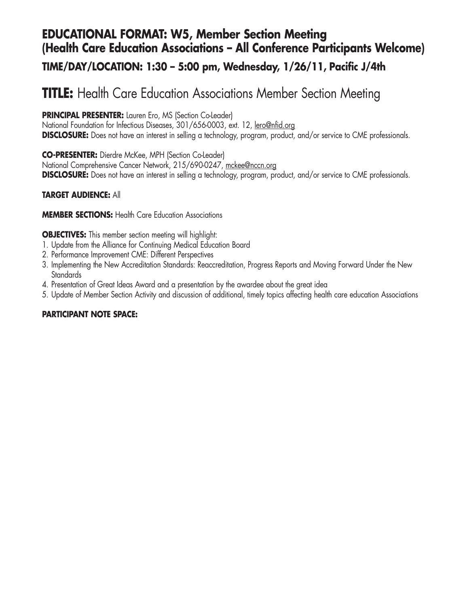# **EDUCATIONAL FORMAT: W5, Member Section Meeting (Health Care Education Associations – All Conference Participants Welcome)**

### **TIME/DAY/LOCATION: 1:30 – 5:00 pm, Wednesday, 1/26/11, Pacific J/4th**

# **TITLE:** Health Care Education Associations Member Section Meeting

**PRINCIPAL PRESENTER:** Lauren Ero, MS (Section Co-Leader)

National Foundation for Infectious Diseases, 301/656-0003, ext. 12, lero@nfid.org **DISCLOSURE:** Does not have an interest in selling a technology, program, product, and/or service to CME professionals.

**CO-PRESENTER:** Dierdre McKee, MPH (Section Co-Leader) National Comprehensive Cancer Network, 215/690-0247, mckee@nccn.org **DISCLOSURE:** Does not have an interest in selling a technology, program, product, and/or service to CME professionals.

### **TARGET AUDIENCE:** All

**MEMBER SECTIONS: Health Care Education Associations** 

**OBJECTIVES:** This member section meeting will highlight:

- 1. Update from the Alliance for Continuing Medical Education Board
- 2. Performance Improvement CME: Different Perspectives
- 3. Implementing the New Accreditation Standards: Reaccreditation, Progress Reports and Moving Forward Under the New **Standards**
- 4. Presentation of Great Ideas Award and a presentation by the awardee about the great idea
- 5. Update of Member Section Activity and discussion of additional, timely topics affecting health care education Associations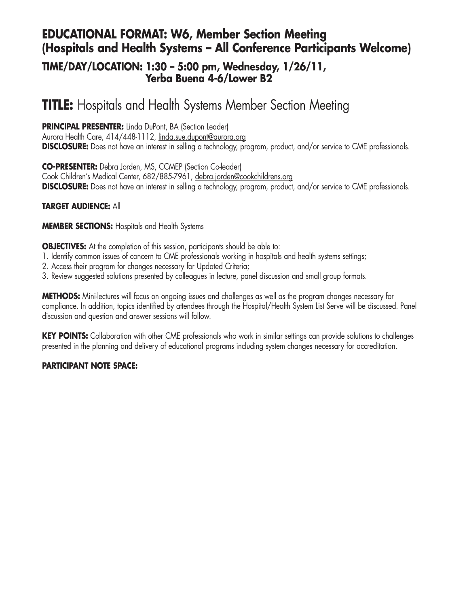### **EDUCATIONAL FORMAT: W6, Member Section Meeting (Hospitals and Health Systems – All Conference Participants Welcome)**

### **TIME/DAY/LOCATION: 1:30 – 5:00 pm, Wednesday, 1/26/11, Yerba Buena 4-6/Lower B2**

# **TITLE:** Hospitals and Health Systems Member Section Meeting

**PRINCIPAL PRESENTER:** Linda DuPont, BA (Section Leader) Aurora Health Care, 414/448-1112, linda.sue.dupont@aurora.org **DISCLOSURE:** Does not have an interest in selling a technology, program, product, and/or service to CME professionals.

**CO-PRESENTER:** Debra Jorden, MS, CCMEP (Section Co-leader) Cook Children's Medical Center, 682/885-7961, debra.jorden@cookchildrens.org **DISCLOSURE:** Does not have an interest in selling a technology, program, product, and/or service to CME professionals.

### **TARGET AUDIENCE:** All

### **MEMBER SECTIONS:** Hospitals and Health Systems

**OBJECTIVES:** At the completion of this session, participants should be able to:

- 1. Identify common issues of concern to CME professionals working in hospitals and health systems settings;
- 2. Access their program for changes necessary for Updated Criteria;
- 3. Review suggested solutions presented by colleagues in lecture, panel discussion and small group formats.

**METHODS:** Mini-lectures will focus on ongoing issues and challenges as well as the program changes necessary for compliance. In addition, topics identified by attendees through the Hospital/Health System List Serve will be discussed. Panel discussion and question and answer sessions will follow.

**KEY POINTS:** Collaboration with other CME professionals who work in similar settings can provide solutions to challenges presented in the planning and delivery of educational programs including system changes necessary for accreditation.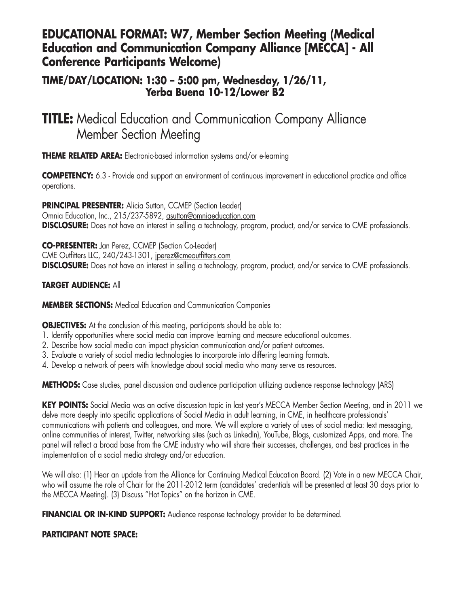### **EDUCATIONAL FORMAT: W7, Member Section Meeting (Medical Education and Communication Company Alliance [MECCA] - All Conference Participants Welcome)**

### **TIME/DAY/LOCATION: 1:30 – 5:00 pm, Wednesday, 1/26/11, Yerba Buena 10-12/Lower B2**

# **TITLE:** Medical Education and Communication Company Alliance Member Section Meeting

**THEME RELATED AREA:** Electronic-based information systems and/or e-learning

**COMPETENCY:** 6.3 - Provide and support an environment of continuous improvement in educational practice and office operations.

**PRINCIPAL PRESENTER:** Alicia Sutton, CCMEP (Section Leader) Omnia Education, Inc., 215/237-5892, asutton@omniaeducation.com **DISCLOSURE:** Does not have an interest in selling a technology, program, product, and/or service to CME professionals.

**CO-PRESENTER:** Jan Perez, CCMEP (Section Co-Leader) CME Outfitters LLC, 240/243-1301, jperez@cmeoutfitters.com **DISCLOSURE:** Does not have an interest in selling a technology, program, product, and/or service to CME professionals.

### **TARGET AUDIENCE:** All

**MEMBER SECTIONS:** Medical Education and Communication Companies

**OBJECTIVES:** At the conclusion of this meeting, participants should be able to:

- 1. Identify opportunities where social media can improve learning and measure educational outcomes.
- 2. Describe how social media can impact physician communication and/or patient outcomes.
- 3. Evaluate a variety of social media technologies to incorporate into differing learning formats.
- 4. Develop a network of peers with knowledge about social media who many serve as resources.

**METHODS:** Case studies, panel discussion and audience participation utilizing audience response technology (ARS)

**KEY POINTS:** Social Media was an active discussion topic in last year's MECCA Member Section Meeting, and in 2011 we delve more deeply into specific applications of Social Media in adult learning, in CME, in healthcare professionals' communications with patients and colleagues, and more. We will explore a variety of uses of social media: text messaging, online communities of interest, Twitter, networking sites (such as LinkedIn), YouTube, Blogs, customized Apps, and more. The panel will reflect a broad base from the CME industry who will share their successes, challenges, and best practices in the implementation of a social media strategy and/or education.

We will also: (1) Hear an update from the Alliance for Continuing Medical Education Board. (2) Vote in a new MECCA Chair, who will assume the role of Chair for the 2011-2012 term (candidates' credentials will be presented at least 30 days prior to the MECCA Meeting). (3) Discuss "Hot Topics" on the horizon in CME.

**FINANCIAL OR IN-KIND SUPPORT:** Audience response technology provider to be determined.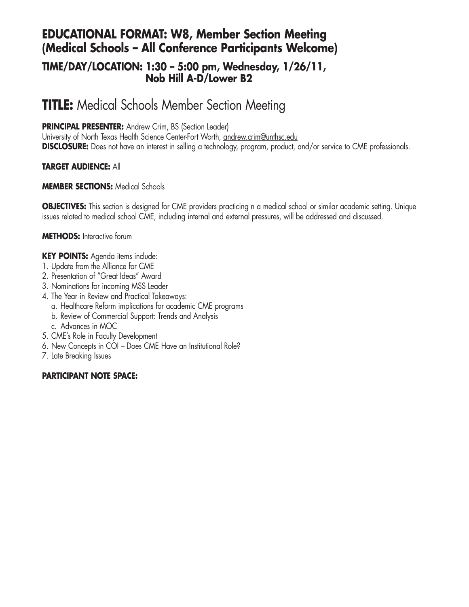## **EDUCATIONAL FORMAT: W8, Member Section Meeting (Medical Schools – All Conference Participants Welcome)**

### **TIME/DAY/LOCATION: 1:30 – 5:00 pm, Wednesday, 1/26/11, Nob Hill A-D/Lower B2**

# **TITLE:** Medical Schools Member Section Meeting

### **PRINCIPAL PRESENTER:** Andrew Crim, BS (Section Leader)

University of North Texas Health Science Center-Fort Worth, andrew.crim@unthsc.edu **DISCLOSURE:** Does not have an interest in selling a technology, program, product, and/or service to CME professionals.

### **TARGET AUDIENCE:** All

### **MEMBER SECTIONS:** Medical Schools

**OBJECTIVES:** This section is designed for CME providers practicing n a medical school or similar academic setting. Unique issues related to medical school CME, including internal and external pressures, will be addressed and discussed.

### **METHODS:** Interactive forum

### **KEY POINTS:** Agenda items include:

- 1. Update from the Alliance for CME
- 2. Presentation of "Great Ideas" Award
- 3. Nominations for incoming MSS Leader
- 4. The Year in Review and Practical Takeaways:
	- a. Healthcare Reform implications for academic CME programs
	- b. Review of Commercial Support: Trends and Analysis
	- c. Advances in MOC
- 5. CME's Role in Faculty Development
- 6. New Concepts in COI Does CME Have an Institutional Role?
- 7. Late Breaking Issues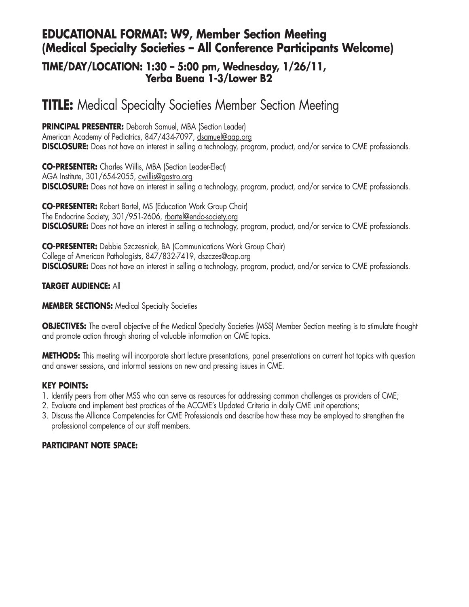## **EDUCATIONAL FORMAT: W9, Member Section Meeting (Medical Specialty Societies – All Conference Participants Welcome)**

### **TIME/DAY/LOCATION: 1:30 – 5:00 pm, Wednesday, 1/26/11, Yerba Buena 1-3/Lower B2**

# **TITLE:** Medical Specialty Societies Member Section Meeting

**PRINCIPAL PRESENTER:** Deborah Samuel, MBA (Section Leader) American Academy of Pediatrics, 847/434-7097, dsamuel@aap.org **DISCLOSURE:** Does not have an interest in selling a technology, program, product, and/or service to CME professionals.

**CO-PRESENTER:** Charles Willis, MBA (Section Leader-Elect) AGA Institute, 301/654-2055, cwillis@gastro.org **DISCLOSURE:** Does not have an interest in selling a technology, program, product, and/or service to CME professionals.

**CO-PRESENTER:** Robert Bartel, MS (Education Work Group Chair) The Endocrine Society, 301/951-2606, rbartel@endo-society.org **DISCLOSURE:** Does not have an interest in selling a technology, program, product, and/or service to CME professionals.

**CO-PRESENTER:** Debbie Szczesniak, BA (Communications Work Group Chair) College of American Pathologists, 847/832-7419, dszczes@cap.org **DISCLOSURE:** Does not have an interest in selling a technology, program, product, and/or service to CME professionals.

### **TARGET AUDIENCE:** All

#### **MEMBER SECTIONS:** Medical Specialty Societies

**OBJECTIVES:** The overall objective of the Medical Specialty Societies (MSS) Member Section meeting is to stimulate thought and promote action through sharing of valuable information on CME topics.

**METHODS:** This meeting will incorporate short lecture presentations, panel presentations on current hot topics with question and answer sessions, and informal sessions on new and pressing issues in CME.

### **KEY POINTS:**

- 1. Identify peers from other MSS who can serve as resources for addressing common challenges as providers of CME;
- 2. Evaluate and implement best practices of the ACCME's Updated Criteria in daily CME unit operations;
- 3. Discuss the Alliance Competencies for CME Professionals and describe how these may be employed to strengthen the professional competence of our staff members.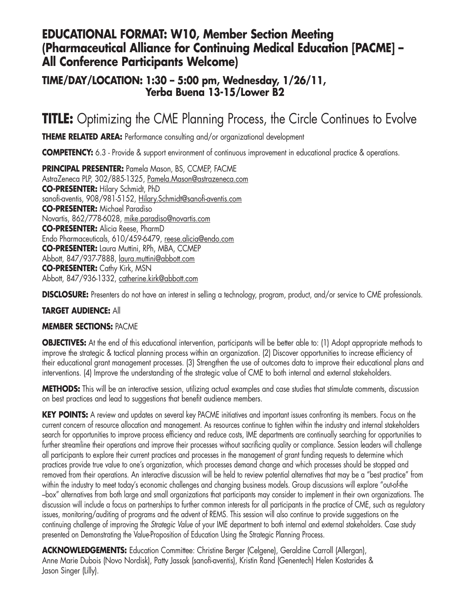### **EDUCATIONAL FORMAT: W10, Member Section Meeting (Pharmaceutical Alliance for Continuing Medical Education [PACME] – All Conference Participants Welcome)**

### **TIME/DAY/LOCATION: 1:30 – 5:00 pm, Wednesday, 1/26/11, Yerba Buena 13-15/Lower B2**

# **TITLE:** Optimizing the CME Planning Process, the Circle Continues to Evolve

**THEME RELATED AREA:** Performance consulting and/or organizational development

**COMPETENCY:** 6.3 - Provide & support environment of continuous improvement in educational practice & operations.

**PRINCIPAL PRESENTER:** Pamela Mason, BS, CCMEP, FACME AstraZeneca PLP, 302/885-1325, Pamela.Mason@astrazeneca.com **CO-PRESENTER:** Hilary Schmidt, PhD sanofi-aventis, 908/981-5152, Hilary.Schmidt@sanofi-aventis.com **CO-PRESENTER:** Michael Paradiso Novartis, 862/778-6028, mike.paradiso@novartis.com **CO-PRESENTER:** Alicia Reese, PharmD Endo Pharmaceuticals, 610/459-6479, reese.alicia@endo.com **CO-PRESENTER:** Laura Muttini, RPh, MBA, CCMEP Abbott, 847/937-7888, laura.muttini@abbott.com **CO-PRESENTER:** Cathy Kirk, MSN Abbott, 847/936-1332, catherine.kirk@abbott.com

**DISCLOSURE:** Presenters do not have an interest in selling a technology, program, product, and/or service to CME professionals.

#### **TARGET AUDIENCE:** All

#### **MEMBER SECTIONS:** PACME

**OBJECTIVES:** At the end of this educational intervention, participants will be better able to: (1) Adopt appropriate methods to improve the strategic & tactical planning process within an organization. (2) Discover opportunities to increase efficiency of their educational grant management processes. (3) Strengthen the use of outcomes data to improve their educational plans and interventions. (4) Improve the understanding of the strategic value of CME to both internal and external stakeholders.

**METHODS:** This will be an interactive session, utilizing actual examples and case studies that stimulate comments, discussion on best practices and lead to suggestions that benefit audience members.

**KEY POINTS:** A review and updates on several key PACME initiatives and important issues confronting its members. Focus on the current concern of resource allocation and management. As resources continue to tighten within the industry and internal stakeholders search for opportunities to improve process efficiency and reduce costs, IME departments are continually searching for opportunities to further streamline their operations and improve their processes without sacrificing quality or compliance. Session leaders will challenge all participants to explore their current practices and processes in the management of grant funding requests to determine which practices provide true value to one's organization, which processes demand change and which processes should be stopped and removed from their operations. An interactive discussion will be held to review potential alternatives that may be a "best practice" from within the industry to meet today's economic challenges and changing business models. Group discussions will explore "out-of-the –box" alternatives from both large and small organizations that participants may consider to implement in their own organizations. The discussion will include a focus on partnerships to further common interests for all participants in the practice of CME, such as regulatory issues, monitoring/auditing of programs and the advent of REMS. This session will also continue to provide suggestions on the continuing challenge of improving the *Strategic Value* of your IME department to both internal and external stakeholders. Case study presented on Demonstrating the Value-Proposition of Education Using the Strategic Planning Process.

**ACKNOWLEDGEMENTS:** Education Committee: Christine Berger (Celgene), Geraldine Carroll (Allergan), Anne Marie Dubois (Novo Nordisk), Patty Jassak (sanofi-aventis), Kristin Rand (Genentech) Helen Kostarides & Jason Singer (Lilly).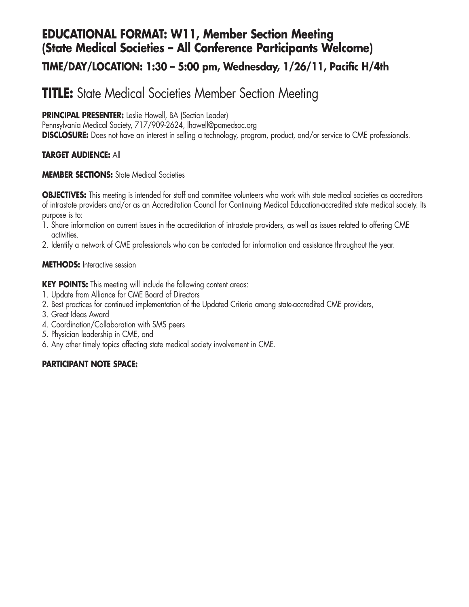# **EDUCATIONAL FORMAT: W11, Member Section Meeting (State Medical Societies – All Conference Participants Welcome)**

### **TIME/DAY/LOCATION: 1:30 – 5:00 pm, Wednesday, 1/26/11, Pacific H/4th**

# **TITLE:** State Medical Societies Member Section Meeting

**PRINCIPAL PRESENTER:** Leslie Howell, BA (Section Leader)

Pennsylvania Medical Society, 717/909-2624, lhowell@pamedsoc.org

**DISCLOSURE:** Does not have an interest in selling a technology, program, product, and/or service to CME professionals.

### **TARGET AUDIENCE:** All

### **MEMBER SECTIONS:** State Medical Societies

**OBJECTIVES:** This meeting is intended for staff and committee volunteers who work with state medical societies as accreditors of intrastate providers and/or as an Accreditation Council for Continuing Medical Education-accredited state medical society. Its purpose is to:

- 1. Share information on current issues in the accreditation of intrastate providers, as well as issues related to offering CME activities.
- 2. Identify a network of CME professionals who can be contacted for information and assistance throughout the year.

### **METHODS:** Interactive session

**KEY POINTS:** This meeting will include the following content areas:

- 1. Update from Alliance for CME Board of Directors
- 2. Best practices for continued implementation of the Updated Criteria among state-accredited CME providers,
- 3. Great Ideas Award
- 4. Coordination/Collaboration with SMS peers
- 5. Physician leadership in CME, and
- 6. Any other timely topics affecting state medical society involvement in CME.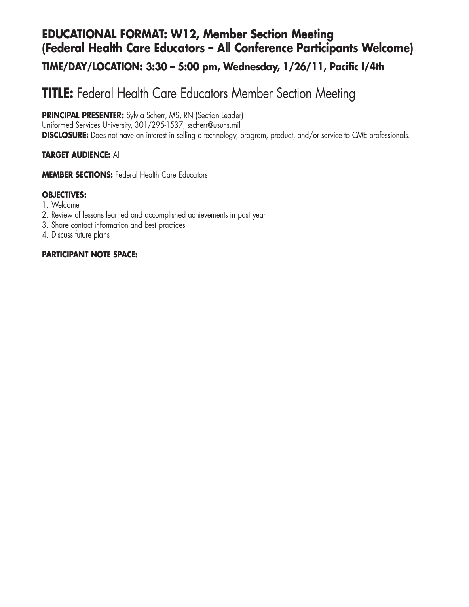## **EDUCATIONAL FORMAT: W12, Member Section Meeting (Federal Health Care Educators – All Conference Participants Welcome)**

### **TIME/DAY/LOCATION: 3:30 – 5:00 pm, Wednesday, 1/26/11, Pacific I/4th**

# **TITLE:** Federal Health Care Educators Member Section Meeting

**PRINCIPAL PRESENTER:** Sylvia Scherr, MS, RN (Section Leader) Uniformed Services University, 301/295-1537, sscherr@usuhs.mil **DISCLOSURE:** Does not have an interest in selling a technology, program, product, and/or service to CME professionals.

### **TARGET AUDIENCE:** All

**MEMBER SECTIONS: Federal Health Care Educators** 

### **OBJECTIVES:**

- 1. Welcome
- 2. Review of lessons learned and accomplished achievements in past year
- 3. Share contact information and best practices
- 4. Discuss future plans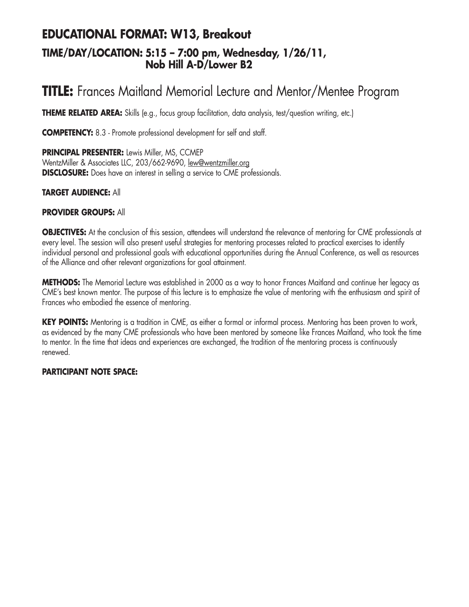## **EDUCATIONAL FORMAT: W13, Breakout TIME/DAY/LOCATION: 5:15 – 7:00 pm, Wednesday, 1/26/11, Nob Hill A-D/Lower B2**

# **TITLE:** Frances Maitland Memorial Lecture and Mentor/Mentee Program

**THEME RELATED AREA:** Skills (e.g., focus group facilitation, data analysis, test/question writing, etc.)

**COMPETENCY:** 8.3 - Promote professional development for self and staff.

**PRINCIPAL PRESENTER:** Lewis Miller, MS, CCMEP WentzMiller & Associates LLC, 203/662-9690, lew@wentzmiller.org **DISCLOSURE:** Does have an interest in selling a service to CME professionals.

### **TARGET AUDIENCE:** All

#### **PROVIDER GROUPS:** All

**OBJECTIVES:** At the conclusion of this session, attendees will understand the relevance of mentoring for CME professionals at every level. The session will also present useful strategies for mentoring processes related to practical exercises to identify individual personal and professional goals with educational opportunities during the Annual Conference, as well as resources of the Alliance and other relevant organizations for goal attainment.

**METHODS:** The Memorial Lecture was established in 2000 as a way to honor Frances Maitland and continue her legacy as CME's best known mentor. The purpose of this lecture is to emphasize the value of mentoring with the enthusiasm and spirit of Frances who embodied the essence of mentoring.

**KEY POINTS:** Mentoring is a tradition in CME, as either a formal or informal process. Mentoring has been proven to work, as evidenced by the many CME professionals who have been mentored by someone like Frances Maitland, who took the time to mentor. In the time that ideas and experiences are exchanged, the tradition of the mentoring process is continuously renewed.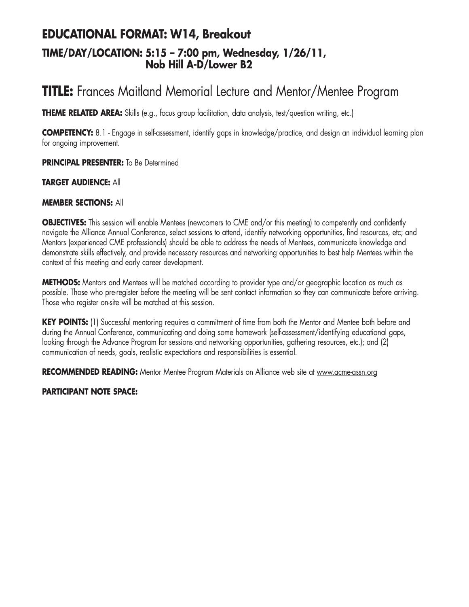## **EDUCATIONAL FORMAT: W14, Breakout TIME/DAY/LOCATION: 5:15 – 7:00 pm, Wednesday, 1/26/11, Nob Hill A-D/Lower B2**

# **TITLE:** Frances Maitland Memorial Lecture and Mentor/Mentee Program

**THEME RELATED AREA:** Skills (e.g., focus group facilitation, data analysis, test/question writing, etc.)

**COMPETENCY:** 8.1 - Engage in self-assessment, identify gaps in knowledge/practice, and design an individual learning plan for ongoing improvement.

**PRINCIPAL PRESENTER:** To Be Determined

#### **TARGET AUDIENCE:** All

#### **MEMBER SECTIONS:** All

**OBJECTIVES:** This session will enable Mentees (newcomers to CME and/or this meeting) to competently and confidently navigate the Alliance Annual Conference, select sessions to attend, identify networking opportunities, find resources, etc; and Mentors (experienced CME professionals) should be able to address the needs of Mentees, communicate knowledge and demonstrate skills effectively, and provide necessary resources and networking opportunities to best help Mentees within the context of this meeting and early career development.

**METHODS:** Mentors and Mentees will be matched according to provider type and/or geographic location as much as possible. Those who pre-register before the meeting will be sent contact information so they can communicate before arriving. Those who register on-site will be matched at this session.

**KEY POINTS:** (1) Successful mentoring requires a commitment of time from both the Mentor and Mentee both before and during the Annual Conference, communicating and doing some homework (self-assessment/identifying educational gaps, looking through the Advance Program for sessions and networking opportunities, gathering resources, etc.); and (2) communication of needs, goals, realistic expectations and responsibilities is essential.

**RECOMMENDED READING:** Mentor Mentee Program Materials on Alliance web site at www.acme-assn.org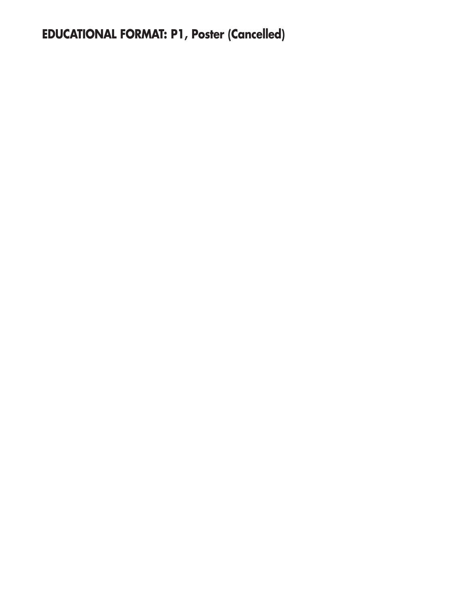# **EDUCATIONAL FORMAT: P1, Poster (Cancelled)**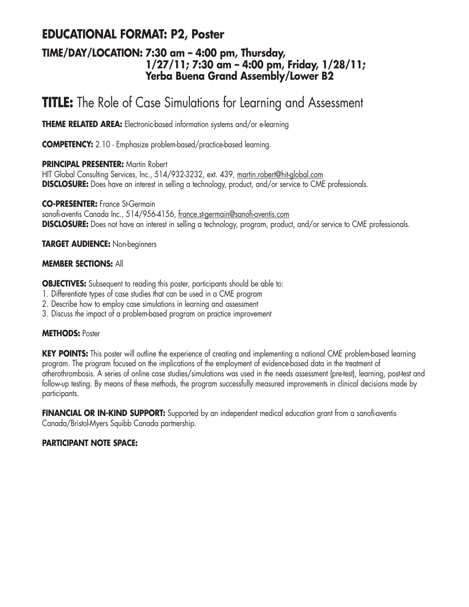## **EDUCATIONAL FORMAT: P2, Poster**

### **TIME/DAY/LOCATION: 7:30 am – 4:00 pm, Thursday, 1/27/11; 7:30 am – 4:00 pm, Friday, 1/28/11; Yerba Buena Grand Assembly/Lower B2**

# **TITLE:** The Role of Case Simulations for Learning and Assessment

**THEME RELATED AREA:** Electronic-based information systems and/or e-learning

**COMPETENCY:** 2.10 - Emphasize problem-based/practice-based learning.

#### **PRINCIPAL PRESENTER:** Martin Robert

HIT Global Consulting Services, Inc., 514/932-3232, ext. 439, martin.robert@hit-global.com **DISCLOSURE:** Does have an interest in selling a technology, product, and/or service to CME professionals.

**CO-PRESENTER:** France St-Germain

sanofi-aventis Canada Inc., 514/956-4156, france.st-germain@sanofi-aventis.com **DISCLOSURE:** Does not have an interest in selling a technology, program, product, and/or service to CME professionals.

**TARGET AUDIENCE:** Non-beginners

#### **MEMBER SECTIONS:** All

**OBJECTIVES:** Subsequent to reading this poster, participants should be able to:

- 1. Differentiate types of case studies that can be used in a CME program
- 2. Describe how to employ case simulations in learning and assessment
- 3. Discuss the impact of a problem-based program on practice improvement

#### **METHODS:** Poster

**KEY POINTS:** This poster will outline the experience of creating and implementing a national CME problem-based learning program. The program focused on the implications of the employment of evidence-based data in the treatment of atherothrombosis. A series of online case studies/simulations was used in the needs assessment (pre-test), learning, post-test and follow-up testing. By means of these methods, the program successfully measured improvements in clinical decisions made by participants.

FINANCIAL OR IN-KIND SUPPORT: Supported by an independent medical education grant from a sanofi-aventis Canada/Bristol-Myers Squibb Canada partnership.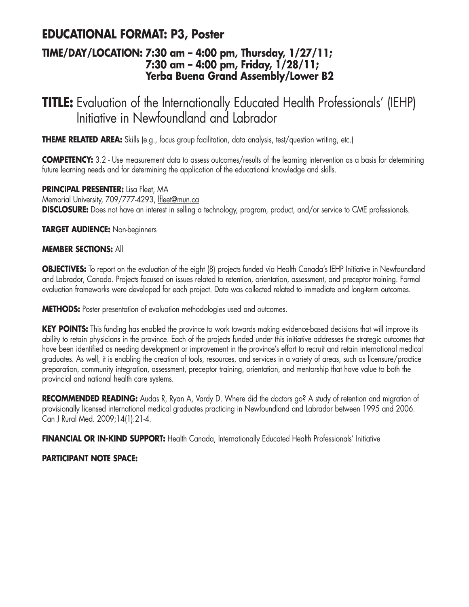## **EDUCATIONAL FORMAT: P3, Poster**

### **TIME/DAY/LOCATION: 7:30 am – 4:00 pm, Thursday, 1/27/11; 7:30 am – 4:00 pm, Friday, 1/28/11; Yerba Buena Grand Assembly/Lower B2**

# **TITLE:** Evaluation of the Internationally Educated Health Professionals' (IEHP) Initiative in Newfoundland and Labrador

**THEME RELATED AREA:** Skills (e.g., focus group facilitation, data analysis, test/question writing, etc.)

**COMPETENCY:** 3.2 - Use measurement data to assess outcomes/results of the learning intervention as a basis for determining future learning needs and for determining the application of the educational knowledge and skills.

**PRINCIPAL PRESENTER:** Lisa Fleet, MA Memorial University, 709/777-4293, lfleet@mun.ca **DISCLOSURE:** Does not have an interest in selling a technology, program, product, and/or service to CME professionals.

**TARGET AUDIENCE:** Non-beginners

### **MEMBER SECTIONS:** All

**OBJECTIVES:** To report on the evaluation of the eight (8) projects funded via Health Canada's IEHP Initiative in Newfoundland and Labrador, Canada. Projects focused on issues related to retention, orientation, assessment, and preceptor training. Formal evaluation frameworks were developed for each project. Data was collected related to immediate and long-term outcomes.

**METHODS:** Poster presentation of evaluation methodologies used and outcomes.

**KEY POINTS:** This funding has enabled the province to work towards making evidence-based decisions that will improve its ability to retain physicians in the province. Each of the projects funded under this initiative addresses the strategic outcomes that have been identified as needing development or improvement in the province's effort to recruit and retain international medical graduates. As well, it is enabling the creation of tools, resources, and services in a variety of areas, such as licensure/practice preparation, community integration, assessment, preceptor training, orientation, and mentorship that have value to both the provincial and national health care systems.

**RECOMMENDED READING:** Audas R, Ryan A, Vardy D. Where did the doctors go? A study of retention and migration of provisionally licensed international medical graduates practicing in Newfoundland and Labrador between 1995 and 2006. Can J Rural Med. 2009;14(1):21-4.

**FINANCIAL OR IN-KIND SUPPORT:** Health Canada, Internationally Educated Health Professionals' Initiative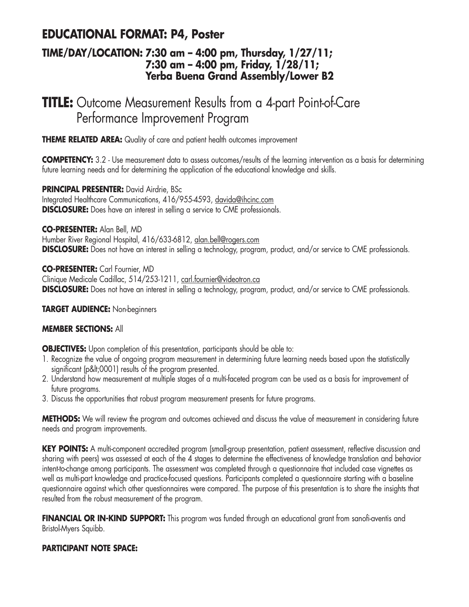## **EDUCATIONAL FORMAT: P4, Poster**

### **TIME/DAY/LOCATION: 7:30 am – 4:00 pm, Thursday, 1/27/11; 7:30 am – 4:00 pm, Friday, 1/28/11; Yerba Buena Grand Assembly/Lower B2**

# **TITLE:** Outcome Measurement Results from a 4-part Point-of-Care Performance Improvement Program

**THEME RELATED AREA:** Quality of care and patient health outcomes improvement

**COMPETENCY:** 3.2 - Use measurement data to assess outcomes/results of the learning intervention as a basis for determining future learning needs and for determining the application of the educational knowledge and skills.

**PRINCIPAL PRESENTER:** David Airdrie, BSc Integrated Healthcare Communications, 416/955-4593, davida@ihcinc.com **DISCLOSURE:** Does have an interest in selling a service to CME professionals.

**CO-PRESENTER:** Alan Bell, MD Humber River Regional Hospital, 416/633-6812, alan.bell@rogers.com **DISCLOSURE:** Does not have an interest in selling a technology, program, product, and/or service to CME professionals.

**CO-PRESENTER:** Carl Fournier, MD Clinique Medicale Cadillac, 514/253-1211, carl.fournier@videotron.ca **DISCLOSURE:** Does not have an interest in selling a technology, program, product, and/or service to CME professionals.

#### **TARGET AUDIENCE:** Non-beginners

### **MEMBER SECTIONS:** All

**OBJECTIVES:** Upon completion of this presentation, participants should be able to:

- 1. Recognize the value of ongoing program measurement in determining future learning needs based upon the statistically significant (p<0001) results of the program presented.
- 2. Understand how measurement at multiple stages of a multi-faceted program can be used as a basis for improvement of future programs.
- 3. Discuss the opportunities that robust program measurement presents for future programs.

**METHODS:** We will review the program and outcomes achieved and discuss the value of measurement in considering future needs and program improvements.

**KEY POINTS:** A multi-component accredited program (small-group presentation, patient assessment, reflective discussion and sharing with peers) was assessed at each of the 4 stages to determine the effectiveness of knowledge translation and behavior intent-to-change among participants. The assessment was completed through a questionnaire that included case vignettes as well as multi-part knowledge and practice-focused questions. Participants completed a questionnaire starting with a baseline questionnaire against which other questionnaires were compared. The purpose of this presentation is to share the insights that resulted from the robust measurement of the program.

**FINANCIAL OR IN-KIND SUPPORT:** This program was funded through an educational grant from sanofi-aventis and Bristol-Myers Squibb.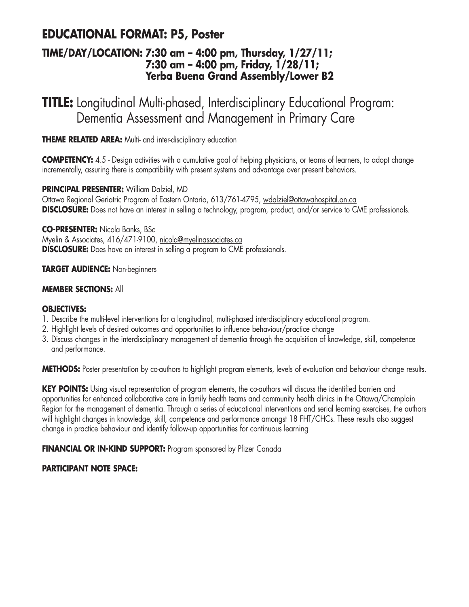## **EDUCATIONAL FORMAT: P5, Poster**

### **TIME/DAY/LOCATION: 7:30 am – 4:00 pm, Thursday, 1/27/11; 7:30 am – 4:00 pm, Friday, 1/28/11; Yerba Buena Grand Assembly/Lower B2**

**TITLE:** Longitudinal Multi-phased, Interdisciplinary Educational Program: Dementia Assessment and Management in Primary Care

**THEME RELATED AREA:** Multi- and inter-disciplinary education

**COMPETENCY:** 4.5 - Design activities with a cumulative goal of helping physicians, or teams of learners, to adopt change incrementally, assuring there is compatibility with present systems and advantage over present behaviors.

**PRINCIPAL PRESENTER:** William Dalziel, MD Ottawa Regional Geriatric Program of Eastern Ontario, 613/761-4795, wdalziel@ottawahospital.on.ca **DISCLOSURE:** Does not have an interest in selling a technology, program, product, and/or service to CME professionals.

**CO-PRESENTER:** Nicola Banks, BSc Myelin & Associates, 416/471-9100, nicola@myelinassociates.ca **DISCLOSURE:** Does have an interest in selling a program to CME professionals.

### **TARGET AUDIENCE:** Non-beginners

#### **MEMBER SECTIONS:** All

#### **OBJECTIVES:**

- 1. Describe the multi-level interventions for a longitudinal, multi-phased interdisciplinary educational program.
- 2. Highlight levels of desired outcomes and opportunities to influence behaviour/practice change
- 3. Discuss changes in the interdisciplinary management of dementia through the acquisition of knowledge, skill, competence and performance.

**METHODS:** Poster presentation by co-authors to highlight program elements, levels of evaluation and behaviour change results.

**KEY POINTS:** Using visual representation of program elements, the co-authors will discuss the identified barriers and opportunities for enhanced collaborative care in family health teams and community health clinics in the Ottawa/Champlain Region for the management of dementia. Through a series of educational interventions and serial learning exercises, the authors will highlight changes in knowledge, skill, competence and performance amongst 18 FHT/CHCs. These results also suggest change in practice behaviour and identify follow-up opportunities for continuous learning

**FINANCIAL OR IN-KIND SUPPORT:** Program sponsored by Pfizer Canada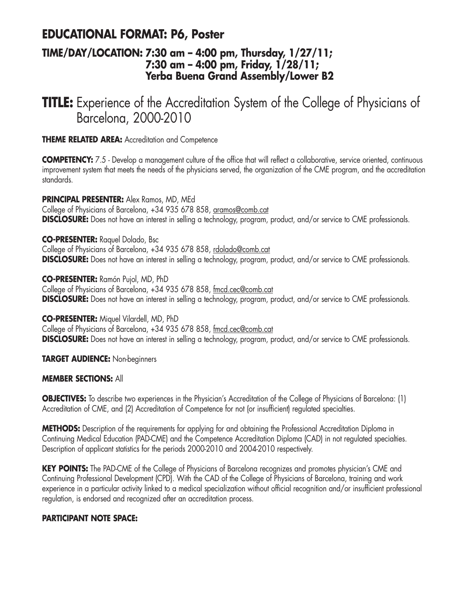## **EDUCATIONAL FORMAT: P6, Poster**

### **TIME/DAY/LOCATION: 7:30 am – 4:00 pm, Thursday, 1/27/11; 7:30 am – 4:00 pm, Friday, 1/28/11; Yerba Buena Grand Assembly/Lower B2**

# **TITLE:** Experience of the Accreditation System of the College of Physicians of Barcelona, 2000-2010

**THEME RELATED AREA:** Accreditation and Competence

**COMPETENCY:** 7.5 - Develop a management culture of the office that will reflect a collaborative, service oriented, continuous improvement system that meets the needs of the physicians served, the organization of the CME program, and the accreditation standards.

**PRINCIPAL PRESENTER:** Alex Ramos, MD, MEd

College of Physicians of Barcelona, +34 935 678 858, aramos@comb.cat **DISCLOSURE:** Does not have an interest in selling a technology, program, product, and/or service to CME professionals.

**CO-PRESENTER:** Raquel Dolado, Bsc

College of Physicians of Barcelona, +34 935 678 858, rdolado@comb.cat **DISCLOSURE:** Does not have an interest in selling a technology, program, product, and/or service to CME professionals.

**CO-PRESENTER:** Ramón Pujol, MD, PhD College of Physicians of Barcelona, +34 935 678 858, fmcd.cec@comb.cat **DISCLOSURE:** Does not have an interest in selling a technology, program, product, and/or service to CME professionals.

**CO-PRESENTER:** Miquel Vilardell, MD, PhD

College of Physicians of Barcelona, +34 935 678 858, fmcd.cec@comb.cat **DISCLOSURE:** Does not have an interest in selling a technology, program, product, and/or service to CME professionals.

**TARGET AUDIENCE:** Non-beginners

#### **MEMBER SECTIONS:** All

**OBJECTIVES:** To describe two experiences in the Physician's Accreditation of the College of Physicians of Barcelona: (1) Accreditation of CME, and (2) Accreditation of Competence for not (or insufficient) regulated specialties.

**METHODS:** Description of the requirements for applying for and obtaining the Professional Accreditation Diploma in Continuing Medical Education (PAD-CME) and the Competence Accreditation Diploma (CAD) in not regulated specialties. Description of applicant statistics for the periods 2000-2010 and 2004-2010 respectively.

**KEY POINTS:** The PAD-CME of the College of Physicians of Barcelona recognizes and promotes physician's CME and Continuing Professional Development (CPD). With the CAD of the College of Physicians of Barcelona, training and work experience in a particular activity linked to a medical specialization without official recognition and/or insufficient professional regulation, is endorsed and recognized after an accreditation process.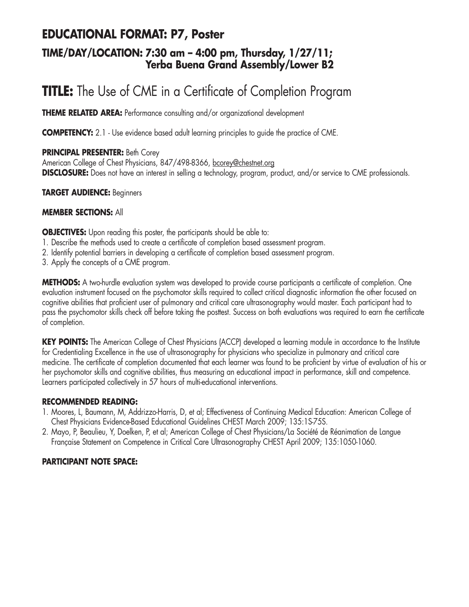## **EDUCATIONAL FORMAT: P7, Poster**

### **TIME/DAY/LOCATION: 7:30 am – 4:00 pm, Thursday, 1/27/11; Yerba Buena Grand Assembly/Lower B2**

# **TITLE:** The Use of CME in a Certificate of Completion Program

**THEME RELATED AREA:** Performance consulting and/or organizational development

**COMPETENCY:** 2.1 - Use evidence based adult learning principles to quide the practice of CME.

### **PRINCIPAL PRESENTER:** Beth Corey

American College of Chest Physicians, 847/498-8366, bcorey@chestnet.org **DISCLOSURE:** Does not have an interest in selling a technology, program, product, and/or service to CME professionals.

### **TARGET AUDIENCE:** Beginners

### **MEMBER SECTIONS:** All

**OBJECTIVES:** Upon reading this poster, the participants should be able to:

- 1. Describe the methods used to create a certificate of completion based assessment program.
- 2. Identify potential barriers in developing a certificate of completion based assessment program.
- 3. Apply the concepts of a CME program.

**METHODS:** A two-hurdle evaluation system was developed to provide course participants a certificate of completion. One evaluation instrument focused on the psychomotor skills required to collect critical diagnostic information the other focused on cognitive abilities that proficient user of pulmonary and critical care ultrasonography would master. Each participant had to pass the psychomotor skills check off before taking the posttest. Success on both evaluations was required to earn the certificate of completion.

**KEY POINTS:** The American College of Chest Physicians (ACCP) developed a learning module in accordance to the Institute for Credentialing Excellence in the use of ultrasonography for physicians who specialize in pulmonary and critical care medicine. The certificate of completion documented that each learner was found to be proficient by virtue of evaluation of his or her psychomotor skills and cognitive abilities, thus measuring an educational impact in performance, skill and competence. Learners participated collectively in 57 hours of multi-educational interventions.

### **RECOMMENDED READING:**

- 1. Moores, L, Baumann, M, Addrizzo-Harris, D, et al; Effectiveness of Continuing Medical Education: American College of Chest Physicians Evidence-Based Educational Guidelines CHEST March 2009; 135:1S-75S.
- 2. Mayo, P, Beaulieu, Y, Doelken, P, et al; American College of Chest Physicians/La Société de Réanimation de Langue Française Statement on Competence in Critical Care Ultrasonography CHEST April 2009; 135:1050-1060.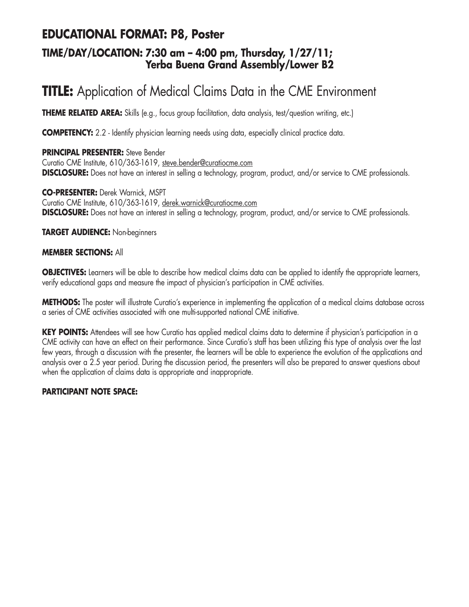## **EDUCATIONAL FORMAT: P8, Poster**

### **TIME/DAY/LOCATION: 7:30 am – 4:00 pm, Thursday, 1/27/11; Yerba Buena Grand Assembly/Lower B2**

# **TITLE:** Application of Medical Claims Data in the CME Environment

**THEME RELATED AREA:** Skills (e.g., focus group facilitation, data analysis, test/question writing, etc.)

**COMPETENCY:** 2.2 - Identify physician learning needs using data, especially clinical practice data.

### **PRINCIPAL PRESENTER:** Steve Bender

Curatio CME Institute, 610/363-1619, steve.bender@curatiocme.com **DISCLOSURE:** Does not have an interest in selling a technology, program, product, and/or service to CME professionals.

**CO-PRESENTER:** Derek Warnick, MSPT Curatio CME Institute, 610/363-1619, derek.warnick@curatiocme.com **DISCLOSURE:** Does not have an interest in selling a technology, program, product, and/or service to CME professionals.

**TARGET AUDIENCE:** Non-beginners

### **MEMBER SECTIONS:** All

**OBJECTIVES:** Learners will be able to describe how medical claims data can be applied to identify the appropriate learners, verify educational gaps and measure the impact of physician's participation in CME activities.

**METHODS:** The poster will illustrate Curatio's experience in implementing the application of a medical claims database across a series of CME activities associated with one multi-supported national CME initiative.

**KEY POINTS:** Attendees will see how Curatio has applied medical claims data to determine if physician's participation in a CME activity can have an effect on their performance. Since Curatio's staff has been utilizing this type of analysis over the last few years, through a discussion with the presenter, the learners will be able to experience the evolution of the applications and analysis over a 2.5 year period. During the discussion period, the presenters will also be prepared to answer questions about when the application of claims data is appropriate and inappropriate.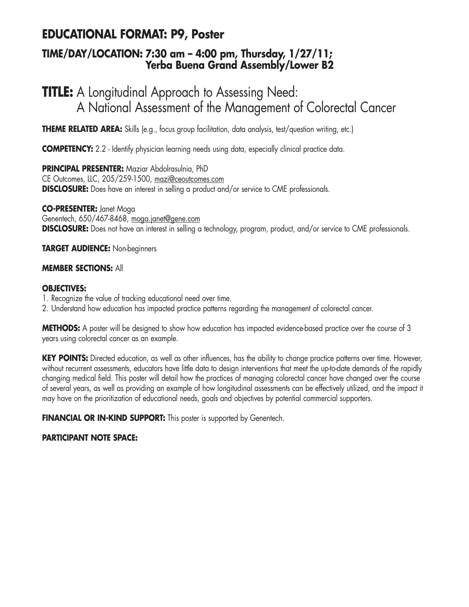## **EDUCATIONAL FORMAT: P9, Poster**

### **TIME/DAY/LOCATION: 7:30 am – 4:00 pm, Thursday, 1/27/11; Yerba Buena Grand Assembly/Lower B2**

# **TITLE:** A Longitudinal Approach to Assessing Need: A National Assessment of the Management of Colorectal Cancer

**THEME RELATED AREA:** Skills (e.g., focus group facilitation, data analysis, test/question writing, etc.)

**COMPETENCY:** 2.2 - Identify physician learning needs using data, especially clinical practice data.

**PRINCIPAL PRESENTER:** Maziar Abdolrasulnia, PhD CE Outcomes, LLC, 205/259-1500, mazi@ceoutcomes.com **DISCLOSURE:** Does have an interest in selling a product and/or service to CME professionals.

**CO-PRESENTER:** Janet Moga Genentech, 650/467-8468, moga.janet@gene.com **DISCLOSURE:** Does not have an interest in selling a technology, program, product, and/or service to CME professionals.

**TARGET AUDIENCE:** Non-beginners

### **MEMBER SECTIONS:** All

### **OBJECTIVES:**

- 1. Recognize the value of tracking educational need over time.
- 2. Understand how education has impacted practice patterns regarding the management of colorectal cancer.

**METHODS:** A poster will be designed to show how education has impacted evidence-based practice over the course of 3 years using colorectal cancer as an example.

**KEY POINTS:** Directed education, as well as other influences, has the ability to change practice patterns over time. However, without recurrent assessments, educators have little data to design interventions that meet the up-to-date demands of the rapidly changing medical field. This poster will detail how the practices of managing colorectal cancer have changed over the course of several years, as well as providing an example of how longitudinal assessments can be effectively utilized, and the impact it may have on the prioritization of educational needs, goals and objectives by potential commercial supporters.

**FINANCIAL OR IN-KIND SUPPORT:** This poster is supported by Genentech.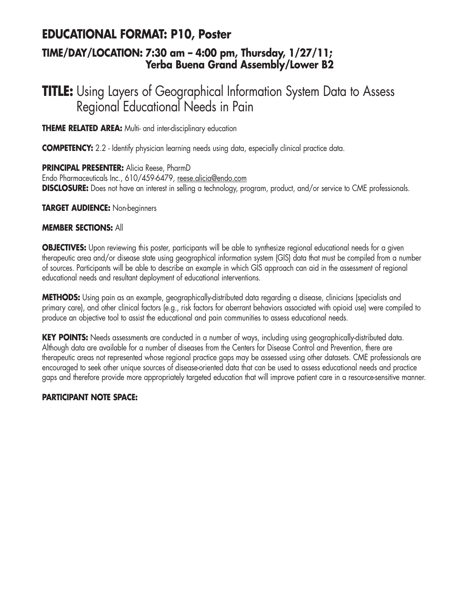## **EDUCATIONAL FORMAT: P10, Poster**

### **TIME/DAY/LOCATION: 7:30 am – 4:00 pm, Thursday, 1/27/11; Yerba Buena Grand Assembly/Lower B2**

# **TITLE:** Using Layers of Geographical Information System Data to Assess Regional Educational Needs in Pain

**THEME RELATED AREA:** Multi- and inter-disciplinary education

**COMPETENCY:** 2.2 - Identify physician learning needs using data, especially clinical practice data.

**PRINCIPAL PRESENTER:** Alicia Reese, PharmD Endo Pharmaceuticals Inc., 610/459-6479, reese.alicia@endo.com **DISCLOSURE:** Does not have an interest in selling a technology, program, product, and/or service to CME professionals.

### **TARGET AUDIENCE:** Non-beginners

### **MEMBER SECTIONS:** All

**OBJECTIVES:** Upon reviewing this poster, participants will be able to synthesize regional educational needs for a given therapeutic area and/or disease state using geographical information system (GIS) data that must be compiled from a number of sources. Participants will be able to describe an example in which GIS approach can aid in the assessment of regional educational needs and resultant deployment of educational interventions.

**METHODS:** Using pain as an example, geographically-distributed data regarding a disease, clinicians (specialists and primary care), and other clinical factors (e.g., risk factors for aberrant behaviors associated with opioid use) were compiled to produce an objective tool to assist the educational and pain communities to assess educational needs.

**KEY POINTS:** Needs assessments are conducted in a number of ways, including using geographically-distributed data. Although data are available for a number of diseases from the Centers for Disease Control and Prevention, there are therapeutic areas not represented whose regional practice gaps may be assessed using other datasets. CME professionals are encouraged to seek other unique sources of disease-oriented data that can be used to assess educational needs and practice gaps and therefore provide more appropriately targeted education that will improve patient care in a resource-sensitive manner.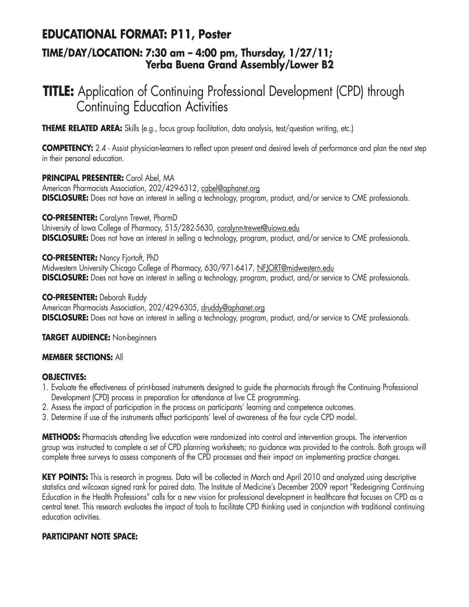## **EDUCATIONAL FORMAT: P11, Poster**

### **TIME/DAY/LOCATION: 7:30 am – 4:00 pm, Thursday, 1/27/11; Yerba Buena Grand Assembly/Lower B2**

# **TITLE:** Application of Continuing Professional Development (CPD) through Continuing Education Activities

**THEME RELATED AREA:** Skills (e.g., focus group facilitation, data analysis, test/question writing, etc.)

**COMPETENCY:** 2.4 - Assist physician-learners to reflect upon present and desired levels of performance and plan the next step in their personal education.

**PRINCIPAL PRESENTER:** Carol Abel, MA American Pharmacists Association, 202/429-6312, cabel@aphanet.org **DISCLOSURE:** Does not have an interest in selling a technology, program, product, and/or service to CME professionals.

**CO-PRESENTER:** CoraLynn Trewet, PharmD

University of Iowa College of Pharmacy, 515/282-5630, coralynn-trewet@uiowa.edu **DISCLOSURE:** Does not have an interest in selling a technology, program, product, and/or service to CME professionals.

#### **CO-PRESENTER:** Nancy Fjortoft, PhD

Midwestern University Chicago College of Pharmacy, 630/971-6417, NFJORT@midwestern.edu **DISCLOSURE:** Does not have an interest in selling a technology, program, product, and/or service to CME professionals.

### **CO-PRESENTER:** Deborah Ruddy

American Pharmacists Association, 202/429-6305, druddy@aphanet.org **DISCLOSURE:** Does not have an interest in selling a technology, program, product, and/or service to CME professionals.

**TARGET AUDIENCE:** Non-beginners

### **MEMBER SECTIONS:** All

#### **OBJECTIVES:**

- 1. Evaluate the effectiveness of print-based instruments designed to guide the pharmacists through the Continuing Professional Development (CPD) process in preparation for attendance at live CE programming.
- 2. Assess the impact of participation in the process on participants' learning and competence outcomes.
- 3. Determine if use of the instruments affect participants' level of awareness of the four cycle CPD model.

**METHODS:** Pharmacists attending live education were randomized into control and intervention groups. The intervention group was instructed to complete a set of CPD planning worksheets; no guidance was provided to the controls. Both groups will complete three surveys to assess components of the CPD processes and their impact on implementing practice changes.

**KEY POINTS:** This is research in progress. Data will be collected in March and April 2010 and analyzed using descriptive statistics and wilcoxan signed rank for paired data. The Institute of Medicine's December 2009 report "Redesigning Continuing Education in the Health Professions" calls for a new vision for professional development in healthcare that focuses on CPD as a central tenet. This research evaluates the impact of tools to facilitate CPD thinking used in conjunction with traditional continuing education activities.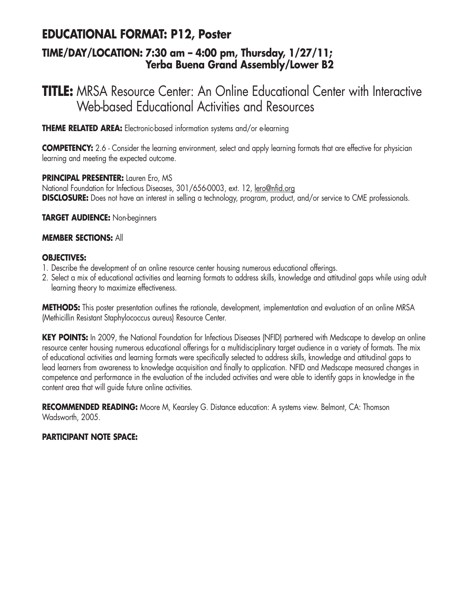## **EDUCATIONAL FORMAT: P12, Poster**

### **TIME/DAY/LOCATION: 7:30 am – 4:00 pm, Thursday, 1/27/11; Yerba Buena Grand Assembly/Lower B2**

# **TITLE:** MRSA Resource Center: An Online Educational Center with Interactive Web-based Educational Activities and Resources

**THEME RELATED AREA:** Electronic-based information systems and/or e-learning

**COMPETENCY:** 2.6 - Consider the learning environment, select and apply learning formats that are effective for physician learning and meeting the expected outcome.

**PRINCIPAL PRESENTER:** Lauren Ero, MS

National Foundation for Infectious Diseases, 301/656-0003, ext. 12, lero@nfid.org **DISCLOSURE:** Does not have an interest in selling a technology, program, product, and/or service to CME professionals.

**TARGET AUDIENCE:** Non-beginners

### **MEMBER SECTIONS:** All

### **OBJECTIVES:**

- 1. Describe the development of an online resource center housing numerous educational offerings.
- 2. Select a mix of educational activities and learning formats to address skills, knowledge and attitudinal gaps while using adult learning theory to maximize effectiveness.

**METHODS:** This poster presentation outlines the rationale, development, implementation and evaluation of an online MRSA (Methicillin Resistant Staphylococcus aureus) Resource Center.

KEY POINTS: In 2009, the National Foundation for Infectious Diseases (NFID) partnered with Medscape to develop an online resource center housing numerous educational offerings for a multidisciplinary target audience in a variety of formats. The mix of educational activities and learning formats were specifically selected to address skills, knowledge and attitudinal gaps to lead learners from awareness to knowledge acquisition and finally to application. NFID and Medscape measured changes in competence and performance in the evaluation of the included activities and were able to identify gaps in knowledge in the content area that will guide future online activities.

**RECOMMENDED READING:** Moore M, Kearsley G. Distance education: A systems view. Belmont, CA: Thomson Wadsworth, 2005.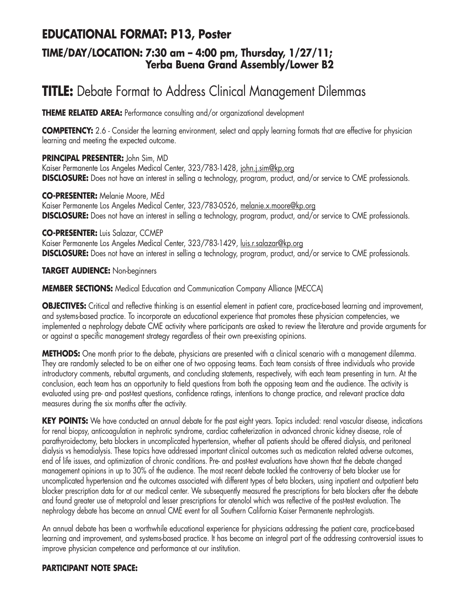## **EDUCATIONAL FORMAT: P13, Poster**

### **TIME/DAY/LOCATION: 7:30 am – 4:00 pm, Thursday, 1/27/11; Yerba Buena Grand Assembly/Lower B2**

# **TITLE:** Debate Format to Address Clinical Management Dilemmas

**THEME RELATED AREA:** Performance consulting and/or organizational development

**COMPETENCY:** 2.6 - Consider the learning environment, select and apply learning formats that are effective for physician learning and meeting the expected outcome.

### **PRINCIPAL PRESENTER:** John Sim, MD

Kaiser Permanente Los Angeles Medical Center, 323/783-1428, john.j.sim@kp.org **DISCLOSURE:** Does not have an interest in selling a technology, program, product, and/or service to CME professionals.

**CO-PRESENTER:** Melanie Moore, MEd Kaiser Permanente Los Angeles Medical Center, 323/783-0526, melanie.x.moore@kp.org **DISCLOSURE:** Does not have an interest in selling a technology, program, product, and/or service to CME professionals.

### **CO-PRESENTER:** Luis Salazar, CCMEP

Kaiser Permanente Los Angeles Medical Center, 323/783-1429, luis.r.salazar@kp.org **DISCLOSURE:** Does not have an interest in selling a technology, program, product, and/or service to CME professionals.

**TARGET AUDIENCE:** Non-beginners

### **MEMBER SECTIONS:** Medical Education and Communication Company Alliance (MECCA)

**OBJECTIVES:** Critical and reflective thinking is an essential element in patient care, practice-based learning and improvement, and systems-based practice. To incorporate an educational experience that promotes these physician competencies, we implemented a nephrology debate CME activity where participants are asked to review the literature and provide arguments for or against a specific management strategy regardless of their own pre-existing opinions.

**METHODS:** One month prior to the debate, physicians are presented with a clinical scenario with a management dilemma. They are randomly selected to be on either one of two opposing teams. Each team consists of three individuals who provide introductory comments, rebuttal arguments, and concluding statements, respectively, with each team presenting in turn. At the conclusion, each team has an opportunity to field questions from both the opposing team and the audience. The activity is evaluated using pre- and post-test questions, confidence ratings, intentions to change practice, and relevant practice data measures during the six months after the activity.

**KEY POINTS:** We have conducted an annual debate for the past eight years. Topics included: renal vascular disease, indications for renal biopsy, anticoagulation in nephrotic syndrome, cardiac catheterization in advanced chronic kidney disease, role of parathyroidectomy, beta blockers in uncomplicated hypertension, whether all patients should be offered dialysis, and peritoneal dialysis vs hemodialysis. These topics have addressed important clinical outcomes such as medication related adverse outcomes, end of life issues, and optimization of chronic conditions. Pre- and post-test evaluations have shown that the debate changed management opinions in up to 30% of the audience. The most recent debate tackled the controversy of beta blocker use for uncomplicated hypertension and the outcomes associated with different types of beta blockers, using inpatient and outpatient beta blocker prescription data for at our medical center. We subsequently measured the prescriptions for beta blockers after the debate and found greater use of metoprolol and lesser prescriptions for atenolol which was reflective of the post-test evaluation. The nephrology debate has become an annual CME event for all Southern California Kaiser Permanente nephrologists.

An annual debate has been a worthwhile educational experience for physicians addressing the patient care, practice-based learning and improvement, and systems-based practice. It has become an integral part of the addressing controversial issues to improve physician competence and performance at our institution.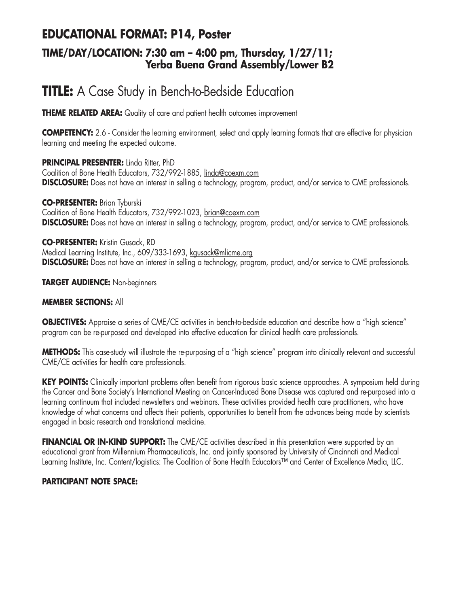## **EDUCATIONAL FORMAT: P14, Poster**

### **TIME/DAY/LOCATION: 7:30 am – 4:00 pm, Thursday, 1/27/11; Yerba Buena Grand Assembly/Lower B2**

# **TITLE:** A Case Study in Bench-to-Bedside Education

**THEME RELATED AREA:** Quality of care and patient health outcomes improvement

**COMPETENCY:** 2.6 - Consider the learning environment, select and apply learning formats that are effective for physician learning and meeting the expected outcome.

**PRINCIPAL PRESENTER:** Linda Ritter, PhD Coalition of Bone Health Educators, 732/992-1885, linda@coexm.com **DISCLOSURE:** Does not have an interest in selling a technology, program, product, and/or service to CME professionals.

**CO-PRESENTER:** Brian Tyburski Coalition of Bone Health Educators, 732/992-1023, brian@coexm.com **DISCLOSURE:** Does not have an interest in selling a technology, program, product, and/or service to CME professionals.

**CO-PRESENTER:** Kristin Gusack, RD Medical Learning Institute, Inc., 609/333-1693, kgusack@mlicme.org **DISCLOSURE:** Does not have an interest in selling a technology, program, product, and/or service to CME professionals.

#### **TARGET AUDIENCE:** Non-beginners

#### **MEMBER SECTIONS:** All

**OBJECTIVES:** Appraise a series of CME/CE activities in bench-to-bedside education and describe how a "high science" program can be re-purposed and developed into effective education for clinical health care professionals.

**METHODS:** This case-study will illustrate the re-purposing of a "high science" program into clinically relevant and successful CME/CE activities for health care professionals.

**KEY POINTS:** Clinically important problems often benefit from rigorous basic science approaches. A symposium held during the Cancer and Bone Society's International Meeting on Cancer-Induced Bone Disease was captured and re-purposed into a learning continuum that included newsletters and webinars. These activities provided health care practitioners, who have knowledge of what concerns and affects their patients, opportunities to benefit from the advances being made by scientists engaged in basic research and translational medicine.

**FINANCIAL OR IN-KIND SUPPORT:** The CME/CE activities described in this presentation were supported by an educational grant from Millennium Pharmaceuticals, Inc. and jointly sponsored by University of Cincinnati and Medical Learning Institute, Inc. Content/logistics: The Coalition of Bone Health Educators™ and Center of Excellence Media, LLC.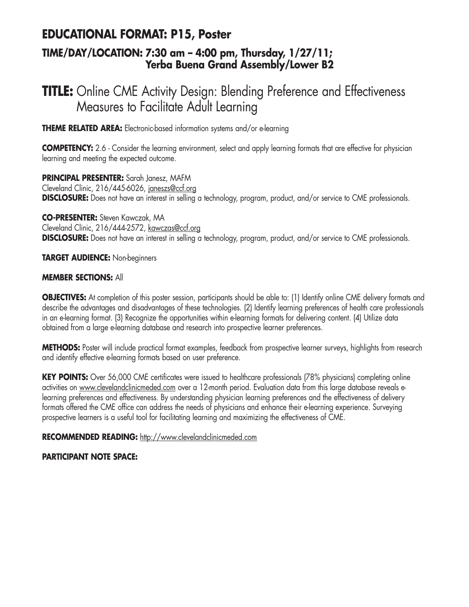## **EDUCATIONAL FORMAT: P15, Poster**

### **TIME/DAY/LOCATION: 7:30 am – 4:00 pm, Thursday, 1/27/11; Yerba Buena Grand Assembly/Lower B2**

# **TITLE:** Online CME Activity Design: Blending Preference and Effectiveness Measures to Facilitate Adult Learning

**THEME RELATED AREA:** Electronic-based information systems and/or e-learning

**COMPETENCY:** 2.6 - Consider the learning environment, select and apply learning formats that are effective for physician learning and meeting the expected outcome.

**PRINCIPAL PRESENTER:** Sarah Janesz, MAFM Cleveland Clinic, 216/445-6026, janeszs@ccf.org **DISCLOSURE:** Does not have an interest in selling a technology, program, product, and/or service to CME professionals.

**CO-PRESENTER:** Steven Kawczak, MA Cleveland Clinic, 216/444-2572, kawczas@ccf.org **DISCLOSURE:** Does not have an interest in selling a technology, program, product, and/or service to CME professionals.

**TARGET AUDIENCE:** Non-beginners

### **MEMBER SECTIONS:** All

**OBJECTIVES:** At completion of this poster session, participants should be able to: (1) Identify online CME delivery formats and describe the advantages and disadvantages of these technologies. (2) Identify learning preferences of health care professionals in an e-learning format. (3) Recognize the opportunities within e-learning formats for delivering content. (4) Utilize data obtained from a large e-learning database and research into prospective learner preferences.

**METHODS:** Poster will include practical format examples, feedback from prospective learner surveys, highlights from research and identify effective e-learning formats based on user preference.

**KEY POINTS:** Over 56,000 CME certificates were issued to healthcare professionals (78% physicians) completing online activities on www.clevelandclinicmeded.com over a 12-month period. Evaluation data from this large database reveals elearning preferences and effectiveness. By understanding physician learning preferences and the effectiveness of delivery formats offered the CME office can address the needs of physicians and enhance their e-learning experience. Surveying prospective learners is a useful tool for facilitating learning and maximizing the effectiveness of CME.

### **RECOMMENDED READING:** http://www.clevelandclinicmeded.com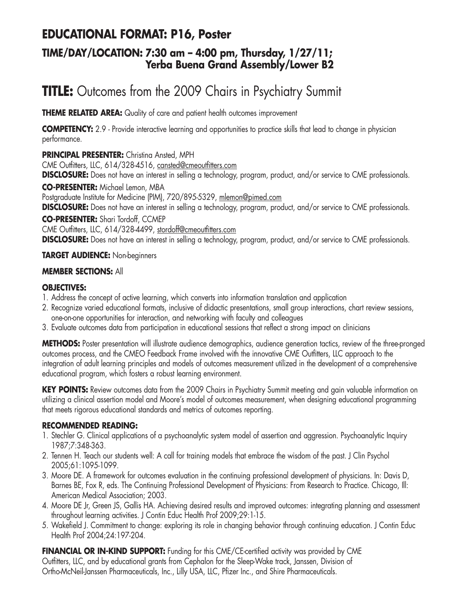## **EDUCATIONAL FORMAT: P16, Poster**

### **TIME/DAY/LOCATION: 7:30 am – 4:00 pm, Thursday, 1/27/11; Yerba Buena Grand Assembly/Lower B2**

# **TITLE:** Outcomes from the 2009 Chairs in Psychiatry Summit

**THEME RELATED AREA:** Quality of care and patient health outcomes improvement

**COMPETENCY:** 2.9 - Provide interactive learning and opportunities to practice skills that lead to change in physician performance.

**PRINCIPAL PRESENTER:** Christina Ansted, MPH

CME Outfitters, LLC, 614/328-4516, cansted@cmeoutfitters.com

**DISCLOSURE:** Does not have an interest in selling a technology, program, product, and/or service to CME professionals.

**CO-PRESENTER:** Michael Lemon, MBA

Postgraduate Institute for Medicine (PIM), 720/895-5329, mlemon@pimed.com

**DISCLOSURE:** Does not have an interest in selling a technology, program, product, and/or service to CME professionals.

**CO-PRESENTER:** Shari Tordoff, CCMEP

CME Outfitters, LLC, 614/328-4499, stordoff@cmeoutfitters.com

**DISCLOSURE:** Does not have an interest in selling a technology, program, product, and/or service to CME professionals.

### **TARGET AUDIENCE:** Non-beginners

### **MEMBER SECTIONS:** All

### **OBJECTIVES:**

- 1. Address the concept of active learning, which converts into information translation and application
- 2. Recognize varied educational formats, inclusive of didactic presentations, small group interactions, chart review sessions, one-on-one opportunities for interaction, and networking with faculty and colleagues
- 3. Evaluate outcomes data from participation in educational sessions that reflect a strong impact on clinicians

**METHODS:** Poster presentation will illustrate audience demographics, audience generation tactics, review of the three-pronged outcomes process, and the CMEO Feedback Frame involved with the innovative CME Outfitters, LLC approach to the integration of adult learning principles and models of outcomes measurement utilized in the development of a comprehensive educational program, which fosters a robust learning environment.

**KEY POINTS:** Review outcomes data from the 2009 Chairs in Psychiatry Summit meeting and gain valuable information on utilizing a clinical assertion model and Moore's model of outcomes measurement, when designing educational programming that meets rigorous educational standards and metrics of outcomes reporting.

### **RECOMMENDED READING:**

- 1. Stechler G. Clinical applications of a psychoanalytic system model of assertion and aggression. Psychoanalytic Inquiry 1987;7:348-363.
- 2. Tennen H. Teach our students well: A call for training models that embrace the wisdom of the past. J Clin Psychol 2005;61:1095-1099.
- 3. Moore DE. A framework for outcomes evaluation in the continuing professional development of physicians. In: Davis D, Barnes BE, Fox R, eds. The Continuing Professional Development of Physicians: From Research to Practice. Chicago, Ill: American Medical Association; 2003.
- 4. Moore DE Jr, Green JS, Gallis HA. Achieving desired results and improved outcomes: integrating planning and assessment throughout learning activities. J Contin Educ Health Prof 2009;29:1-15.
- 5. Wakefield J. Commitment to change: exploring its role in changing behavior through continuing education. J Contin Educ Health Prof 2004;24:197-204.

**FINANCIAL OR IN-KIND SUPPORT:** Funding for this CME/CE-certified activity was provided by CME Outfitters, LLC, and by educational grants from Cephalon for the Sleep-Wake track, Janssen, Division of Ortho-McNeil-Janssen Pharmaceuticals, Inc., Lilly USA, LLC, Pfizer Inc., and Shire Pharmaceuticals.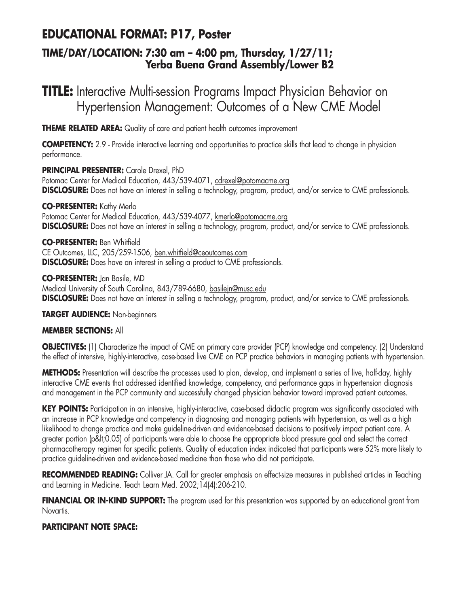## **EDUCATIONAL FORMAT: P17, Poster**

### **TIME/DAY/LOCATION: 7:30 am – 4:00 pm, Thursday, 1/27/11; Yerba Buena Grand Assembly/Lower B2**

# **TITLE:** Interactive Multi-session Programs Impact Physician Behavior on Hypertension Management: Outcomes of a New CME Model

**THEME RELATED AREA:** Quality of care and patient health outcomes improvement

**COMPETENCY:** 2.9 - Provide interactive learning and opportunities to practice skills that lead to change in physician performance.

**PRINCIPAL PRESENTER:** Carole Drexel, PhD Potomac Center for Medical Education, 443/539-4071, cdrexel@potomacme.org **DISCLOSURE:** Does not have an interest in selling a technology, program, product, and/or service to CME professionals.

**CO-PRESENTER:** Kathy Merlo Potomac Center for Medical Education, 443/539-4077, kmerlo@potomacme.org **DISCLOSURE:** Does not have an interest in selling a technology, program, product, and/or service to CME professionals.

**CO-PRESENTER:** Ben Whitfield CE Outcomes, LLC, 205/259-1506, ben.whitfield@ceoutcomes.com **DISCLOSURE:** Does have an interest in selling a product to CME professionals.

**CO-PRESENTER:** Jan Basile, MD Medical University of South Carolina, 843/789-6680, basilejn@musc.edu **DISCLOSURE:** Does not have an interest in selling a technology, program, product, and/or service to CME professionals.

### **TARGET AUDIENCE:** Non-beginners

### **MEMBER SECTIONS:** All

**OBJECTIVES:** (1) Characterize the impact of CME on primary care provider (PCP) knowledge and competency. (2) Understand the effect of intensive, highly-interactive, case-based live CME on PCP practice behaviors in managing patients with hypertension.

**METHODS:** Presentation will describe the processes used to plan, develop, and implement a series of live, half-day, highly interactive CME events that addressed identified knowledge, competency, and performance gaps in hypertension diagnosis and management in the PCP community and successfully changed physician behavior toward improved patient outcomes.

KEY POINTS: Participation in an intensive, highly-interactive, case-based didactic program was significantly associated with an increase in PCP knowledge and competency in diagnosing and managing patients with hypertension, as well as a high likelihood to change practice and make guideline-driven and evidence-based decisions to positively impact patient care. A greater portion (p<0.05) of participants were able to choose the appropriate blood pressure goal and select the correct pharmacotherapy regimen for specific patients. Quality of education index indicated that participants were 52% more likely to practice guideline-driven and evidence-based medicine than those who did not participate.

**RECOMMENDED READING:** Colliver JA. Call for greater emphasis on effect-size measures in published articles in Teaching and Learning in Medicine. Teach Learn Med. 2002;14(4):206-210.

**FINANCIAL OR IN-KIND SUPPORT:** The program used for this presentation was supported by an educational grant from Novartis.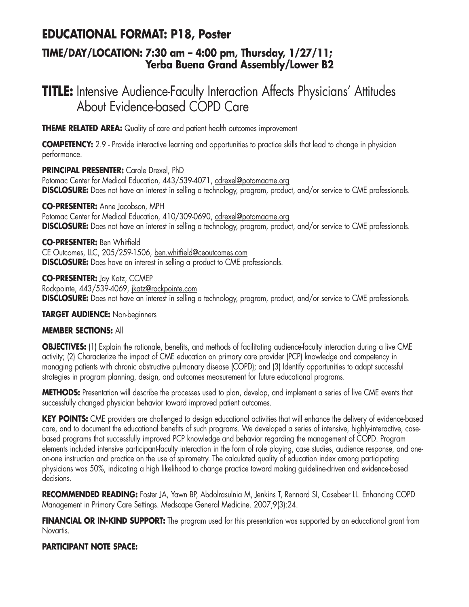## **EDUCATIONAL FORMAT: P18, Poster**

### **TIME/DAY/LOCATION: 7:30 am – 4:00 pm, Thursday, 1/27/11; Yerba Buena Grand Assembly/Lower B2**

# **TITLE:** Intensive Audience-Faculty Interaction Affects Physicians' Attitudes About Evidence-based COPD Care

**THEME RELATED AREA:** Quality of care and patient health outcomes improvement

**COMPETENCY:** 2.9 - Provide interactive learning and opportunities to practice skills that lead to change in physician performance.

**PRINCIPAL PRESENTER:** Carole Drexel, PhD Potomac Center for Medical Education, 443/539-4071, cdrexel@potomacme.org **DISCLOSURE:** Does not have an interest in selling a technology, program, product, and/or service to CME professionals.

**CO-PRESENTER:** Anne Jacobson, MPH Potomac Center for Medical Education, 410/309-0690, cdrexel@potomacme.org **DISCLOSURE:** Does not have an interest in selling a technology, program, product, and/or service to CME professionals.

**CO-PRESENTER:** Ben Whitfield CE Outcomes, LLC, 205/259-1506, ben.whitfield@ceoutcomes.com **DISCLOSURE:** Does have an interest in selling a product to CME professionals.

**CO-PRESENTER:** Jay Katz, CCMEP Rockpointe, 443/539-4069, jkatz@rockpointe.com **DISCLOSURE:** Does not have an interest in selling a technology, program, product, and/or service to CME professionals.

**TARGET AUDIENCE:** Non-beginners

### **MEMBER SECTIONS:** All

**OBJECTIVES:** (1) Explain the rationale, benefits, and methods of facilitating audience-faculty interaction during a live CME activity; (2) Characterize the impact of CME education on primary care provider (PCP) knowledge and competency in managing patients with chronic obstructive pulmonary disease (COPD); and (3) Identify opportunities to adapt successful strategies in program planning, design, and outcomes measurement for future educational programs.

**METHODS:** Presentation will describe the processes used to plan, develop, and implement a series of live CME events that successfully changed physician behavior toward improved patient outcomes.

**KEY POINTS:** CME providers are challenged to design educational activities that will enhance the delivery of evidence-based care, and to document the educational benefits of such programs. We developed a series of intensive, highly-interactive, casebased programs that successfully improved PCP knowledge and behavior regarding the management of COPD. Program elements included intensive participant-faculty interaction in the form of role playing, case studies, audience response, and oneon-one instruction and practice on the use of spirometry. The calculated quality of education index among participating physicians was 50%, indicating a high likelihood to change practice toward making guideline-driven and evidence-based decisions.

**RECOMMENDED READING:** Foster JA, Yawn BP, Abdolrasulnia M, Jenkins T, Rennard SI, Casebeer LL. Enhancing COPD Management in Primary Care Settings. Medscape General Medicine. 2007;9(3):24.

**FINANCIAL OR IN-KIND SUPPORT:** The program used for this presentation was supported by an educational grant from Novartis.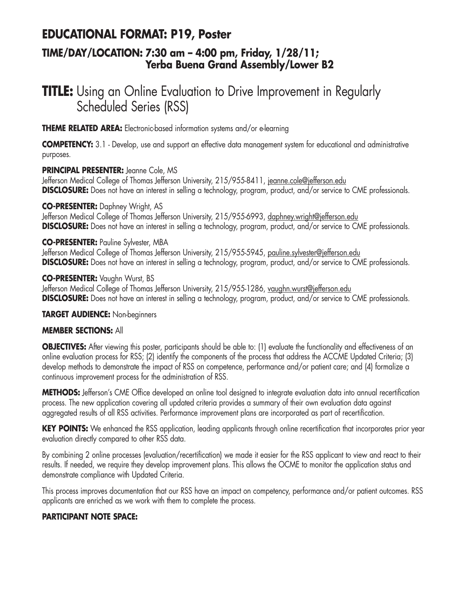## **EDUCATIONAL FORMAT: P19, Poster**

### **TIME/DAY/LOCATION: 7:30 am – 4:00 pm, Friday, 1/28/11; Yerba Buena Grand Assembly/Lower B2**

# **TITLE:** Using an Online Evaluation to Drive Improvement in Regularly Scheduled Series (RSS)

**THEME RELATED AREA:** Electronic-based information systems and/or e-learning

**COMPETENCY:** 3.1 - Develop, use and support an effective data management system for educational and administrative purposes.

### **PRINCIPAL PRESENTER:** Jeanne Cole, MS

Jefferson Medical College of Thomas Jefferson University, 215/955-8411, jeanne.cole@jefferson.edu **DISCLOSURE:** Does not have an interest in selling a technology, program, product, and/or service to CME professionals.

### **CO-PRESENTER:** Daphney Wright, AS

Jefferson Medical College of Thomas Jefferson University, 215/955-6993, daphney.wright@jefferson.edu **DISCLOSURE:** Does not have an interest in selling a technology, program, product, and/or service to CME professionals.

### **CO-PRESENTER:** Pauline Sylvester, MBA

Jefferson Medical College of Thomas Jefferson University, 215/955-5945, pauline.sylvester@jefferson.edu **DISCLOSURE:** Does not have an interest in selling a technology, program, product, and/or service to CME professionals.

#### **CO-PRESENTER:** Vaughn Wurst, BS

Jefferson Medical College of Thomas Jefferson University, 215/955-1286, vaughn.wurst@jefferson.edu **DISCLOSURE:** Does not have an interest in selling a technology, program, product, and/or service to CME professionals.

#### **TARGET AUDIENCE:** Non-beginners

### **MEMBER SECTIONS:** All

**OBJECTIVES:** After viewing this poster, participants should be able to: (1) evaluate the functionality and effectiveness of an online evaluation process for RSS; (2) identify the components of the process that address the ACCME Updated Criteria; (3) develop methods to demonstrate the impact of RSS on competence, performance and/or patient care; and (4) formalize a continuous improvement process for the administration of RSS.

**METHODS:** Jefferson's CME Office developed an online tool designed to integrate evaluation data into annual recertification process. The new application covering all updated criteria provides a summary of their own evaluation data against aggregated results of all RSS activities. Performance improvement plans are incorporated as part of recertification.

KEY POINTS: We enhanced the RSS application, leading applicants through online recertification that incorporates prior year evaluation directly compared to other RSS data.

By combining 2 online processes (evaluation/recertification) we made it easier for the RSS applicant to view and react to their results. If needed, we require they develop improvement plans. This allows the OCME to monitor the application status and demonstrate compliance with Updated Criteria.

This process improves documentation that our RSS have an impact on competency, performance and/or patient outcomes. RSS applicants are enriched as we work with them to complete the process.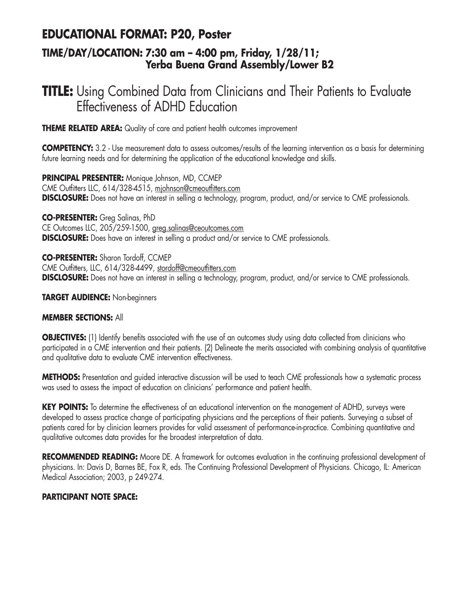## **EDUCATIONAL FORMAT: P20, Poster**

### **TIME/DAY/LOCATION: 7:30 am – 4:00 pm, Friday, 1/28/11; Yerba Buena Grand Assembly/Lower B2**

# **TITLE:** Using Combined Data from Clinicians and Their Patients to Evaluate Effectiveness of ADHD Education

**THEME RELATED AREA:** Quality of care and patient health outcomes improvement

**COMPETENCY:** 3.2 - Use measurement data to assess outcomes/results of the learning intervention as a basis for determining future learning needs and for determining the application of the educational knowledge and skills.

**PRINCIPAL PRESENTER:** Monique Johnson, MD, CCMEP CME Outfitters LLC, 614/328-4515, mjohnson@cmeoutfitters.com **DISCLOSURE:** Does not have an interest in selling a technology, program, product, and/or service to CME professionals.

**CO-PRESENTER:** Greg Salinas, PhD CE Outcomes LLC, 205/259-1500, greg.salinas@ceoutcomes.com **DISCLOSURE:** Does have an interest in selling a product and/or service to CME professionals.

**CO-PRESENTER:** Sharon Tordoff, CCMEP CME Outfitters, LLC, 614/328-4499, stordoff@cmeoutfitters.com **DISCLOSURE:** Does not have an interest in selling a technology, program, product, and/or service to CME professionals.

### **TARGET AUDIENCE:** Non-beginners

#### **MEMBER SECTIONS:** All

**OBJECTIVES:** (1) Identify benefits associated with the use of an outcomes study using data collected from clinicians who participated in a CME intervention and their patients. (2) Delineate the merits associated with combining analysis of quantitative and qualitative data to evaluate CME intervention effectiveness.

**METHODS:** Presentation and guided interactive discussion will be used to teach CME professionals how a systematic process was used to assess the impact of education on clinicians' performance and patient health.

**KEY POINTS:** To determine the effectiveness of an educational intervention on the management of ADHD, surveys were developed to assess practice change of participating physicians and the perceptions of their patients. Surveying a subset of patients cared for by clinician learners provides for valid assessment of performance-in-practice. Combining quantitative and qualitative outcomes data provides for the broadest interpretation of data.

**RECOMMENDED READING:** Moore DE. A framework for outcomes evaluation in the continuing professional development of physicians. In: Davis D, Barnes BE, Fox R, eds. The Continuing Professional Development of Physicians. Chicago, IL: American Medical Association; 2003, p 249-274.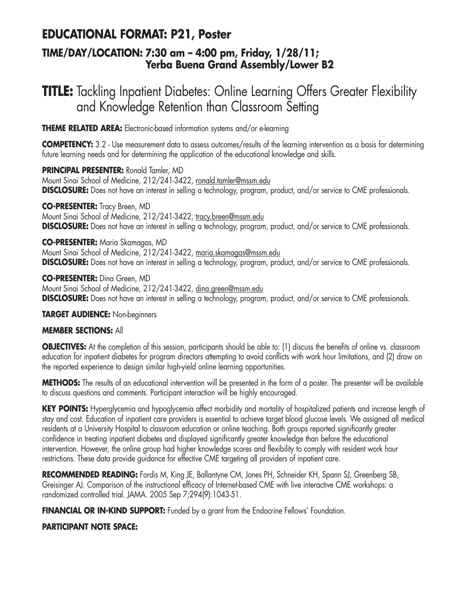## **EDUCATIONAL FORMAT: P21, Poster**

### **TIME/DAY/LOCATION: 7:30 am – 4:00 pm, Friday, 1/28/11; Yerba Buena Grand Assembly/Lower B2**

# **TITLE:** Tackling Inpatient Diabetes: Online Learning Offers Greater Flexibility and Knowledge Retention than Classroom Setting

**THEME RELATED AREA:** Electronic-based information systems and/or e-learning

**COMPETENCY:** 3.2 - Use measurement data to assess outcomes/results of the learning intervention as a basis for determining future learning needs and for determining the application of the educational knowledge and skills.

**PRINCIPAL PRESENTER:** Ronald Tamler, MD Mount Sinai School of Medicine, 212/241-3422, ronald.tamler@mssm.edu **DISCLOSURE:** Does not have an interest in selling a technology, program, product, and/or service to CME professionals.

**CO-PRESENTER:** Tracy Breen, MD Mount Sinai School of Medicine, 212/241-3422, tracy.breen@mssm.edu **DISCLOSURE:** Does not have an interest in selling a technology, program, product, and/or service to CME professionals.

**CO-PRESENTER:** Maria Skamagas, MD Mount Sinai School of Medicine, 212/241-3422, maria.skamagas@mssm.edu **DISCLOSURE:** Does not have an interest in selling a technology, program, product, and/or service to CME professionals.

**CO-PRESENTER:** Dina Green, MD Mount Sinai School of Medicine, 212/241-3422, dina.green@mssm.edu **DISCLOSURE:** Does not have an interest in selling a technology, program, product, and/or service to CME professionals.

### **TARGET AUDIENCE:** Non-beginners

### **MEMBER SECTIONS:** All

**OBJECTIVES:** At the completion of this session, participants should be able to: (1) discuss the benefits of online vs. classroom education for inpatient diabetes for program directors attempting to avoid conflicts with work hour limitations, and (2) draw on the reported experience to design similar high-yield online learning opportunities.

**METHODS:** The results of an educational intervention will be presented in the form of a poster. The presenter will be available to discuss questions and comments. Participant interaction will be highly encouraged.

**KEY POINTS:** Hyperglycemia and hypoglycemia affect morbidity and mortality of hospitalized patients and increase length of stay and cost. Education of inpatient care providers is essential to achieve target blood glucose levels. We assigned all medical residents at a University Hospital to classroom education or online teaching. Both groups reported significantly greater confidence in treating inpatient diabetes and displayed significantly greater knowledge than before the educational intervention. However, the online group had higher knowledge scores and flexibility to comply with resident work hour restrictions. These data provide guidance for effective CME targeting all providers of inpatient care.

**RECOMMENDED READING:** Fordis M, King JE, Ballantyne CM, Jones PH, Schneider KH, Spann SJ, Greenberg SB, Greisinger AJ. Comparison of the instructional efficacy of Internet-based CME with live interactive CME workshops: a randomized controlled trial. JAMA. 2005 Sep 7;294(9):1043-51.

**FINANCIAL OR IN-KIND SUPPORT:** Funded by a grant from the Endocrine Fellows' Foundation.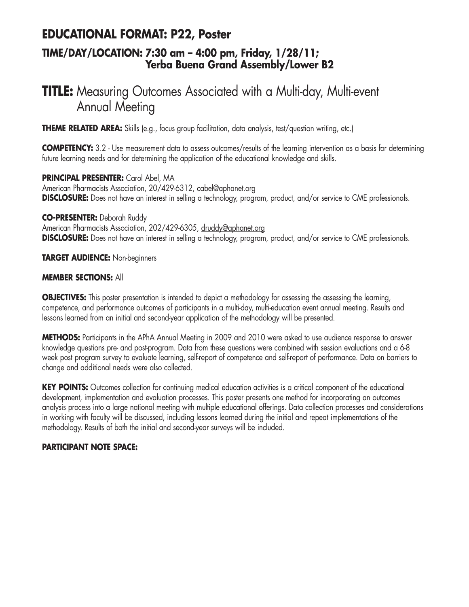## **EDUCATIONAL FORMAT: P22, Poster**

### **TIME/DAY/LOCATION: 7:30 am – 4:00 pm, Friday, 1/28/11; Yerba Buena Grand Assembly/Lower B2**

# **TITLE:** Measuring Outcomes Associated with a Multi-day, Multi-event Annual Meeting

**THEME RELATED AREA:** Skills (e.g., focus group facilitation, data analysis, test/question writing, etc.)

**COMPETENCY:** 3.2 - Use measurement data to assess outcomes/results of the learning intervention as a basis for determining future learning needs and for determining the application of the educational knowledge and skills.

**PRINCIPAL PRESENTER:** Carol Abel, MA American Pharmacists Association, 20/429-6312, cabel@aphanet.org **DISCLOSURE:** Does not have an interest in selling a technology, program, product, and/or service to CME professionals.

**CO-PRESENTER:** Deborah Ruddy

American Pharmacists Association, 202/429-6305, druddy@aphanet.org **DISCLOSURE:** Does not have an interest in selling a technology, program, product, and/or service to CME professionals.

**TARGET AUDIENCE:** Non-beginners

#### **MEMBER SECTIONS:** All

**OBJECTIVES:** This poster presentation is intended to depict a methodology for assessing the assessing the learning, competence, and performance outcomes of participants in a multi-day, multi-education event annual meeting. Results and lessons learned from an initial and second-year application of the methodology will be presented.

**METHODS:** Participants in the APhA Annual Meeting in 2009 and 2010 were asked to use audience response to answer knowledge questions pre- and post-program. Data from these questions were combined with session evaluations and a 6-8 week post program survey to evaluate learning, self-report of competence and self-report of performance. Data on barriers to change and additional needs were also collected.

**KEY POINTS:** Outcomes collection for continuing medical education activities is a critical component of the educational development, implementation and evaluation processes. This poster presents one method for incorporating an outcomes analysis process into a large national meeting with multiple educational offerings. Data collection processes and considerations in working with faculty will be discussed, including lessons learned during the initial and repeat implementations of the methodology. Results of both the initial and second-year surveys will be included.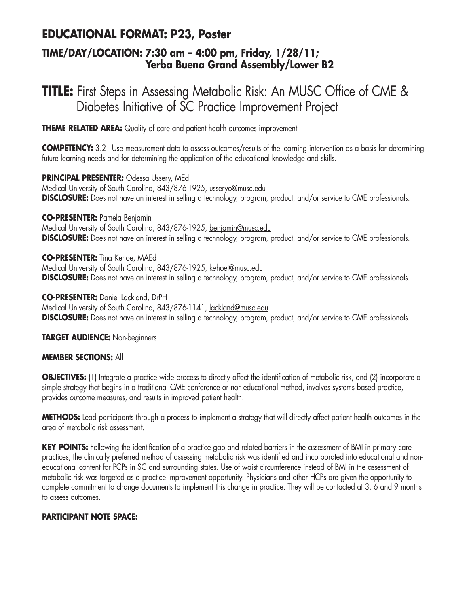## **EDUCATIONAL FORMAT: P23, Poster**

### **TIME/DAY/LOCATION: 7:30 am – 4:00 pm, Friday, 1/28/11; Yerba Buena Grand Assembly/Lower B2**

# **TITLE:** First Steps in Assessing Metabolic Risk: An MUSC Office of CME & Diabetes Initiative of SC Practice Improvement Project

**THEME RELATED AREA:** Quality of care and patient health outcomes improvement

**COMPETENCY:** 3.2 - Use measurement data to assess outcomes/results of the learning intervention as a basis for determining future learning needs and for determining the application of the educational knowledge and skills.

**PRINCIPAL PRESENTER:** Odessa Ussery, MEd Medical University of South Carolina, 843/876-1925, usseryo@musc.edu **DISCLOSURE:** Does not have an interest in selling a technology, program, product, and/or service to CME professionals.

#### **CO-PRESENTER:** Pamela Benjamin

Medical University of South Carolina, 843/876-1925, benjamin@musc.edu **DISCLOSURE:** Does not have an interest in selling a technology, program, product, and/or service to CME professionals.

#### **CO-PRESENTER:** Tina Kehoe, MAEd

Medical University of South Carolina, 843/876-1925, kehoet@musc.edu **DISCLOSURE:** Does not have an interest in selling a technology, program, product, and/or service to CME professionals.

#### **CO-PRESENTER:** Daniel Lackland, DrPH

Medical University of South Carolina, 843/876-1141, lackland@musc.edu **DISCLOSURE:** Does not have an interest in selling a technology, program, product, and/or service to CME professionals.

**TARGET AUDIENCE:** Non-beginners

#### **MEMBER SECTIONS:** All

**OBJECTIVES:** (1) Integrate a practice wide process to directly affect the identification of metabolic risk, and (2) incorporate a simple strategy that begins in a traditional CME conference or non-educational method, involves systems based practice, provides outcome measures, and results in improved patient health.

**METHODS:** Lead participants through a process to implement a strategy that will directly affect patient health outcomes in the area of metabolic risk assessment.

**KEY POINTS:** Following the identification of a practice gap and related barriers in the assessment of BMI in primary care practices, the clinically preferred method of assessing metabolic risk was identified and incorporated into educational and noneducational content for PCPs in SC and surrounding states. Use of waist circumference instead of BMI in the assessment of metabolic risk was targeted as a practice improvement opportunity. Physicians and other HCPs are given the opportunity to complete commitment to change documents to implement this change in practice. They will be contacted at 3, 6 and 9 months to assess outcomes.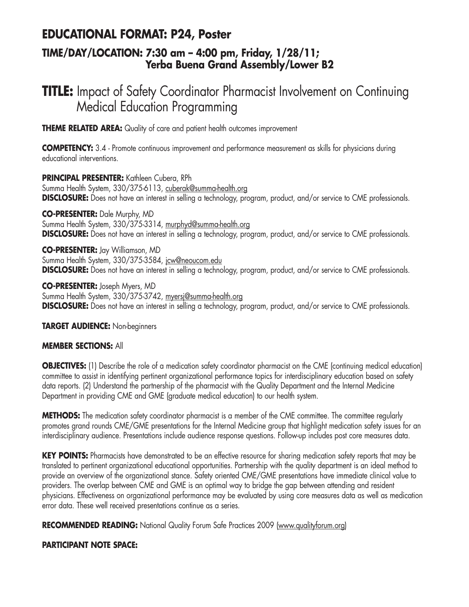## **EDUCATIONAL FORMAT: P24, Poster**

### **TIME/DAY/LOCATION: 7:30 am – 4:00 pm, Friday, 1/28/11; Yerba Buena Grand Assembly/Lower B2**

# **TITLE:** Impact of Safety Coordinator Pharmacist Involvement on Continuing Medical Education Programming

**THEME RELATED AREA:** Quality of care and patient health outcomes improvement

**COMPETENCY:** 3.4 - Promote continuous improvement and performance measurement as skills for physicians during educational interventions.

**PRINCIPAL PRESENTER:** Kathleen Cubera, RPh Summa Health System, 330/375-6113, cuberak@summa-health.org **DISCLOSURE:** Does not have an interest in selling a technology, program, product, and/or service to CME professionals.

**CO-PRESENTER:** Dale Murphy, MD Summa Health System, 330/375-3314, murphyd@summa-health.org **DISCLOSURE:** Does not have an interest in selling a technology, program, product, and/or service to CME professionals.

**CO-PRESENTER:** Jay Williamson, MD Summa Health System, 330/375-3584, jcw@neoucom.edu **DISCLOSURE:** Does not have an interest in selling a technology, program, product, and/or service to CME professionals.

**CO-PRESENTER:** Joseph Myers, MD Summa Health System, 330/375-3742, myersj@summa-health.org **DISCLOSURE:** Does not have an interest in selling a technology, program, product, and/or service to CME professionals.

**TARGET AUDIENCE:** Non-beginners

#### **MEMBER SECTIONS:** All

**OBJECTIVES:** (1) Describe the role of a medication safety coordinator pharmacist on the CME (continuing medical education) committee to assist in identifying pertinent organizational performance topics for interdisciplinary education based on safety data reports. (2) Understand the partnership of the pharmacist with the Quality Department and the Internal Medicine Department in providing CME and GME (graduate medical education) to our health system.

**METHODS:** The medication safety coordinator pharmacist is a member of the CME committee. The committee regularly promotes grand rounds CME/GME presentations for the Internal Medicine group that highlight medication safety issues for an interdisciplinary audience. Presentations include audience response questions. Follow-up includes post core measures data.

KEY POINTS: Pharmacists have demonstrated to be an effective resource for sharing medication safety reports that may be translated to pertinent organizational educational opportunities. Partnership with the quality department is an ideal method to provide an overview of the organizational stance. Safety oriented CME/GME presentations have immediate clinical value to providers. The overlap between CME and GME is an optimal way to bridge the gap between attending and resident physicians. Effectiveness on organizational performance may be evaluated by using core measures data as well as medication error data. These well received presentations continue as a series.

RECOMMENDED READING: National Quality Forum Safe Practices 2009 (www.qualityforum.org)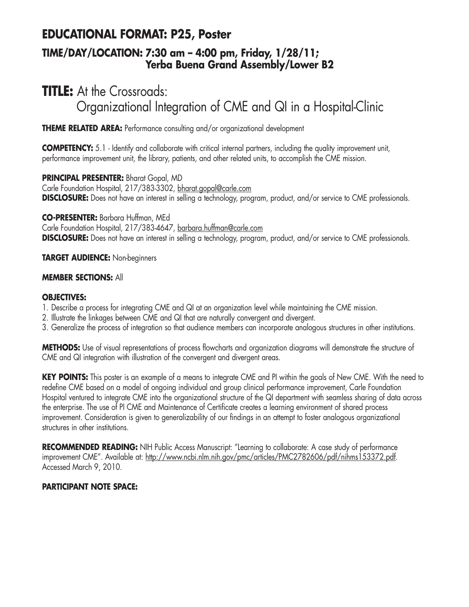## **EDUCATIONAL FORMAT: P25, Poster**

### **TIME/DAY/LOCATION: 7:30 am – 4:00 pm, Friday, 1/28/11; Yerba Buena Grand Assembly/Lower B2**

# **TITLE:** At the Crossroads: Organizational Integration of CME and QI in a Hospital-Clinic

**THEME RELATED AREA:** Performance consulting and/or organizational development

**COMPETENCY:** 5.1 - Identify and collaborate with critical internal partners, including the quality improvement unit, performance improvement unit, the library, patients, and other related units, to accomplish the CME mission.

**PRINCIPAL PRESENTER:** Bharat Gopal, MD Carle Foundation Hospital, 217/383-3302, bharat.gopal@carle.com **DISCLOSURE:** Does not have an interest in selling a technology, program, product, and/or service to CME professionals.

**CO-PRESENTER:** Barbara Huffman, MEd

Carle Foundation Hospital, 217/383-4647, barbara.huffman@carle.com **DISCLOSURE:** Does not have an interest in selling a technology, program, product, and/or service to CME professionals.

#### **TARGET AUDIENCE:** Non-beginners

#### **MEMBER SECTIONS:** All

#### **OBJECTIVES:**

- 1. Describe a process for integrating CME and QI at an organization level while maintaining the CME mission.
- 2. Illustrate the linkages between CME and QI that are naturally convergent and divergent.
- 3. Generalize the process of integration so that audience members can incorporate analogous structures in other institutions.

**METHODS:** Use of visual representations of process flowcharts and organization diagrams will demonstrate the structure of CME and QI integration with illustration of the convergent and divergent areas.

**KEY POINTS:** This poster is an example of a means to integrate CME and PI within the goals of New CME. With the need to redefine CME based on a model of ongoing individual and group clinical performance improvement, Carle Foundation Hospital ventured to integrate CME into the organizational structure of the QI department with seamless sharing of data across the enterprise. The use of PI CME and Maintenance of Certificate creates a learning environment of shared process improvement. Consideration is given to generalizability of our findings in an attempt to foster analogous organizational structures in other institutions.

**RECOMMENDED READING:** NIH Public Access Manuscript: "Learning to collaborate: A case study of performance improvement CME". Available at: http://www.ncbi.nlm.nih.gov/pmc/articles/PMC2782606/pdf/nihms153372.pdf. Accessed March 9, 2010.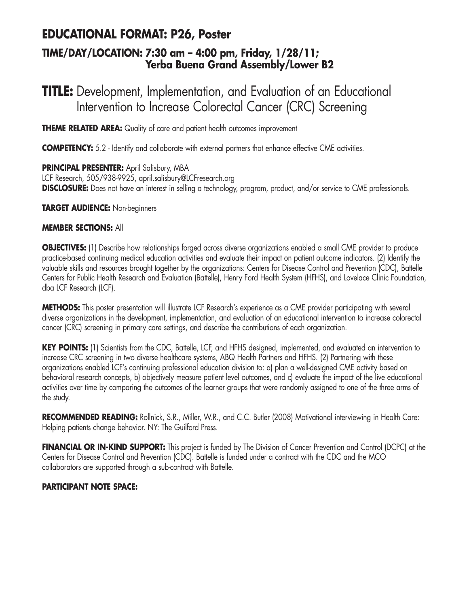## **EDUCATIONAL FORMAT: P26, Poster**

### **TIME/DAY/LOCATION: 7:30 am – 4:00 pm, Friday, 1/28/11; Yerba Buena Grand Assembly/Lower B2**

# **TITLE:** Development, Implementation, and Evaluation of an Educational Intervention to Increase Colorectal Cancer (CRC) Screening

**THEME RELATED AREA:** Quality of care and patient health outcomes improvement

**COMPETENCY:** 5.2 - Identify and collaborate with external partners that enhance effective CME activities.

**PRINCIPAL PRESENTER:** April Salisbury, MBA LCF Research, 505/938-9925, april.salisbury@LCFresearch.org **DISCLOSURE:** Does not have an interest in selling a technology, program, product, and/or service to CME professionals.

**TARGET AUDIENCE:** Non-beginners

#### **MEMBER SECTIONS:** All

**OBJECTIVES:** (1) Describe how relationships forged across diverse organizations enabled a small CME provider to produce practice-based continuing medical education activities and evaluate their impact on patient outcome indicators. (2) Identify the valuable skills and resources brought together by the organizations: Centers for Disease Control and Prevention (CDC), Battelle Centers for Public Health Research and Evaluation (Battelle), Henry Ford Health System (HFHS), and Lovelace Clinic Foundation, dba LCF Research (LCF).

**METHODS:** This poster presentation will illustrate LCF Research's experience as a CME provider participating with several diverse organizations in the development, implementation, and evaluation of an educational intervention to increase colorectal cancer (CRC) screening in primary care settings, and describe the contributions of each organization.

**KEY POINTS:** (1) Scientists from the CDC, Battelle, LCF, and HFHS designed, implemented, and evaluated an intervention to increase CRC screening in two diverse healthcare systems, ABQ Health Partners and HFHS. (2) Partnering with these organizations enabled LCF's continuing professional education division to: a) plan a well-designed CME activity based on behavioral research concepts, b) objectively measure patient level outcomes, and c) evaluate the impact of the live educational activities over time by comparing the outcomes of the learner groups that were randomly assigned to one of the three arms of the study.

**RECOMMENDED READING:** Rollnick, S.R., Miller, W.R., and C.C. Butler (2008) Motivational interviewing in Health Care: Helping patients change behavior. NY: The Guilford Press.

**FINANCIAL OR IN-KIND SUPPORT:** This project is funded by The Division of Cancer Prevention and Control (DCPC) at the Centers for Disease Control and Prevention (CDC). Battelle is funded under a contract with the CDC and the MCO collaborators are supported through a sub-contract with Battelle.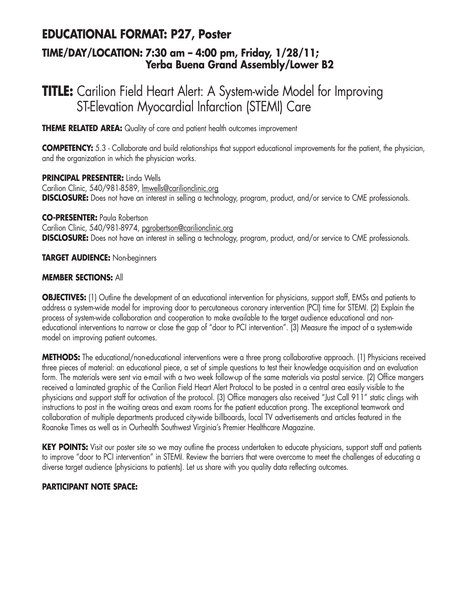# **EDUCATIONAL FORMAT: P27, Poster**

### **TIME/DAY/LOCATION: 7:30 am – 4:00 pm, Friday, 1/28/11; Yerba Buena Grand Assembly/Lower B2**

# **TITLE:** Carilion Field Heart Alert: A System-wide Model for Improving ST-Elevation Myocardial Infarction (STEMI) Care

**THEME RELATED AREA:** Quality of care and patient health outcomes improvement

**COMPETENCY:** 5.3 - Collaborate and build relationships that support educational improvements for the patient, the physician, and the organization in which the physician works.

**PRINCIPAL PRESENTER:** Linda Wells Carilion Clinic, 540/981-8589, lmwells@carilionclinic.org **DISCLOSURE:** Does not have an interest in selling a technology, program, product, and/or service to CME professionals.

**CO-PRESENTER:** Paula Robertson Carilion Clinic, 540/981-8974, pgrobertson@carilionclinic.org **DISCLOSURE:** Does not have an interest in selling a technology, program, product, and/or service to CME professionals.

**TARGET AUDIENCE:** Non-beginners

#### **MEMBER SECTIONS:** All

**OBJECTIVES:** (1) Outline the development of an educational intervention for physicians, support staff, EMSs and patients to address a system-wide model for improving door to percutaneous coronary intervention (PCI) time for STEMI. (2) Explain the process of system-wide collaboration and cooperation to make available to the target audience educational and noneducational interventions to narrow or close the gap of "door to PCI intervention". (3) Measure the impact of a system-wide model on improving patient outcomes.

**METHODS:** The educational/non-educational interventions were a three prong collaborative approach. (1) Physicians received three pieces of material: an educational piece, a set of simple questions to test their knowledge acquisition and an evaluation form. The materials were sent via e-mail with a two week follow-up of the same materials via postal service. (2) Office mangers received a laminated graphic of the Carilion Field Heart Alert Protocol to be posted in a central area easily visible to the physicians and support staff for activation of the protocol. (3) Office managers also received "Just Call 911" static clings with instructions to post in the waiting areas and exam rooms for the patient education prong. The exceptional teamwork and collaboration of multiple departments produced city-wide billboards, local TV advertisements and articles featured in the Roanoke Times as well as in Ourhealth Southwest Virginia's Premier Healthcare Magazine.

**KEY POINTS:** Visit our poster site so we may outline the process undertaken to educate physicians, support staff and patients to improve "door to PCI intervention" in STEMI. Review the barriers that were overcome to meet the challenges of educating a diverse target audience (physicians to patients). Let us share with you quality data reflecting outcomes.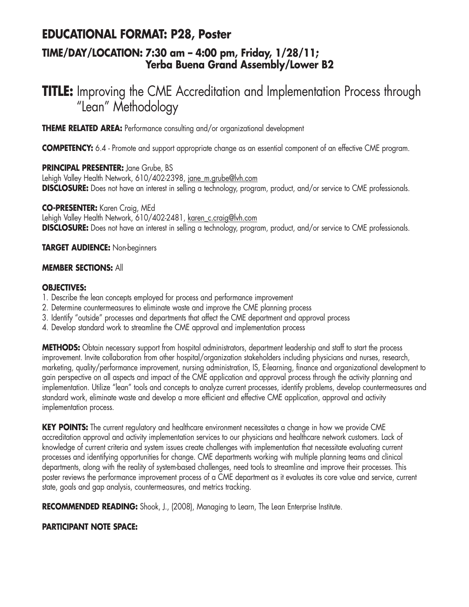## **EDUCATIONAL FORMAT: P28, Poster**

### **TIME/DAY/LOCATION: 7:30 am – 4:00 pm, Friday, 1/28/11; Yerba Buena Grand Assembly/Lower B2**

# **TITLE:** Improving the CME Accreditation and Implementation Process through "Lean" Methodology

**THEME RELATED AREA:** Performance consulting and/or organizational development

**COMPETENCY:** 6.4 - Promote and support appropriate change as an essential component of an effective CME program.

**PRINCIPAL PRESENTER:** Jane Grube, BS Lehigh Valley Health Network, 610/402-2398, jane\_m.grube@lvh.com **DISCLOSURE:** Does not have an interest in selling a technology, program, product, and/or service to CME professionals.

**CO-PRESENTER:** Karen Craig, MEd Lehigh Valley Health Network, 610/402-2481, karen\_c.craig@lvh.com **DISCLOSURE:** Does not have an interest in selling a technology, program, product, and/or service to CME professionals.

**TARGET AUDIENCE:** Non-beginners

#### **MEMBER SECTIONS:** All

#### **OBJECTIVES:**

- 1. Describe the lean concepts employed for process and performance improvement
- 2. Determine countermeasures to eliminate waste and improve the CME planning process
- 3. Identify "outside" processes and departments that affect the CME department and approval process
- 4. Develop standard work to streamline the CME approval and implementation process

**METHODS:** Obtain necessary support from hospital administrators, department leadership and staff to start the process improvement. Invite collaboration from other hospital/organization stakeholders including physicians and nurses, research, marketing, quality/performance improvement, nursing administration, IS, E-learning, finance and organizational development to gain perspective on all aspects and impact of the CME application and approval process through the activity planning and implementation. Utilize "lean" tools and concepts to analyze current processes, identify problems, develop countermeasures and standard work, eliminate waste and develop a more efficient and effective CME application, approval and activity implementation process.

**KEY POINTS:** The current regulatory and healthcare environment necessitates a change in how we provide CME accreditation approval and activity implementation services to our physicians and healthcare network customers. Lack of knowledge of current criteria and system issues create challenges with implementation that necessitate evaluating current processes and identifying opportunities for change. CME departments working with multiple planning teams and clinical departments, along with the reality of system-based challenges, need tools to streamline and improve their processes. This poster reviews the performance improvement process of a CME department as it evaluates its core value and service, current state, goals and gap analysis, countermeasures, and metrics tracking.

**RECOMMENDED READING:** Shook, J., (2008), Managing to Learn, The Lean Enterprise Institute.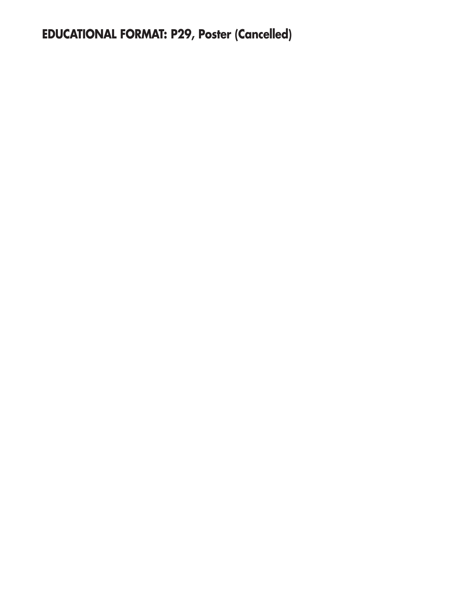# **EDUCATIONAL FORMAT: P29, Poster (Cancelled)**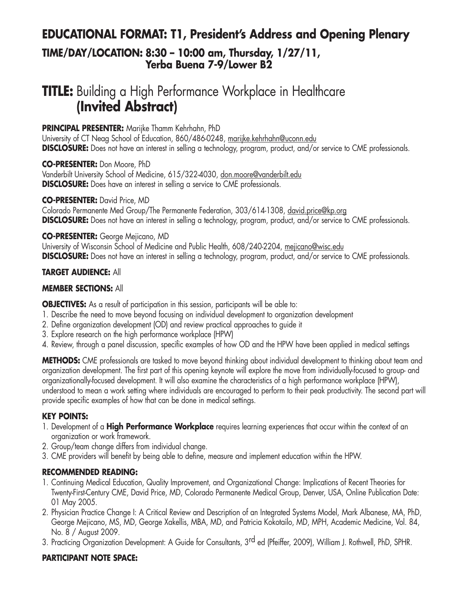# **EDUCATIONAL FORMAT: T1, President's Address and Opening Plenary TIME/DAY/LOCATION: 8:30 – 10:00 am, Thursday, 1/27/11, Yerba Buena 7-9/Lower B2**

# **TITLE:** Building a High Performance Workplace in Healthcare **(Invited Abstract)**

#### **PRINCIPAL PRESENTER:** Marijke Thamm Kehrhahn, PhD

University of CT Neag School of Education, 860/486-0248, marijke.kehrhahn@uconn.edu **DISCLOSURE:** Does not have an interest in selling a technology, program, product, and/or service to CME professionals.

**CO-PRESENTER:** Don Moore, PhD Vanderbilt University School of Medicine, 615/322-4030, don.moore@vanderbilt.edu **DISCLOSURE:** Does have an interest in selling a service to CME professionals.

**CO-PRESENTER:** David Price, MD Colorado Permanente Med Group/The Permanente Federation, 303/614-1308, david.price@kp.org **DISCLOSURE:** Does not have an interest in selling a technology, program, product, and/or service to CME professionals.

#### **CO-PRESENTER:** George Mejicano, MD

University of Wisconsin School of Medicine and Public Health, 608/240-2204, mejicano@wisc.edu **DISCLOSURE:** Does not have an interest in selling a technology, program, product, and/or service to CME professionals.

#### **TARGET AUDIENCE:** All

#### **MEMBER SECTIONS:** All

**OBJECTIVES:** As a result of participation in this session, participants will be able to:

- 1. Describe the need to move beyond focusing on individual development to organization development
- 2. Define organization development (OD) and review practical approaches to guide it
- 3. Explore research on the high performance workplace (HPW)
- 4. Review, through a panel discussion, specific examples of how OD and the HPW have been applied in medical settings

**METHODS:** CME professionals are tasked to move beyond thinking about individual development to thinking about team and organization development. The first part of this opening keynote will explore the move from individually-focused to group- and organizationally-focused development. It will also examine the characteristics of a high performance workplace (HPW), understood to mean a work setting where individuals are encouraged to perform to their peak productivity. The second part will provide specific examples of how that can be done in medical settings.

#### **KEY POINTS:**

- 1. Development of a **High Performance Workplace** requires learning experiences that occur within the context of an organization or work framework.
- 2. Group/team change differs from individual change.
- 3. CME providers will benefit by being able to define, measure and implement education within the HPW.

#### **RECOMMENDED READING:**

- 1. Continuing Medical Education, Quality Improvement, and Organizational Change: Implications of Recent Theories for Twenty-First-Century CME, David Price, MD, Colorado Permanente Medical Group, Denver, USA, Online Publication Date: 01 May 2005.
- 2. Physician Practice Change I: A Critical Review and Description of an Integrated Systems Model, Mark Albanese, MA, PhD, George Mejicano, MS, MD, George Xakellis, MBA, MD, and Patricia Kokotailo, MD, MPH, Academic Medicine, Vol. 84, No. 8 / August 2009.
- 3. Practicing Organization Development: A Guide for Consultants, 3<sup>rd</sup> ed (Pfeiffer, 2009), William J. Rothwell, PhD, SPHR.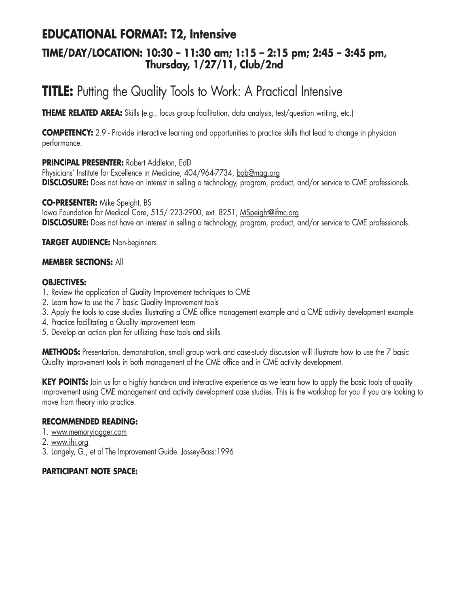## **EDUCATIONAL FORMAT: T2, Intensive**

### **TIME/DAY/LOCATION: 10:30 – 11:30 am; 1:15 – 2:15 pm; 2:45 – 3:45 pm, Thursday, 1/27/11, Club/2nd**

# **TITLE:** Putting the Quality Tools to Work: A Practical Intensive

**THEME RELATED AREA:** Skills (e.g., focus group facilitation, data analysis, test/question writing, etc.)

**COMPETENCY:** 2.9 - Provide interactive learning and opportunities to practice skills that lead to change in physician performance.

#### **PRINCIPAL PRESENTER:** Robert Addleton, EdD

Physicians' Institute for Excellence in Medicine, 404/964-7734, bob@mag.org **DISCLOSURE:** Does not have an interest in selling a technology, program, product, and/or service to CME professionals.

**CO-PRESENTER:** Mike Speight, BS Iowa Foundation for Medical Care, 515/ 223-2900, ext. 8251, MSpeight@ifmc.org **DISCLOSURE:** Does not have an interest in selling a technology, program, product, and/or service to CME professionals.

**TARGET AUDIENCE:** Non-beginners

#### **MEMBER SECTIONS:** All

#### **OBJECTIVES:**

- 1. Review the application of Quality Improvement techniques to CME
- 2. Learn how to use the 7 basic Quality Improvement tools
- 3. Apply the tools to case studies illustrating a CME office management example and a CME activity development example
- 4. Practice facilitating a Quality Improvement team
- 5. Develop an action plan for utilizing these tools and skills

**METHODS:** Presentation, demonstration, small group work and case-study discussion will illustrate how to use the 7 basic Quality Improvement tools in both management of the CME office and in CME activity development.

**KEY POINTS:** Join us for a highly hands-on and interactive experience as we learn how to apply the basic tools of quality improvement using CME management and activity development case studies. This is the workshop for you if you are looking to move from theory into practice.

#### **RECOMMENDED READING:**

- 1. www.memoryjogger.com
- 2. www.ihi.org
- 3. Langely, G., et al The Improvement Guide. Jossey-Bass:1996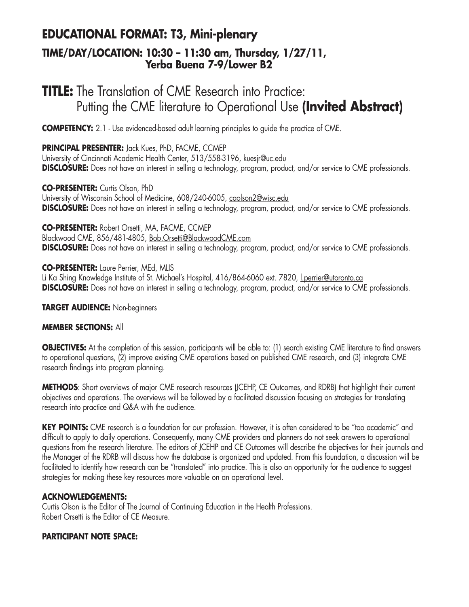## **EDUCATIONAL FORMAT: T3, Mini-plenary TIME/DAY/LOCATION: 10:30 – 11:30 am, Thursday, 1/27/11, Yerba Buena 7-9/Lower B2**

# **TITLE:** The Translation of CME Research into Practice: Putting the CME literature to Operational Use **(Invited Abstract)**

**COMPETENCY:** 2.1 - Use evidenced-based adult learning principles to guide the practice of CME.

**PRINCIPAL PRESENTER:** Jack Kues, PhD, FACME, CCMEP University of Cincinnati Academic Health Center, 513/558-3196, kuesjr@uc.edu **DISCLOSURE:** Does not have an interest in selling a technology, program, product, and/or service to CME professionals.

**CO-PRESENTER:** Curtis Olson, PhD University of Wisconsin School of Medicine, 608/240-6005, caolson2@wisc.edu **DISCLOSURE:** Does not have an interest in selling a technology, program, product, and/or service to CME professionals.

**CO-PRESENTER:** Robert Orsetti, MA, FACME, CCMEP Blackwood CME, 856/481-4805, Bob.Orsetti@BlackwoodCME.com **DISCLOSURE:** Does not have an interest in selling a technology, program, product, and/or service to CME professionals.

**CO-PRESENTER:** Laure Perrier, MEd, MLIS

Li Ka Shing Knowledge Institute of St. Michael's Hospital, 416/864-6060 ext. 7820, Lperrier@utoronto.ca **DISCLOSURE:** Does not have an interest in selling a technology, program, product, and/or service to CME professionals.

**TARGET AUDIENCE:** Non-beginners

#### **MEMBER SECTIONS:** All

**OBJECTIVES:** At the completion of this session, participants will be able to: (1) search existing CME literature to find answers to operational questions, (2) improve existing CME operations based on published CME research, and (3) integrate CME research findings into program planning.

**METHODS**: Short overviews of major CME research resources (JCEHP, CE Outcomes, and RDRB) that highlight their current objectives and operations. The overviews will be followed by a facilitated discussion focusing on strategies for translating research into practice and Q&A with the audience.

**KEY POINTS:** CME research is a foundation for our profession. However, it is often considered to be "too academic" and difficult to apply to daily operations. Consequently, many CME providers and planners do not seek answers to operational questions from the research literature. The editors of JCEHP and CE Outcomes will describe the objectives for their journals and the Manager of the RDRB will discuss how the database is organized and updated. From this foundation, a discussion will be facilitated to identify how research can be "translated" into practice. This is also an opportunity for the audience to suggest strategies for making these key resources more valuable on an operational level.

#### **ACKNOWLEDGEMENTS:**

Curtis Olson is the Editor of The Journal of Continuing Education in the Health Professions. Robert Orsetti is the Editor of CE Measure.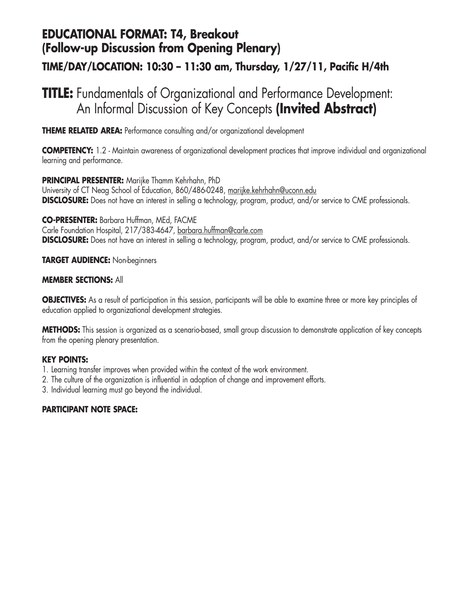## **EDUCATIONAL FORMAT: T4, Breakout (Follow-up Discussion from Opening Plenary)**

### **TIME/DAY/LOCATION: 10:30 – 11:30 am, Thursday, 1/27/11, Pacific H/4th**

# **TITLE:** Fundamentals of Organizational and Performance Development: An Informal Discussion of Key Concepts **(Invited Abstract)**

**THEME RELATED AREA:** Performance consulting and/or organizational development

**COMPETENCY:** 1.2 - Maintain awareness of organizational development practices that improve individual and organizational learning and performance.

**PRINCIPAL PRESENTER:** Marijke Thamm Kehrhahn, PhD

University of CT Neag School of Education, 860/486-0248, marijke.kehrhahn@uconn.edu **DISCLOSURE:** Does not have an interest in selling a technology, program, product, and/or service to CME professionals.

**CO-PRESENTER:** Barbara Huffman, MEd, FACME Carle Foundation Hospital, 217/383-4647, barbara.huffman@carle.com **DISCLOSURE:** Does not have an interest in selling a technology, program, product, and/or service to CME professionals.

**TARGET AUDIENCE:** Non-beginners

#### **MEMBER SECTIONS:** All

**OBJECTIVES:** As a result of participation in this session, participants will be able to examine three or more key principles of education applied to organizational development strategies.

**METHODS:** This session is organized as a scenario-based, small group discussion to demonstrate application of key concepts from the opening plenary presentation.

#### **KEY POINTS:**

- 1. Learning transfer improves when provided within the context of the work environment.
- 2. The culture of the organization is influential in adoption of change and improvement efforts.
- 3. Individual learning must go beyond the individual.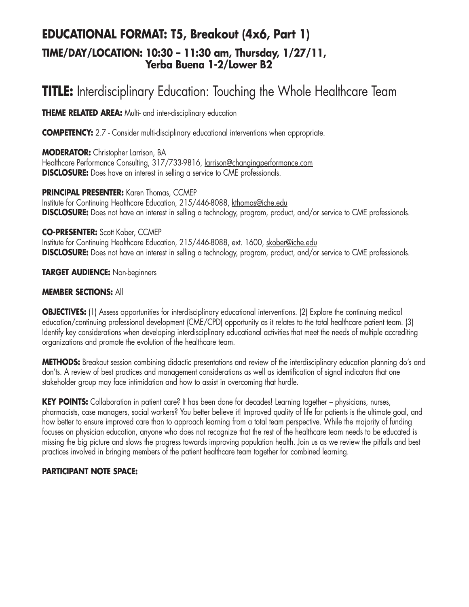## **EDUCATIONAL FORMAT: T5, Breakout (4x6, Part 1) TIME/DAY/LOCATION: 10:30 – 11:30 am, Thursday, 1/27/11, Yerba Buena 1-2/Lower B2**

# **TITLE:** Interdisciplinary Education: Touching the Whole Healthcare Team

**THEME RELATED AREA:** Multi- and inter-disciplinary education

**COMPETENCY:** 2.7 - Consider multi-disciplinary educational interventions when appropriate.

**MODERATOR:** Christopher Larrison, BA Healthcare Performance Consulting, 317/733-9816, larrison@changingperformance.com **DISCLOSURE:** Does have an interest in selling a service to CME professionals.

**PRINCIPAL PRESENTER:** Karen Thomas, CCMEP

Institute for Continuing Healthcare Education, 215/446-8088, kthomas@iche.edu **DISCLOSURE:** Does not have an interest in selling a technology, program, product, and/or service to CME professionals.

#### **CO-PRESENTER:** Scott Kober, CCMEP

Institute for Continuing Healthcare Education, 215/446-8088, ext. 1600, skober@iche.edu **DISCLOSURE:** Does not have an interest in selling a technology, program, product, and/or service to CME professionals.

**TARGET AUDIENCE:** Non-beginners

#### **MEMBER SECTIONS:** All

**OBJECTIVES:** (1) Assess opportunities for interdisciplinary educational interventions. (2) Explore the continuing medical education/continuing professional development (CME/CPD) opportunity as it relates to the total healthcare patient team. (3) Identify key considerations when developing interdisciplinary educational activities that meet the needs of multiple accrediting organizations and promote the evolution of the healthcare team.

**METHODS:** Breakout session combining didactic presentations and review of the interdisciplinary education planning do's and don'ts. A review of best practices and management considerations as well as identification of signal indicators that one stakeholder group may face intimidation and how to assist in overcoming that hurdle.

**KEY POINTS:** Collaboration in patient care? It has been done for decades! Learning together – physicians, nurses, pharmacists, case managers, social workers? You better believe it! Improved quality of life for patients is the ultimate goal, and how better to ensure improved care than to approach learning from a total team perspective. While the majority of funding focuses on physician education, anyone who does not recognize that the rest of the healthcare team needs to be educated is missing the big picture and slows the progress towards improving population health. Join us as we review the pitfalls and best practices involved in bringing members of the patient healthcare team together for combined learning.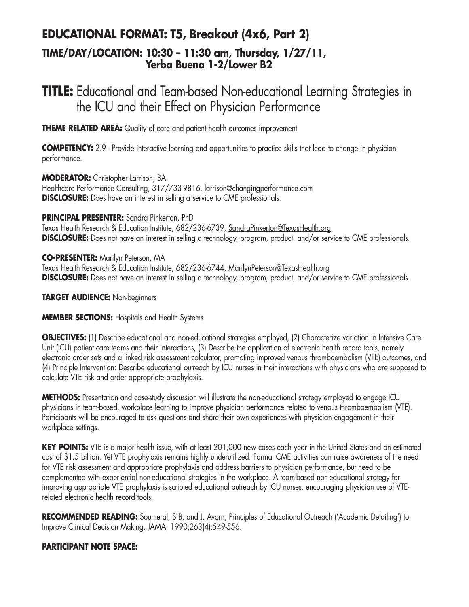## **EDUCATIONAL FORMAT: T5, Breakout (4x6, Part 2) TIME/DAY/LOCATION: 10:30 – 11:30 am, Thursday, 1/27/11, Yerba Buena 1-2/Lower B2**

# **TITLE:** Educational and Team-based Non-educational Learning Strategies in the ICU and their Effect on Physician Performance

**THEME RELATED AREA:** Quality of care and patient health outcomes improvement

**COMPETENCY:** 2.9 - Provide interactive learning and opportunities to practice skills that lead to change in physician performance.

**MODERATOR:** Christopher Larrison, BA

Healthcare Performance Consulting, 317/733-9816, larrison@changingperformance.com **DISCLOSURE:** Does have an interest in selling a service to CME professionals.

#### **PRINCIPAL PRESENTER:** Sandra Pinkerton, PhD

Texas Health Research & Education Institute, 682/236-6739, SandraPinkerton@TexasHealth.org **DISCLOSURE:** Does not have an interest in selling a technology, program, product, and/or service to CME professionals.

**CO-PRESENTER:** Marilyn Peterson, MA Texas Health Research & Education Institute, 682/236-6744, MarilynPeterson@TexasHealth.org **DISCLOSURE:** Does not have an interest in selling a technology, program, product, and/or service to CME professionals.

**TARGET AUDIENCE:** Non-beginners

#### **MEMBER SECTIONS:** Hospitals and Health Systems

**OBJECTIVES:** (1) Describe educational and non-educational strategies employed, (2) Characterize variation in Intensive Care Unit (ICU) patient care teams and their interactions, (3) Describe the application of electronic health record tools, namely electronic order sets and a linked risk assessment calculator, promoting improved venous thromboembolism (VTE) outcomes, and (4) Principle Intervention: Describe educational outreach by ICU nurses in their interactions with physicians who are supposed to calculate VTE risk and order appropriate prophylaxis.

**METHODS:** Presentation and case-study discussion will illustrate the non-educational strategy employed to engage ICU physicians in team-based, workplace learning to improve physician performance related to venous thromboembolism (VTE). Participants will be encouraged to ask questions and share their own experiences with physician engagement in their workplace settings.

**KEY POINTS:** VTE is a major health issue, with at least 201,000 new cases each year in the United States and an estimated cost of \$1.5 billion. Yet VTE prophylaxis remains highly underutilized. Formal CME activities can raise awareness of the need for VTE risk assessment and appropriate prophylaxis and address barriers to physician performance, but need to be complemented with experiential non-educational strategies in the workplace. A team-based non-educational strategy for improving appropriate VTE prophylaxis is scripted educational outreach by ICU nurses, encouraging physician use of VTErelated electronic health record tools.

**RECOMMENDED READING:** Soumeral, S.B. and J. Avorn, Principles of Educational Outreach ('Academic Detailing') to Improve Clinical Decision Making. JAMA, 1990;263(4):549-556.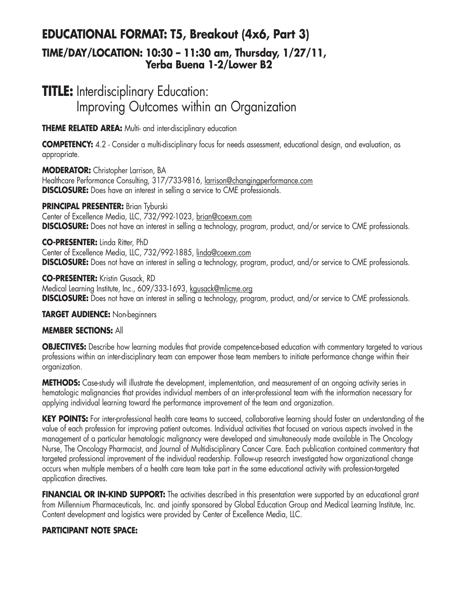## **EDUCATIONAL FORMAT: T5, Breakout (4x6, Part 3) TIME/DAY/LOCATION: 10:30 – 11:30 am, Thursday, 1/27/11, Yerba Buena 1-2/Lower B2**

# **TITLE:** Interdisciplinary Education: Improving Outcomes within an Organization

**THEME RELATED AREA:** Multi- and inter-disciplinary education

**COMPETENCY:** 4.2 - Consider a multi-disciplinary focus for needs assessment, educational design, and evaluation, as appropriate.

**MODERATOR:** Christopher Larrison, BA Healthcare Performance Consulting, 317/733-9816, larrison@changingperformance.com **DISCLOSURE:** Does have an interest in selling a service to CME professionals.

**PRINCIPAL PRESENTER:** Brian Tyburski Center of Excellence Media, LLC, 732/992-1023, brian@coexm.com **DISCLOSURE:** Does not have an interest in selling a technology, program, product, and/or service to CME professionals.

**CO-PRESENTER:** Linda Ritter, PhD Center of Excellence Media, LLC, 732/992-1885, linda@coexm.com **DISCLOSURE:** Does not have an interest in selling a technology, program, product, and/or service to CME professionals.

**CO-PRESENTER:** Kristin Gusack, RD Medical Learning Institute, Inc., 609/333-1693, kgusack@mlicme.org **DISCLOSURE:** Does not have an interest in selling a technology, program, product, and/or service to CME professionals.

**TARGET AUDIENCE:** Non-beginners

#### **MEMBER SECTIONS:** All

**OBJECTIVES:** Describe how learning modules that provide competence-based education with commentary targeted to various professions within an inter-disciplinary team can empower those team members to initiate performance change within their organization.

**METHODS:** Case-study will illustrate the development, implementation, and measurement of an ongoing activity series in hematologic malignancies that provides individual members of an inter-professional team with the information necessary for applying individual learning toward the performance improvement of the team and organization.

**KEY POINTS:** For inter-professional health care teams to succeed, collaborative learning should foster an understanding of the value of each profession for improving patient outcomes. Individual activities that focused on various aspects involved in the management of a particular hematologic malignancy were developed and simultaneously made available in The Oncology Nurse, The Oncology Pharmacist, and Journal of Multidisciplinary Cancer Care. Each publication contained commentary that targeted professional improvement of the individual readership. Follow-up research investigated how organizational change occurs when multiple members of a health care team take part in the same educational activity with profession-targeted application directives.

**FINANCIAL OR IN-KIND SUPPORT:** The activities described in this presentation were supported by an educational grant from Millennium Pharmaceuticals, Inc. and jointly sponsored by Global Education Group and Medical Learning Institute, Inc. Content development and logistics were provided by Center of Excellence Media, LLC.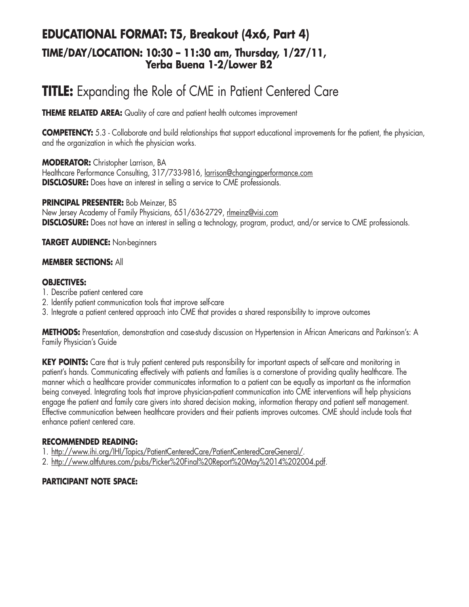## **EDUCATIONAL FORMAT: T5, Breakout (4x6, Part 4) TIME/DAY/LOCATION: 10:30 – 11:30 am, Thursday, 1/27/11, Yerba Buena 1-2/Lower B2**

# **TITLE:** Expanding the Role of CME in Patient Centered Care

**THEME RELATED AREA:** Quality of care and patient health outcomes improvement

**COMPETENCY:** 5.3 - Collaborate and build relationships that support educational improvements for the patient, the physician, and the organization in which the physician works.

**MODERATOR:** Christopher Larrison, BA Healthcare Performance Consulting, 317/733-9816, larrison@changingperformance.com **DISCLOSURE:** Does have an interest in selling a service to CME professionals.

**PRINCIPAL PRESENTER:** Bob Meinzer, BS New Jersey Academy of Family Physicians, 651/636-2729, rlmeinz@visi.com **DISCLOSURE:** Does not have an interest in selling a technology, program, product, and/or service to CME professionals.

**TARGET AUDIENCE:** Non-beginners

#### **MEMBER SECTIONS:** All

#### **OBJECTIVES:**

- 1. Describe patient centered care
- 2. Identify patient communication tools that improve self-care
- 3. Integrate a patient centered approach into CME that provides a shared responsibility to improve outcomes

**METHODS:** Presentation, demonstration and case-study discussion on Hypertension in African Americans and Parkinson's: A Family Physician's Guide

KEY POINTS: Care that is truly patient centered puts responsibility for important aspects of self-care and monitoring in patient's hands. Communicating effectively with patients and families is a cornerstone of providing quality healthcare. The manner which a healthcare provider communicates information to a patient can be equally as important as the information being conveyed. Integrating tools that improve physician-patient communication into CME interventions will help physicians engage the patient and family care givers into shared decision making, information therapy and patient self management. Effective communication between healthcare providers and their patients improves outcomes. CME should include tools that enhance patient centered care.

#### **RECOMMENDED READING:**

1. http://www.ihi.org/IHI/Topics/PatientCenteredCare/PatientCenteredCareGeneral/.

2. http://www.altfutures.com/pubs/Picker%20Final%20Report%20May%2014%202004.pdf.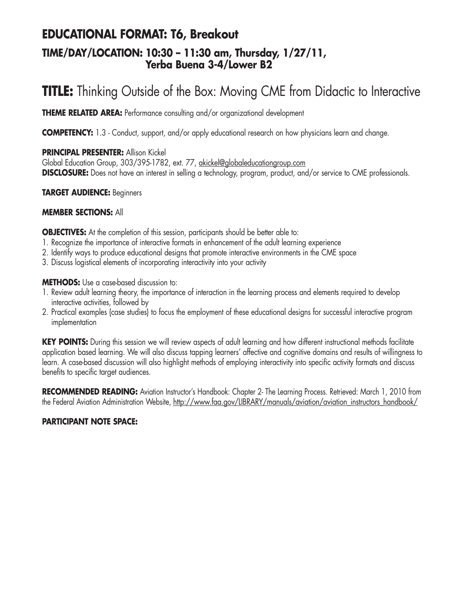### **EDUCATIONAL FORMAT: T6, Breakout TIME/DAY/LOCATION: 10:30 – 11:30 am, Thursday, 1/27/11, Yerba Buena 3-4/Lower B2**

# **TITLE:** Thinking Outside of the Box: Moving CME from Didactic to Interactive

**THEME RELATED AREA:** Performance consulting and/or organizational development

**COMPETENCY:** 1.3 - Conduct, support, and/or apply educational research on how physicians learn and change.

#### **PRINCIPAL PRESENTER:** Allison Kickel

Global Education Group, 303/395-1782, ext. 77, akickel@globaleducationgroup.com **DISCLOSURE:** Does not have an interest in selling a technology, program, product, and/or service to CME professionals.

#### **TARGET AUDIENCE:** Beginners

#### **MEMBER SECTIONS:** All

**OBJECTIVES:** At the completion of this session, participants should be better able to:

- 1. Recognize the importance of interactive formats in enhancement of the adult learning experience
- 2. Identify ways to produce educational designs that promote interactive environments in the CME space
- 3. Discuss logistical elements of incorporating interactivity into your activity

#### **METHODS:** Use a case-based discussion to:

- 1. Review adult learning theory, the importance of interaction in the learning process and elements required to develop interactive activities, followed by
- 2. Practical examples (case studies) to focus the employment of these educational designs for successful interactive program implementation

KEY POINTS: During this session we will review aspects of adult learning and how different instructional methods facilitate application based learning. We will also discuss tapping learners' affective and cognitive domains and results of willingness to learn. A case-based discussion will also highlight methods of employing interactivity into specific activity formats and discuss benefits to specific target audiences.

**RECOMMENDED READING:** Aviation Instructor's Handbook: Chapter 2- The Learning Process. Retrieved: March 1, 2010 from the Federal Aviation Administration Website, http://www.faa.gov/LIBRARY/manuals/aviation/aviation\_instructors\_handbook/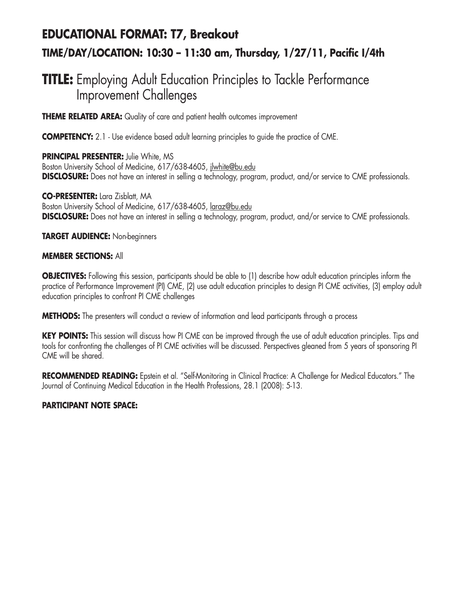# **EDUCATIONAL FORMAT: T7, Breakout TIME/DAY/LOCATION: 10:30 – 11:30 am, Thursday, 1/27/11, Pacific I/4th**

# **TITLE:** Employing Adult Education Principles to Tackle Performance Improvement Challenges

**THEME RELATED AREA:** Quality of care and patient health outcomes improvement

**COMPETENCY:** 2.1 - Use evidence based adult learning principles to guide the practice of CME.

**PRINCIPAL PRESENTER:** Julie White, MS Boston University School of Medicine, 617/638-4605, jlwhite@bu.edu **DISCLOSURE:** Does not have an interest in selling a technology, program, product, and/or service to CME professionals.

**CO-PRESENTER:** Lara Zisblatt, MA Boston University School of Medicine, 617/638-4605, laraz@bu.edu **DISCLOSURE:** Does not have an interest in selling a technology, program, product, and/or service to CME professionals.

#### **TARGET AUDIENCE:** Non-beginners

#### **MEMBER SECTIONS:** All

**OBJECTIVES:** Following this session, participants should be able to (1) describe how adult education principles inform the practice of Performance Improvement (PI) CME, (2) use adult education principles to design PI CME activities, (3) employ adult education principles to confront PI CME challenges

**METHODS:** The presenters will conduct a review of information and lead participants through a process

**KEY POINTS:** This session will discuss how PI CME can be improved through the use of adult education principles. Tips and tools for confronting the challenges of PI CME activities will be discussed. Perspectives gleaned from 5 years of sponsoring PI CME will be shared.

**RECOMMENDED READING:** Epstein et al. "Self-Monitoring in Clinical Practice: A Challenge for Medical Educators." The Journal of Continuing Medical Education in the Health Professions, 28.1 (2008): 5-13.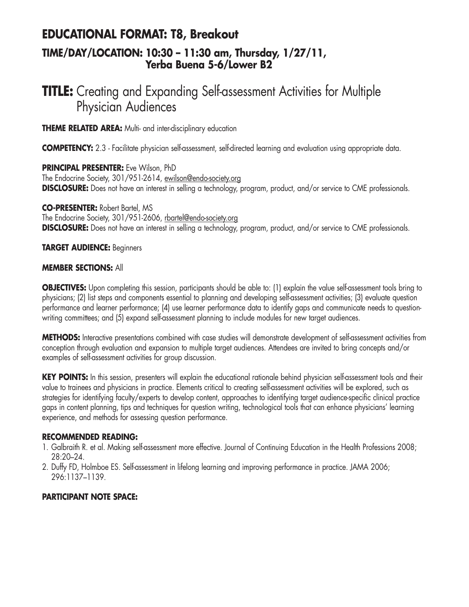### **EDUCATIONAL FORMAT: T8, Breakout TIME/DAY/LOCATION: 10:30 – 11:30 am, Thursday, 1/27/11, Yerba Buena 5-6/Lower B2**

# **TITLE:** Creating and Expanding Self-assessment Activities for Multiple Physician Audiences

**THEME RELATED AREA:** Multi- and inter-disciplinary education

**COMPETENCY:** 2.3 - Facilitate physician self-assessment, self-directed learning and evaluation using appropriate data.

**PRINCIPAL PRESENTER:** Eve Wilson, PhD The Endocrine Society, 301/951-2614, ewilson@endo-society.org **DISCLOSURE:** Does not have an interest in selling a technology, program, product, and/or service to CME professionals.

**CO-PRESENTER:** Robert Bartel, MS The Endocrine Society, 301/951-2606, rbartel@endo-society.org **DISCLOSURE:** Does not have an interest in selling a technology, program, product, and/or service to CME professionals.

#### **TARGET AUDIENCE:** Beginners

#### **MEMBER SECTIONS:** All

**OBJECTIVES:** Upon completing this session, participants should be able to: (1) explain the value self-assessment tools bring to physicians; (2) list steps and components essential to planning and developing self-assessment activities; (3) evaluate question performance and learner performance; (4) use learner performance data to identify gaps and communicate needs to questionwriting committees; and (5) expand self-assessment planning to include modules for new target audiences.

**METHODS:** Interactive presentations combined with case studies will demonstrate development of self-assessment activities from conception through evaluation and expansion to multiple target audiences. Attendees are invited to bring concepts and/or examples of self-assessment activities for group discussion.

**KEY POINTS:** In this session, presenters will explain the educational rationale behind physician self-assessment tools and their value to trainees and physicians in practice. Elements critical to creating self-assessment activities will be explored, such as strategies for identifying faculty/experts to develop content, approaches to identifying target audience-specific clinical practice gaps in content planning, tips and techniques for question writing, technological tools that can enhance physicians' learning experience, and methods for assessing question performance.

#### **RECOMMENDED READING:**

- 1. Galbraith R. et al. Making self-assessment more effective. Journal of Continuing Education in the Health Professions 2008; 28:20–24.
- 2. Duffy FD, Holmboe ES. Self-assessment in lifelong learning and improving performance in practice. JAMA 2006; 296:1137–1139.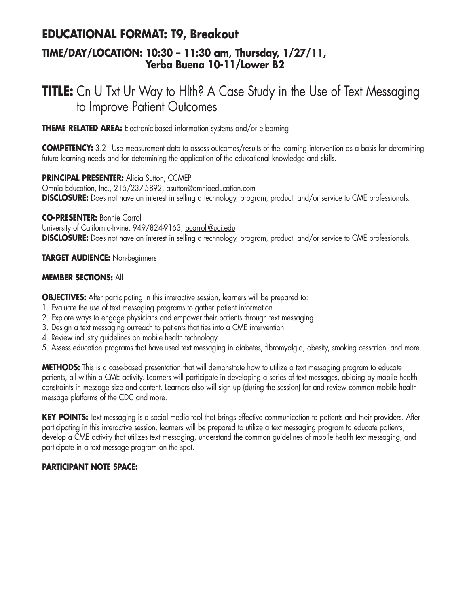### **EDUCATIONAL FORMAT: T9, Breakout TIME/DAY/LOCATION: 10:30 – 11:30 am, Thursday, 1/27/11, Yerba Buena 10-11/Lower B2**

# **TITLE:** Cn U Txt Ur Way to Hlth? A Case Study in the Use of Text Messaging to Improve Patient Outcomes

**THEME RELATED AREA:** Electronic-based information systems and/or e-learning

**COMPETENCY:** 3.2 - Use measurement data to assess outcomes/results of the learning intervention as a basis for determining future learning needs and for determining the application of the educational knowledge and skills.

**PRINCIPAL PRESENTER: Alicia Sutton, CCMEP** Omnia Education, Inc., 215/237-5892, asutton@omniaeducation.com **DISCLOSURE:** Does not have an interest in selling a technology, program, product, and/or service to CME professionals.

**CO-PRESENTER:** Bonnie Carroll University of California-Irvine, 949/824-9163, bcarroll@uci.edu **DISCLOSURE:** Does not have an interest in selling a technology, program, product, and/or service to CME professionals.

**TARGET AUDIENCE:** Non-beginners

#### **MEMBER SECTIONS:** All

**OBJECTIVES:** After participating in this interactive session, learners will be prepared to:

- 1. Evaluate the use of text messaging programs to gather patient information
- 2. Explore ways to engage physicians and empower their patients through text messaging
- 3. Design a text messaging outreach to patients that ties into a CME intervention
- 4. Review industry guidelines on mobile health technology
- 5. Assess education programs that have used text messaging in diabetes, fibromyalgia, obesity, smoking cessation, and more.

**METHODS:** This is a case-based presentation that will demonstrate how to utilize a text messaging program to educate patients, all within a CME activity. Learners will participate in developing a series of text messages, abiding by mobile health constraints in message size and content. Learners also will sign up (during the session) for and review common mobile health message platforms of the CDC and more.

KEY POINTS: Text messaging is a social media tool that brings effective communication to patients and their providers. After participating in this interactive session, learners will be prepared to utilize a text messaging program to educate patients, develop a CME activity that utilizes text messaging, understand the common guidelines of mobile health text messaging, and participate in a text message program on the spot.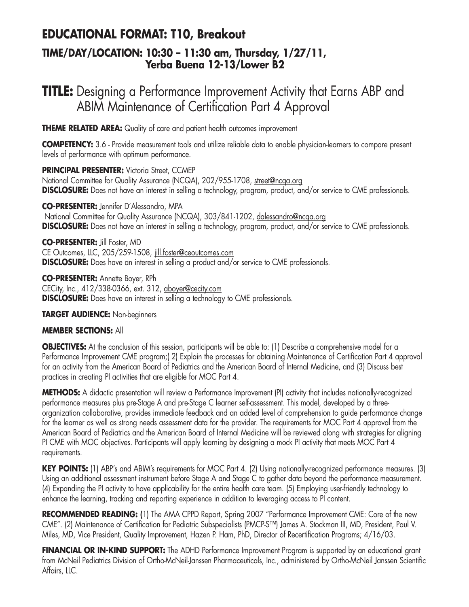# **EDUCATIONAL FORMAT: T10, Breakout**

### **TIME/DAY/LOCATION: 10:30 – 11:30 am, Thursday, 1/27/11, Yerba Buena 12-13/Lower B2**

# **TITLE:** Designing a Performance Improvement Activity that Earns ABP and ABIM Maintenance of Certification Part 4 Approval

**THEME RELATED AREA:** Quality of care and patient health outcomes improvement

**COMPETENCY:** 3.6 - Provide measurement tools and utilize reliable data to enable physician-learners to compare present levels of performance with optimum performance.

**PRINCIPAL PRESENTER:** Victoria Street, CCMEP National Committee for Quality Assurance (NCQA), 202/955-1708, street@ncqa.org **DISCLOSURE:** Does not have an interest in selling a technology, program, product, and/or service to CME professionals.

**CO-PRESENTER:** Jennifer D'Alessandro, MPA

National Committee for Quality Assurance (NCQA), 303/841-1202, dalessandro@ncqa.org **DISCLOSURE:** Does not have an interest in selling a technology, program, product, and/or service to CME professionals.

**CO-PRESENTER:** Jill Foster, MD CE Outcomes, LLC, 205/259-1508, jill.foster@ceoutcomes.com **DISCLOSURE:** Does have an interest in selling a product and/or service to CME professionals.

**CO-PRESENTER:** Annette Boyer, RPh CECity, Inc., 412/338-0366, ext. 312, aboyer@cecity.com **DISCLOSURE:** Does have an interest in selling a technology to CME professionals.

#### **TARGET AUDIENCE:** Non-beginners

#### **MEMBER SECTIONS:** All

**OBJECTIVES:** At the conclusion of this session, participants will be able to: (1) Describe a comprehensive model for a Performance Improvement CME program;( 2) Explain the processes for obtaining Maintenance of Certification Part 4 approval for an activity from the American Board of Pediatrics and the American Board of Internal Medicine, and (3) Discuss best practices in creating PI activities that are eligible for MOC Part 4.

**METHODS:** A didactic presentation will review a Performance Improvement (PI) activity that includes nationally-recognized performance measures plus pre-Stage A and pre-Stage C learner self-assessment. This model, developed by a threeorganization collaborative, provides immediate feedback and an added level of comprehension to guide performance change for the learner as well as strong needs assessment data for the provider. The requirements for MOC Part 4 approval from the American Board of Pediatrics and the American Board of Internal Medicine will be reviewed along with strategies for aligning PI CME with MOC objectives. Participants will apply learning by designing a mock PI activity that meets MOC Part 4 requirements.

**KEY POINTS:** (1) ABP's and ABIM's requirements for MOC Part 4. (2) Using nationally-recognized performance measures. (3) Using an additional assessment instrument before Stage A and Stage C to gather data beyond the performance measurement. (4) Expanding the PI activity to have applicability for the entire health care team. (5) Employing user-friendly technology to enhance the learning, tracking and reporting experience in addition to leveraging access to PI content.

**RECOMMENDED READING: (**1) The AMA CPPD Report, Spring 2007 "Performance Improvement CME: Core of the new CME". (2) Maintenance of Certification for Pediatric Subspecialists (PMCP-S™) James A. Stockman III, MD, President, Paul V. Miles, MD, Vice President, Quality Improvement, Hazen P. Ham, PhD, Director of Recertification Programs; 4/16/03.

**FINANCIAL OR IN-KIND SUPPORT:** The ADHD Performance Improvement Program is supported by an educational grant from McNeil Pediatrics Division of Ortho-McNeil-Janssen Pharmaceuticals, Inc., administered by Ortho-McNeil Janssen Scientific Affairs, LLC.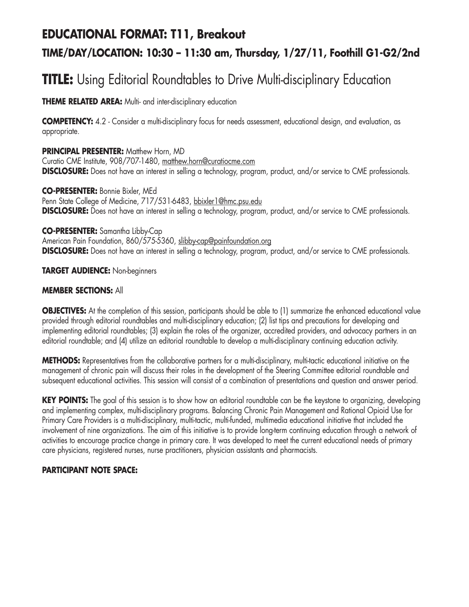# **EDUCATIONAL FORMAT: T11, Breakout**

## **TIME/DAY/LOCATION: 10:30 – 11:30 am, Thursday, 1/27/11, Foothill G1-G2/2nd**

# **TITLE:** Using Editorial Roundtables to Drive Multi-disciplinary Education

**THEME RELATED AREA:** Multi- and inter-disciplinary education

**COMPETENCY:** 4.2 - Consider a multi-disciplinary focus for needs assessment, educational design, and evaluation, as appropriate.

**PRINCIPAL PRESENTER: Matthew Horn, MD** Curatio CME Institute, 908/707-1480, matthew.horn@curatiocme.com **DISCLOSURE:** Does not have an interest in selling a technology, program, product, and/or service to CME professionals.

**CO-PRESENTER:** Bonnie Bixler, MEd Penn State College of Medicine, 717/531-6483, bbixler1@hmc.psu.edu **DISCLOSURE:** Does not have an interest in selling a technology, program, product, and/or service to CME professionals.

**CO-PRESENTER:** Samantha Libby-Cap American Pain Foundation, 860/575-5360, slibby-cap@painfoundation.org **DISCLOSURE:** Does not have an interest in selling a technology, program, product, and/or service to CME professionals.

**TARGET AUDIENCE:** Non-beginners

#### **MEMBER SECTIONS:** All

**OBJECTIVES:** At the completion of this session, participants should be able to (1) summarize the enhanced educational value provided through editorial roundtables and multi-disciplinary education; (2) list tips and precautions for developing and implementing editorial roundtables; (3) explain the roles of the organizer, accredited providers, and advocacy partners in an editorial roundtable; and (4) utilize an editorial roundtable to develop a multi-disciplinary continuing education activity.

**METHODS:** Representatives from the collaborative partners for a multi-disciplinary, multi-tactic educational initiative on the management of chronic pain will discuss their roles in the development of the Steering Committee editorial roundtable and subsequent educational activities. This session will consist of a combination of presentations and question and answer period.

**KEY POINTS:** The goal of this session is to show how an editorial roundtable can be the keystone to organizing, developing and implementing complex, multi-disciplinary programs. Balancing Chronic Pain Management and Rational Opioid Use for Primary Care Providers is a multi-disciplinary, multi-tactic, multi-funded, multimedia educational initiative that included the involvement of nine organizations. The aim of this initiative is to provide long-term continuing education through a network of activities to encourage practice change in primary care. It was developed to meet the current educational needs of primary care physicians, registered nurses, nurse practitioners, physician assistants and pharmacists.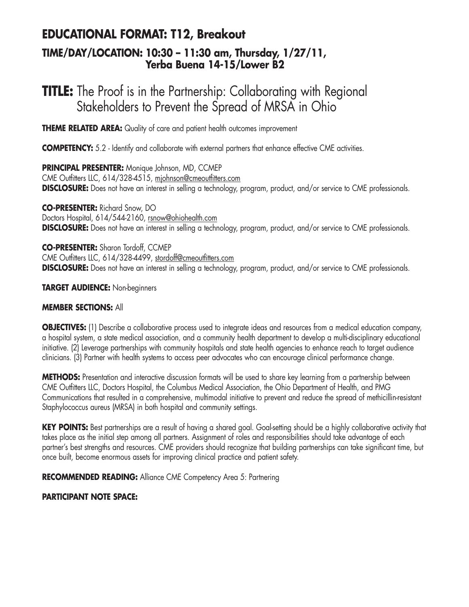# **EDUCATIONAL FORMAT: T12, Breakout**

### **TIME/DAY/LOCATION: 10:30 – 11:30 am, Thursday, 1/27/11, Yerba Buena 14-15/Lower B2**

# **TITLE:** The Proof is in the Partnership: Collaborating with Regional Stakeholders to Prevent the Spread of MRSA in Ohio

**THEME RELATED AREA:** Quality of care and patient health outcomes improvement

**COMPETENCY:** 5.2 - Identify and collaborate with external partners that enhance effective CME activities.

**PRINCIPAL PRESENTER:** Monique Johnson, MD, CCMEP CME Outfitters LLC, 614/328-4515, mjohnson@cmeoutfitters.com **DISCLOSURE:** Does not have an interest in selling a technology, program, product, and/or service to CME professionals.

**CO-PRESENTER:** Richard Snow, DO Doctors Hospital, 614/544-2160, rsnow@ohiohealth.com **DISCLOSURE:** Does not have an interest in selling a technology, program, product, and/or service to CME professionals.

**CO-PRESENTER:** Sharon Tordoff, CCMEP CME Outfitters LLC, 614/328-4499, stordoff@cmeoutfitters.com **DISCLOSURE:** Does not have an interest in selling a technology, program, product, and/or service to CME professionals.

**TARGET AUDIENCE:** Non-beginners

#### **MEMBER SECTIONS:** All

**OBJECTIVES:** (1) Describe a collaborative process used to integrate ideas and resources from a medical education company, a hospital system, a state medical association, and a community health department to develop a multi-disciplinary educational initiative. (2) Leverage partnerships with community hospitals and state health agencies to enhance reach to target audience clinicians. (3) Partner with health systems to access peer advocates who can encourage clinical performance change.

**METHODS:** Presentation and interactive discussion formats will be used to share key learning from a partnership between CME Outfitters LLC, Doctors Hospital, the Columbus Medical Association, the Ohio Department of Health, and PMG Communications that resulted in a comprehensive, multimodal initiative to prevent and reduce the spread of methicillin-resistant Staphylococcus aureus (MRSA) in both hospital and community settings.

**KEY POINTS:** Best partnerships are a result of having a shared goal. Goal-setting should be a highly collaborative activity that takes place as the initial step among all partners. Assignment of roles and responsibilities should take advantage of each partner's best strengths and resources. CME providers should recognize that building partnerships can take significant time, but once built, become enormous assets for improving clinical practice and patient safety.

**RECOMMENDED READING:** Alliance CME Competency Area 5: Partnering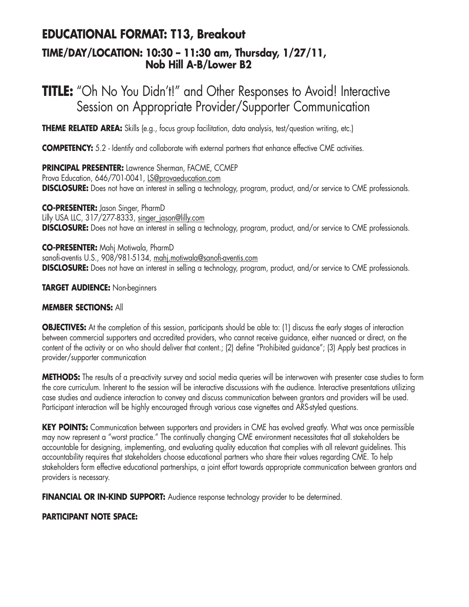## **EDUCATIONAL FORMAT: T13, Breakout TIME/DAY/LOCATION: 10:30 – 11:30 am, Thursday, 1/27/11, Nob Hill A-B/Lower B2**

# **TITLE:** "Oh No You Didn't!" and Other Responses to Avoid! Interactive Session on Appropriate Provider/Supporter Communication

**THEME RELATED AREA:** Skills (e.g., focus group facilitation, data analysis, test/question writing, etc.)

**COMPETENCY:** 5.2 - Identify and collaborate with external partners that enhance effective CME activities.

**PRINCIPAL PRESENTER:** Lawrence Sherman, FACME, CCMEP Prova Education, 646/701-0041, LS@provaeducation.com **DISCLOSURE:** Does not have an interest in selling a technology, program, product, and/or service to CME professionals.

**CO-PRESENTER:** Jason Singer, PharmD Lilly USA LLC, 317/277-8333, singer\_jason@lilly.com **DISCLOSURE:** Does not have an interest in selling a technology, program, product, and/or service to CME professionals.

**CO-PRESENTER:** Mahj Motiwala, PharmD sanofi-aventis U.S., 908/981-5134, mahj.motiwala@sanofi-aventis.com **DISCLOSURE:** Does not have an interest in selling a technology, program, product, and/or service to CME professionals.

**TARGET AUDIENCE:** Non-beginners

#### **MEMBER SECTIONS:** All

**OBJECTIVES:** At the completion of this session, participants should be able to: (1) discuss the early stages of interaction between commercial supporters and accredited providers, who cannot receive guidance, either nuanced or direct, on the content of the activity or on who should deliver that content.; (2) define "Prohibited guidance"; (3) Apply best practices in provider/supporter communication

**METHODS:** The results of a pre-activity survey and social media queries will be interwoven with presenter case studies to form the core curriculum. Inherent to the session will be interactive discussions with the audience. Interactive presentations utilizing case studies and audience interaction to convey and discuss communication between grantors and providers will be used. Participant interaction will be highly encouraged through various case vignettes and ARS-styled questions.

**KEY POINTS:** Communication between supporters and providers in CME has evolved greatly. What was once permissible may now represent a "worst practice." The continually changing CME environment necessitates that all stakeholders be accountable for designing, implementing, and evaluating quality education that complies with all relevant guidelines. This accountability requires that stakeholders choose educational partners who share their values regarding CME. To help stakeholders form effective educational partnerships, a joint effort towards appropriate communication between grantors and providers is necessary.

**FINANCIAL OR IN-KIND SUPPORT:** Audience response technology provider to be determined.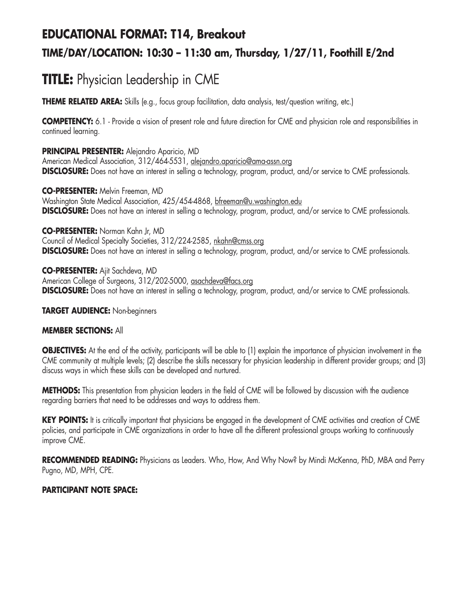# **EDUCATIONAL FORMAT: T14, Breakout TIME/DAY/LOCATION: 10:30 – 11:30 am, Thursday, 1/27/11, Foothill E/2nd**

# **TITLE:** Physician Leadership in CME

**THEME RELATED AREA:** Skills (e.g., focus group facilitation, data analysis, test/question writing, etc.)

**COMPETENCY:** 6.1 - Provide a vision of present role and future direction for CME and physician role and responsibilities in continued learning.

**PRINCIPAL PRESENTER:** Alejandro Aparicio, MD American Medical Association, 312/464-5531, alejandro.aparicio@ama-assn.org **DISCLOSURE:** Does not have an interest in selling a technology, program, product, and/or service to CME professionals.

**CO-PRESENTER:** Melvin Freeman, MD Washington State Medical Association, 425/454-4868, bfreeman@u.washington.edu **DISCLOSURE:** Does not have an interest in selling a technology, program, product, and/or service to CME professionals.

**CO-PRESENTER:** Norman Kahn Jr, MD Council of Medical Specialty Societies, 312/224-2585, nkahn@cmss.org **DISCLOSURE:** Does not have an interest in selling a technology, program, product, and/or service to CME professionals.

**CO-PRESENTER:** Ajit Sachdeva, MD American College of Surgeons, 312/202-5000, asachdeva@facs.org **DISCLOSURE:** Does not have an interest in selling a technology, program, product, and/or service to CME professionals.

#### **TARGET AUDIENCE:** Non-beginners

#### **MEMBER SECTIONS:** All

**OBJECTIVES:** At the end of the activity, participants will be able to (1) explain the importance of physician involvement in the CME community at multiple levels; (2) describe the skills necessary for physician leadership in different provider groups; and (3) discuss ways in which these skills can be developed and nurtured.

**METHODS:** This presentation from physician leaders in the field of CME will be followed by discussion with the audience regarding barriers that need to be addresses and ways to address them.

**KEY POINTS:** It is critically important that physicians be engaged in the development of CME activities and creation of CME policies, and participate in CME organizations in order to have all the different professional groups working to continuously improve CME.

**RECOMMENDED READING:** Physicians as Leaders. Who, How, And Why Now? by Mindi McKenna, PhD, MBA and Perry Pugno, MD, MPH, CPE.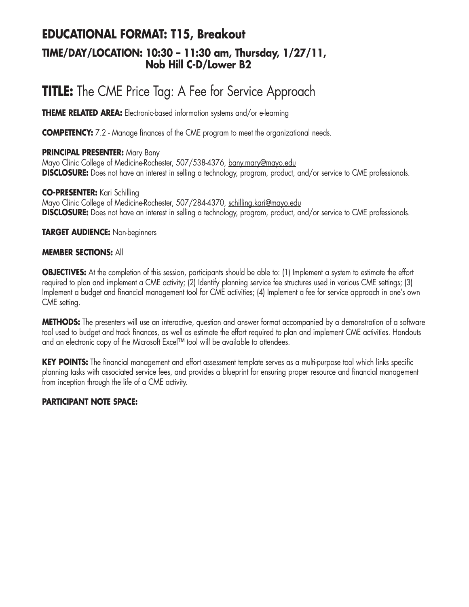## **EDUCATIONAL FORMAT: T15, Breakout TIME/DAY/LOCATION: 10:30 – 11:30 am, Thursday, 1/27/11, Nob Hill C-D/Lower B2**

# **TITLE:** The CME Price Tag: A Fee for Service Approach

**THEME RELATED AREA:** Electronic-based information systems and/or e-learning

**COMPETENCY:** 7.2 - Manage finances of the CME program to meet the organizational needs.

#### **PRINCIPAL PRESENTER:** Mary Bany

Mayo Clinic College of Medicine-Rochester, 507/538-4376, bany.mary@mayo.edu **DISCLOSURE:** Does not have an interest in selling a technology, program, product, and/or service to CME professionals.

**CO-PRESENTER:** Kari Schilling Mayo Clinic College of Medicine-Rochester, 507/284-4370, schilling.kari@mayo.edu **DISCLOSURE:** Does not have an interest in selling a technology, program, product, and/or service to CME professionals.

#### **TARGET AUDIENCE:** Non-beginners

#### **MEMBER SECTIONS:** All

**OBJECTIVES:** At the completion of this session, participants should be able to: (1) Implement a system to estimate the effort required to plan and implement a CME activity; (2) Identify planning service fee structures used in various CME settings; (3) Implement a budget and financial management tool for CME activities; (4) Implement a fee for service approach in one's own CME setting.

**METHODS:** The presenters will use an interactive, question and answer format accompanied by a demonstration of a software tool used to budget and track finances, as well as estimate the effort required to plan and implement CME activities. Handouts and an electronic copy of the Microsoft Excel™ tool will be available to attendees.

**KEY POINTS:** The financial management and effort assessment template serves as a multi-purpose tool which links specific planning tasks with associated service fees, and provides a blueprint for ensuring proper resource and financial management from inception through the life of a CME activity.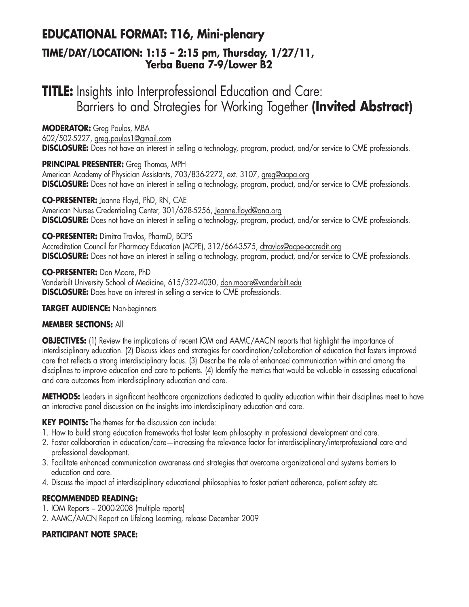## **EDUCATIONAL FORMAT: T16, Mini-plenary TIME/DAY/LOCATION: 1:15 – 2:15 pm, Thursday, 1/27/11, Yerba Buena 7-9/Lower B2**

# **TITLE:** Insights into Interprofessional Education and Care: Barriers to and Strategies for Working Together **(Invited Abstract)**

**MODERATOR:** Greg Paulos, MBA

602/502-5227, greg.paulos1@gmail.com

**DISCLOSURE:** Does not have an interest in selling a technology, program, product, and/or service to CME professionals.

**PRINCIPAL PRESENTER:** Greg Thomas, MPH

American Academy of Physician Assistants, 703/836-2272, ext. 3107, greg@aapa.org **DISCLOSURE:** Does not have an interest in selling a technology, program, product, and/or service to CME professionals.

**CO-PRESENTER:** Jeanne Floyd, PhD, RN, CAE American Nurses Credentialing Center, 301/628-5256, Jeanne.floyd@ana.org **DISCLOSURE:** Does not have an interest in selling a technology, program, product, and/or service to CME professionals.

#### **CO-PRESENTER:** Dimitra Travlos, PharmD, BCPS

Accreditation Council for Pharmacy Education (ACPE), 312/664-3575, dtravlos@acpe-accredit.org **DISCLOSURE:** Does not have an interest in selling a technology, program, product, and/or service to CME professionals.

**CO-PRESENTER:** Don Moore, PhD Vanderbilt University School of Medicine, 615/322-4030, don.moore@vanderbilt.edu **DISCLOSURE:** Does have an interest in selling a service to CME professionals.

#### **TARGET AUDIENCE:** Non-beginners

#### **MEMBER SECTIONS:** All

**OBJECTIVES:** (1) Review the implications of recent IOM and AAMC/AACN reports that highlight the importance of interdisciplinary education. (2) Discuss ideas and strategies for coordination/collaboration of education that fosters improved care that reflects a strong interdisciplinary focus. (3) Describe the role of enhanced communication within and among the disciplines to improve education and care to patients. (4) Identify the metrics that would be valuable in assessing educational and care outcomes from interdisciplinary education and care.

**METHODS:** Leaders in significant healthcare organizations dedicated to quality education within their disciplines meet to have an interactive panel discussion on the insights into interdisciplinary education and care.

#### **KEY POINTS:** The themes for the discussion can include:

- 1. How to build strong education frameworks that foster team philosophy in professional development and care.
- 2. Foster collaboration in education/care—increasing the relevance factor for interdisciplinary/interprofessional care and professional development.
- 3. Facilitate enhanced communication awareness and strategies that overcome organizational and systems barriers to education and care.
- 4. Discuss the impact of interdisciplinary educational philosophies to foster patient adherence, patient safety etc.

#### **RECOMMENDED READING:**

- 1. IOM Reports 2000-2008 (multiple reports)
- 2. AAMC/AACN Report on Lifelong Learning, release December 2009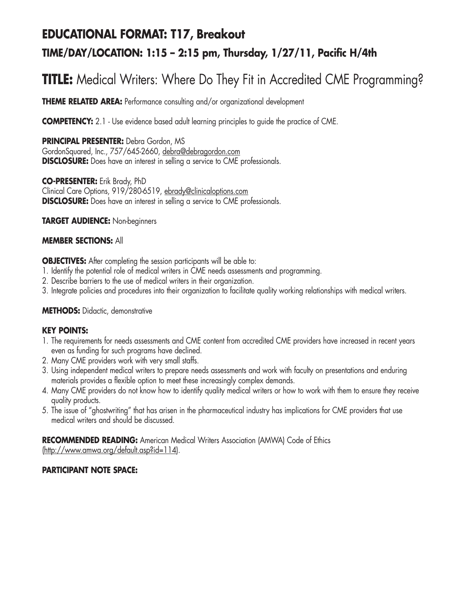# **EDUCATIONAL FORMAT: T17, Breakout TIME/DAY/LOCATION: 1:15 – 2:15 pm, Thursday, 1/27/11, Pacific H/4th**

# **TITLE:** Medical Writers: Where Do They Fit in Accredited CME Programming?

**THEME RELATED AREA:** Performance consulting and/or organizational development

**COMPETENCY:** 2.1 - Use evidence based adult learning principles to quide the practice of CME.

**PRINCIPAL PRESENTER:** Debra Gordon, MS GordonSquared, Inc., 757/645-2660, debra@debragordon.com **DISCLOSURE:** Does have an interest in selling a service to CME professionals.

**CO-PRESENTER:** Erik Brady, PhD Clinical Care Options, 919/280-6519, ebrady@clinicaloptions.com **DISCLOSURE:** Does have an interest in selling a service to CME professionals.

**TARGET AUDIENCE:** Non-beginners

#### **MEMBER SECTIONS:** All

**OBJECTIVES:** After completing the session participants will be able to:

- 1. Identify the potential role of medical writers in CME needs assessments and programming.
- 2. Describe barriers to the use of medical writers in their organization.
- 3. Integrate policies and procedures into their organization to facilitate quality working relationships with medical writers.

#### **METHODS:** Didactic, demonstrative

#### **KEY POINTS:**

- 1. The requirements for needs assessments and CME content from accredited CME providers have increased in recent years even as funding for such programs have declined.
- 2. Many CME providers work with very small staffs.
- 3. Using independent medical writers to prepare needs assessments and work with faculty on presentations and enduring materials provides a flexible option to meet these increasingly complex demands.
- 4. Many CME providers do not know how to identify quality medical writers or how to work with them to ensure they receive quality products.
- 5. The issue of "ghostwriting" that has arisen in the pharmaceutical industry has implications for CME providers that use medical writers and should be discussed.

**RECOMMENDED READING:** American Medical Writers Association (AMWA) Code of Ethics (http://www.amwa.org/default.asp?id=114).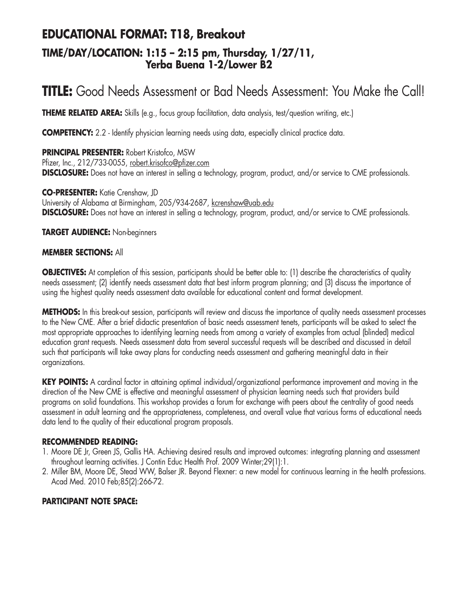## **EDUCATIONAL FORMAT: T18, Breakout TIME/DAY/LOCATION: 1:15 – 2:15 pm, Thursday, 1/27/11, Yerba Buena 1-2/Lower B2**

# **TITLE:** Good Needs Assessment or Bad Needs Assessment: You Make the Call!

**THEME RELATED AREA:** Skills (e.g., focus group facilitation, data analysis, test/question writing, etc.)

**COMPETENCY:** 2.2 - Identify physician learning needs using data, especially clinical practice data.

**PRINCIPAL PRESENTER:** Robert Kristofco, MSW Pfizer, Inc., 212/733-0055, robert.krisofco@pfizer.com **DISCLOSURE:** Does not have an interest in selling a technology, program, product, and/or service to CME professionals.

**CO-PRESENTER:** Katie Crenshaw, JD University of Alabama at Birmingham, 205/934-2687, kcrenshaw@uab.edu **DISCLOSURE:** Does not have an interest in selling a technology, program, product, and/or service to CME professionals.

#### **TARGET AUDIENCE:** Non-beginners

#### **MEMBER SECTIONS:** All

**OBJECTIVES:** At completion of this session, participants should be better able to: (1) describe the characteristics of quality needs assessment; (2) identify needs assessment data that best inform program planning; and (3) discuss the importance of using the highest quality needs assessment data available for educational content and format development.

**METHODS:** In this break-out session, participants will review and discuss the importance of quality needs assessment processes to the New CME. After a brief didactic presentation of basic needs assessment tenets, participants will be asked to select the most appropriate approaches to identifying learning needs from among a variety of examples from actual (blinded) medical education grant requests. Needs assessment data from several successful requests will be described and discussed in detail such that participants will take away plans for conducting needs assessment and gathering meaningful data in their organizations.

**KEY POINTS:** A cardinal factor in attaining optimal individual/organizational performance improvement and moving in the direction of the New CME is effective and meaningful assessment of physician learning needs such that providers build programs on solid foundations. This workshop provides a forum for exchange with peers about the centrality of good needs assessment in adult learning and the appropriateness, completeness, and overall value that various forms of educational needs data lend to the quality of their educational program proposals.

#### **RECOMMENDED READING:**

- 1. Moore DE Jr, Green JS, Gallis HA. Achieving desired results and improved outcomes: integrating planning and assessment throughout learning activities. J Contin Educ Health Prof. 2009 Winter;29(1):1.
- 2. Miller BM, Moore DE, Stead WW, Balser JR. Beyond Flexner: a new model for continuous learning in the health professions. Acad Med. 2010 Feb;85(2):266-72.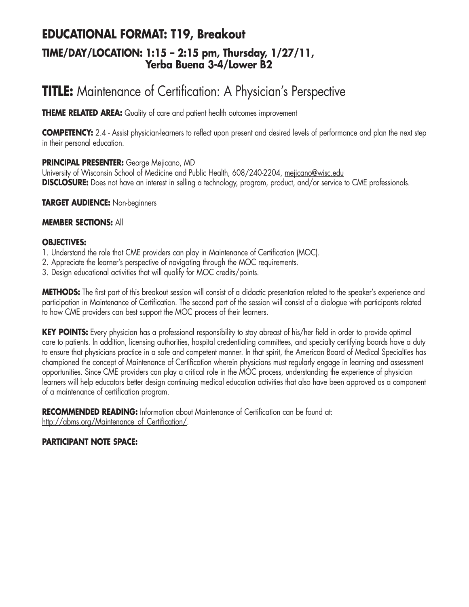## **EDUCATIONAL FORMAT: T19, Breakout TIME/DAY/LOCATION: 1:15 – 2:15 pm, Thursday, 1/27/11, Yerba Buena 3-4/Lower B2**

# **TITLE:** Maintenance of Certification: A Physician's Perspective

**THEME RELATED AREA:** Quality of care and patient health outcomes improvement

**COMPETENCY:** 2.4 - Assist physician-learners to reflect upon present and desired levels of performance and plan the next step in their personal education.

#### **PRINCIPAL PRESENTER:** George Mejicano, MD

University of Wisconsin School of Medicine and Public Health, 608/240-2204, mejicano@wisc.edu **DISCLOSURE:** Does not have an interest in selling a technology, program, product, and/or service to CME professionals.

**TARGET AUDIENCE:** Non-beginners

#### **MEMBER SECTIONS:** All

#### **OBJECTIVES:**

- 1. Understand the role that CME providers can play in Maintenance of Certification (MOC).
- 2. Appreciate the learner's perspective of navigating through the MOC requirements.
- 3. Design educational activities that will qualify for MOC credits/points.

**METHODS:** The first part of this breakout session will consist of a didactic presentation related to the speaker's experience and participation in Maintenance of Certification. The second part of the session will consist of a dialogue with participants related to how CME providers can best support the MOC process of their learners.

**KEY POINTS:** Every physician has a professional responsibility to stay abreast of his/her field in order to provide optimal care to patients. In addition, licensing authorities, hospital credentialing committees, and specialty certifying boards have a duty to ensure that physicians practice in a safe and competent manner. In that spirit, the American Board of Medical Specialties has championed the concept of Maintenance of Certification wherein physicians must regularly engage in learning and assessment opportunities. Since CME providers can play a critical role in the MOC process, understanding the experience of physician learners will help educators better design continuing medical education activities that also have been approved as a component of a maintenance of certification program.

**RECOMMENDED READING:** Information about Maintenance of Certification can be found at: http://abms.org/Maintenance\_of\_Certification/.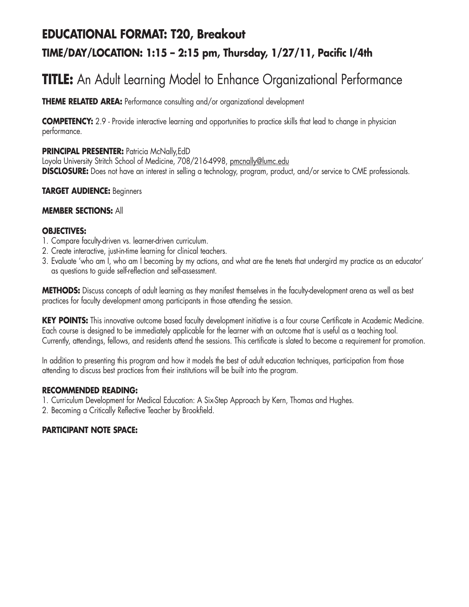# **EDUCATIONAL FORMAT: T20, Breakout TIME/DAY/LOCATION: 1:15 – 2:15 pm, Thursday, 1/27/11, Pacific I/4th**

# **TITLE:** An Adult Learning Model to Enhance Organizational Performance

**THEME RELATED AREA:** Performance consulting and/or organizational development

**COMPETENCY:** 2.9 - Provide interactive learning and opportunities to practice skills that lead to change in physician performance.

#### **PRINCIPAL PRESENTER: Patricia McNally, EdD**

Loyola University Stritch School of Medicine, 708/216-4998, pmcnally@lumc.edu **DISCLOSURE:** Does not have an interest in selling a technology, program, product, and/or service to CME professionals.

#### **TARGET AUDIENCE:** Beginners

#### **MEMBER SECTIONS:** All

#### **OBJECTIVES:**

- 1. Compare faculty-driven vs. learner-driven curriculum.
- 2. Create interactive, just-in-time learning for clinical teachers.
- 3. Evaluate 'who am I, who am I becoming by my actions, and what are the tenets that undergird my practice as an educator' as questions to guide self-reflection and self-assessment.

**METHODS:** Discuss concepts of adult learning as they manifest themselves in the faculty-development arena as well as best practices for faculty development among participants in those attending the session.

KEY POINTS: This innovative outcome based faculty development initiative is a four course Certificate in Academic Medicine. Each course is designed to be immediately applicable for the learner with an outcome that is useful as a teaching tool. Currently, attendings, fellows, and residents attend the sessions. This certificate is slated to become a requirement for promotion.

In addition to presenting this program and how it models the best of adult education techniques, participation from those attending to discuss best practices from their institutions will be built into the program.

#### **RECOMMENDED READING:**

- 1. Curriculum Development for Medical Education: A Six-Step Approach by Kern, Thomas and Hughes.
- 2. Becoming a Critically Reflective Teacher by Brookfield.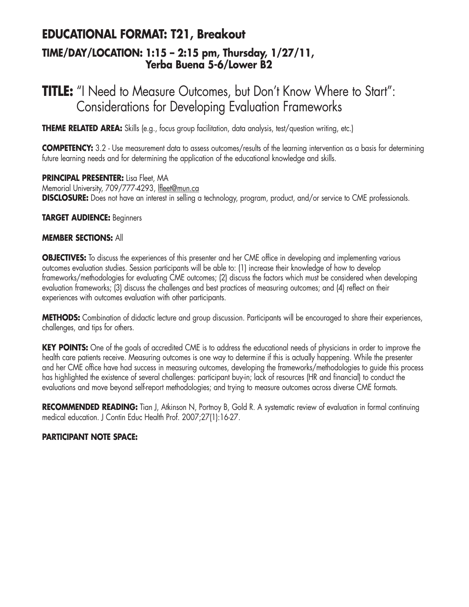## **EDUCATIONAL FORMAT: T21, Breakout TIME/DAY/LOCATION: 1:15 – 2:15 pm, Thursday, 1/27/11, Yerba Buena 5-6/Lower B2**

# **TITLE:** "I Need to Measure Outcomes, but Don't Know Where to Start": Considerations for Developing Evaluation Frameworks

**THEME RELATED AREA:** Skills (e.g., focus group facilitation, data analysis, test/question writing, etc.)

**COMPETENCY:** 3.2 - Use measurement data to assess outcomes/results of the learning intervention as a basis for determining future learning needs and for determining the application of the educational knowledge and skills.

**PRINCIPAL PRESENTER:** Lisa Fleet, MA Memorial University, 709/777-4293, lfleet@mun.ca **DISCLOSURE:** Does not have an interest in selling a technology, program, product, and/or service to CME professionals.

**TARGET AUDIENCE:** Beginners

#### **MEMBER SECTIONS:** All

**OBJECTIVES:** To discuss the experiences of this presenter and her CME office in developing and implementing various outcomes evaluation studies. Session participants will be able to: (1) increase their knowledge of how to develop frameworks/methodologies for evaluating CME outcomes; (2) discuss the factors which must be considered when developing evaluation frameworks; (3) discuss the challenges and best practices of measuring outcomes; and (4) reflect on their experiences with outcomes evaluation with other participants.

**METHODS:** Combination of didactic lecture and group discussion. Participants will be encouraged to share their experiences, challenges, and tips for others.

**KEY POINTS:** One of the goals of accredited CME is to address the educational needs of physicians in order to improve the health care patients receive. Measuring outcomes is one way to determine if this is actually happening. While the presenter and her CME office have had success in measuring outcomes, developing the frameworks/methodologies to guide this process has highlighted the existence of several challenges: participant buy-in; lack of resources (HR and financial) to conduct the evaluations and move beyond self-report methodologies; and trying to measure outcomes across diverse CME formats.

**RECOMMENDED READING:** Tian J, Atkinson N, Portnoy B, Gold R. A systematic review of evaluation in formal continuing medical education. J Contin Educ Health Prof. 2007;27(1):16-27.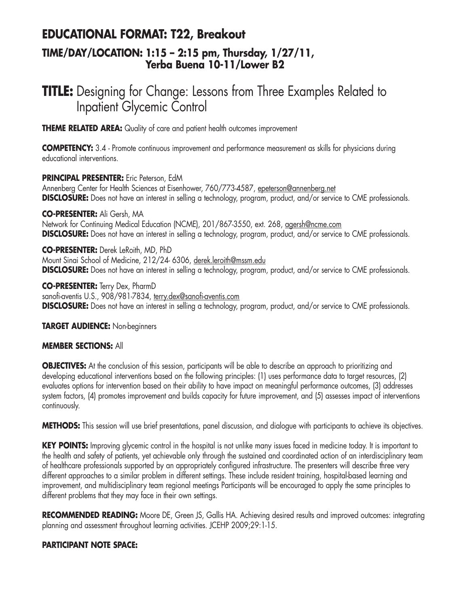## **EDUCATIONAL FORMAT: T22, Breakout TIME/DAY/LOCATION: 1:15 – 2:15 pm, Thursday, 1/27/11, Yerba Buena 10-11/Lower B2**

# **TITLE:** Designing for Change: Lessons from Three Examples Related to Inpatient Glycemic Control

**THEME RELATED AREA:** Quality of care and patient health outcomes improvement

**COMPETENCY:** 3.4 - Promote continuous improvement and performance measurement as skills for physicians during educational interventions.

**PRINCIPAL PRESENTER:** Eric Peterson, EdM

Annenberg Center for Health Sciences at Eisenhower, 760/773-4587, epeterson@annenberg.net **DISCLOSURE:** Does not have an interest in selling a technology, program, product, and/or service to CME professionals.

**CO-PRESENTER:** Ali Gersh, MA Network for Continuing Medical Education (NCME), 201/867-3550, ext. 268, agersh@ncme.com **DISCLOSURE:** Does not have an interest in selling a technology, program, product, and/or service to CME professionals.

**CO-PRESENTER:** Derek LeRoith, MD, PhD Mount Sinai School of Medicine, 212/24- 6306, derek.leroith@mssm.edu **DISCLOSURE:** Does not have an interest in selling a technology, program, product, and/or service to CME professionals.

**CO-PRESENTER:** Terry Dex, PharmD sanofi-aventis U.S., 908/981-7834, terry.dex@sanofi-aventis.com **DISCLOSURE:** Does not have an interest in selling a technology, program, product, and/or service to CME professionals.

**TARGET AUDIENCE:** Non-beginners

#### **MEMBER SECTIONS:** All

**OBJECTIVES:** At the conclusion of this session, participants will be able to describe an approach to prioritizing and developing educational interventions based on the following principles: (1) uses performance data to target resources, (2) evaluates options for intervention based on their ability to have impact on meaningful performance outcomes, (3) addresses system factors, (4) promotes improvement and builds capacity for future improvement, and (5) assesses impact of interventions continuously.

**METHODS:** This session will use brief presentations, panel discussion, and dialogue with participants to achieve its objectives.

**KEY POINTS:** Improving glycemic control in the hospital is not unlike many issues faced in medicine today. It is important to the health and safety of patients, yet achievable only through the sustained and coordinated action of an interdisciplinary team of healthcare professionals supported by an appropriately configured infrastructure. The presenters will describe three very different approaches to a similar problem in different settings. These include resident training, hospital-based learning and improvement, and multidisciplinary team regional meetings Participants will be encouraged to apply the same principles to different problems that they may face in their own settings.

**RECOMMENDED READING:** Moore DE, Green JS, Gallis HA. Achieving desired results and improved outcomes: integrating planning and assessment throughout learning activities. JCEHP 2009;29:1-15.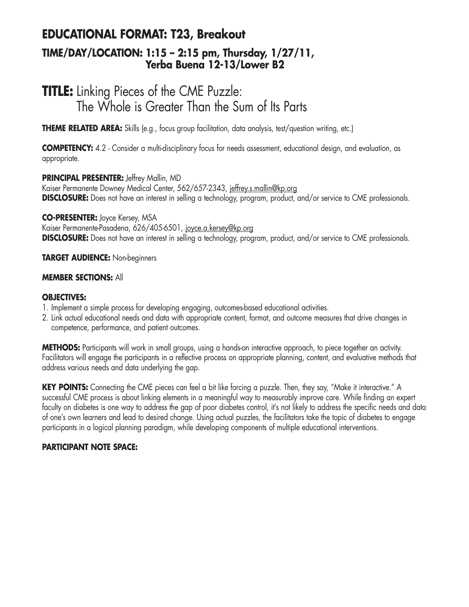## **EDUCATIONAL FORMAT: T23, Breakout TIME/DAY/LOCATION: 1:15 – 2:15 pm, Thursday, 1/27/11, Yerba Buena 12-13/Lower B2**

# **TITLE:** Linking Pieces of the CME Puzzle: The Whole is Greater Than the Sum of Its Parts

**THEME RELATED AREA:** Skills (e.g., focus group facilitation, data analysis, test/question writing, etc.)

**COMPETENCY:** 4.2 - Consider a multi-disciplinary focus for needs assessment, educational design, and evaluation, as appropriate.

#### **PRINCIPAL PRESENTER:** Jeffrey Mallin, MD

Kaiser Permanente Downey Medical Center, 562/657-2343, jeffrey.s.mallin@kp.org **DISCLOSURE:** Does not have an interest in selling a technology, program, product, and/or service to CME professionals.

#### **CO-PRESENTER:** Joyce Kersey, MSA

Kaiser Permanente-Pasadena, 626/405-6501, joyce.a.kersey@kp.org **DISCLOSURE:** Does not have an interest in selling a technology, program, product, and/or service to CME professionals.

#### **TARGET AUDIENCE:** Non-beginners

#### **MEMBER SECTIONS:** All

#### **OBJECTIVES:**

- 1. Implement a simple process for developing engaging, outcomes-based educational activities.
- 2. Link actual educational needs and data with appropriate content, format, and outcome measures that drive changes in competence, performance, and patient outcomes.

**METHODS:** Participants will work in small groups, using a hands-on interactive approach, to piece together an activity. Facilitators will engage the participants in a reflective process on appropriate planning, content, and evaluative methods that address various needs and data underlying the gap.

**KEY POINTS:** Connecting the CME pieces can feel a bit like forcing a puzzle. Then, they say, "Make it interactive." A successful CME process is about linking elements in a meaningful way to measurably improve care. While finding an expert faculty on diabetes is one way to address the gap of poor diabetes control, it's not likely to address the specific needs and data of one's own learners and lead to desired change. Using actual puzzles, the facilitators take the topic of diabetes to engage participants in a logical planning paradigm, while developing components of multiple educational interventions.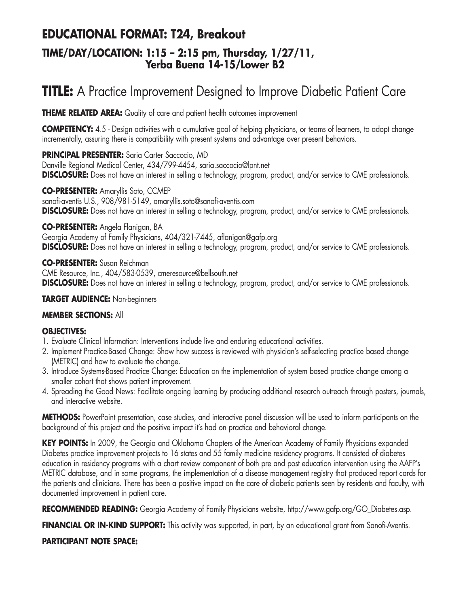## **EDUCATIONAL FORMAT: T24, Breakout TIME/DAY/LOCATION: 1:15 – 2:15 pm, Thursday, 1/27/11, Yerba Buena 14-15/Lower B2**

# **TITLE:** A Practice Improvement Designed to Improve Diabetic Patient Care

**THEME RELATED AREA:** Quality of care and patient health outcomes improvement

**COMPETENCY:** 4.5 - Design activities with a cumulative goal of helping physicians, or teams of learners, to adopt change incrementally, assuring there is compatibility with present systems and advantage over present behaviors.

**PRINCIPAL PRESENTER:** Saria Carter Saccocio, MD

Danville Regional Medical Center, 434/799-4454, saria.saccocio@lpnt.net **DISCLOSURE:** Does not have an interest in selling a technology, program, product, and/or service to CME professionals.

**CO-PRESENTER:** Amaryllis Soto, CCMEP sanofi-aventis U.S., 908/981-5149, amaryllis.soto@sanofi-aventis.com **DISCLOSURE:** Does not have an interest in selling a technology, program, product, and/or service to CME professionals.

#### **CO-PRESENTER:** Angela Flanigan, BA

Georgia Academy of Family Physicians, 404/321-7445, aflanigan@gafp.org **DISCLOSURE:** Does not have an interest in selling a technology, program, product, and/or service to CME professionals.

**CO-PRESENTER:** Susan Reichman

CME Resource, Inc., 404/583-0539, cmeresource@bellsouth.net **DISCLOSURE:** Does not have an interest in selling a technology, program, product, and/or service to CME professionals.

#### **TARGET AUDIENCE:** Non-beginners

#### **MEMBER SECTIONS:** All

#### **OBJECTIVES:**

- 1. Evaluate Clinical Information: Interventions include live and enduring educational activities.
- 2. Implement Practice-Based Change: Show how success is reviewed with physician's self-selecting practice based change (METRIC) and how to evaluate the change.
- 3. Introduce Systems-Based Practice Change: Education on the implementation of system based practice change among a smaller cohort that shows patient improvement.
- 4. Spreading the Good News: Facilitate ongoing learning by producing additional research outreach through posters, journals, and interactive website.

**METHODS:** PowerPoint presentation, case studies, and interactive panel discussion will be used to inform participants on the background of this project and the positive impact it's had on practice and behavioral change.

KEY POINTS: In 2009, the Georgia and Oklahoma Chapters of the American Academy of Family Physicians expanded Diabetes practice improvement projects to 16 states and 55 family medicine residency programs. It consisted of diabetes education in residency programs with a chart review component of both pre and post education intervention using the AAFP's METRIC database, and in some programs, the implementation of a disease management registry that produced report cards for the patients and clinicians. There has been a positive impact on the care of diabetic patients seen by residents and faculty, with documented improvement in patient care.

RECOMMENDED READING: Georgia Academy of Family Physicians website, http://www.gafp.org/GO\_Diabetes.asp.

**FINANCIAL OR IN-KIND SUPPORT:** This activity was supported, in part, by an educational grant from Sanofi-Aventis.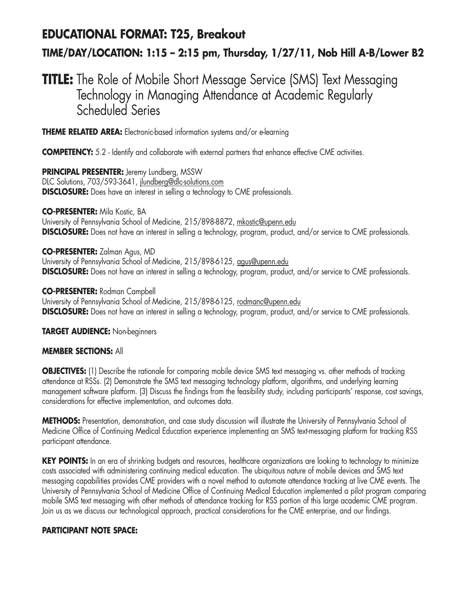# **EDUCATIONAL FORMAT: T25, Breakout**

## **TIME/DAY/LOCATION: 1:15 – 2:15 pm, Thursday, 1/27/11, Nob Hill A-B/Lower B2**

# **TITLE:** The Role of Mobile Short Message Service (SMS) Text Messaging Technology in Managing Attendance at Academic Regularly Scheduled Series

**THEME RELATED AREA:** Electronic-based information systems and/or e-learning

**COMPETENCY:** 5.2 - Identify and collaborate with external partners that enhance effective CME activities.

**PRINCIPAL PRESENTER:** Jeremy Lundberg, MSSW DLC Solutions, 703/593-3641, jlundberg@dlc-solutions.com **DISCLOSURE:** Does have an interest in selling a technology to CME professionals.

**CO-PRESENTER:** Mila Kostic, BA

University of Pennsylvania School of Medicine, 215/898-8872, mkostic@upenn.edu **DISCLOSURE:** Does not have an interest in selling a technology, program, product, and/or service to CME professionals.

**CO-PRESENTER:** Zalman Agus, MD University of Pennsylvania School of Medicine, 215/898-6125, agus@upenn.edu

**DISCLOSURE:** Does not have an interest in selling a technology, program, product, and/or service to CME professionals.

**CO-PRESENTER:** Rodman Campbell

University of Pennsylvania School of Medicine, 215/898-6125, rodmanc@upenn.edu **DISCLOSURE:** Does not have an interest in selling a technology, program, product, and/or service to CME professionals.

**TARGET AUDIENCE:** Non-beginners

#### **MEMBER SECTIONS:** All

**OBJECTIVES:** (1) Describe the rationale for comparing mobile device SMS text messaging vs. other methods of tracking attendance at RSSs. (2) Demonstrate the SMS text messaging technology platform, algorithms, and underlying learning management software platform. (3) Discuss the findings from the feasibility study, including participants' response, cost savings, considerations for effective implementation, and outcomes data.

**METHODS:** Presentation, demonstration, and case study discussion will illustrate the University of Pennsylvania School of Medicine Office of Continuing Medical Education experience implementing an SMS text-messaging platform for tracking RSS participant attendance.

**KEY POINTS:** In an era of shrinking budgets and resources, healthcare organizations are looking to technology to minimize costs associated with administering continuing medical education. The ubiquitous nature of mobile devices and SMS text messaging capabilities provides CME providers with a novel method to automate attendance tracking at live CME events. The University of Pennsylvania School of Medicine Office of Continuing Medical Education implemented a pilot program comparing mobile SMS text messaging with other methods of attendance tracking for RSS portion of this large academic CME program. Join us as we discuss our technological approach, practical considerations for the CME enterprise, and our findings.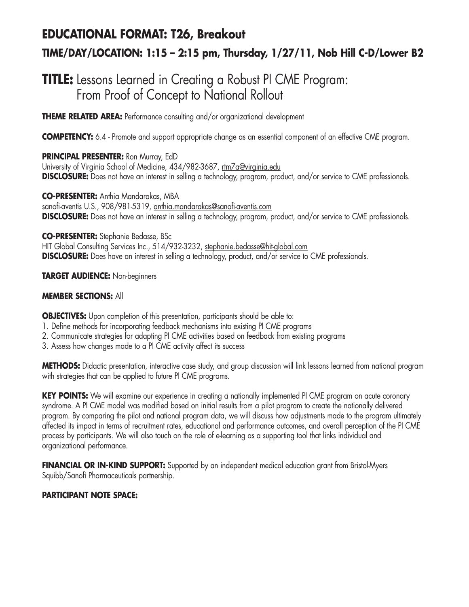# **EDUCATIONAL FORMAT: T26, Breakout TIME/DAY/LOCATION: 1:15 – 2:15 pm, Thursday, 1/27/11, Nob Hill C-D/Lower B2**

# **TITLE:** Lessons Learned in Creating a Robust PI CME Program: From Proof of Concept to National Rollout

**THEME RELATED AREA:** Performance consulting and/or organizational development

**COMPETENCY:** 6.4 - Promote and support appropriate change as an essential component of an effective CME program.

### **PRINCIPAL PRESENTER:** Ron Murray, EdD

University of Virginia School of Medicine, 434/982-3687, rtm7a@virginia.edu **DISCLOSURE:** Does not have an interest in selling a technology, program, product, and/or service to CME professionals.

**CO-PRESENTER:** Anthia Mandarakas, MBA sanofi-aventis U.S., 908/981-5319, anthia.mandarakas@sanofi-aventis.com **DISCLOSURE:** Does not have an interest in selling a technology, program, product, and/or service to CME professionals.

**CO-PRESENTER:** Stephanie Bedasse, BSc

HIT Global Consulting Services Inc., 514/932-3232, stephanie.bedasse@hit-global.com **DISCLOSURE:** Does have an interest in selling a technology, product, and/or service to CME professionals.

### **TARGET AUDIENCE:** Non-beginners

## **MEMBER SECTIONS:** All

**OBJECTIVES:** Upon completion of this presentation, participants should be able to:

- 1. Define methods for incorporating feedback mechanisms into existing PI CME programs
- 2. Communicate strategies for adapting PI CME activities based on feedback from existing programs
- 3. Assess how changes made to a PI CME activity affect its success

**METHODS:** Didactic presentation, interactive case study, and group discussion will link lessons learned from national program with strategies that can be applied to future PI CME programs.

**KEY POINTS:** We will examine our experience in creating a nationally implemented PI CME program on acute coronary syndrome. A PI CME model was modified based on initial results from a pilot program to create the nationally delivered program. By comparing the pilot and national program data, we will discuss how adjustments made to the program ultimately affected its impact in terms of recruitment rates, educational and performance outcomes, and overall perception of the PI CME process by participants. We will also touch on the role of e-learning as a supporting tool that links individual and organizational performance.

**FINANCIAL OR IN-KIND SUPPORT:** Supported by an independent medical education grant from Bristol-Myers Squibb/Sanofi Pharmaceuticals partnership.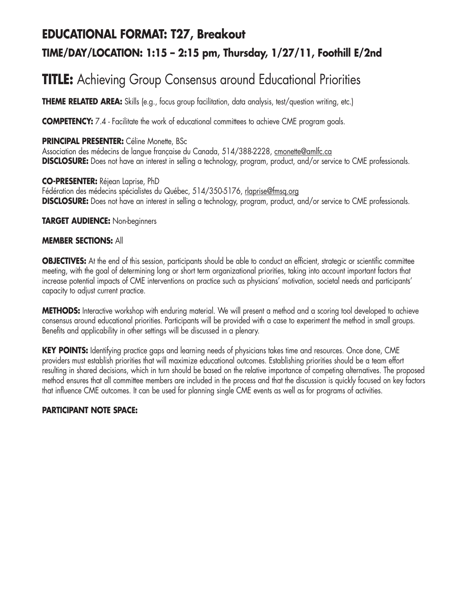# **EDUCATIONAL FORMAT: T27, Breakout TIME/DAY/LOCATION: 1:15 – 2:15 pm, Thursday, 1/27/11, Foothill E/2nd**

# **TITLE:** Achieving Group Consensus around Educational Priorities

**THEME RELATED AREA:** Skills (e.g., focus group facilitation, data analysis, test/question writing, etc.)

**COMPETENCY:** 7.4 - Facilitate the work of educational committees to achieve CME program goals.

### **PRINCIPAL PRESENTER:** Céline Monette, BSc

Association des médecins de langue française du Canada, 514/388-2228, cmonette@amlfc.ca **DISCLOSURE:** Does not have an interest in selling a technology, program, product, and/or service to CME professionals.

**CO-PRESENTER:** Réjean Laprise, PhD Fédération des médecins spécialistes du Québec, 514/350-5176, rlaprise@fmsq.org **DISCLOSURE:** Does not have an interest in selling a technology, program, product, and/or service to CME professionals.

**TARGET AUDIENCE:** Non-beginners

### **MEMBER SECTIONS:** All

**OBJECTIVES:** At the end of this session, participants should be able to conduct an efficient, strategic or scientific committee meeting, with the goal of determining long or short term organizational priorities, taking into account important factors that increase potential impacts of CME interventions on practice such as physicians' motivation, societal needs and participants' capacity to adjust current practice.

**METHODS:** Interactive workshop with enduring material. We will present a method and a scoring tool developed to achieve consensus around educational priorities. Participants will be provided with a case to experiment the method in small groups. Benefits and applicability in other settings will be discussed in a plenary.

**KEY POINTS:** Identifying practice gaps and learning needs of physicians takes time and resources. Once done, CME providers must establish priorities that will maximize educational outcomes. Establishing priorities should be a team effort resulting in shared decisions, which in turn should be based on the relative importance of competing alternatives. The proposed method ensures that all committee members are included in the process and that the discussion is quickly focused on key factors that influence CME outcomes. It can be used for planning single CME events as well as for programs of activities.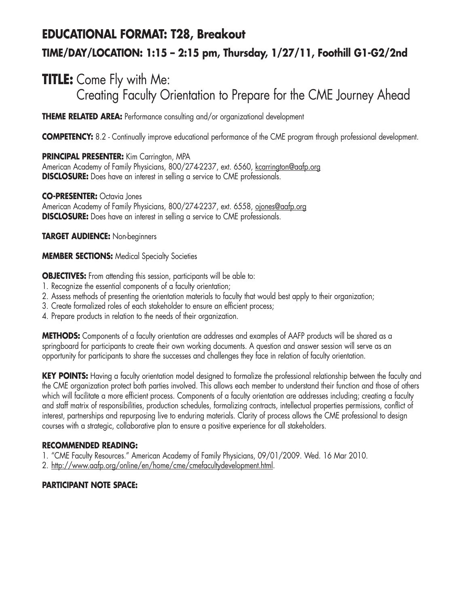# **EDUCATIONAL FORMAT: T28, Breakout TIME/DAY/LOCATION: 1:15 – 2:15 pm, Thursday, 1/27/11, Foothill G1-G2/2nd**

# **TITLE:** Come Fly with Me: Creating Faculty Orientation to Prepare for the CME Journey Ahead

**THEME RELATED AREA:** Performance consulting and/or organizational development

**COMPETENCY:** 8.2 - Continually improve educational performance of the CME program through professional development.

### **PRINCIPAL PRESENTER:** Kim Carrington, MPA

American Academy of Family Physicians, 800/274-2237, ext. 6560, kcarrington@aafp.org **DISCLOSURE:** Does have an interest in selling a service to CME professionals.

### **CO-PRESENTER:** Octavia Jones

American Academy of Family Physicians, 800/274-2237, ext. 6558, ojones@aafp.org **DISCLOSURE:** Does have an interest in selling a service to CME professionals.

**TARGET AUDIENCE:** Non-beginners

**MEMBER SECTIONS:** Medical Specialty Societies

**OBJECTIVES:** From attending this session, participants will be able to:

- 1. Recognize the essential components of a faculty orientation;
- 2. Assess methods of presenting the orientation materials to faculty that would best apply to their organization;
- 3. Create formalized roles of each stakeholder to ensure an efficient process;
- 4. Prepare products in relation to the needs of their organization.

**METHODS:** Components of a faculty orientation are addresses and examples of AAFP products will be shared as a springboard for participants to create their own working documents. A question and answer session will serve as an opportunity for participants to share the successes and challenges they face in relation of faculty orientation.

**KEY POINTS:** Having a faculty orientation model designed to formalize the professional relationship between the faculty and the CME organization protect both parties involved. This allows each member to understand their function and those of others which will facilitate a more efficient process. Components of a faculty orientation are addresses including; creating a faculty and staff matrix of responsibilities, production schedules, formalizing contracts, intellectual properties permissions, conflict of interest, partnerships and repurposing live to enduring materials. Clarity of process allows the CME professional to design courses with a strategic, collaborative plan to ensure a positive experience for all stakeholders.

### **RECOMMENDED READING:**

1. "CME Faculty Resources." American Academy of Family Physicians, 09/01/2009. Wed. 16 Mar 2010.

2. http://www.aafp.org/online/en/home/cme/cmefacultydevelopment.html.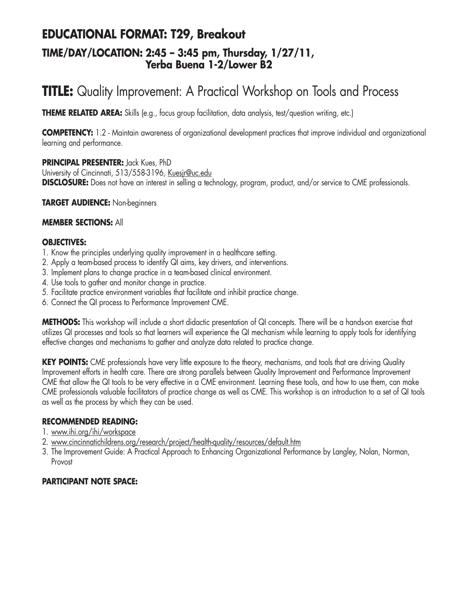# **EDUCATIONAL FORMAT: T29, Breakout TIME/DAY/LOCATION: 2:45 – 3:45 pm, Thursday, 1/27/11, Yerba Buena 1-2/Lower B2**

# **TITLE:** Quality Improvement: A Practical Workshop on Tools and Process

**THEME RELATED AREA:** Skills (e.g., focus group facilitation, data analysis, test/question writing, etc.)

**COMPETENCY:** 1.2 - Maintain awareness of organizational development practices that improve individual and organizational learning and performance.

**PRINCIPAL PRESENTER:** Jack Kues, PhD

University of Cincinnati, 513/558-3196, Kuesjr@uc.edu **DISCLOSURE:** Does not have an interest in selling a technology, program, product, and/or service to CME professionals.

**TARGET AUDIENCE:** Non-beginners

#### **MEMBER SECTIONS:** All

#### **OBJECTIVES:**

- 1. Know the principles underlying quality improvement in a healthcare setting.
- 2. Apply a team-based process to identify QI aims, key drivers, and interventions.
- 3. Implement plans to change practice in a team-based clinical environment.
- 4. Use tools to gather and monitor change in practice.
- 5. Facilitate practice environment variables that facilitate and inhibit practice change.
- 6. Connect the QI process to Performance Improvement CME.

**METHODS:** This workshop will include a short didactic presentation of QI concepts. There will be a hands-on exercise that utilizes QI processes and tools so that learners will experience the QI mechanism while learning to apply tools for identifying effective changes and mechanisms to gather and analyze data related to practice change.

KEY POINTS: CME professionals have very little exposure to the theory, mechanisms, and tools that are driving Quality Improvement efforts in health care. There are strong parallels between Quality Improvement and Performance Improvement CME that allow the QI tools to be very effective in a CME environment. Learning these tools, and how to use them, can make CME professionals valuable facilitators of practice change as well as CME. This workshop is an introduction to a set of QI tools as well as the process by which they can be used.

#### **RECOMMENDED READING:**

- 1. www.ihi.org/ihi/workspace
- 2. www.cincinnatichildrens.org/research/project/health-quality/resources/default.htm
- 3. The Improvement Guide: A Practical Approach to Enhancing Organizational Performance by Langley, Nolan, Norman, Provost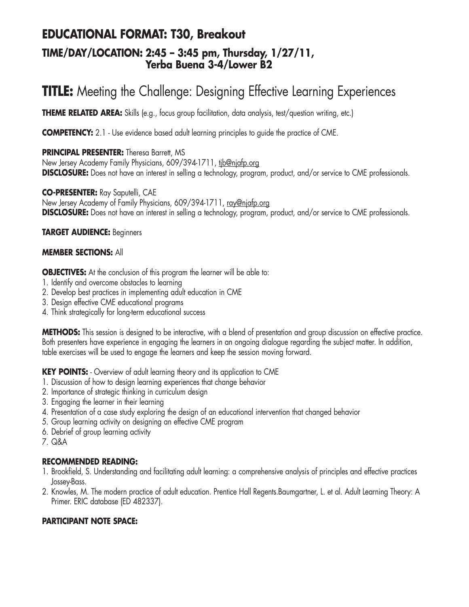## **EDUCATIONAL FORMAT: T30, Breakout TIME/DAY/LOCATION: 2:45 – 3:45 pm, Thursday, 1/27/11, Yerba Buena 3-4/Lower B2**

# **TITLE:** Meeting the Challenge: Designing Effective Learning Experiences

**THEME RELATED AREA:** Skills (e.g., focus group facilitation, data analysis, test/question writing, etc.)

**COMPETENCY:** 2.1 - Use evidence based adult learning principles to quide the practice of CME.

### **PRINCIPAL PRESENTER:** Theresa Barrett, MS

New Jersey Academy Family Physicians, 609/394-1711, tib@njafp.org **DISCLOSURE:** Does not have an interest in selling a technology, program, product, and/or service to CME professionals.

**CO-PRESENTER:** Ray Saputelli, CAE

New Jersey Academy of Family Physicians, 609/394-1711, ray@njafp.org **DISCLOSURE:** Does not have an interest in selling a technology, program, product, and/or service to CME professionals.

#### **TARGET AUDIENCE:** Beginners

### **MEMBER SECTIONS:** All

**OBJECTIVES:** At the conclusion of this program the learner will be able to:

- 1. Identify and overcome obstacles to learning
- 2. Develop best practices in implementing adult education in CME
- 3. Design effective CME educational programs
- 4. Think strategically for long-term educational success

**METHODS:** This session is designed to be interactive, with a blend of presentation and group discussion on effective practice. Both presenters have experience in engaging the learners in an ongoing dialogue regarding the subject matter. In addition, table exercises will be used to engage the learners and keep the session moving forward.

**KEY POINTS:** - Overview of adult learning theory and its application to CME

- 1. Discussion of how to design learning experiences that change behavior
- 2. Importance of strategic thinking in curriculum design
- 3. Engaging the learner in their learning
- 4. Presentation of a case study exploring the design of an educational intervention that changed behavior
- 5. Group learning activity on designing an effective CME program
- 6. Debrief of group learning activity
- 7. Q&A

### **RECOMMENDED READING:**

- 1. Brookfield, S. Understanding and facilitating adult learning: a comprehensive analysis of principles and effective practices Jossey-Bass.
- 2. Knowles, M. The modern practice of adult education. Prentice Hall Regents.Baumgartner, L. et al. Adult Learning Theory: A Primer. ERIC database (ED 482337).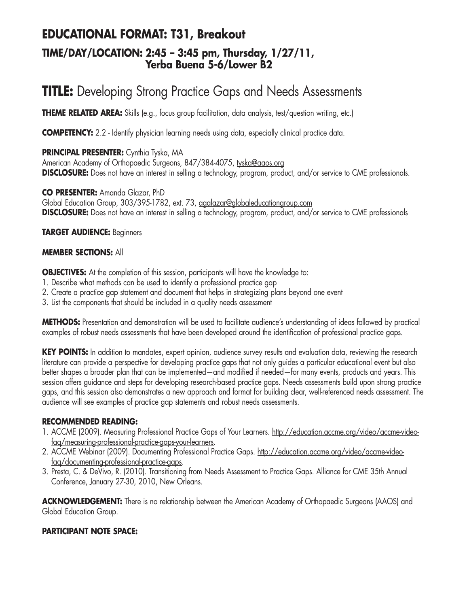# **EDUCATIONAL FORMAT: T31, Breakout**

## **TIME/DAY/LOCATION: 2:45 – 3:45 pm, Thursday, 1/27/11, Yerba Buena 5-6/Lower B2**

# **TITLE:** Developing Strong Practice Gaps and Needs Assessments

**THEME RELATED AREA:** Skills (e.g., focus group facilitation, data analysis, test/question writing, etc.)

**COMPETENCY:** 2.2 - Identify physician learning needs using data, especially clinical practice data.

**PRINCIPAL PRESENTER:** Cynthia Tyska, MA American Academy of Orthopaedic Surgeons, 847/384-4075, tyska@aaos.org **DISCLOSURE:** Does not have an interest in selling a technology, program, product, and/or service to CME professionals.

**CO PRESENTER:** Amanda Glazar, PhD Global Education Group, 303/395-1782, ext. 73, agalazar@globaleducationgroup.com **DISCLOSURE:** Does not have an interest in selling a technology, program, product, and/or service to CME professionals

### **TARGET AUDIENCE:** Beginners

### **MEMBER SECTIONS:** All

**OBJECTIVES:** At the completion of this session, participants will have the knowledge to:

- 1. Describe what methods can be used to identify a professional practice gap
- 2. Create a practice gap statement and document that helps in strategizing plans beyond one event
- 3. List the components that should be included in a quality needs assessment

**METHODS:** Presentation and demonstration will be used to facilitate audience's understanding of ideas followed by practical examples of robust needs assessments that have been developed around the identification of professional practice gaps.

**KEY POINTS:** In addition to mandates, expert opinion, audience survey results and evaluation data, reviewing the research literature can provide a perspective for developing practice gaps that not only guides a particular educational event but also better shapes a broader plan that can be implemented—and modified if needed—for many events, products and years. This session offers guidance and steps for developing research-based practice gaps. Needs assessments build upon strong practice gaps, and this session also demonstrates a new approach and format for building clear, well-referenced needs assessment. The audience will see examples of practice gap statements and robust needs assessments.

### **RECOMMENDED READING:**

- 1. ACCME (2009). Measuring Professional Practice Gaps of Your Learners. http://education.accme.org/video/accme-videofaq/measuring-professional-practice-gaps-your-learners.
- 2. ACCME Webinar (2009). Documenting Professional Practice Gaps. http://education.accme.org/video/accme-videofaq/documenting-professional-practice-gaps.
- 3. Presta, C. & DeVivo, R. (2010). Transitioning from Needs Assessment to Practice Gaps. Alliance for CME 35th Annual Conference, January 27-30, 2010, New Orleans.

**ACKNOWLEDGEMENT:** There is no relationship between the American Academy of Orthopaedic Surgeons (AAOS) and Global Education Group.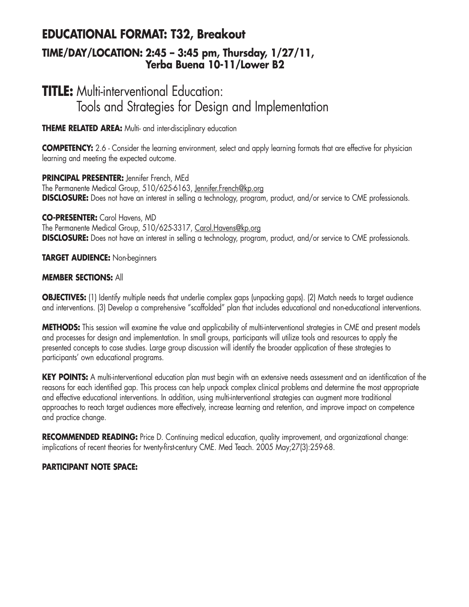## **EDUCATIONAL FORMAT: T32, Breakout TIME/DAY/LOCATION: 2:45 – 3:45 pm, Thursday, 1/27/11, Yerba Buena 10-11/Lower B2**

# **TITLE:** Multi-interventional Education: Tools and Strategies for Design and Implementation

**THEME RELATED AREA:** Multi- and inter-disciplinary education

**COMPETENCY:** 2.6 - Consider the learning environment, select and apply learning formats that are effective for physician learning and meeting the expected outcome.

**PRINCIPAL PRESENTER:** Jennifer French, MEd The Permanente Medical Group, 510/625-6163, Jennifer.French@kp.org **DISCLOSURE:** Does not have an interest in selling a technology, program, product, and/or service to CME professionals.

**CO-PRESENTER:** Carol Havens, MD The Permanente Medical Group, 510/625-3317, Carol.Havens@kp.org **DISCLOSURE:** Does not have an interest in selling a technology, program, product, and/or service to CME professionals.

**TARGET AUDIENCE:** Non-beginners

### **MEMBER SECTIONS:** All

**OBJECTIVES:** (1) Identify multiple needs that underlie complex gaps (unpacking gaps). (2) Match needs to target audience and interventions. (3) Develop a comprehensive "scaffolded" plan that includes educational and non-educational interventions.

**METHODS:** This session will examine the value and applicability of multi-interventional strategies in CME and present models and processes for design and implementation. In small groups, participants will utilize tools and resources to apply the presented concepts to case studies. Large group discussion will identify the broader application of these strategies to participants' own educational programs.

**KEY POINTS:** A multi-interventional education plan must begin with an extensive needs assessment and an identification of the reasons for each identified gap. This process can help unpack complex clinical problems and determine the most appropriate and effective educational interventions. In addition, using multi-interventional strategies can augment more traditional approaches to reach target audiences more effectively, increase learning and retention, and improve impact on competence and practice change.

**RECOMMENDED READING:** Price D. Continuing medical education, quality improvement, and organizational change: implications of recent theories for twenty-first-century CME. Med Teach. 2005 May;27(3):259-68.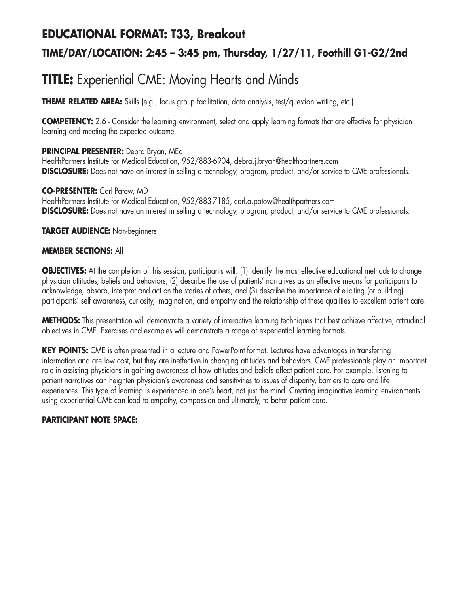# **EDUCATIONAL FORMAT: T33, Breakout TIME/DAY/LOCATION: 2:45 – 3:45 pm, Thursday, 1/27/11, Foothill G1-G2/2nd**

# **TITLE:** Experiential CME: Moving Hearts and Minds

**THEME RELATED AREA:** Skills (e.g., focus group facilitation, data analysis, test/question writing, etc.)

**COMPETENCY:** 2.6 - Consider the learning environment, select and apply learning formats that are effective for physician learning and meeting the expected outcome.

### **PRINCIPAL PRESENTER:** Debra Bryan, MEd

HealthPartners Institute for Medical Education, 952/883-6904, debra.j.bryan@healthpartners.com **DISCLOSURE:** Does not have an interest in selling a technology, program, product, and/or service to CME professionals.

**CO-PRESENTER:** Carl Patow, MD HealthPartners Institute for Medical Education, 952/883-7185, carl.a.patow@healthpartners.com **DISCLOSURE:** Does not have an interest in selling a technology, program, product, and/or service to CME professionals.

### **TARGET AUDIENCE:** Non-beginners

#### **MEMBER SECTIONS:** All

**OBJECTIVES:** At the completion of this session, participants will: (1) identify the most effective educational methods to change physician attitudes, beliefs and behaviors; (2) describe the use of patients' narratives as an effective means for participants to acknowledge, absorb, interpret and act on the stories of others; and (3) describe the importance of eliciting (or building) participants' self awareness, curiosity, imagination, and empathy and the relationship of these qualities to excellent patient care.

**METHODS:** This presentation will demonstrate a variety of interactive learning techniques that best achieve affective, attitudinal objectives in CME. Exercises and examples will demonstrate a range of experiential learning formats.

**KEY POINTS:** CME is often presented in a lecture and PowerPoint format. Lectures have advantages in transferring information and are low cost, but they are ineffective in changing attitudes and behaviors. CME professionals play an important role in assisting physicians in gaining awareness of how attitudes and beliefs affect patient care. For example, listening to patient narratives can heighten physician's awareness and sensitivities to issues of disparity, barriers to care and life experiences. This type of learning is experienced in one's heart, not just the mind. Creating imaginative learning environments using experiential CME can lead to empathy, compassion and ultimately, to better patient care.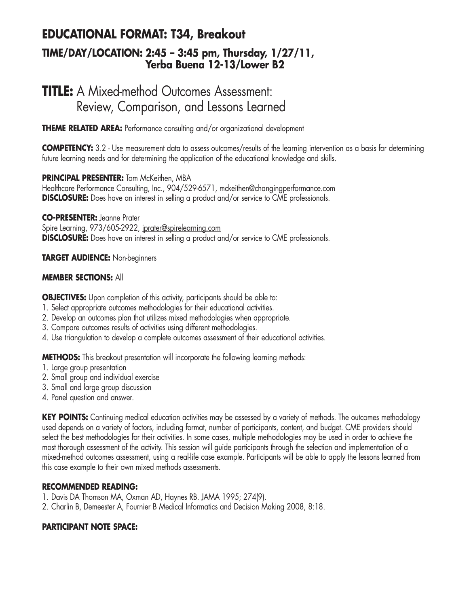## **EDUCATIONAL FORMAT: T34, Breakout TIME/DAY/LOCATION: 2:45 – 3:45 pm, Thursday, 1/27/11, Yerba Buena 12-13/Lower B2**

# **TITLE:** A Mixed-method Outcomes Assessment: Review, Comparison, and Lessons Learned

**THEME RELATED AREA:** Performance consulting and/or organizational development

**COMPETENCY:** 3.2 - Use measurement data to assess outcomes/results of the learning intervention as a basis for determining future learning needs and for determining the application of the educational knowledge and skills.

### **PRINCIPAL PRESENTER:** Tom McKeithen, MBA

Healthcare Performance Consulting, Inc., 904/529-6571, mckeithen@changingperformance.com **DISCLOSURE:** Does have an interest in selling a product and/or service to CME professionals.

**CO-PRESENTER:** Jeanne Prater Spire Learning, 973/605-2922, jprater@spirelearning.com **DISCLOSURE:** Does have an interest in selling a product and/or service to CME professionals.

### **TARGET AUDIENCE:** Non-beginners

### **MEMBER SECTIONS:** All

**OBJECTIVES:** Upon completion of this activity, participants should be able to:

- 1. Select appropriate outcomes methodologies for their educational activities.
- 2. Develop an outcomes plan that utilizes mixed methodologies when appropriate.
- 3. Compare outcomes results of activities using different methodologies.
- 4. Use triangulation to develop a complete outcomes assessment of their educational activities.

**METHODS:** This breakout presentation will incorporate the following learning methods:

- 1. Large group presentation
- 2. Small group and individual exercise
- 3. Small and large group discussion
- 4. Panel question and answer.

KEY POINTS: Continuing medical education activities may be assessed by a variety of methods. The outcomes methodology used depends on a variety of factors, including format, number of participants, content, and budget. CME providers should select the best methodologies for their activities. In some cases, multiple methodologies may be used in order to achieve the most thorough assessment of the activity. This session will guide participants through the selection and implementation of a mixed-method outcomes assessment, using a real-life case example. Participants will be able to apply the lessons learned from this case example to their own mixed methods assessments.

### **RECOMMENDED READING:**

- 1. Davis DA Thomson MA, Oxman AD, Haynes RB. JAMA 1995; 274(9).
- 2. Charlin B, Demeester A, Fournier B Medical Informatics and Decision Making 2008, 8:18.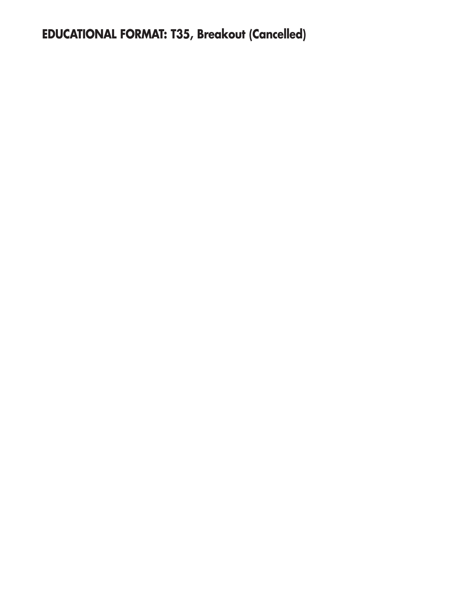**EDUCATIONAL FORMAT: T35, Breakout (Cancelled)**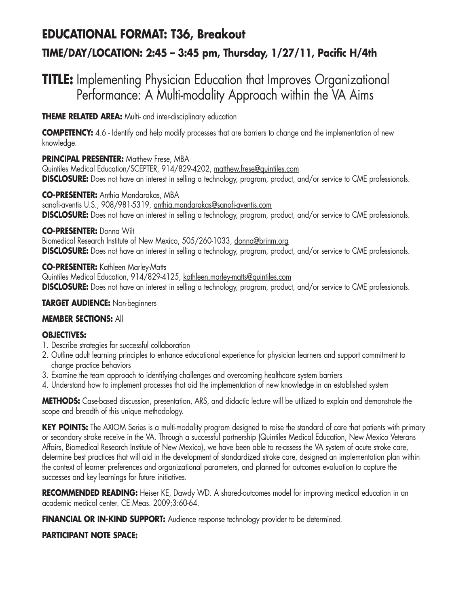# **EDUCATIONAL FORMAT: T36, Breakout TIME/DAY/LOCATION: 2:45 – 3:45 pm, Thursday, 1/27/11, Pacific H/4th**

# **TITLE:** Implementing Physician Education that Improves Organizational Performance: A Multi-modality Approach within the VA Aims

**THEME RELATED AREA:** Multi- and inter-disciplinary education

**COMPETENCY:** 4.6 - Identify and help modify processes that are barriers to change and the implementation of new knowledge.

### **PRINCIPAL PRESENTER: Matthew Frese, MBA**

Quintiles Medical Education/SCEPTER, 914/829-4202, matthew.frese@quintiles.com **DISCLOSURE:** Does not have an interest in selling a technology, program, product, and/or service to CME professionals.

### **CO-PRESENTER:** Anthia Mandarakas, MBA

sanofi-aventis U.S., 908/981-5319, anthia.mandarakas@sanofi-aventis.com **DISCLOSURE:** Does not have an interest in selling a technology, program, product, and/or service to CME professionals.

### **CO-PRESENTER:** Donna Wilt

Biomedical Research Institute of New Mexico, 505/260-1033, donna@brinm.org **DISCLOSURE:** Does not have an interest in selling a technology, program, product, and/or service to CME professionals.

### **CO-PRESENTER:** Kathleen Marley-Matts

Quintiles Medical Education, 914/829-4125, kathleen.marley-matts@quintiles.com **DISCLOSURE:** Does not have an interest in selling a technology, program, product, and/or service to CME professionals.

### **TARGET AUDIENCE:** Non-beginners

## **MEMBER SECTIONS:** All

## **OBJECTIVES:**

- 1. Describe strategies for successful collaboration
- 2. Outline adult learning principles to enhance educational experience for physician learners and support commitment to change practice behaviors
- 3. Examine the team approach to identifying challenges and overcoming healthcare system barriers
- 4. Understand how to implement processes that aid the implementation of new knowledge in an established system

**METHODS:** Case-based discussion, presentation, ARS, and didactic lecture will be utilized to explain and demonstrate the scope and breadth of this unique methodology.

**KEY POINTS:** The AXIOM Series is a multi-modality program designed to raise the standard of care that patients with primary or secondary stroke receive in the VA. Through a successful partnership (Quintiles Medical Education, New Mexico Veterans Affairs, Biomedical Research Institute of New Mexico), we have been able to re-assess the VA system of acute stroke care, determine best practices that will aid in the development of standardized stroke care, designed an implementation plan within the context of learner preferences and organizational parameters, and planned for outcomes evaluation to capture the successes and key learnings for future initiatives.

RECOMMENDED READING: Heiser KE, Dawdy WD. A shared-outcomes model for improving medical education in an academic medical center. CE Meas. 2009;3:60-64.

**FINANCIAL OR IN-KIND SUPPORT:** Audience response technology provider to be determined.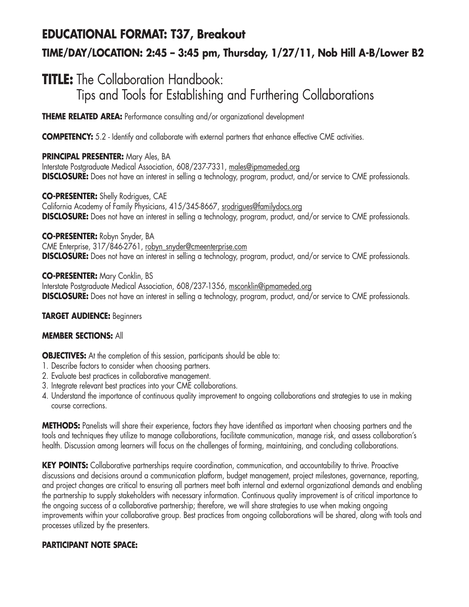# **EDUCATIONAL FORMAT: T37, Breakout TIME/DAY/LOCATION: 2:45 – 3:45 pm, Thursday, 1/27/11, Nob Hill A-B/Lower B2**

# **TITLE:** The Collaboration Handbook: Tips and Tools for Establishing and Furthering Collaborations

**THEME RELATED AREA:** Performance consulting and/or organizational development

**COMPETENCY:** 5.2 - Identify and collaborate with external partners that enhance effective CME activities.

### **PRINCIPAL PRESENTER:** Mary Ales, BA

Interstate Postgraduate Medical Association, 608/237-7331, males@ipmameded.org **DISCLOSURE:** Does not have an interest in selling a technology, program, product, and/or service to CME professionals.

### **CO-PRESENTER:** Shelly Rodrigues, CAE

California Academy of Family Physicians, 415/345-8667, srodrigues@familydocs.org **DISCLOSURE:** Does not have an interest in selling a technology, program, product, and/or service to CME professionals.

### **CO-PRESENTER:** Robyn Snyder, BA

CME Enterprise, 317/846-2761, robyn\_snyder@cmeenterprise.com **DISCLOSURE:** Does not have an interest in selling a technology, program, product, and/or service to CME professionals.

**CO-PRESENTER:** Mary Conklin, BS Interstate Postgraduate Medical Association, 608/237-1356, msconklin@ipmameded.org **DISCLOSURE:** Does not have an interest in selling a technology, program, product, and/or service to CME professionals.

### **TARGET AUDIENCE:** Beginners

### **MEMBER SECTIONS:** All

**OBJECTIVES:** At the completion of this session, participants should be able to:

- 1. Describe factors to consider when choosing partners.
- 2. Evaluate best practices in collaborative management.
- 3. Integrate relevant best practices into your CME collaborations.
- 4. Understand the importance of continuous quality improvement to ongoing collaborations and strategies to use in making course corrections.

**METHODS:** Panelists will share their experience, factors they have identified as important when choosing partners and the tools and techniques they utilize to manage collaborations, facilitate communication, manage risk, and assess collaboration's health. Discussion among learners will focus on the challenges of forming, maintaining, and concluding collaborations.

**KEY POINTS:** Collaborative partnerships require coordination, communication, and accountability to thrive. Proactive discussions and decisions around a communication platform, budget management, project milestones, governance, reporting, and project changes are critical to ensuring all partners meet both internal and external organizational demands and enabling the partnership to supply stakeholders with necessary information. Continuous quality improvement is of critical importance to the ongoing success of a collaborative partnership; therefore, we will share strategies to use when making ongoing improvements within your collaborative group. Best practices from ongoing collaborations will be shared, along with tools and processes utilized by the presenters.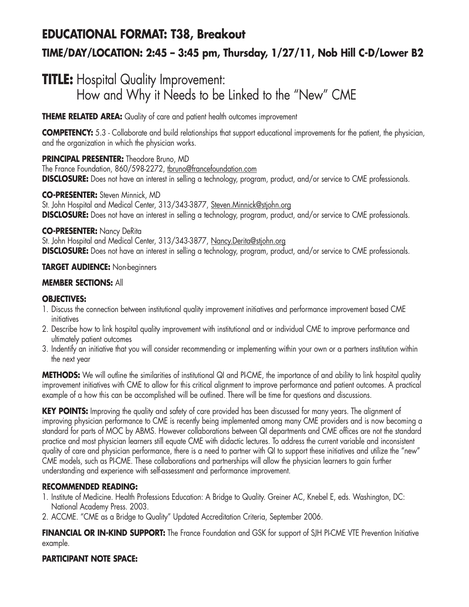# **EDUCATIONAL FORMAT: T38, Breakout TIME/DAY/LOCATION: 2:45 – 3:45 pm, Thursday, 1/27/11, Nob Hill C-D/Lower B2**

# **TITLE:** Hospital Quality Improvement: How and Why it Needs to be Linked to the "New" CME

**THEME RELATED AREA:** Quality of care and patient health outcomes improvement

**COMPETENCY:** 5.3 - Collaborate and build relationships that support educational improvements for the patient, the physician, and the organization in which the physician works.

## **PRINCIPAL PRESENTER:** Theodore Bruno, MD

The France Foundation, 860/598-2272, tbruno@francefoundation.com **DISCLOSURE:** Does not have an interest in selling a technology, program, product, and/or service to CME professionals.

### **CO-PRESENTER:** Steven Minnick, MD

St. John Hospital and Medical Center, 313/343-3877, Steven.Minnick@stjohn.org **DISCLOSURE:** Does not have an interest in selling a technology, program, product, and/or service to CME professionals.

### **CO-PRESENTER:** Nancy DeRita

St. John Hospital and Medical Center, 313/343-3877, Nancy.Derita@stjohn.org **DISCLOSURE:** Does not have an interest in selling a technology, program, product, and/or service to CME professionals.

## **TARGET AUDIENCE:** Non-beginners

## **MEMBER SECTIONS:** All

## **OBJECTIVES:**

- 1. Discuss the connection between institutional quality improvement initiatives and performance improvement based CME initiatives
- 2. Describe how to link hospital quality improvement with institutional and or individual CME to improve performance and ultimately patient outcomes
- 3. Indentify an initiative that you will consider recommending or implementing within your own or a partners institution within the next year

**METHODS:** We will outline the similarities of institutional QI and PI-CME, the importance of and ability to link hospital quality improvement initiatives with CME to allow for this critical alignment to improve performance and patient outcomes. A practical example of a how this can be accomplished will be outlined. There will be time for questions and discussions.

**KEY POINTS:** Improving the quality and safety of care provided has been discussed for many years. The alignment of improving physician performance to CME is recently being implemented among many CME providers and is now becoming a standard for parts of MOC by ABMS. However collaborations between QI departments and CME offices are not the standard practice and most physician learners still equate CME with didactic lectures. To address the current variable and inconsistent quality of care and physician performance, there is a need to partner with QI to support these initiatives and utilize the "new" CME models, such as PI-CME. These collaborations and partnerships will allow the physician learners to gain further understanding and experience with self-assessment and performance improvement.

## **RECOMMENDED READING:**

- 1. Institute of Medicine. Health Professions Education: A Bridge to Quality. Greiner AC, Knebel E, eds. Washington, DC: National Academy Press. 2003.
- 2. ACCME. "CME as a Bridge to Quality" Updated Accreditation Criteria, September 2006.

**FINANCIAL OR IN-KIND SUPPORT:** The France Foundation and GSK for support of SJH PI-CME VTE Prevention Initiative example.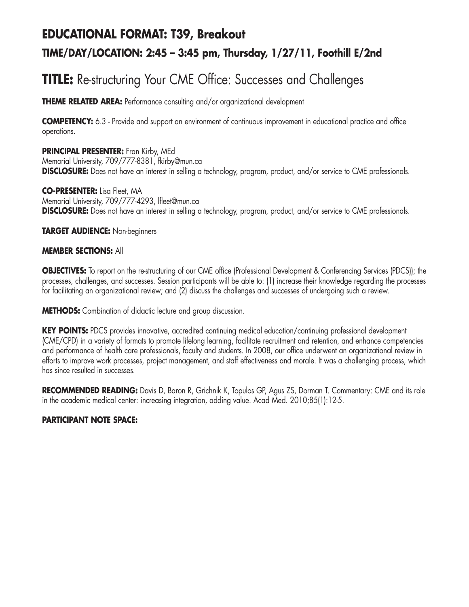# **EDUCATIONAL FORMAT: T39, Breakout**

## **TIME/DAY/LOCATION: 2:45 – 3:45 pm, Thursday, 1/27/11, Foothill E/2nd**

# **TITLE:** Re-structuring Your CME Office: Successes and Challenges

**THEME RELATED AREA:** Performance consulting and/or organizational development

**COMPETENCY:** 6.3 - Provide and support an environment of continuous improvement in educational practice and office operations.

**PRINCIPAL PRESENTER:** Fran Kirby, MEd Memorial University, 709/777-8381, fkirby@mun.ca **DISCLOSURE:** Does not have an interest in selling a technology, program, product, and/or service to CME professionals.

**CO-PRESENTER:** Lisa Fleet, MA Memorial University, 709/777-4293, lfleet@mun.ca **DISCLOSURE:** Does not have an interest in selling a technology, program, product, and/or service to CME professionals.

**TARGET AUDIENCE:** Non-beginners

### **MEMBER SECTIONS:** All

**OBJECTIVES:** To report on the re-structuring of our CME office (Professional Development & Conferencing Services (PDCS)); the processes, challenges, and successes. Session participants will be able to: (1) increase their knowledge regarding the processes for facilitating an organizational review; and (2) discuss the challenges and successes of undergoing such a review.

**METHODS:** Combination of didactic lecture and group discussion.

**KEY POINTS:** PDCS provides innovative, accredited continuing medical education/continuing professional development (CME/CPD) in a variety of formats to promote lifelong learning, facilitate recruitment and retention, and enhance competencies and performance of health care professionals, faculty and students. In 2008, our office underwent an organizational review in efforts to improve work processes, project management, and staff effectiveness and morale. It was a challenging process, which has since resulted in successes.

**RECOMMENDED READING:** Davis D, Baron R, Grichnik K, Topulos GP, Agus ZS, Dorman T. Commentary: CME and its role in the academic medical center: increasing integration, adding value. Acad Med. 2010;85(1):12-5.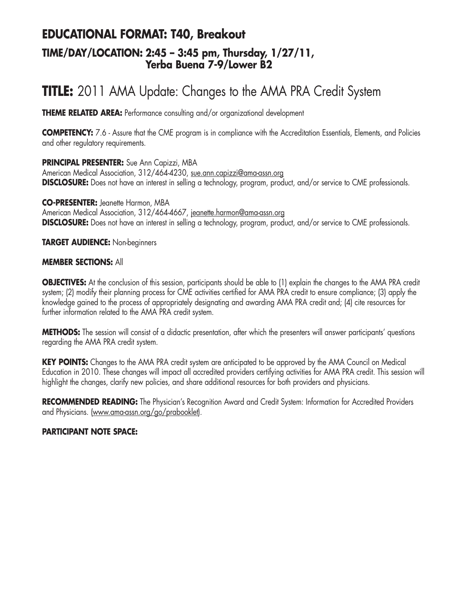# **EDUCATIONAL FORMAT: T40, Breakout**

## **TIME/DAY/LOCATION: 2:45 – 3:45 pm, Thursday, 1/27/11, Yerba Buena 7-9/Lower B2**

# **TITLE:** 2011 AMA Update: Changes to the AMA PRA Credit System

**THEME RELATED AREA:** Performance consulting and/or organizational development

**COMPETENCY:** 7.6 - Assure that the CME program is in compliance with the Accreditation Essentials, Elements, and Policies and other regulatory requirements.

**PRINCIPAL PRESENTER:** Sue Ann Capizzi, MBA

American Medical Association, 312/464-4230, sue.ann.capizzi@ama-assn.org **DISCLOSURE:** Does not have an interest in selling a technology, program, product, and/or service to CME professionals.

**CO-PRESENTER:** Jeanette Harmon, MBA American Medical Association, 312/464-4667, jeanette.harmon@ama-assn.org **DISCLOSURE:** Does not have an interest in selling a technology, program, product, and/or service to CME professionals.

**TARGET AUDIENCE:** Non-beginners

#### **MEMBER SECTIONS:** All

**OBJECTIVES:** At the conclusion of this session, participants should be able to (1) explain the changes to the AMA PRA credit system; (2) modify their planning process for CME activities certified for AMA PRA credit to ensure compliance; (3) apply the knowledge gained to the process of appropriately designating and awarding AMA PRA credit and; (4) cite resources for further information related to the AMA PRA credit system.

**METHODS:** The session will consist of a didactic presentation, after which the presenters will answer participants' questions regarding the AMA PRA credit system.

**KEY POINTS:** Changes to the AMA PRA credit system are anticipated to be approved by the AMA Council on Medical Education in 2010. These changes will impact all accredited providers certifying activities for AMA PRA credit. This session will highlight the changes, clarify new policies, and share additional resources for both providers and physicians.

**RECOMMENDED READING:** The Physician's Recognition Award and Credit System: Information for Accredited Providers and Physicians. (www.ama-assn.org/go/prabooklet).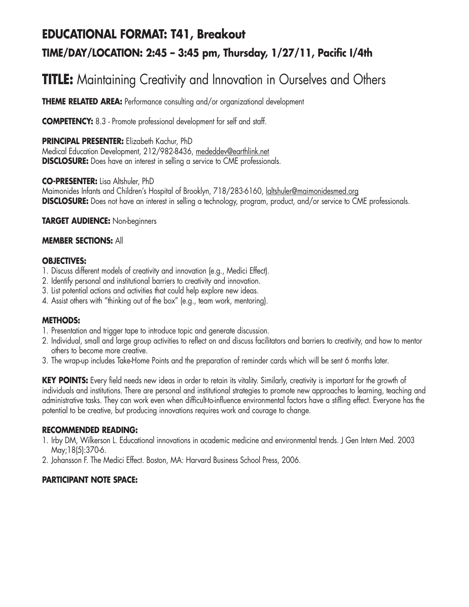# **EDUCATIONAL FORMAT: T41, Breakout TIME/DAY/LOCATION: 2:45 – 3:45 pm, Thursday, 1/27/11, Pacific I/4th**

# **TITLE:** Maintaining Creativity and Innovation in Ourselves and Others

**THEME RELATED AREA:** Performance consulting and/or organizational development

**COMPETENCY:** 8.3 - Promote professional development for self and staff.

**PRINCIPAL PRESENTER:** Elizabeth Kachur, PhD Medical Education Development, 212/982-8436, mededdev@earthlink.net **DISCLOSURE:** Does have an interest in selling a service to CME professionals.

**CO-PRESENTER:** Lisa Altshuler, PhD

Maimonides Infants and Children's Hospital of Brooklyn, 718/283-6160, laltshuler@maimonidesmed.org **DISCLOSURE:** Does not have an interest in selling a technology, program, product, and/or service to CME professionals.

**TARGET AUDIENCE:** Non-beginners

#### **MEMBER SECTIONS:** All

#### **OBJECTIVES:**

- 1. Discuss different models of creativity and innovation (e.g., Medici Effect).
- 2. Identify personal and institutional barriers to creativity and innovation.
- 3. List potential actions and activities that could help explore new ideas.
- 4. Assist others with "thinking out of the box" (e.g., team work, mentoring).

#### **METHODS:**

- 1. Presentation and trigger tape to introduce topic and generate discussion.
- 2. Individual, small and large group activities to reflect on and discuss facilitators and barriers to creativity, and how to mentor others to become more creative.
- 3. The wrap-up includes Take-Home Points and the preparation of reminder cards which will be sent 6 months later.

**KEY POINTS:** Every field needs new ideas in order to retain its vitality. Similarly, creativity is important for the growth of individuals and institutions. There are personal and institutional strategies to promote new approaches to learning, teaching and administrative tasks. They can work even when difficult-to-influence environmental factors have a stifling effect. Everyone has the potential to be creative, but producing innovations requires work and courage to change.

#### **RECOMMENDED READING:**

- 1. Irby DM, Wilkerson L. Educational innovations in academic medicine and environmental trends. J Gen Intern Med. 2003 May;18(5):370-6.
- 2. Johansson F. The Medici Effect. Boston, MA: Harvard Business School Press, 2006.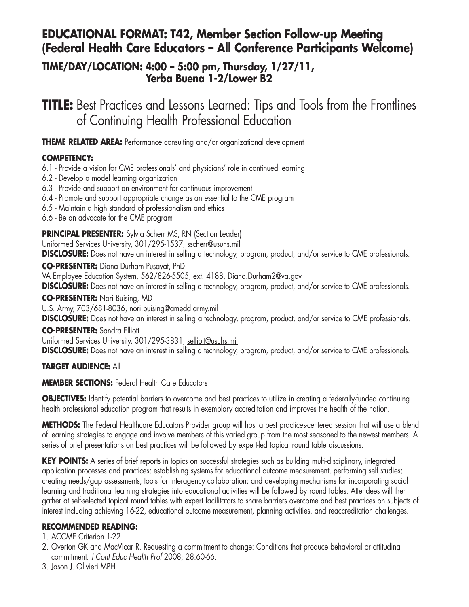# **EDUCATIONAL FORMAT: T42, Member Section Follow-up Meeting (Federal Health Care Educators – All Conference Participants Welcome)**

## **TIME/DAY/LOCATION: 4:00 – 5:00 pm, Thursday, 1/27/11, Yerba Buena 1-2/Lower B2**

**TITLE:** Best Practices and Lessons Learned: Tips and Tools from the Frontlines of Continuing Health Professional Education

**THEME RELATED AREA:** Performance consulting and/or organizational development

## **COMPETENCY:**

6.1 - Provide a vision for CME professionals' and physicians' role in continued learning

- 6.2 Develop a model learning organization
- 6.3 Provide and support an environment for continuous improvement
- 6.4 Promote and support appropriate change as an essential to the CME program
- 6.5 Maintain a high standard of professionalism and ethics
- 6.6 Be an advocate for the CME program

## **PRINCIPAL PRESENTER:** Sylvia Scherr MS, RN (Section Leader)

Uniformed Services University, 301/295-1537, sscherr@usuhs.mil

**DISCLOSURE:** Does not have an interest in selling a technology, program, product, and/or service to CME professionals.

**CO-PRESENTER:** Diana Durham Pusavat, PhD

VA Employee Education System, 562/826-5505, ext. 4188, Diana.Durham2@va.gov

**DISCLOSURE:** Does not have an interest in selling a technology, program, product, and/or service to CME professionals.

### **CO-PRESENTER:** Nori Buising, MD

U.S. Army, 703/681-8036, nori.buising@amedd.army.mil

**DISCLOSURE:** Does not have an interest in selling a technology, program, product, and/or service to CME professionals.

### **CO-PRESENTER:** Sandra Elliott

Uniformed Services University, 301/295-3831, selliott@usuhs.mil

**DISCLOSURE:** Does not have an interest in selling a technology, program, product, and/or service to CME professionals.

## **TARGET AUDIENCE:** All

## **MEMBER SECTIONS:** Federal Health Care Educators

**OBJECTIVES:** Identify potential barriers to overcome and best practices to utilize in creating a federally-funded continuing health professional education program that results in exemplary accreditation and improves the health of the nation.

**METHODS:** The Federal Healthcare Educators Provider group will host a best practices-centered session that will use a blend of learning strategies to engage and involve members of this varied group from the most seasoned to the newest members. A series of brief presentations on best practices will be followed by expert-led topical round table discussions.

**KEY POINTS:** A series of brief reports in topics on successful strategies such as building multi-disciplinary, integrated application processes and practices; establishing systems for educational outcome measurement, performing self studies; creating needs/gap assessments; tools for interagency collaboration; and developing mechanisms for incorporating social learning and traditional learning strategies into educational activities will be followed by round tables. Attendees will then gather at self-selected topical round tables with expert facilitators to share barriers overcome and best practices on subjects of interest including achieving 16-22, educational outcome measurement, planning activities, and reaccreditation challenges.

## **RECOMMENDED READING:**

### 1. ACCME Criterion 1-22

- 2. Overton GK and MacVicar R. Requesting a commitment to change: Conditions that produce behavioral or attitudinal commitment. *J Cont Educ Health Prof* 2008; 28:60-66.
- 3. Jason J. Olivieri MPH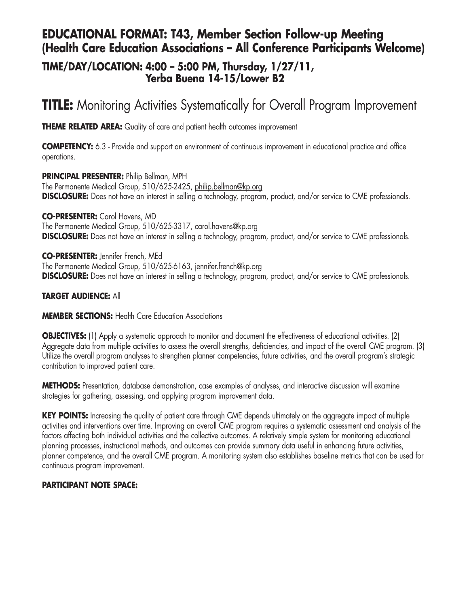## **EDUCATIONAL FORMAT: T43, Member Section Follow-up Meeting (Health Care Education Associations – All Conference Participants Welcome)**

## **TIME/DAY/LOCATION: 4:00 – 5:00 PM, Thursday, 1/27/11, Yerba Buena 14-15/Lower B2**

# **TITLE:** Monitoring Activities Systematically for Overall Program Improvement

**THEME RELATED AREA:** Quality of care and patient health outcomes improvement

**COMPETENCY:** 6.3 - Provide and support an environment of continuous improvement in educational practice and office operations.

**PRINCIPAL PRESENTER:** Philip Bellman, MPH The Permanente Medical Group, 510/625-2425, philip.bellman@kp.org **DISCLOSURE:** Does not have an interest in selling a technology, program, product, and/or service to CME professionals.

**CO-PRESENTER:** Carol Havens, MD The Permanente Medical Group, 510/625-3317, carol.havens@kp.org **DISCLOSURE:** Does not have an interest in selling a technology, program, product, and/or service to CME professionals.

**CO-PRESENTER:** Jennifer French, MEd The Permanente Medical Group, 510/625-6163, jennifer.french@kp.org **DISCLOSURE:** Does not have an interest in selling a technology, program, product, and/or service to CME professionals.

### **TARGET AUDIENCE:** All

### **MEMBER SECTIONS: Health Care Education Associations**

**OBJECTIVES:** (1) Apply a systematic approach to monitor and document the effectiveness of educational activities. (2) Aggregate data from multiple activities to assess the overall strengths, deficiencies, and impact of the overall CME program. (3) Utilize the overall program analyses to strengthen planner competencies, future activities, and the overall program's strategic contribution to improved patient care.

**METHODS:** Presentation, database demonstration, case examples of analyses, and interactive discussion will examine strategies for gathering, assessing, and applying program improvement data.

**KEY POINTS:** Increasing the quality of patient care through CME depends ultimately on the aggregate impact of multiple activities and interventions over time. Improving an overall CME program requires a systematic assessment and analysis of the factors affecting both individual activities and the collective outcomes. A relatively simple system for monitoring educational planning processes, instructional methods, and outcomes can provide summary data useful in enhancing future activities, planner competence, and the overall CME program. A monitoring system also establishes baseline metrics that can be used for continuous program improvement.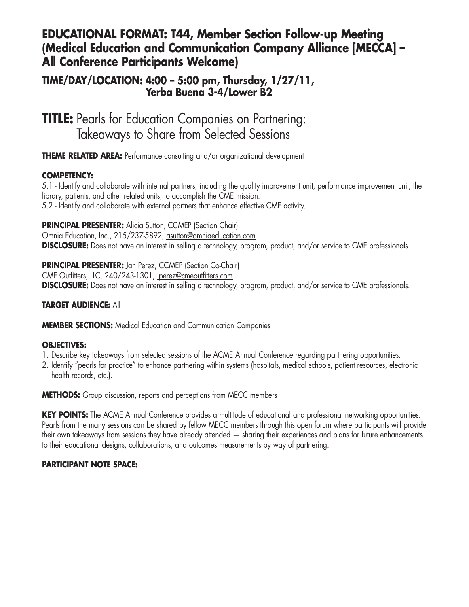## **EDUCATIONAL FORMAT: T44, Member Section Follow-up Meeting (Medical Education and Communication Company Alliance [MECCA] – All Conference Participants Welcome)**

## **TIME/DAY/LOCATION: 4:00 – 5:00 pm, Thursday, 1/27/11, Yerba Buena 3-4/Lower B2**

**TITLE:** Pearls for Education Companies on Partnering: Takeaways to Share from Selected Sessions

**THEME RELATED AREA:** Performance consulting and/or organizational development

### **COMPETENCY:**

5.1 - Identify and collaborate with internal partners, including the quality improvement unit, performance improvement unit, the library, patients, and other related units, to accomplish the CME mission. 5.2 - Identify and collaborate with external partners that enhance effective CME activity.

**PRINCIPAL PRESENTER:** Alicia Sutton, CCMEP (Section Chair)

Omnia Education, Inc., 215/237-5892, asutton@omniaeducation.com **DISCLOSURE:** Does not have an interest in selling a technology, program, product, and/or service to CME professionals.

**PRINCIPAL PRESENTER:** Jan Perez, CCMEP (Section Co-Chair) CME Outfitters, LLC, 240/243-1301, jperez@cmeoutfitters.com **DISCLOSURE:** Does not have an interest in selling a technology, program, product, and/or service to CME professionals.

### **TARGET AUDIENCE:** All

**MEMBER SECTIONS:** Medical Education and Communication Companies

#### **OBJECTIVES:**

- 1. Describe key takeaways from selected sessions of the ACME Annual Conference regarding partnering opportunities.
- 2. Identify "pearls for practice" to enhance partnering within systems (hospitals, medical schools, patient resources, electronic health records, etc.).

**METHODS:** Group discussion, reports and perceptions from MECC members

**KEY POINTS:** The ACME Annual Conference provides a multitude of educational and professional networking opportunities. Pearls from the many sessions can be shared by fellow MECC members through this open forum where participants will provide their own takeaways from sessions they have already attended — sharing their experiences and plans for future enhancements to their educational designs, collaborations, and outcomes measurements by way of partnering.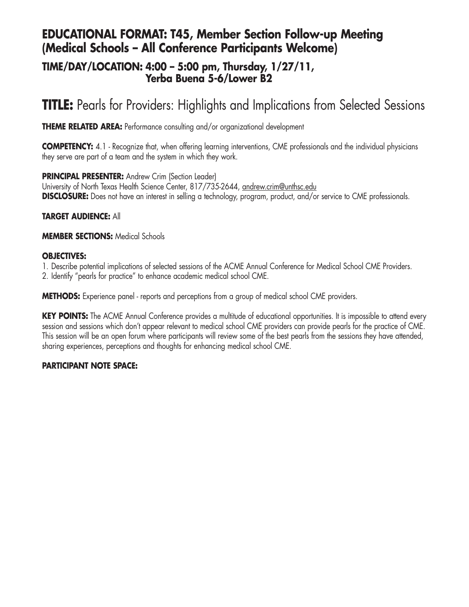# **EDUCATIONAL FORMAT: T45, Member Section Follow-up Meeting (Medical Schools – All Conference Participants Welcome)**

## **TIME/DAY/LOCATION: 4:00 – 5:00 pm, Thursday, 1/27/11, Yerba Buena 5-6/Lower B2**

# **TITLE:** Pearls for Providers: Highlights and Implications from Selected Sessions

**THEME RELATED AREA:** Performance consulting and/or organizational development

**COMPETENCY:** 4.1 - Recognize that, when offering learning interventions, CME professionals and the individual physicians they serve are part of a team and the system in which they work.

**PRINCIPAL PRESENTER:** Andrew Crim (Section Leader) University of North Texas Health Science Center, 817/735-2644, andrew.crim@unthsc.edu **DISCLOSURE:** Does not have an interest in selling a technology, program, product, and/or service to CME professionals.

### **TARGET AUDIENCE:** All

**MEMBER SECTIONS:** Medical Schools

### **OBJECTIVES:**

1. Describe potential implications of selected sessions of the ACME Annual Conference for Medical School CME Providers.

2. Identify "pearls for practice" to enhance academic medical school CME.

**METHODS:** Experience panel - reports and perceptions from a group of medical school CME providers.

KEY POINTS: The ACME Annual Conference provides a multitude of educational opportunities. It is impossible to attend every session and sessions which don't appear relevant to medical school CME providers can provide pearls for the practice of CME. This session will be an open forum where participants will review some of the best pearls from the sessions they have attended, sharing experiences, perceptions and thoughts for enhancing medical school CME.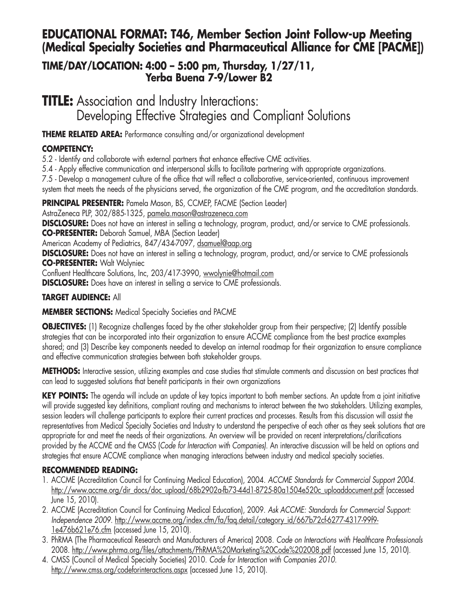# **EDUCATIONAL FORMAT: T46, Member Section Joint Follow-up Meeting (Medical Specialty Societies and Pharmaceutical Alliance for CME [PACME])**

## **TIME/DAY/LOCATION: 4:00 – 5:00 pm, Thursday, 1/27/11, Yerba Buena 7-9/Lower B2**

**TITLE:** Association and Industry Interactions: Developing Effective Strategies and Compliant Solutions

**THEME RELATED AREA:** Performance consulting and/or organizational development

## **COMPETENCY:**

5.2 - Identify and collaborate with external partners that enhance effective CME activities.

5.4 - Apply effective communication and interpersonal skills to facilitate partnering with appropriate organizations.

7.5 - Develop a management culture of the office that will reflect a collaborative, service-oriented, continuous improvement

system that meets the needs of the physicians served, the organization of the CME program, and the accreditation standards.

**PRINCIPAL PRESENTER:** Pamela Mason, BS, CCMEP, FACME (Section Leader)

AstraZeneca PLP, 302/885-1325, pamela.mason@astrazeneca.com

**DISCLOSURE:** Does not have an interest in selling a technology, program, product, and/or service to CME professionals. **CO-PRESENTER:** Deborah Samuel, MBA (Section Leader)

American Academy of Pediatrics, 847/434-7097, dsamuel@aap.org

**DISCLOSURE:** Does not have an interest in selling a technology, program, product, and/or service to CME professionals **CO-PRESENTER:** Walt Wolyniec

Confluent Healthcare Solutions, Inc, 203/417-3990, wwolynie@hotmail.com

**DISCLOSURE:** Does have an interest in selling a service to CME professionals.

## **TARGET AUDIENCE:** All

## **MEMBER SECTIONS:** Medical Specialty Societies and PACME

**OBJECTIVES:** (1) Recognize challenges faced by the other stakeholder group from their perspective; (2) Identify possible strategies that can be incorporated into their organization to ensure ACCME compliance from the best practice examples shared; and (3) Describe key components needed to develop an internal roadmap for their organization to ensure compliance and effective communication strategies between both stakeholder groups.

**METHODS:** Interactive session, utilizing examples and case studies that stimulate comments and discussion on best practices that can lead to suggested solutions that benefit participants in their own organizations

**KEY POINTS:** The agenda will include an update of key topics important to both member sections. An update from a joint initiative will provide suggested key definitions, compliant routing and mechanisms to interact between the two stakeholders. Utilizing examples, session leaders will challenge participants to explore their current practices and processes. Results from this discussion will assist the representatives from Medical Specialty Societies and Industry to understand the perspective of each other as they seek solutions that are appropriate for and meet the needs of their organizations. An overview will be provided on recent interpretations/clarifications provided by the ACCME and the CMSS (*Code for Interaction with Companies)*. An interactive discussion will be held on options and strategies that ensure ACCME compliance when managing interactions between industry and medical specialty societies.

## **RECOMMENDED READING:**

- 1. ACCME (Accreditation Council for Continuing Medical Education), 2004. *ACCME Standards for Commercial Support 2004.* <u>http://www.accme.org/dir\_docs/doc\_upload/68b2902a-fb73-44d1-8725-80a1504e520c\_uploaddocument.pdf</u> (accessed-June 15, 2010).
- 2. ACCME (Accreditation Council for Continuing Medical Education), 2009. *Ask ACCME: Standards for Commercial Support: Independence 2009.* http://www.accme.org/index.cfm/fa/faq.detail/category\_id/667b72cf-6277-4317-99f9- 1e476b621e76.cfm (accessed June 15, 2010).
- 3. PhRMA (The Pharmaceutical Research and Manufacturers of America) 2008. *Code on Interactions with Healthcare Professionals* 2008. http://www.phrma.org/files/attachments/PhRMA%20Marketing%20Code%202008.pdf (accessed June 15, 2010).
- 4. CMSS (Council of Medical Specialty Societies) 2010. *Code for Interaction with Companies 2010.* http://www.cmss.org/codeforinteractions.aspx (accessed June 15, 2010).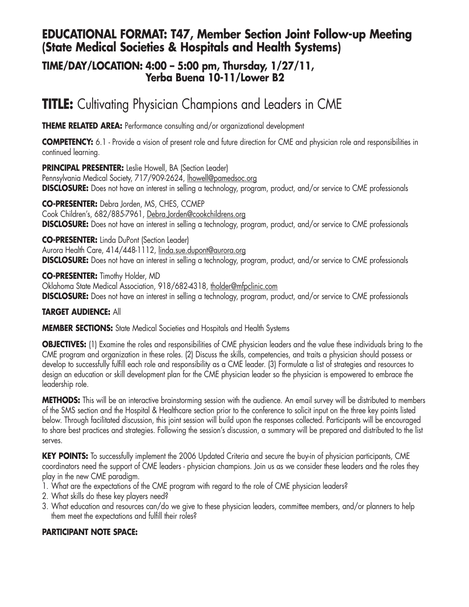## **EDUCATIONAL FORMAT: T47, Member Section Joint Follow-up Meeting (State Medical Societies & Hospitals and Health Systems)**

## **TIME/DAY/LOCATION: 4:00 – 5:00 pm, Thursday, 1/27/11, Yerba Buena 10-11/Lower B2**

# **TITLE:** Cultivating Physician Champions and Leaders in CME

**THEME RELATED AREA:** Performance consulting and/or organizational development

**COMPETENCY:** 6.1 - Provide a vision of present role and future direction for CME and physician role and responsibilities in continued learning.

**PRINCIPAL PRESENTER:** Leslie Howell, BA (Section Leader) Pennsylvania Medical Society, 717/909-2624, howell@pamedsoc.org **DISCLOSURE:** Does not have an interest in selling a technology, program, product, and/or service to CME professionals

**CO-PRESENTER:** Debra Jorden, MS, CHES, CCMEP Cook Children's, 682/885-7961, Debra.Jorden@cookchildrens.org **DISCLOSURE:** Does not have an interest in selling a technology, program, product, and/or service to CME professionals

**CO-PRESENTER:** Linda DuPont (Section Leader) Aurora Health Care, 414/448-1112, linda.sue.dupont@aurora.org **DISCLOSURE:** Does not have an interest in selling a technology, program, product, and/or service to CME professionals

**CO-PRESENTER:** Timothy Holder, MD Oklahoma State Medical Association, 918/682-4318, tholder@mfpclinic.com **DISCLOSURE:** Does not have an interest in selling a technology, program, product, and/or service to CME professionals

## **TARGET AUDIENCE:** All

**MEMBER SECTIONS:** State Medical Societies and Hospitals and Health Systems

**OBJECTIVES:** (1) Examine the roles and responsibilities of CME physician leaders and the value these individuals bring to the CME program and organization in these roles. (2) Discuss the skills, competencies, and traits a physician should possess or develop to successfully fulfill each role and responsibility as a CME leader. (3) Formulate a list of strategies and resources to design an education or skill development plan for the CME physician leader so the physician is empowered to embrace the leadership role.

**METHODS:** This will be an interactive brainstorming session with the audience. An email survey will be distributed to members of the SMS section and the Hospital & Healthcare section prior to the conference to solicit input on the three key points listed below. Through facilitated discussion, this joint session will build upon the responses collected. Participants will be encouraged to share best practices and strategies. Following the session's discussion, a summary will be prepared and distributed to the list serves.

**KEY POINTS:** To successfully implement the 2006 Updated Criteria and secure the buy-in of physician participants, CME coordinators need the support of CME leaders - physician champions. Join us as we consider these leaders and the roles they play in the new CME paradigm.

- 1. What are the expectations of the CME program with regard to the role of CME physician leaders?
- 2. What skills do these key players need?
- 3. What education and resources can/do we give to these physician leaders, committee members, and/or planners to help them meet the expectations and fulfill their roles?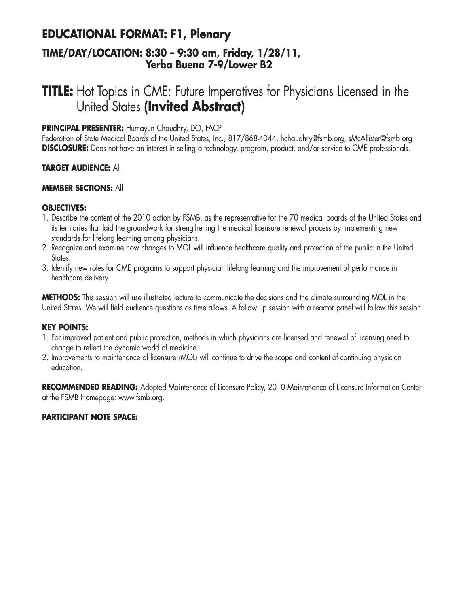## **EDUCATIONAL FORMAT: F1, Plenary TIME/DAY/LOCATION: 8:30 – 9:30 am, Friday, 1/28/11, Yerba Buena 7-9/Lower B2**

# **TITLE:** Hot Topics in CME: Future Imperatives for Physicians Licensed in the United States **(Invited Abstract)**

### **PRINCIPAL PRESENTER:** Humayun Chaudhry, DO, FACP

Federation of State Medical Boards of the United States, Inc., 817/868-4044, hchaudhry@fsmb.org, sMcAllister@fsmb.org **DISCLOSURE:** Does not have an interest in selling a technology, program, product, and/or service to CME professionals.

#### **TARGET AUDIENCE:** All

#### **MEMBER SECTIONS:** All

#### **OBJECTIVES:**

- 1. Describe the content of the 2010 action by FSMB, as the representative for the 70 medical boards of the United States and its territories that laid the groundwork for strengthening the medical licensure renewal process by implementing new standards for lifelong learning among physicians.
- 2. Recognize and examine how changes to MOL will influence healthcare quality and protection of the public in the United States.
- 3. Identify new roles for CME programs to support physician lifelong learning and the improvement of performance in healthcare delivery.

**METHODS:** This session will use illustrated lecture to communicate the decisions and the climate surrounding MOL in the United States. We will field audience questions as time allows. A follow up session with a reactor panel will follow this session.

#### **KEY POINTS:**

- 1. For improved patient and public protection, methods in which physicians are licensed and renewal of licensing need to change to reflect the dynamic world of medicine.
- 2. Improvements to maintenance of licensure (MOL) will continue to drive the scope and content of continuing physician education.

**RECOMMENDED READING:** Adopted Maintenance of Licensure Policy, 2010 Maintenance of Licensure Information Center at the FSMB Homepage: www.fsmb.org.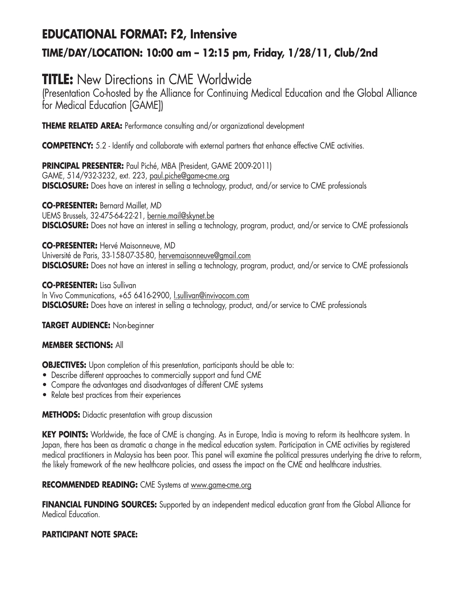# **EDUCATIONAL FORMAT: F2, Intensive TIME/DAY/LOCATION: 10:00 am – 12:15 pm, Friday, 1/28/11, Club/2nd**

# **TITLE:** New Directions in CME Worldwide

(Presentation Co-hosted by the Alliance for Continuing Medical Education and the Global Alliance for Medical Education [GAME])

**THEME RELATED AREA:** Performance consulting and/or organizational development

**COMPETENCY:** 5.2 - Identify and collaborate with external partners that enhance effective CME activities.

**PRINCIPAL PRESENTER:** Paul Piché, MBA (President, GAME 2009-2011) GAME, 514/932-3232, ext. 223, paul.piche@game-cme.org **DISCLOSURE:** Does have an interest in selling a technology, product, and/or service to CME professionals

**CO-PRESENTER:** Bernard Maillet, MD UEMS Brussels, 32-475-64-22-21, bernie.mail@skynet.be **DISCLOSURE:** Does not have an interest in selling a technology, program, product, and/or service to CME professionals

**CO-PRESENTER:** Hervé Maisonneuve, MD Université de Paris, 33-158-07-35-80, hervemaisonneuve@gmail.com **DISCLOSURE:** Does not have an interest in selling a technology, program, product, and/or service to CME professionals

**CO-PRESENTER:** Lisa Sullivan In Vivo Communications, +65 6416-2900, l.sullivan@invivocom.com **DISCLOSURE:** Does have an interest in selling a technology, product, and/or service to CME professionals

**TARGET AUDIENCE:** Non-beginner

### **MEMBER SECTIONS:** All

**OBJECTIVES:** Upon completion of this presentation, participants should be able to:

- Describe different approaches to commercially support and fund CME
- Compare the advantages and disadvantages of different CME systems
- Relate best practices from their experiences

**METHODS:** Didactic presentation with group discussion

**KEY POINTS:** Worldwide, the face of CME is changing. As in Europe, India is moving to reform its healthcare system. In Japan, there has been as dramatic a change in the medical education system. Participation in CME activities by registered medical practitioners in Malaysia has been poor. This panel will examine the political pressures underlying the drive to reform, the likely framework of the new healthcare policies, and assess the impact on the CME and healthcare industries.

### **RECOMMENDED READING:** CME Systems at www.game-cme.org

**FINANCIAL FUNDING SOURCES:** Supported by an independent medical education grant from the Global Alliance for Medical Education.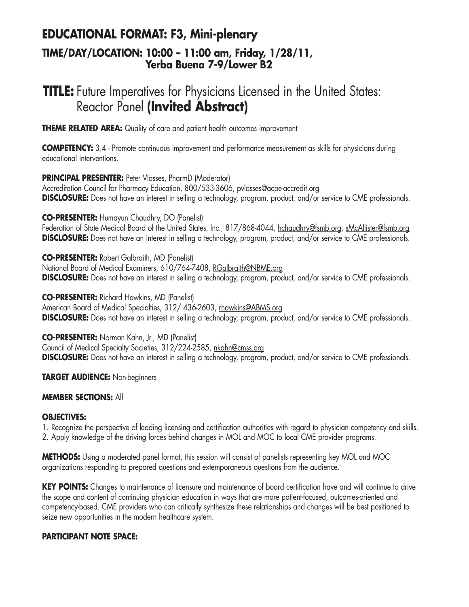## **EDUCATIONAL FORMAT: F3, Mini-plenary TIME/DAY/LOCATION: 10:00 – 11:00 am, Friday, 1/28/11, Yerba Buena 7-9/Lower B2**

# **TITLE:** Future Imperatives for Physicians Licensed in the United States: Reactor Panel **(Invited Abstract)**

**THEME RELATED AREA:** Quality of care and patient health outcomes improvement

**COMPETENCY:** 3.4 - Promote continuous improvement and performance measurement as skills for physicians during educational interventions.

**PRINCIPAL PRESENTER:** Peter Vlasses, PharmD (Moderator)

Accreditation Council for Pharmacy Education, 800/533-3606, pvlasses@acpe-accredit.org **DISCLOSURE:** Does not have an interest in selling a technology, program, product, and/or service to CME professionals.

**CO-PRESENTER:** Humayun Chaudhry, DO (Panelist)

Federation of State Medical Board of the United States, Inc., 817/868-4044, hchaudhry@fsmb.org, sMcAllister@fsmb.org **DISCLOSURE:** Does not have an interest in selling a technology, program, product, and/or service to CME professionals.

**CO-PRESENTER:** Robert Galbraith, MD (Panelist) National Board of Medical Examiners, 610/764-7408, RGalbraith@NBME.org **DISCLOSURE:** Does not have an interest in selling a technology, program, product, and/or service to CME professionals.

**CO-PRESENTER:** Richard Hawkins, MD (Panelist) American Board of Medical Specialties, 312/ 436-2603, rhawkins@ABMS.org **DISCLOSURE:** Does not have an interest in selling a technology, program, product, and/or service to CME professionals.

**CO-PRESENTER:** Norman Kahn, Jr., MD (Panelist) Council of Medical Specialty Societies, 312/224-2585, nkahn@cmss.org **DISCLOSURE:** Does not have an interest in selling a technology, program, product, and/or service to CME professionals.

**TARGET AUDIENCE:** Non-beginners

### **MEMBER SECTIONS:** All

### **OBJECTIVES:**

1. Recognize the perspective of leading licensing and certification authorities with regard to physician competency and skills. 2. Apply knowledge of the driving forces behind changes in MOL and MOC to local CME provider programs.

**METHODS:** Using a moderated panel format, this session will consist of panelists representing key MOL and MOC organizations responding to prepared questions and extemporaneous questions from the audience.

**KEY POINTS:** Changes to maintenance of licensure and maintenance of board certification have and will continue to drive the scope and content of continuing physician education in ways that are more patient-focused, outcomes-oriented and competency-based. CME providers who can critically synthesize these relationships and changes will be best positioned to seize new opportunities in the modern healthcare system.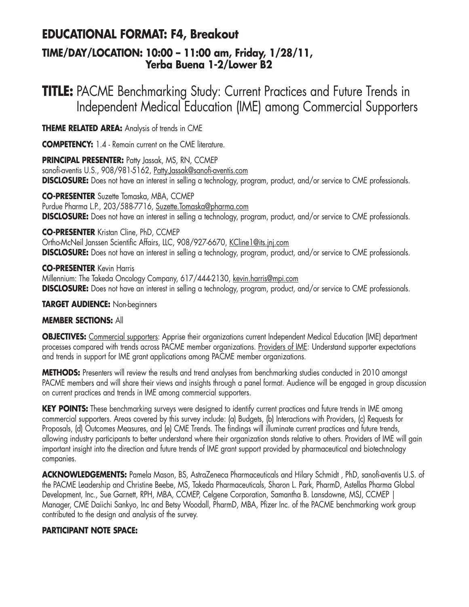# **EDUCATIONAL FORMAT: F4, Breakout**

## **TIME/DAY/LOCATION: 10:00 – 11:00 am, Friday, 1/28/11, Yerba Buena 1-2/Lower B2**

# **TITLE:** PACME Benchmarking Study: Current Practices and Future Trends in Independent Medical Education (IME) among Commercial Supporters

**THEME RELATED AREA:** Analysis of trends in CME

**COMPETENCY:** 1.4 - Remain current on the CME literature.

**PRINCIPAL PRESENTER:** Patty Jassak, MS, RN, CCMEP sanofi-aventis U.S., 908/981-5162, Patty.Jassak@sanofi-aventis.com **DISCLOSURE:** Does not have an interest in selling a technology, program, product, and/or service to CME professionals.

**CO-PRESENTER** Suzette Tomaska, MBA, CCMEP Purdue Pharma L.P., 203/588-7716, Suzette.Tomaska@pharma.com **DISCLOSURE:** Does not have an interest in selling a technology, program, product, and/or service to CME professionals.

### **CO-PRESENTER** Kristan Cline, PhD, CCMEP

Ortho-McNeil Janssen Scientific Affairs, LLC, 908/927-6670, KCline1@its.jnj.com **DISCLOSURE:** Does not have an interest in selling a technology, program, product, and/or service to CME professionals.

### **CO-PRESENTER** Kevin Harris

Millennium: The Takeda Oncology Company, 617/444-2130, kevin.harris@mpi.com **DISCLOSURE:** Does not have an interest in selling a technology, program, product, and/or service to CME professionals.

### **TARGET AUDIENCE:** Non-beginners

### **MEMBER SECTIONS:** All

**OBJECTIVES:** Commercial supporters: Apprise their organizations current Independent Medical Education (IME) department processes compared with trends across PACME member organizations. Providers of IME: Understand supporter expectations and trends in support for IME grant applications among PACME member organizations.

**METHODS:** Presenters will review the results and trend analyses from benchmarking studies conducted in 2010 amongst PACME members and will share their views and insights through a panel format. Audience will be engaged in group discussion on current practices and trends in IME among commercial supporters.

**KEY POINTS:** These benchmarking surveys were designed to identify current practices and future trends in IME among commercial supporters. Areas covered by this survey include: (a) Budgets, (b) Interactions with Providers, (c) Requests for Proposals, (d) Outcomes Measures, and (e) CME Trends. The findings will illuminate current practices and future trends, allowing industry participants to better understand where their organization stands relative to others. Providers of IME will gain important insight into the direction and future trends of IME grant support provided by pharmaceutical and biotechnology companies.

**ACKNOWLEDGEMENTS:** Pamela Mason, BS, AstraZeneca Pharmaceuticals and Hilary Schmidt , PhD, sanofi-aventis U.S. of the PACME Leadership and Christine Beebe, MS, Takeda Pharmaceuticals, Sharon L. Park, PharmD, Astellas Pharma Global Development, Inc., Sue Garnett, RPH, MBA, CCMEP, Celgene Corporation, Samantha B. Lansdowne, MSJ, CCMEP | Manager, CME Daiichi Sankyo, Inc and Betsy Woodall, PharmD, MBA, Pfizer Inc. of the PACME benchmarking work group contributed to the design and analysis of the survey.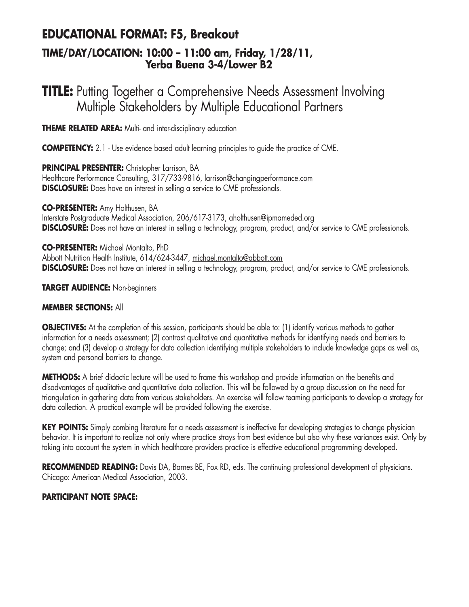## **EDUCATIONAL FORMAT: F5, Breakout TIME/DAY/LOCATION: 10:00 – 11:00 am, Friday, 1/28/11, Yerba Buena 3-4/Lower B2**

# **TITLE:** Putting Together a Comprehensive Needs Assessment Involving Multiple Stakeholders by Multiple Educational Partners

**THEME RELATED AREA:** Multi- and inter-disciplinary education

**COMPETENCY:** 2.1 - Use evidence based adult learning principles to guide the practice of CME.

**PRINCIPAL PRESENTER:** Christopher Larrison, BA Healthcare Performance Consulting, 317/733-9816, larrison@changingperformance.com **DISCLOSURE:** Does have an interest in selling a service to CME professionals.

**CO-PRESENTER:** Amy Holthusen, BA Interstate Postgraduate Medical Association, 206/617-3173, aholthusen@ipmameded.org **DISCLOSURE:** Does not have an interest in selling a technology, program, product, and/or service to CME professionals.

**CO-PRESENTER:** Michael Montalto, PhD Abbott Nutrition Health Institute, 614/624-3447, michael.montalto@abbott.com **DISCLOSURE:** Does not have an interest in selling a technology, program, product, and/or service to CME professionals.

**TARGET AUDIENCE:** Non-beginners

#### **MEMBER SECTIONS:** All

**OBJECTIVES:** At the completion of this session, participants should be able to: (1) identify various methods to gather information for a needs assessment; (2) contrast qualitative and quantitative methods for identifying needs and barriers to change; and (3) develop a strategy for data collection identifying multiple stakeholders to include knowledge gaps as well as, system and personal barriers to change.

**METHODS:** A brief didactic lecture will be used to frame this workshop and provide information on the benefits and disadvantages of qualitative and quantitative data collection. This will be followed by a group discussion on the need for triangulation in gathering data from various stakeholders. An exercise will follow teaming participants to develop a strategy for data collection. A practical example will be provided following the exercise.

**KEY POINTS:** Simply combing literature for a needs assessment is ineffective for developing strategies to change physician behavior. It is important to realize not only where practice strays from best evidence but also why these variances exist. Only by taking into account the system in which healthcare providers practice is effective educational programming developed.

**RECOMMENDED READING:** Davis DA, Barnes BE, Fox RD, eds. The continuing professional development of physicians. Chicago: American Medical Association, 2003.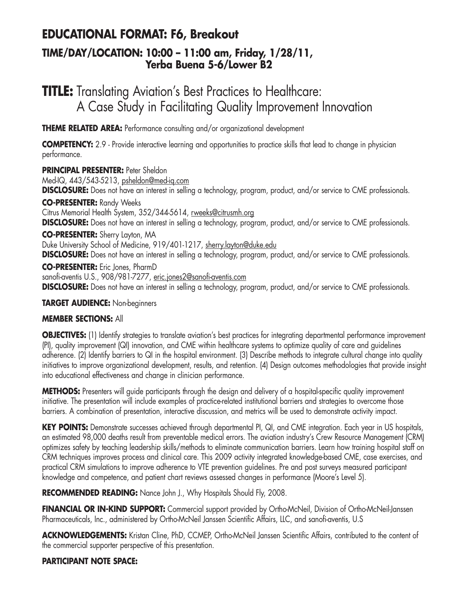# **EDUCATIONAL FORMAT: F6, Breakout**

## **TIME/DAY/LOCATION: 10:00 – 11:00 am, Friday, 1/28/11, Yerba Buena 5-6/Lower B2**

# **TITLE:** Translating Aviation's Best Practices to Healthcare: A Case Study in Facilitating Quality Improvement Innovation

**THEME RELATED AREA:** Performance consulting and/or organizational development

**COMPETENCY:** 2.9 - Provide interactive learning and opportunities to practice skills that lead to change in physician performance.

**PRINCIPAL PRESENTER: Peter Sheldon** 

Med-IQ, 443/543-5213, psheldon@med-iq.com

**DISCLOSURE:** Does not have an interest in selling a technology, program, product, and/or service to CME professionals.

**CO-PRESENTER:** Randy Weeks

Citrus Memorial Health System, 352/344-5614, rweeks@citrusmh.org **DISCLOSURE:** Does not have an interest in selling a technology, program, product, and/or service to CME professionals.

**CO-PRESENTER:** Sherry Layton, MA

Duke University School of Medicine, 919/401-1217, sherry.layton@duke.edu

**DISCLOSURE:** Does not have an interest in selling a technology, program, product, and/or service to CME professionals.

**CO-PRESENTER:** Eric Jones, PharmD sanofi-aventis U.S., 908/981-7277, eric.jones2@sanofi-aventis.com **DISCLOSURE:** Does not have an interest in selling a technology, program, product, and/or service to CME professionals.

## **TARGET AUDIENCE:** Non-beginners

## **MEMBER SECTIONS:** All

**OBJECTIVES:** (1) Identify strategies to translate aviation's best practices for integrating departmental performance improvement (PI), quality improvement (QI) innovation, and CME within healthcare systems to optimize quality of care and guidelines adherence. (2) Identify barriers to QI in the hospital environment. (3) Describe methods to integrate cultural change into quality initiatives to improve organizational development, results, and retention. (4) Design outcomes methodologies that provide insight into educational effectiveness and change in clinician performance.

**METHODS:** Presenters will guide participants through the design and delivery of a hospital-specific quality improvement initiative. The presentation will include examples of practice-related institutional barriers and strategies to overcome those barriers. A combination of presentation, interactive discussion, and metrics will be used to demonstrate activity impact.

**KEY POINTS:** Demonstrate successes achieved through departmental PI, QI, and CME integration. Each year in US hospitals, an estimated 98,000 deaths result from preventable medical errors. The aviation industry's Crew Resource Management (CRM) optimizes safety by teaching leadership skills/methods to eliminate communication barriers. Learn how training hospital staff on CRM techniques improves process and clinical care. This 2009 activity integrated knowledge-based CME, case exercises, and practical CRM simulations to improve adherence to VTE prevention guidelines. Pre and post surveys measured participant knowledge and competence, and patient chart reviews assessed changes in performance (Moore's Level 5).

RECOMMENDED READING: Nance John J., Why Hospitals Should Fly, 2008.

**FINANCIAL OR IN-KIND SUPPORT:** Commercial support provided by Ortho-McNeil, Division of Ortho-McNeil-Janssen Pharmaceuticals, Inc., administered by Ortho-McNeil Janssen Scientific Affairs, LLC, and sanofi-aventis, U.S

**ACKNOWLEDGEMENTS:** Kristan Cline, PhD, CCMEP, Ortho-McNeil Janssen Scientific Affairs, contributed to the content of the commercial supporter perspective of this presentation.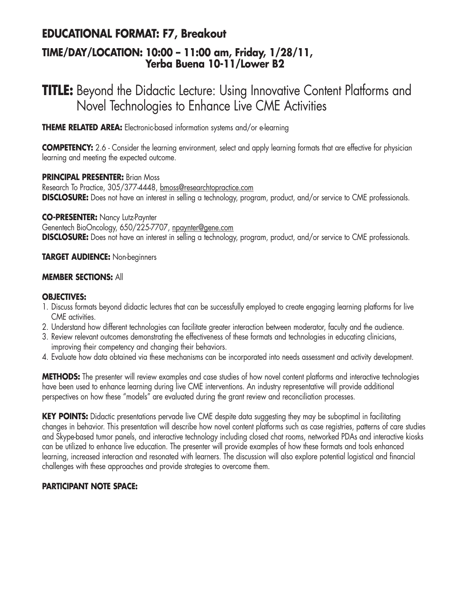## **EDUCATIONAL FORMAT: F7, Breakout**

## **TIME/DAY/LOCATION: 10:00 – 11:00 am, Friday, 1/28/11, Yerba Buena 10-11/Lower B2**

# **TITLE:** Beyond the Didactic Lecture: Using Innovative Content Platforms and Novel Technologies to Enhance Live CME Activities

**THEME RELATED AREA:** Electronic-based information systems and/or e-learning

**COMPETENCY:** 2.6 - Consider the learning environment, select and apply learning formats that are effective for physician learning and meeting the expected outcome.

#### **PRINCIPAL PRESENTER: Brian Moss** Research To Practice, 305/377-4448, bmoss@researchtopractice.com **DISCLOSURE:** Does not have an interest in selling a technology, program, product, and/or service to CME professionals.

**CO-PRESENTER:** Nancy Lutz-Paynter

Genentech BioOncology, 650/225-7707, npaynter@gene.com

**DISCLOSURE:** Does not have an interest in selling a technology, program, product, and/or service to CME professionals.

### **TARGET AUDIENCE:** Non-beginners

### **MEMBER SECTIONS:** All

### **OBJECTIVES:**

- 1. Discuss formats beyond didactic lectures that can be successfully employed to create engaging learning platforms for live CME activities.
- 2. Understand how different technologies can facilitate greater interaction between moderator, faculty and the audience.
- 3. Review relevant outcomes demonstrating the effectiveness of these formats and technologies in educating clinicians, improving their competency and changing their behaviors.
- 4. Evaluate how data obtained via these mechanisms can be incorporated into needs assessment and activity development.

**METHODS:** The presenter will review examples and case studies of how novel content platforms and interactive technologies have been used to enhance learning during live CME interventions. An industry representative will provide additional perspectives on how these "models" are evaluated during the grant review and reconciliation processes.

**KEY POINTS:** Didactic presentations pervade live CME despite data suggesting they may be suboptimal in facilitating changes in behavior. This presentation will describe how novel content platforms such as case registries, patterns of care studies and Skype-based tumor panels, and interactive technology including closed chat rooms, networked PDAs and interactive kiosks can be utilized to enhance live education. The presenter will provide examples of how these formats and tools enhanced learning, increased interaction and resonated with learners. The discussion will also explore potential logistical and financial challenges with these approaches and provide strategies to overcome them.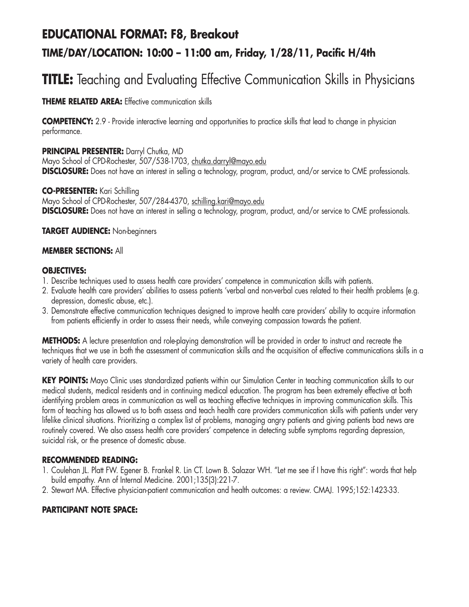# **EDUCATIONAL FORMAT: F8, Breakout**

## **TIME/DAY/LOCATION: 10:00 – 11:00 am, Friday, 1/28/11, Pacific H/4th**

# **TITLE:** Teaching and Evaluating Effective Communication Skills in Physicians

### **THEME RELATED AREA:** Effective communication skills

**COMPETENCY:** 2.9 - Provide interactive learning and opportunities to practice skills that lead to change in physician performance.

**PRINCIPAL PRESENTER:** Darryl Chutka, MD Mayo School of CPD-Rochester, 507/538-1703, chutka.darryl@mayo.edu **DISCLOSURE:** Does not have an interest in selling a technology, program, product, and/or service to CME professionals.

**CO-PRESENTER:** Kari Schilling Mayo School of CPD-Rochester, 507/284-4370, schilling.kari@mayo.edu **DISCLOSURE:** Does not have an interest in selling a technology, program, product, and/or service to CME professionals.

### **TARGET AUDIENCE:** Non-beginners

#### **MEMBER SECTIONS:** All

#### **OBJECTIVES:**

- 1. Describe techniques used to assess health care providers' competence in communication skills with patients.
- 2. Evaluate health care providers' abilities to assess patients 'verbal and non-verbal cues related to their health problems (e.g. depression, domestic abuse, etc.).
- 3. Demonstrate effective communication techniques designed to improve health care providers' ability to acquire information from patients efficiently in order to assess their needs, while conveying compassion towards the patient.

**METHODS:** A lecture presentation and role-playing demonstration will be provided in order to instruct and recreate the techniques that we use in both the assessment of communication skills and the acquisition of effective communications skills in a variety of health care providers.

**KEY POINTS:** Mayo Clinic uses standardized patients within our Simulation Center in teaching communication skills to our medical students, medical residents and in continuing medical education. The program has been extremely effective at both identifying problem areas in communication as well as teaching effective techniques in improving communication skills. This form of teaching has allowed us to both assess and teach health care providers communication skills with patients under very lifelike clinical situations. Prioritizing a complex list of problems, managing angry patients and giving patients bad news are routinely covered. We also assess health care providers' competence in detecting subtle symptoms regarding depression, suicidal risk, or the presence of domestic abuse.

### **RECOMMENDED READING:**

- 1. Coulehan JL. Platt FW. Egener B. Frankel R. Lin CT. Lown B. Salazar WH. "Let me see if I have this right": words that help build empathy. Ann of Internal Medicine. 2001;135(3):221-7.
- 2. Stewart MA. Effective physician-patient communication and health outcomes: a review. CMAJ. 1995;152:1423-33.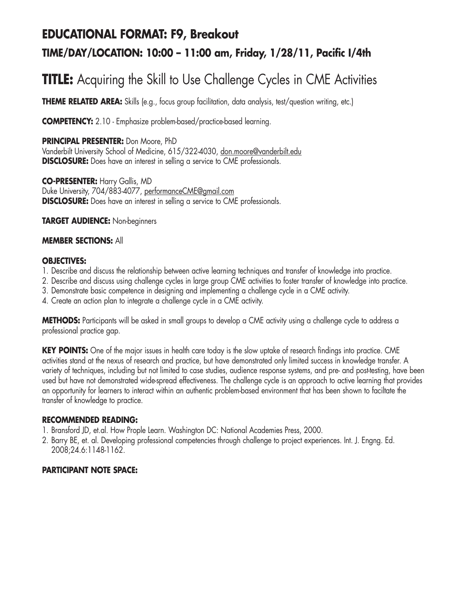# **EDUCATIONAL FORMAT: F9, Breakout TIME/DAY/LOCATION: 10:00 – 11:00 am, Friday, 1/28/11, Pacific I/4th**

# **TITLE:** Acquiring the Skill to Use Challenge Cycles in CME Activities

**THEME RELATED AREA:** Skills (e.g., focus group facilitation, data analysis, test/question writing, etc.)

**COMPETENCY:** 2.10 - Emphasize problem-based/practice-based learning.

**PRINCIPAL PRESENTER:** Don Moore, PhD Vanderbilt University School of Medicine, 615/322-4030, don.moore@vanderbilt.edu **DISCLOSURE:** Does have an interest in selling a service to CME professionals.

**CO-PRESENTER:** Harry Gallis, MD Duke University, 704/883-4077, performanceCME@gmail.com **DISCLOSURE:** Does have an interest in selling a service to CME professionals.

**TARGET AUDIENCE:** Non-beginners

#### **MEMBER SECTIONS:** All

#### **OBJECTIVES:**

- 1. Describe and discuss the relationship between active learning techniques and transfer of knowledge into practice.
- 2. Describe and discuss using challenge cycles in large group CME activities to foster transfer of knowledge into practice.
- 3. Demonstrate basic competence in designing and implementing a challenge cycle in a CME activity.
- 4. Create an action plan to integrate a challenge cycle in a CME activity.

**METHODS:** Participants will be asked in small groups to develop a CME activity using a challenge cycle to address a professional practice gap.

**KEY POINTS:** One of the major issues in health care today is the slow uptake of research findings into practice. CME activities stand at the nexus of research and practice, but have demonstrated only limited success in knowledge transfer. A variety of techniques, including but not limited to case studies, audience response systems, and pre- and post-testing, have been used but have not demonstrated wide-spread effectiveness. The challenge cycle is an approach to active learning that provides an opportunity for learners to interact within an authentic problem-based environment that has been shown to faciltate the transfer of knowledge to practice.

#### **RECOMMENDED READING:**

- 1. Bransford JD, et.al. How Prople Learn. Washington DC: National Academies Press, 2000.
- 2. Barry BE, et. al. Developing professional competencies through challenge to project experiences. Int. J. Engng. Ed. 2008;24.6:1148-1162.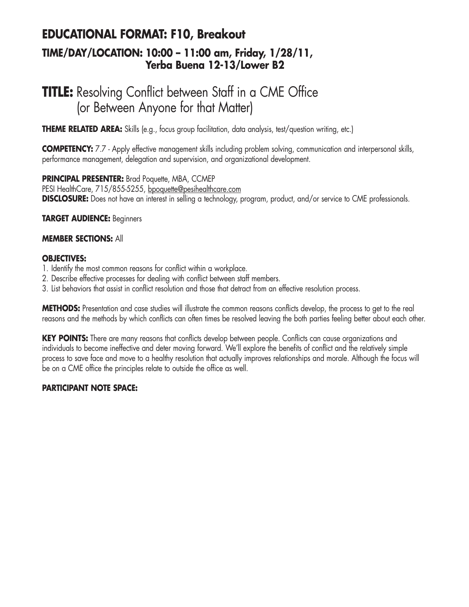# **EDUCATIONAL FORMAT: F10, Breakout TIME/DAY/LOCATION: 10:00 – 11:00 am, Friday, 1/28/11, Yerba Buena 12-13/Lower B2**

# **TITLE:** Resolving Conflict between Staff in a CME Office (or Between Anyone for that Matter)

**THEME RELATED AREA:** Skills (e.g., focus group facilitation, data analysis, test/question writing, etc.)

**COMPETENCY:** 7.7 - Apply effective management skills including problem solving, communication and interpersonal skills, performance management, delegation and supervision, and organizational development.

**PRINCIPAL PRESENTER:** Brad Poquette, MBA, CCMEP PESI HealthCare, 715/855-5255, bpoquette@pesihealthcare.com **DISCLOSURE:** Does not have an interest in selling a technology, program, product, and/or service to CME professionals.

**TARGET AUDIENCE:** Beginners

#### **MEMBER SECTIONS:** All

#### **OBJECTIVES:**

- 1. Identify the most common reasons for conflict within a workplace.
- 2. Describe effective processes for dealing with conflict between staff members.
- 3. List behaviors that assist in conflict resolution and those that detract from an effective resolution process.

**METHODS:** Presentation and case studies will illustrate the common reasons conflicts develop, the process to get to the real reasons and the methods by which conflicts can often times be resolved leaving the both parties feeling better about each other.

**KEY POINTS:** There are many reasons that conflicts develop between people. Conflicts can cause organizations and individuals to become ineffective and deter moving forward. We'll explore the benefits of conflict and the relatively simple process to save face and move to a healthy resolution that actually improves relationships and morale. Although the focus will be on a CME office the principles relate to outside the office as well.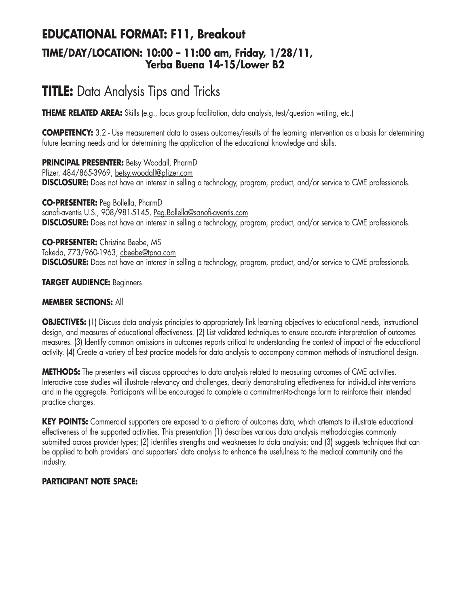# **EDUCATIONAL FORMAT: F11, Breakout TIME/DAY/LOCATION: 10:00 – 11:00 am, Friday, 1/28/11, Yerba Buena 14-15/Lower B2**

# **TITLE:** Data Analysis Tips and Tricks

**THEME RELATED AREA:** Skills (e.g., focus group facilitation, data analysis, test/question writing, etc.)

**COMPETENCY:** 3.2 - Use measurement data to assess outcomes/results of the learning intervention as a basis for determining future learning needs and for determining the application of the educational knowledge and skills.

**PRINCIPAL PRESENTER:** Betsy Woodall, PharmD Pfizer, 484/865-3969, betsy.woodall@pfizer.com **DISCLOSURE:** Does not have an interest in selling a technology, program, product, and/or service to CME professionals.

**CO-PRESENTER:** Peg Bollella, PharmD sanofi-aventis U.S., 908/981-5145, Peg.Bollella@sanofi-aventis.com **DISCLOSURE:** Does not have an interest in selling a technology, program, product, and/or service to CME professionals.

**CO-PRESENTER:** Christine Beebe, MS Takeda, 773/960-1963, cbeebe@tpna.com **DISCLOSURE:** Does not have an interest in selling a technology, program, product, and/or service to CME professionals.

#### **TARGET AUDIENCE:** Beginners

#### **MEMBER SECTIONS:** All

**OBJECTIVES:** (1) Discuss data analysis principles to appropriately link learning objectives to educational needs, instructional design, and measures of educational effectiveness. (2) List validated techniques to ensure accurate interpretation of outcomes measures. (3) Identify common omissions in outcomes reports critical to understanding the context of impact of the educational activity. (4) Create a variety of best practice models for data analysis to accompany common methods of instructional design.

**METHODS:** The presenters will discuss approaches to data analysis related to measuring outcomes of CME activities. Interactive case studies will illustrate relevancy and challenges, clearly demonstrating effectiveness for individual interventions and in the aggregate. Participants will be encouraged to complete a commitment-to-change form to reinforce their intended practice changes.

**KEY POINTS:** Commercial supporters are exposed to a plethora of outcomes data, which attempts to illustrate educational effectiveness of the supported activities. This presentation (1) describes various data analysis methodologies commonly submitted across provider types; (2) identifies strengths and weaknesses to data analysis; and (3) suggests techniques that can be applied to both providers' and supporters' data analysis to enhance the usefulness to the medical community and the industry.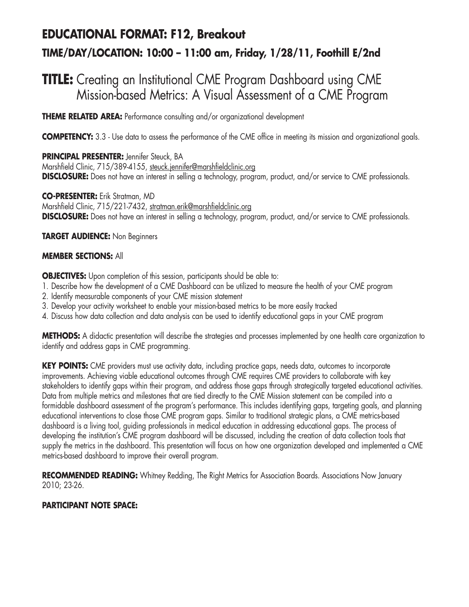# **EDUCATIONAL FORMAT: F12, Breakout TIME/DAY/LOCATION: 10:00 – 11:00 am, Friday, 1/28/11, Foothill E/2nd**

# **TITLE:** Creating an Institutional CME Program Dashboard using CME Mission-based Metrics: A Visual Assessment of a CME Program

**THEME RELATED AREA:** Performance consulting and/or organizational development

**COMPETENCY:** 3.3 - Use data to assess the performance of the CME office in meeting its mission and organizational goals.

**PRINCIPAL PRESENTER:** Jennifer Steuck, BA Marshfield Clinic, 715/389-4155, steuck.jennifer@marshfieldclinic.org **DISCLOSURE:** Does not have an interest in selling a technology, program, product, and/or service to CME professionals.

**CO-PRESENTER:** Erik Stratman, MD Marshfield Clinic, 715/221-7432, stratman.erik@marshfieldclinic.org **DISCLOSURE:** Does not have an interest in selling a technology, program, product, and/or service to CME professionals.

**TARGET AUDIENCE:** Non Beginners

### **MEMBER SECTIONS:** All

**OBJECTIVES:** Upon completion of this session, participants should be able to:

- 1. Describe how the development of a CME Dashboard can be utilized to measure the health of your CME program
- 2. Identify measurable components of your CME mission statement
- 3. Develop your activity worksheet to enable your mission-based metrics to be more easily tracked
- 4. Discuss how data collection and data analysis can be used to identify educational gaps in your CME program

**METHODS:** A didactic presentation will describe the strategies and processes implemented by one health care organization to identify and address gaps in CME programming.

KEY POINTS: CME providers must use activity data, including practice gaps, needs data, outcomes to incorporate improvements. Achieving viable educational outcomes through CME requires CME providers to collaborate with key stakeholders to identify gaps within their program, and address those gaps through strategically targeted educational activities. Data from multiple metrics and milestones that are tied directly to the CME Mission statement can be compiled into a formidable dashboard assessment of the program's performance. This includes identifying gaps, targeting goals, and planning educational interventions to close those CME program gaps. Similar to traditional strategic plans, a CME metrics-based dashboard is a living tool, guiding professionals in medical education in addressing educational gaps. The process of developing the institution's CME program dashboard will be discussed, including the creation of data collection tools that supply the metrics in the dashboard. This presentation will focus on how one organization developed and implemented a CME metrics-based dashboard to improve their overall program.

**RECOMMENDED READING:** Whitney Redding, The Right Metrics for Association Boards. Associations Now January 2010; 23-26.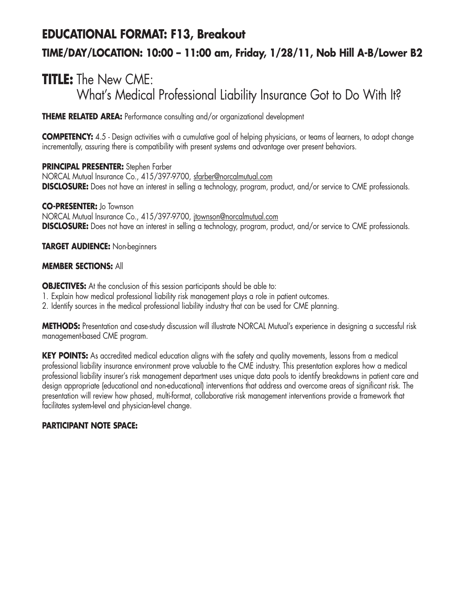# **EDUCATIONAL FORMAT: F13, Breakout TIME/DAY/LOCATION: 10:00 – 11:00 am, Friday, 1/28/11, Nob Hill A-B/Lower B2**

# **TITLE:** The New CME: What's Medical Professional Liability Insurance Got to Do With It?

**THEME RELATED AREA:** Performance consulting and/or organizational development

**COMPETENCY:** 4.5 - Design activities with a cumulative goal of helping physicians, or teams of learners, to adopt change incrementally, assuring there is compatibility with present systems and advantage over present behaviors.

**PRINCIPAL PRESENTER:** Stephen Farber NORCAL Mutual Insurance Co., 415/397-9700, sfarber@norcalmutual.com **DISCLOSURE:** Does not have an interest in selling a technology, program, product, and/or service to CME professionals.

**CO-PRESENTER:** Jo Townson NORCAL Mutual Insurance Co., 415/397-9700, jtownson@norcalmutual.com **DISCLOSURE:** Does not have an interest in selling a technology, program, product, and/or service to CME professionals.

**TARGET AUDIENCE:** Non-beginners

### **MEMBER SECTIONS:** All

**OBJECTIVES:** At the conclusion of this session participants should be able to:

- 1. Explain how medical professional liability risk management plays a role in patient outcomes.
- 2. Identify sources in the medical professional liability industry that can be used for CME planning.

**METHODS:** Presentation and case-study discussion will illustrate NORCAL Mutual's experience in designing a successful risk management-based CME program.

KEY POINTS: As accredited medical education aligns with the safety and quality movements, lessons from a medical professional liability insurance environment prove valuable to the CME industry. This presentation explores how a medical professional liability insurer's risk management department uses unique data pools to identify breakdowns in patient care and design appropriate (educational and non-educational) interventions that address and overcome areas of significant risk. The presentation will review how phased, multi-format, collaborative risk management interventions provide a framework that facilitates system-level and physician-level change.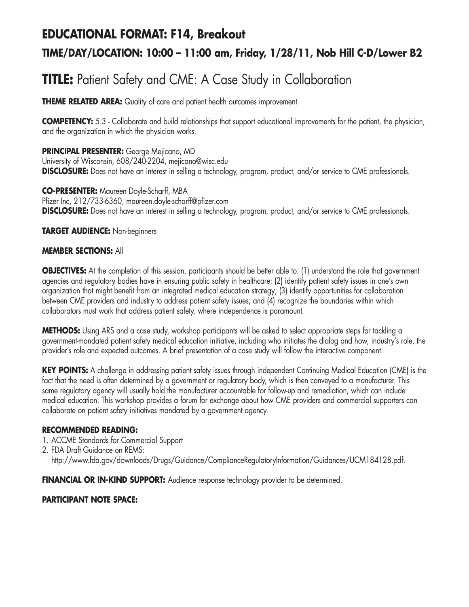# **EDUCATIONAL FORMAT: F14, Breakout**

# **TIME/DAY/LOCATION: 10:00 – 11:00 am, Friday, 1/28/11, Nob Hill C-D/Lower B2**

# **TITLE:** Patient Safety and CME: A Case Study in Collaboration

**THEME RELATED AREA:** Quality of care and patient health outcomes improvement

**COMPETENCY:** 5.3 - Collaborate and build relationships that support educational improvements for the patient, the physician, and the organization in which the physician works.

**PRINCIPAL PRESENTER:** George Mejicano, MD University of Wisconsin, 608/240-2204, mejicano@wisc.edu **DISCLOSURE:** Does not have an interest in selling a technology, program, product, and/or service to CME professionals.

**CO-PRESENTER:** Maureen Doyle-Scharff, MBA Pfizer Inc, 212/733-6360, maureen.doyle-scharff@pfizer.com **DISCLOSURE:** Does not have an interest in selling a technology, program, product, and/or service to CME professionals.

**TARGET AUDIENCE:** Non-beginners

### **MEMBER SECTIONS:** All

**OBJECTIVES:** At the completion of this session, participants should be better able to: (1) understand the role that government agencies and regulatory bodies have in ensuring public safety in healthcare; (2) identify patient safety issues in one's own organization that might benefit from an integrated medical education strategy; (3) identify opportunities for collaboration between CME providers and industry to address patient safety issues; and (4) recognize the boundaries within which collaborators must work that address patient safety, where independence is paramount.

**METHODS:** Using ARS and a case study, workshop participants will be asked to select appropriate steps for tackling a government-mandated patient safety medical education initiative, including who initiates the dialog and how, industry's role, the provider's role and expected outcomes. A brief presentation of a case study will follow the interactive component.

**KEY POINTS:** A challenge in addressing patient safety issues through independent Continuing Medical Education (CME) is the fact that the need is often determined by a government or regulatory body, which is then conveyed to a manufacturer. This same regulatory agency will usually hold the manufacturer accountable for follow-up and remediation, which can include medical education. This workshop provides a forum for exchange about how CME providers and commercial supporters can collaborate on patient safety initiatives mandated by a government agency.

### **RECOMMENDED READING:**

- 1. ACCME Standards for Commercial Support
- 2. FDA Draft Guidance on REMS: http://www.fda.gov/downloads/Drugs/Guidance/ComplianceRegulatoryInformation/Guidances/UCM184128.pdf.

**FINANCIAL OR IN-KIND SUPPORT:** Audience response technology provider to be determined.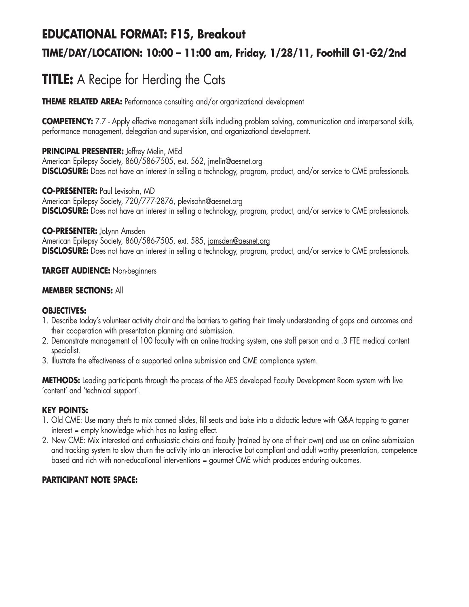## **EDUCATIONAL FORMAT: F15, Breakout TIME/DAY/LOCATION: 10:00 – 11:00 am, Friday, 1/28/11, Foothill G1-G2/2nd**

# **TITLE:** A Recipe for Herding the Cats

**THEME RELATED AREA:** Performance consulting and/or organizational development

**COMPETENCY:** 7.7 - Apply effective management skills including problem solving, communication and interpersonal skills, performance management, delegation and supervision, and organizational development.

**PRINCIPAL PRESENTER:** Jeffrey Melin, MEd American Epilepsy Society, 860/586-7505, ext. 562, jmelin@aesnet.org **DISCLOSURE:** Does not have an interest in selling a technology, program, product, and/or service to CME professionals.

**CO-PRESENTER:** Paul Levisohn, MD American Epilepsy Society, 720/777-2876, plevisohn@aesnet.org **DISCLOSURE:** Does not have an interest in selling a technology, program, product, and/or service to CME professionals.

#### **CO-PRESENTER:** JoLynn Amsden

American Epilepsy Society, 860/586-7505, ext. 585, jamsden@aesnet.org **DISCLOSURE:** Does not have an interest in selling a technology, program, product, and/or service to CME professionals.

#### **TARGET AUDIENCE:** Non-beginners

#### **MEMBER SECTIONS:** All

#### **OBJECTIVES:**

- 1. Describe today's volunteer activity chair and the barriers to getting their timely understanding of gaps and outcomes and their cooperation with presentation planning and submission.
- 2. Demonstrate management of 100 faculty with an online tracking system, one staff person and a .3 FTE medical content specialist.
- 3. Illustrate the effectiveness of a supported online submission and CME compliance system.

**METHODS:** Leading participants through the process of the AES developed Faculty Development Room system with live 'content' and 'technical support'.

#### **KEY POINTS:**

- 1. Old CME: Use many chefs to mix canned slides, fill seats and bake into a didactic lecture with Q&A topping to garner interest = empty knowledge which has no lasting effect.
- 2. New CME: Mix interested and enthusiastic chairs and faculty (trained by one of their own) and use an online submission and tracking system to slow churn the activity into an interactive but compliant and adult worthy presentation, competence based and rich with non-educational interventions = gourmet CME which produces enduring outcomes.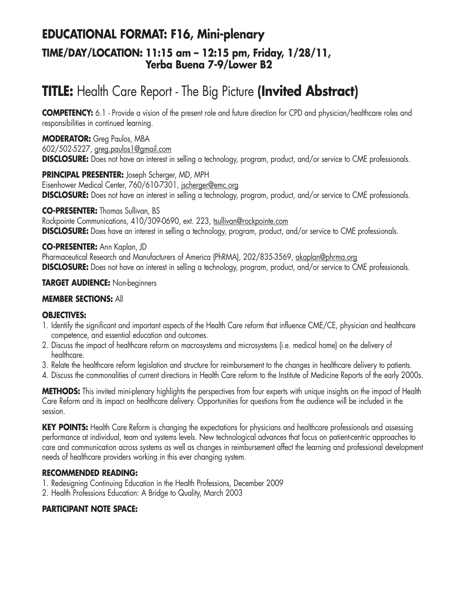### **EDUCATIONAL FORMAT: F16, Mini-plenary TIME/DAY/LOCATION: 11:15 am – 12:15 pm, Friday, 1/28/11, Yerba Buena 7-9/Lower B2**

# **TITLE:** Health Care Report - The Big Picture **(Invited Abstract)**

**COMPETENCY:** 6.1 - Provide a vision of the present role and future direction for CPD and physician/healthcare roles and responsibilities in continued learning.

**MODERATOR:** Greg Paulos, MBA 602/502-5227, greg.paulos1@gmail.com **DISCLOSURE:** Does not have an interest in selling a technology, program, product, and/or service to CME professionals.

**PRINCIPAL PRESENTER:** Joseph Scherger, MD, MPH Eisenhower Medical Center, 760/610-7301, jscherger@emc.org **DISCLOSURE:** Does not have an interest in selling a technology, program, product, and/or service to CME professionals.

**CO-PRESENTER:** Thomas Sullivan, BS Rockpointe Communications, 410/309-0690, ext. 223, tsullivan@rockpointe.com **DISCLOSURE:** Does have an interest in selling a technology, program, product, and/or service to CME professionals.

**CO-PRESENTER:** Ann Kaplan, JD Pharmaceutical Research and Manufacturers of America (PhRMA), 202/835-3569, akaplan@phrma.org **DISCLOSURE:** Does not have an interest in selling a technology, program, product, and/or service to CME professionals.

#### **TARGET AUDIENCE:** Non-beginners

#### **MEMBER SECTIONS:** All

#### **OBJECTIVES:**

- 1. Identify the significant and important aspects of the Health Care reform that influence CME/CE, physician and healthcare competence, and essential education and outcomes.
- 2. Discuss the impact of healthcare reform on macrosystems and microsystems (i.e. medical home) on the delivery of healthcare.
- 3. Relate the healthcare reform legislation and structure for reimbursement to the changes in healthcare delivery to patients.
- 4. Discuss the commonalities of current directions in Health Care reform to the Institute of Medicine Reports of the early 2000s.

**METHODS:** This invited mini-plenary highlights the perspectives from four experts with unique insights on the impact of Health Care Reform and its impact on healthcare delivery. Opportunities for questions from the audience will be included in the session.

**KEY POINTS:** Health Care Reform is changing the expectations for physicians and healthcare professionals and assessing performance at individual, team and systems levels. New technological advances that focus on patient-centric approaches to care and communication across systems as well as changes in reimbursement affect the learning and professional development needs of healthcare providers working in this ever changing system.

#### **RECOMMENDED READING:**

- 1. Redesigning Continuing Education in the Health Professions, December 2009
- 2. Health Professions Education: A Bridge to Quality, March 2003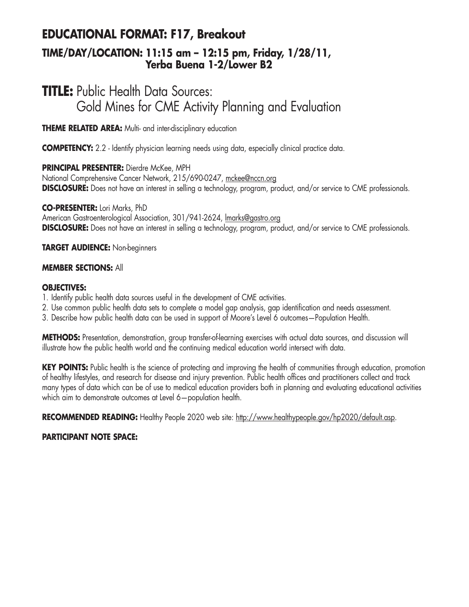# **EDUCATIONAL FORMAT: F17, Breakout**

### **TIME/DAY/LOCATION: 11:15 am – 12:15 pm, Friday, 1/28/11, Yerba Buena 1-2/Lower B2**

## **TITLE:** Public Health Data Sources: Gold Mines for CME Activity Planning and Evaluation

**THEME RELATED AREA:** Multi- and inter-disciplinary education

**COMPETENCY:** 2.2 - Identify physician learning needs using data, especially clinical practice data.

**PRINCIPAL PRESENTER:** Dierdre McKee, MPH National Comprehensive Cancer Network, 215/690-0247, mckee@nccn.org **DISCLOSURE:** Does not have an interest in selling a technology, program, product, and/or service to CME professionals.

**CO-PRESENTER:** Lori Marks, PhD American Gastroenterological Association, 301/941-2624, lmarks@gastro.org **DISCLOSURE:** Does not have an interest in selling a technology, program, product, and/or service to CME professionals.

**TARGET AUDIENCE:** Non-beginners

#### **MEMBER SECTIONS:** All

#### **OBJECTIVES:**

- 1. Identify public health data sources useful in the development of CME activities.
- 2. Use common public health data sets to complete a model gap analysis, gap identification and needs assessment.
- 3. Describe how public health data can be used in support of Moore's Level 6 outcomes—Population Health.

**METHODS:** Presentation, demonstration, group transfer-of-learning exercises with actual data sources, and discussion will illustrate how the public health world and the continuing medical education world intersect with data.

**KEY POINTS:** Public health is the science of protecting and improving the health of communities through education, promotion of healthy lifestyles, and research for disease and injury prevention. Public health offices and practitioners collect and track many types of data which can be of use to medical education providers both in planning and evaluating educational activities which aim to demonstrate outcomes at Level 6—population health.

RECOMMENDED READING: Healthy People 2020 web site: http://www.healthypeople.gov/hp2020/default.asp.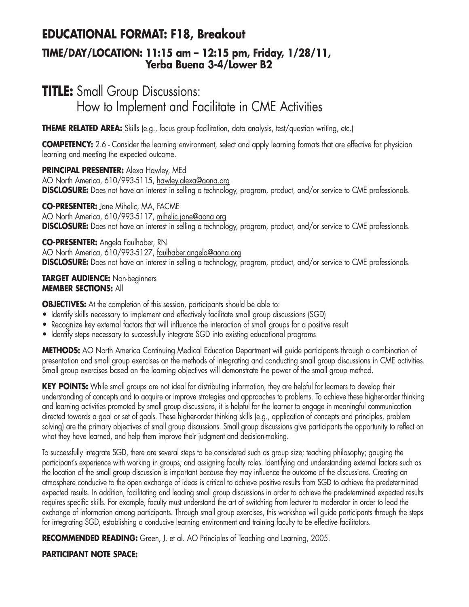### **EDUCATIONAL FORMAT: F18, Breakout**

### **TIME/DAY/LOCATION: 11:15 am – 12:15 pm, Friday, 1/28/11, Yerba Buena 3-4/Lower B2**

## **TITLE:** Small Group Discussions: How to Implement and Facilitate in CME Activities

**THEME RELATED AREA:** Skills (e.g., focus group facilitation, data analysis, test/question writing, etc.)

**COMPETENCY:** 2.6 - Consider the learning environment, select and apply learning formats that are effective for physician learning and meeting the expected outcome.

**PRINCIPAL PRESENTER:** Alexa Hawley, MEd AO North America, 610/993-5115, hawley.alexa@aona.org **DISCLOSURE:** Does not have an interest in selling a technology, program, product, and/or service to CME professionals.

**CO-PRESENTER:** Jane Mihelic, MA, FACME AO North America, 610/993-5117, mihelic.jane@aona.org **DISCLOSURE:** Does not have an interest in selling a technology, program, product, and/or service to CME professionals.

**CO-PRESENTER:** Angela Faulhaber, RN AO North America, 610/993-5127, faulhaber.angela@aona.org **DISCLOSURE:** Does not have an interest in selling a technology, program, product, and/or service to CME professionals.

#### **TARGET AUDIENCE:** Non-beginners **MEMBER SECTIONS:** All

**OBJECTIVES:** At the completion of this session, participants should be able to:

- Identify skills necessary to implement and effectively facilitate small group discussions (SGD)
- Recognize key external factors that will influence the interaction of small groups for a positive result
- Identify steps necessary to successfully integrate SGD into existing educational programs

**METHODS:** AO North America Continuing Medical Education Department will guide participants through a combination of presentation and small group exercises on the methods of integrating and conducting small group discussions in CME activities. Small group exercises based on the learning objectives will demonstrate the power of the small group method.

**KEY POINTS:** While small groups are not ideal for distributing information, they are helpful for learners to develop their understanding of concepts and to acquire or improve strategies and approaches to problems. To achieve these higher-order thinking and learning activities promoted by small group discussions, it is helpful for the learner to engage in meaningful communication directed towards a goal or set of goals. These higher-order thinking skills (e.g., application of concepts and principles, problem solving) are the primary objectives of small group discussions. Small group discussions give participants the opportunity to reflect on what they have learned, and help them improve their judgment and decision-making.

To successfully integrate SGD, there are several steps to be considered such as group size; teaching philosophy; gauging the participant's experience with working in groups; and assigning faculty roles. Identifying and understanding external factors such as the location of the small group discussion is important because they may influence the outcome of the discussions. Creating an atmosphere conducive to the open exchange of ideas is critical to achieve positive results from SGD to achieve the predetermined expected results. In addition, facilitating and leading small group discussions in order to achieve the predetermined expected results requires specific skills. For example, faculty must understand the art of switching from lecturer to moderator in order to lead the exchange of information among participants. Through small group exercises, this workshop will guide participants through the steps for integrating SGD, establishing a conducive learning environment and training faculty to be effective facilitators.

**RECOMMENDED READING:** Green, J. et al. AO Principles of Teaching and Learning, 2005.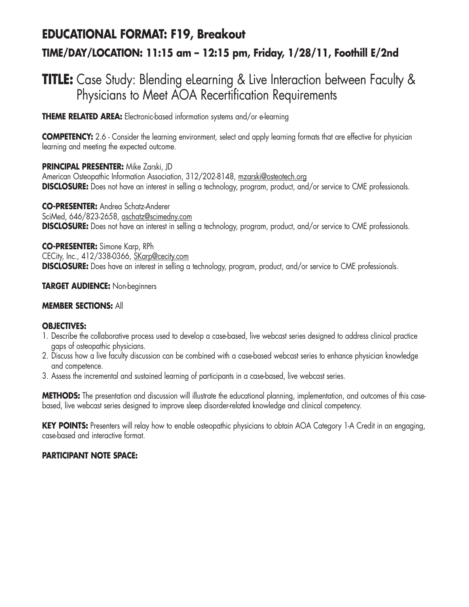# **EDUCATIONAL FORMAT: F19, Breakout TIME/DAY/LOCATION: 11:15 am – 12:15 pm, Friday, 1/28/11, Foothill E/2nd**

## **TITLE:** Case Study: Blending eLearning & Live Interaction between Faculty & Physicians to Meet AOA Recertification Requirements

**THEME RELATED AREA:** Electronic-based information systems and/or e-learning

**COMPETENCY:** 2.6 - Consider the learning environment, select and apply learning formats that are effective for physician learning and meeting the expected outcome.

#### **PRINCIPAL PRESENTER:** Mike Zarski, JD

American Osteopathic Information Association, 312/202-8148, mzarski@osteotech.org **DISCLOSURE:** Does not have an interest in selling a technology, program, product, and/or service to CME professionals.

**CO-PRESENTER:** Andrea Schatz-Anderer SciMed, 646/823-2658, aschatz@scimedny.com **DISCLOSURE:** Does not have an interest in selling a technology, program, product, and/or service to CME professionals.

**CO-PRESENTER:** Simone Karp, RPh CECity, Inc., 412/338-0366, SKarp@cecity.com **DISCLOSURE:** Does have an interest in selling a technology, program, product, and/or service to CME professionals.

#### **TARGET AUDIENCE:** Non-beginners

#### **MEMBER SECTIONS:** All

#### **OBJECTIVES:**

- 1. Describe the collaborative process used to develop a case-based, live webcast series designed to address clinical practice gaps of osteopathic physicians.
- 2. Discuss how a live faculty discussion can be combined with a case-based webcast series to enhance physician knowledge and competence.
- 3. Assess the incremental and sustained learning of participants in a case-based, live webcast series.

**METHODS:** The presentation and discussion will illustrate the educational planning, implementation, and outcomes of this casebased, live webcast series designed to improve sleep disorder-related knowledge and clinical competency.

**KEY POINTS:** Presenters will relay how to enable osteopathic physicians to obtain AOA Category 1-A Credit in an engaging, case-based and interactive format.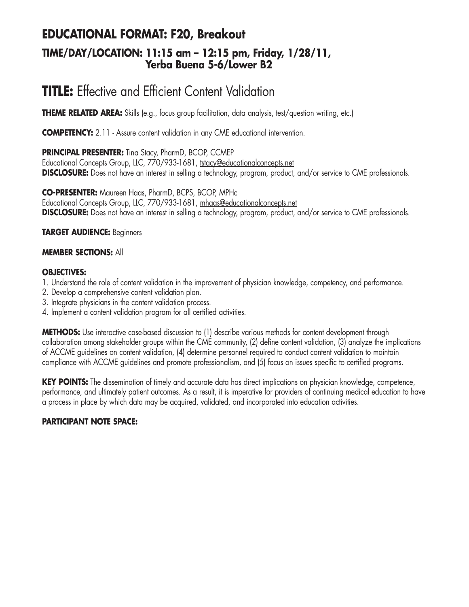### **EDUCATIONAL FORMAT: F20, Breakout TIME/DAY/LOCATION: 11:15 am – 12:15 pm, Friday, 1/28/11, Yerba Buena 5-6/Lower B2**

## **TITLE:** Effective and Efficient Content Validation

**THEME RELATED AREA:** Skills (e.g., focus group facilitation, data analysis, test/question writing, etc.)

**COMPETENCY:** 2.11 - Assure content validation in any CME educational intervention.

**PRINCIPAL PRESENTER:** Tina Stacy, PharmD, BCOP, CCMEP

Educational Concepts Group, LLC, 770/933-1681, tstacy@educationalconcepts.net **DISCLOSURE:** Does not have an interest in selling a technology, program, product, and/or service to CME professionals.

**CO-PRESENTER:** Maureen Haas, PharmD, BCPS, BCOP, MPHc Educational Concepts Group, LLC, 770/933-1681, mhaas@educationalconcepts.net **DISCLOSURE:** Does not have an interest in selling a technology, program, product, and/or service to CME professionals.

#### **TARGET AUDIENCE:** Beginners

#### **MEMBER SECTIONS:** All

#### **OBJECTIVES:**

1. Understand the role of content validation in the improvement of physician knowledge, competency, and performance.

- 2. Develop a comprehensive content validation plan.
- 3. Integrate physicians in the content validation process.
- 4. Implement a content validation program for all certified activities.

**METHODS:** Use interactive case-based discussion to (1) describe various methods for content development through collaboration among stakeholder groups within the CME community, (2) define content validation, (3) analyze the implications of ACCME guidelines on content validation, (4) determine personnel required to conduct content validation to maintain compliance with ACCME guidelines and promote professionalism, and (5) focus on issues specific to certified programs.

**KEY POINTS:** The dissemination of timely and accurate data has direct implications on physician knowledge, competence, performance, and ultimately patient outcomes. As a result, it is imperative for providers of continuing medical education to have a process in place by which data may be acquired, validated, and incorporated into education activities.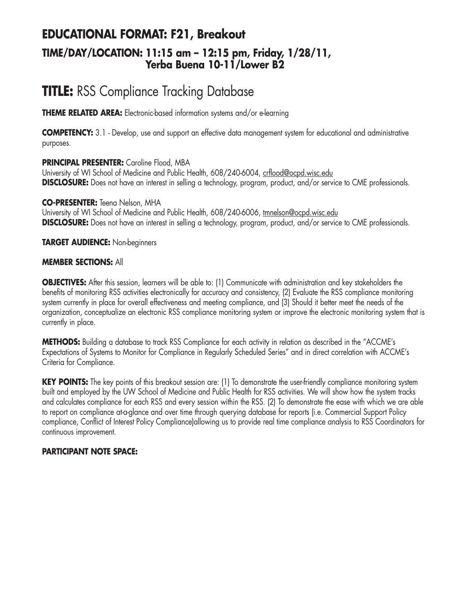### **EDUCATIONAL FORMAT: F21, Breakout TIME/DAY/LOCATION: 11:15 am – 12:15 pm, Friday, 1/28/11, Yerba Buena 10-11/Lower B2**

# **TITLE:** RSS Compliance Tracking Database

**THEME RELATED AREA:** Electronic-based information systems and/or e-learning

**COMPETENCY:** 3.1 - Develop, use and support an effective data management system for educational and administrative purposes.

#### **PRINCIPAL PRESENTER:** Caroline Flood, MBA

University of WI School of Medicine and Public Health, 608/240-6004, crflood@ocpd.wisc.edu **DISCLOSURE:** Does not have an interest in selling a technology, program, product, and/or service to CME professionals.

**CO-PRESENTER:** Teena Nelson, MHA University of WI School of Medicine and Public Health, 608/240-6006, tmnelson@ocpd.wisc.edu **DISCLOSURE:** Does not have an interest in selling a technology, program, product, and/or service to CME professionals.

**TARGET AUDIENCE:** Non-beginners

#### **MEMBER SECTIONS:** All

**OBJECTIVES:** After this session, learners will be able to: (1) Communicate with administration and key stakeholders the benefits of monitoring RSS activities electronically for accuracy and consistency, (2) Evaluate the RSS compliance monitoring system currently in place for overall effectiveness and meeting compliance, and (3) Should it better meet the needs of the organization, conceptualize an electronic RSS compliance monitoring system or improve the electronic monitoring system that is currently in place.

**METHODS:** Building a database to track RSS Compliance for each activity in relation as described in the "ACCME's Expectations of Systems to Monitor for Compliance in Regularly Scheduled Series" and in direct correlation with ACCME's Criteria for Compliance.

**KEY POINTS:** The key points of this breakout session are: (1) To demonstrate the user-friendly compliance monitoring system built and employed by the UW School of Medicine and Public Health for RSS activities. We will show how the system tracks and calculates compliance for each RSS and every session within the RSS. (2) To demonstrate the ease with which we are able to report on compliance at-a-glance and over time through querying database for reports (i.e. Commercial Support Policy compliance, Conflict of Interest Policy Compliance)allowing us to provide real time compliance analysis to RSS Coordinators for continuous improvement.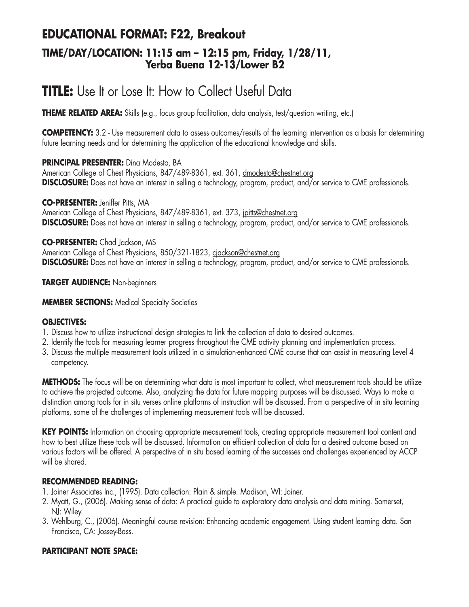### **EDUCATIONAL FORMAT: F22, Breakout TIME/DAY/LOCATION: 11:15 am – 12:15 pm, Friday, 1/28/11, Yerba Buena 12-13/Lower B2**

## **TITLE:** Use It or Lose It: How to Collect Useful Data

**THEME RELATED AREA:** Skills (e.g., focus group facilitation, data analysis, test/question writing, etc.)

**COMPETENCY:** 3.2 - Use measurement data to assess outcomes/results of the learning intervention as a basis for determining future learning needs and for determining the application of the educational knowledge and skills.

#### **PRINCIPAL PRESENTER:** Dina Modesto, BA

American College of Chest Physicians, 847/489-8361, ext. 361, dmodesto@chestnet.org **DISCLOSURE:** Does not have an interest in selling a technology, program, product, and/or service to CME professionals.

**CO-PRESENTER:** Jeniffer Pitts, MA

American College of Chest Physicians, 847/489-8361, ext. 373, jpitts@chestnet.org **DISCLOSURE:** Does not have an interest in selling a technology, program, product, and/or service to CME professionals.

#### **CO-PRESENTER:** Chad Jackson, MS

American College of Chest Physicians, 850/321-1823, cjackson@chestnet.org **DISCLOSURE:** Does not have an interest in selling a technology, program, product, and/or service to CME professionals.

#### **TARGET AUDIENCE:** Non-beginners

**MEMBER SECTIONS:** Medical Specialty Societies

#### **OBJECTIVES:**

- 1. Discuss how to utilize instructional design strategies to link the collection of data to desired outcomes.
- 2. Identify the tools for measuring learner progress throughout the CME activity planning and implementation process.
- 3. Discuss the multiple measurement tools utilized in a simulation-enhanced CME course that can assist in measuring Level 4 competency.

**METHODS:** The focus will be on determining what data is most important to collect, what measurement tools should be utilize to achieve the projected outcome. Also, analyzing the data for future mapping purposes will be discussed. Ways to make a distinction among tools for in situ verses online platforms of instruction will be discussed. From a perspective of in situ learning platforms, some of the challenges of implementing measurement tools will be discussed.

**KEY POINTS:** Information on choosing appropriate measurement tools, creating appropriate measurement tool content and how to best utilize these tools will be discussed. Information on efficient collection of data for a desired outcome based on various factors will be offered. A perspective of in situ based learning of the successes and challenges experienced by ACCP will be shared.

#### **RECOMMENDED READING:**

- 1. Joiner Associates Inc., (1995). Data collection: Plain & simple. Madison, WI: Joiner.
- 2. Myatt, G., (2006). Making sense of data: A practical guide to exploratory data analysis and data mining. Somerset, NJ: Wiley.
- 3. Wehlburg, C., (2006). Meaningful course revision: Enhancing academic engagement. Using student learning data. San Francisco, CA: Jossey-Bass.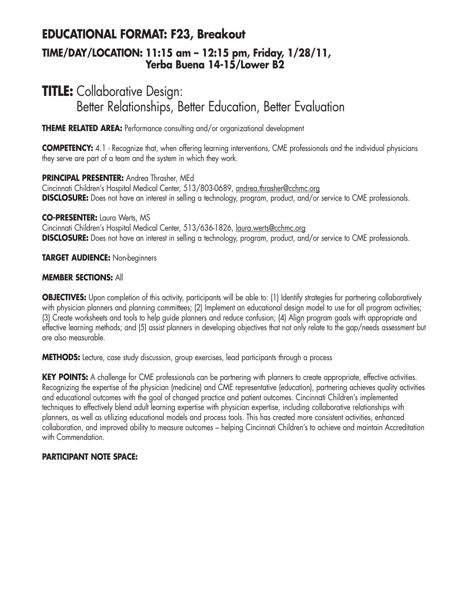### **EDUCATIONAL FORMAT: F23, Breakout TIME/DAY/LOCATION: 11:15 am – 12:15 pm, Friday, 1/28/11, Yerba Buena 14-15/Lower B2**

### **TITLE:** Collaborative Design: Better Relationships, Better Education, Better Evaluation

**THEME RELATED AREA:** Performance consulting and/or organizational development

**COMPETENCY:** 4.1 - Recognize that, when offering learning interventions, CME professionals and the individual physicians they serve are part of a team and the system in which they work.

**PRINCIPAL PRESENTER:** Andrea Thrasher, MEd

Cincinnati Children's Hospital Medical Center, 513/803-0689, andrea.thrasher@cchmc.org **DISCLOSURE:** Does not have an interest in selling a technology, program, product, and/or service to CME professionals.

**CO-PRESENTER:** Laura Werts, MS

Cincinnati Children's Hospital Medical Center, 513/636-1826, laura.werts@cchmc.org **DISCLOSURE:** Does not have an interest in selling a technology, program, product, and/or service to CME professionals.

**TARGET AUDIENCE:** Non-beginners

#### **MEMBER SECTIONS:** All

**OBJECTIVES:** Upon completion of this activity, participants will be able to: (1) Identify strategies for partnering collaboratively with physician planners and planning committees; (2) Implement an educational design model to use for all program activities; (3) Create worksheets and tools to help guide planners and reduce confusion; (4) Align program goals with appropriate and effective learning methods; and (5) assist planners in developing objectives that not only relate to the gap/needs assessment but are also measurable.

**METHODS:** Lecture, case study discussion, group exercises, lead participants through a process

**KEY POINTS:** A challenge for CME professionals can be partnering with planners to create appropriate, effective activities. Recognizing the expertise of the physician (medicine) and CME representative (education), partnering achieves quality activities and educational outcomes with the goal of changed practice and patient outcomes. Cincinnati Children's implemented techniques to effectively blend adult learning expertise with physician expertise, including collaborative relationships with planners, as well as utilizing educational models and process tools. This has created more consistent activities, enhanced collaboration, and improved ability to measure outcomes – helping Cincinnati Children's to achieve and maintain Accreditation with Commendation.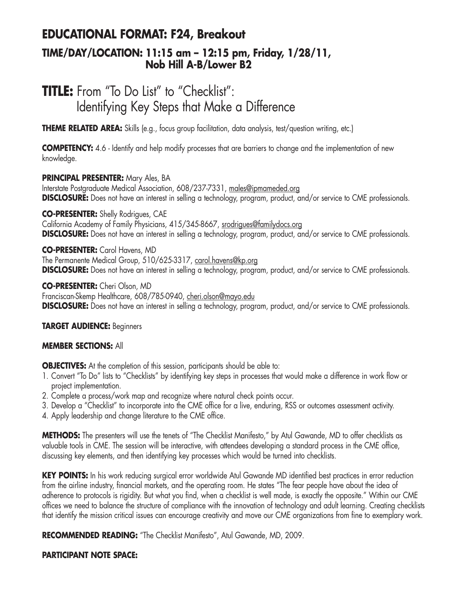### **EDUCATIONAL FORMAT: F24, Breakout TIME/DAY/LOCATION: 11:15 am – 12:15 pm, Friday, 1/28/11, Nob Hill A-B/Lower B2**

# **TITLE:** From "To Do List" to "Checklist": Identifying Key Steps that Make a Difference

**THEME RELATED AREA:** Skills (e.g., focus group facilitation, data analysis, test/question writing, etc.)

**COMPETENCY:** 4.6 - Identify and help modify processes that are barriers to change and the implementation of new knowledge.

#### **PRINCIPAL PRESENTER:** Mary Ales, BA

Interstate Postgraduate Medical Association, 608/237-7331, males@ipmameded.org **DISCLOSURE:** Does not have an interest in selling a technology, program, product, and/or service to CME professionals.

**CO-PRESENTER:** Shelly Rodrigues, CAE California Academy of Family Physicians, 415/345-8667, srodrigues@familydocs.org **DISCLOSURE:** Does not have an interest in selling a technology, program, product, and/or service to CME professionals.

**CO-PRESENTER:** Carol Havens, MD The Permanente Medical Group, 510/625-3317, carol.havens@kp.org **DISCLOSURE:** Does not have an interest in selling a technology, program, product, and/or service to CME professionals.

**CO-PRESENTER:** Cheri Olson, MD

Franciscan-Skemp Healthcare, 608/785-0940, cheri.olson@mayo.edu **DISCLOSURE:** Does not have an interest in selling a technology, program, product, and/or service to CME professionals.

#### **TARGET AUDIENCE:** Beginners

#### **MEMBER SECTIONS:** All

**OBJECTIVES:** At the completion of this session, participants should be able to:

- 1. Convert "To Do" lists to "Checklists" by identifying key steps in processes that would make a difference in work flow or project implementation.
- 2. Complete a process/work map and recognize where natural check points occur.
- 3. Develop a "Checklist" to incorporate into the CME office for a live, enduring, RSS or outcomes assessment activity.
- 4. Apply leadership and change literature to the CME office.

**METHODS:** The presenters will use the tenets of "The Checklist Manifesto," by Atul Gawande, MD to offer checklists as valuable tools in CME. The session will be interactive, with attendees developing a standard process in the CME office, discussing key elements, and then identifying key processes which would be turned into checklists.

**KEY POINTS:** In his work reducing surgical error worldwide Atul Gawande MD identified best practices in error reduction from the airline industry, financial markets, and the operating room. He states "The fear people have about the idea of adherence to protocols is rigidity. But what you find, when a checklist is well made, is exactly the opposite." Within our CME offices we need to balance the structure of compliance with the innovation of technology and adult learning. Creating checklists that identify the mission critical issues can encourage creativity and move our CME organizations from fine to exemplary work.

**RECOMMENDED READING:** "The Checklist Manifesto", Atul Gawande, MD, 2009.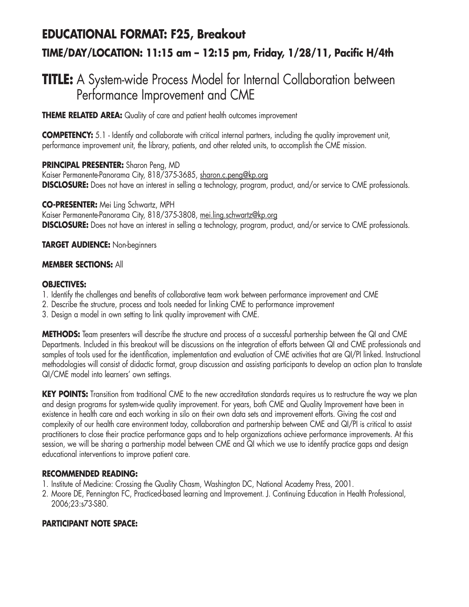# **EDUCATIONAL FORMAT: F25, Breakout TIME/DAY/LOCATION: 11:15 am – 12:15 pm, Friday, 1/28/11, Pacific H/4th**

## **TITLE:** A System-wide Process Model for Internal Collaboration between Performance Improvement and CME

**THEME RELATED AREA:** Quality of care and patient health outcomes improvement

**COMPETENCY:** 5.1 - Identify and collaborate with critical internal partners, including the quality improvement unit, performance improvement unit, the library, patients, and other related units, to accomplish the CME mission.

**PRINCIPAL PRESENTER:** Sharon Peng, MD Kaiser Permanente-Panorama City, 818/375-3685, sharon.c.peng@kp.org **DISCLOSURE:** Does not have an interest in selling a technology, program, product, and/or service to CME professionals.

**CO-PRESENTER:** Mei Ling Schwartz, MPH Kaiser Permanente-Panorama City, 818/375-3808, mei.ling.schwartz@kp.org **DISCLOSURE:** Does not have an interest in selling a technology, program, product, and/or service to CME professionals.

**TARGET AUDIENCE:** Non-beginners

#### **MEMBER SECTIONS:** All

#### **OBJECTIVES:**

- 1. Identify the challenges and benefits of collaborative team work between performance improvement and CME
- 2. Describe the structure, process and tools needed for linking CME to performance improvement
- 3. Design a model in own setting to link quality improvement with CME.

**METHODS:** Team presenters will describe the structure and process of a successful partnership between the QI and CME Departments. Included in this breakout will be discussions on the integration of efforts between QI and CME professionals and samples of tools used for the identification, implementation and evaluation of CME activities that are QI/PI linked. Instructional methodologies will consist of didactic format, group discussion and assisting participants to develop an action plan to translate QI/CME model into learners' own settings.

**KEY POINTS:** Transition from traditional CME to the new accreditation standards requires us to restructure the way we plan and design programs for system-wide quality improvement. For years, both CME and Quality Improvement have been in existence in health care and each working in silo on their own data sets and improvement efforts. Giving the cost and complexity of our health care environment today, collaboration and partnership between CME and QI/PI is critical to assist practitioners to close their practice performance gaps and to help organizations achieve performance improvements. At this session, we will be sharing a partnership model between CME and QI which we use to identify practice gaps and design educational interventions to improve patient care.

#### **RECOMMENDED READING:**

- 1. Institute of Medicine: Crossing the Quality Chasm, Washington DC, National Academy Press, 2001.
- 2. Moore DE, Pennington FC, Practiced-based learning and Improvement. J. Continuing Education in Health Professional, 2006;23:s73-S80.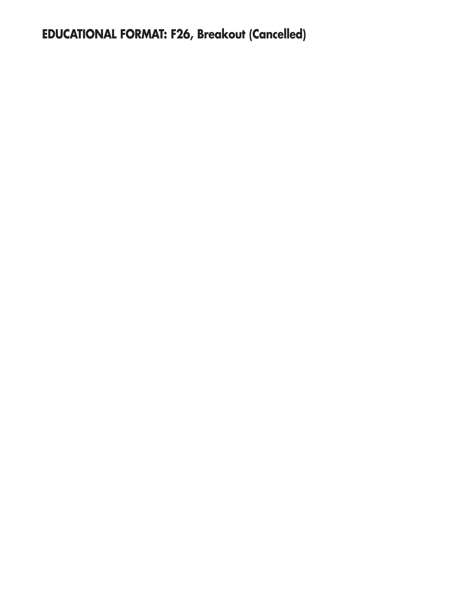**EDUCATIONAL FORMAT: F26, Breakout (Cancelled)**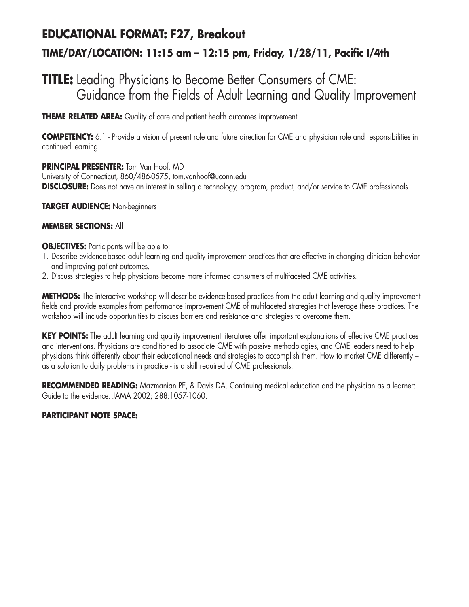# **EDUCATIONAL FORMAT: F27, Breakout TIME/DAY/LOCATION: 11:15 am – 12:15 pm, Friday, 1/28/11, Pacific I/4th**

## **TITLE:** Leading Physicians to Become Better Consumers of CME: Guidance from the Fields of Adult Learning and Quality Improvement

**THEME RELATED AREA:** Quality of care and patient health outcomes improvement

**COMPETENCY:** 6.1 - Provide a vision of present role and future direction for CME and physician role and responsibilities in continued learning.

**PRINCIPAL PRESENTER:** Tom Van Hoof, MD University of Connecticut, 860/486-0575, tom.vanhoof@uconn.edu **DISCLOSURE:** Does not have an interest in selling a technology, program, product, and/or service to CME professionals.

**TARGET AUDIENCE:** Non-beginners

#### **MEMBER SECTIONS:** All

**OBJECTIVES:** Participants will be able to:

- 1. Describe evidence-based adult learning and quality improvement practices that are effective in changing clinician behavior and improving patient outcomes.
- 2. Discuss strategies to help physicians become more informed consumers of multifaceted CME activities.

**METHODS:** The interactive workshop will describe evidence-based practices from the adult learning and quality improvement fields and provide examples from performance improvement CME of multifaceted strategies that leverage these practices. The workshop will include opportunities to discuss barriers and resistance and strategies to overcome them.

**KEY POINTS:** The adult learning and quality improvement literatures offer important explanations of effective CME practices and interventions. Physicians are conditioned to associate CME with passive methodologies, and CME leaders need to help physicians think differently about their educational needs and strategies to accomplish them. How to market CME differently – as a solution to daily problems in practice - is a skill required of CME professionals.

**RECOMMENDED READING:** Mazmanian PE, & Davis DA. Continuing medical education and the physician as a learner: Guide to the evidence. JAMA 2002; 288:1057-1060.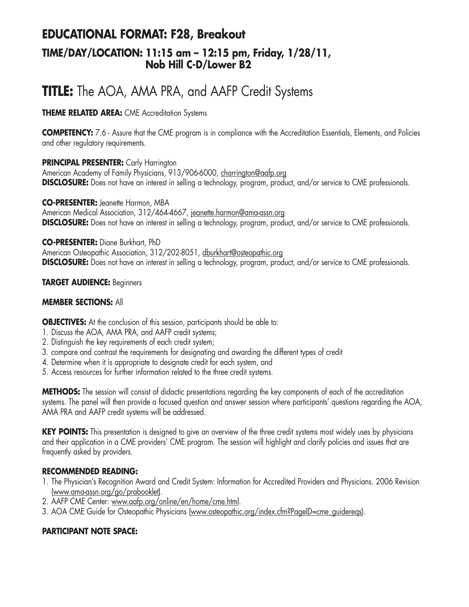### **EDUCATIONAL FORMAT: F28, Breakout TIME/DAY/LOCATION: 11:15 am – 12:15 pm, Friday, 1/28/11, Nob Hill C-D/Lower B2**

# **TITLE:** The AOA, AMA PRA, and AAFP Credit Systems

#### **THEME RELATED AREA:** CME Accreditation Systems

**COMPETENCY:** 7.6 - Assure that the CME program is in compliance with the Accreditation Essentials, Elements, and Policies and other regulatory requirements.

#### **PRINCIPAL PRESENTER:** Carly Harrington

American Academy of Family Physicians, 913/906-6000, charrington@aafp.org **DISCLOSURE:** Does not have an interest in selling a technology, program, product, and/or service to CME professionals.

**CO-PRESENTER:** Jeanette Harmon, MBA American Medical Association, 312/464-4667, jeanette.harmon@ama-assn.org **DISCLOSURE:** Does not have an interest in selling a technology, program, product, and/or service to CME professionals.

**CO-PRESENTER:** Diane Burkhart, PhD American Osteopathic Association, 312/202-8051, dburkhart@osteopathic.org **DISCLOSURE:** Does not have an interest in selling a technology, program, product, and/or service to CME professionals.

#### **TARGET AUDIENCE:** Beginners

#### **MEMBER SECTIONS:** All

**OBJECTIVES:** At the conclusion of this session, participants should be able to:

- 1. Discuss the AOA, AMA PRA, and AAFP credit systems;
- 2. Distinguish the key requirements of each credit system;
- 3. compare and contrast the requirements for designating and awarding the different types of credit
- 4. Determine when it is appropriate to designate credit for each system, and
- 5. Access resources for further information related to the three credit systems.

**METHODS:** The session will consist of didactic presentations regarding the key components of each of the accreditation systems. The panel will then provide a focused question and answer session where participants' questions regarding the AOA, AMA PRA and AAFP credit systems will be addressed.

**KEY POINTS:** This presentation is designed to give an overview of the three credit systems most widely uses by physicians and their application in a CME providers' CME program. The session will highlight and clarify policies and issues that are frequently asked by providers.

#### **RECOMMENDED READING:**

- 1. The Physician's Recognition Award and Credit System: Information for Accredited Providers and Physicians. 2006 Revision (www.ama-assn.org/go/prabooklet).
- 2. AAFP CME Center: www.aafp.org/online/en/home/cme.html.
- 3. AOA CME Guide for Osteopathic Physicians (www.osteopathic.org/index.cfm?PageID=cme\_guidereqs).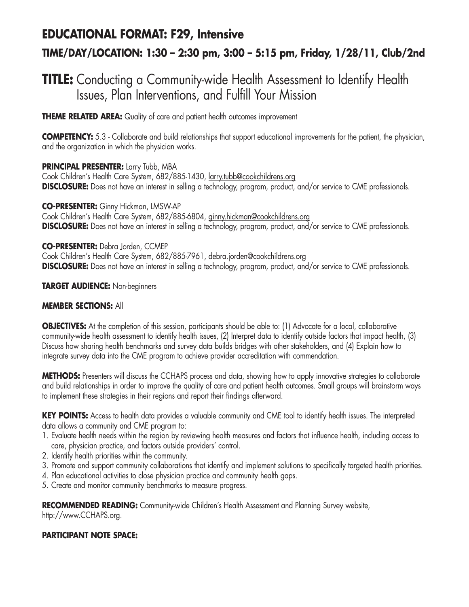## **EDUCATIONAL FORMAT: F29, Intensive TIME/DAY/LOCATION: 1:30 – 2:30 pm, 3:00 – 5:15 pm, Friday, 1/28/11, Club/2nd**

## **TITLE:** Conducting a Community-wide Health Assessment to Identify Health Issues, Plan Interventions, and Fulfill Your Mission

**THEME RELATED AREA:** Quality of care and patient health outcomes improvement

**COMPETENCY:** 5.3 - Collaborate and build relationships that support educational improvements for the patient, the physician, and the organization in which the physician works.

#### **PRINCIPAL PRESENTER:** Larry Tubb, MBA

Cook Children's Health Care System, 682/885-1430, larry.tubb@cookchildrens.org **DISCLOSURE:** Does not have an interest in selling a technology, program, product, and/or service to CME professionals.

**CO-PRESENTER:** Ginny Hickman, LMSW-AP

Cook Children's Health Care System, 682/885-6804, ginny.hickman@cookchildrens.org **DISCLOSURE:** Does not have an interest in selling a technology, program, product, and/or service to CME professionals.

**CO-PRESENTER:** Debra Jorden, CCMEP Cook Children's Health Care System, 682/885-7961, debra.jorden@cookchildrens.org **DISCLOSURE:** Does not have an interest in selling a technology, program, product, and/or service to CME professionals.

#### **TARGET AUDIENCE:** Non-beginners

#### **MEMBER SECTIONS:** All

**OBJECTIVES:** At the completion of this session, participants should be able to: (1) Advocate for a local, collaborative community-wide health assessment to identify health issues, (2) Interpret data to identify outside factors that impact health, (3) Discuss how sharing health benchmarks and survey data builds bridges with other stakeholders, and (4) Explain how to integrate survey data into the CME program to achieve provider accreditation with commendation.

**METHODS:** Presenters will discuss the CCHAPS process and data, showing how to apply innovative strategies to collaborate and build relationships in order to improve the quality of care and patient health outcomes. Small groups will brainstorm ways to implement these strategies in their regions and report their findings afterward.

**KEY POINTS:** Access to health data provides a valuable community and CME tool to identify health issues. The interpreted data allows a community and CME program to:

- 1. Evaluate health needs within the region by reviewing health measures and factors that influence health, including access to care, physician practice, and factors outside providers' control.
- 2. Identify health priorities within the community.
- 3. Promote and support community collaborations that identify and implement solutions to specifically targeted health priorities.
- 4. Plan educational activities to close physician practice and community health gaps.
- 5. Create and monitor community benchmarks to measure progress.

RECOMMENDED READING: Community-wide Children's Health Assessment and Planning Survey website, http://www.CCHAPS.org.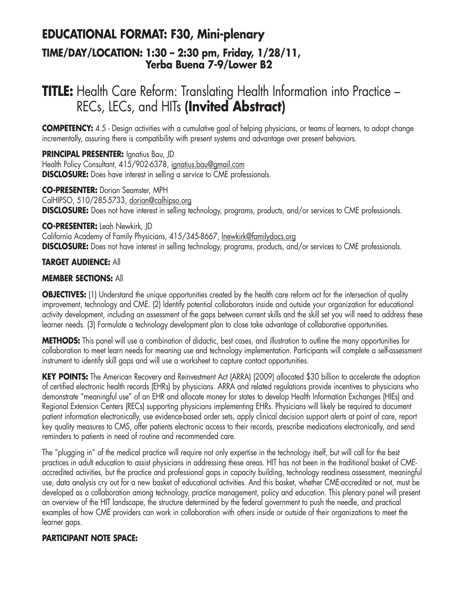### **EDUCATIONAL FORMAT: F30, Mini-plenary TIME/DAY/LOCATION: 1:30 – 2:30 pm, Friday, 1/28/11, Yerba Buena 7-9/Lower B2**

## **TITLE:** Health Care Reform: Translating Health Information into Practice -RECs, LECs, and HITs **(Invited Abstract)**

**COMPETENCY:** 4.5 - Design activities with a cumulative goal of helping physicians, or teams of learners, to adopt change incrementally, assuring there is compatibility with present systems and advantage over present behaviors.

**PRINCIPAL PRESENTER:** Ignatius Bau, JD Health Policy Consultant, 415/902-6378, ignatius.bau@gmail.com **DISCLOSURE:** Does have interest in selling a service to CME professionals.

**CO-PRESENTER:** Dorian Seamster, MPH CalHIPSO, 510/285-5733, dorian@calhipso.org **DISCLOSURE:** Does not have interest in selling technology, programs, products, and/or services to CME professionals.

**CO-PRESENTER:** Leah Newkirk, JD California Academy of Family Physicians, 415/345-8667, lnewkirk@familydocs.org **DISCLOSURE:** Does not have interest in selling technology, programs, products, and/or services to CME professionals.

#### **TARGET AUDIENCE:** All

#### **MEMBER SECTIONS:** All

**OBJECTIVES:** (1) Understand the unique opportunities created by the health care reform act for the intersection of quality improvement, technology and CME. (2) Identify potential collaborators inside and outside your organization for educational activity development, including an assessment of the gaps between current skills and the skill set you will need to address these learner needs. (3) Formulate a technology development plan to close take advantage of collaborative opportunities.

**METHODS:** This panel will use a combination of didactic, best cases, and illustration to outline the many opportunities for collaboration to meet learn needs for meaning use and technology implementation. Participants will complete a self-assessment instrument to identify skill gaps and will use a worksheet to capture contact opportunities.

**KEY POINTS:** The American Recovery and Reinvestment Act (ARRA) (2009) allocated \$30 billion to accelerate the adoption of certified electronic health records (EHRs) by physicians. ARRA and related regulations provide incentives to physicians who demonstrate "meaningful use" of an EHR and allocate money for states to develop Health Information Exchanges (HIEs) and Regional Extension Centers (RECs) supporting physicians implementing EHRs. Physicians will likely be required to document patient information electronically, use evidence-based order sets, apply clinical decision support alerts at point of care, report key quality measures to CMS, offer patients electronic access to their records, prescribe medications electronically, and send reminders to patients in need of routine and recommended care.

The "plugging in" of the medical practice will require not only expertise in the technology itself, but will call for the best practices in adult education to assist physicians in addressing these areas. HIT has not been in the traditional basket of CMEaccredited activities, but the practice and professional gaps in capacity building, technology readiness assessment, meaningful use, data analysis cry out for a new basket of educational activities. And this basket, whether CME-accredited or not, must be developed as a collaboration among technology, practice management, policy and education. This plenary panel will present an overview of the HIT landscape, the structure determined by the federal government to push the needle, and practical examples of how CME providers can work in collaboration with others inside or outside of their organizations to meet the learner gaps.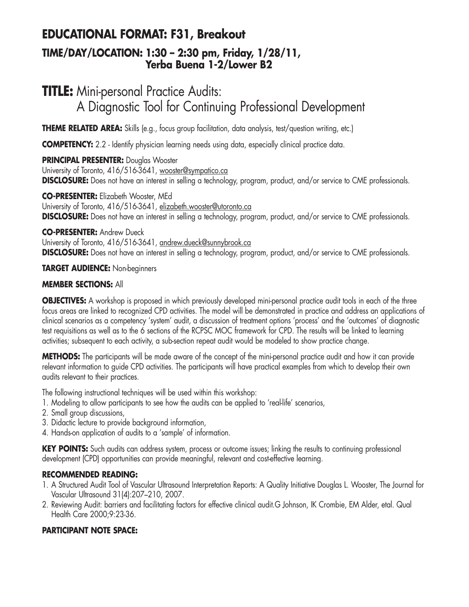## **EDUCATIONAL FORMAT: F31, Breakout**

### **TIME/DAY/LOCATION: 1:30 – 2:30 pm, Friday, 1/28/11, Yerba Buena 1-2/Lower B2**

# **TITLE:** Mini-personal Practice Audits: A Diagnostic Tool for Continuing Professional Development

**THEME RELATED AREA:** Skills (e.g., focus group facilitation, data analysis, test/question writing, etc.)

**COMPETENCY:** 2.2 - Identify physician learning needs using data, especially clinical practice data.

**PRINCIPAL PRESENTER:** Douglas Wooster University of Toronto, 416/516-3641, wooster@sympatico.ca **DISCLOSURE:** Does not have an interest in selling a technology, program, product, and/or service to CME professionals.

**CO-PRESENTER:** Elizabeth Wooster, MEd University of Toronto, 416/516-3641, elizabeth.wooster@utoronto.ca **DISCLOSURE:** Does not have an interest in selling a technology, program, product, and/or service to CME professionals.

### **CO-PRESENTER:** Andrew Dueck

University of Toronto, 416/516-3641, andrew.dueck@sunnybrook.ca **DISCLOSURE:** Does not have an interest in selling a technology, program, product, and/or service to CME professionals.

### **TARGET AUDIENCE:** Non-beginners

### **MEMBER SECTIONS:** All

**OBJECTIVES:** A workshop is proposed in which previously developed mini-personal practice audit tools in each of the three focus areas are linked to recognized CPD activities. The model will be demonstrated in practice and address an applications of clinical scenarios as a competency 'system' audit, a discussion of treatment options 'process' and the 'outcomes' of diagnostic test requisitions as well as to the 6 sections of the RCPSC MOC framework for CPD. The results will be linked to learning activities; subsequent to each activity, a sub-section repeat audit would be modeled to show practice change.

**METHODS:** The participants will be made aware of the concept of the mini-personal practice audit and how it can provide relevant information to guide CPD activities. The participants will have practical examples from which to develop their own audits relevant to their practices.

The following instructional techniques will be used within this workshop:

- 1. Modeling to allow participants to see how the audits can be applied to 'real-life' scenarios,
- 2. Small group discussions,
- 3. Didactic lecture to provide background information,
- 4. Hands-on application of audits to a 'sample' of information.

**KEY POINTS:** Such audits can address system, process or outcome issues; linking the results to continuing professional development (CPD) opportunities can provide meaningful, relevant and cost-effective learning.

### **RECOMMENDED READING:**

- 1. A Structured Audit Tool of Vascular Ultrasound Interpretation Reports: A Quality Initiative Douglas L. Wooster, The Journal for Vascular Ultrasound 31(4):207–210, 2007.
- 2. Reviewing Audit: barriers and facilitating factors for effective clinical audit.G Johnson, IK Crombie, EM Alder, etal. Qual Health Care 2000;9:23-36.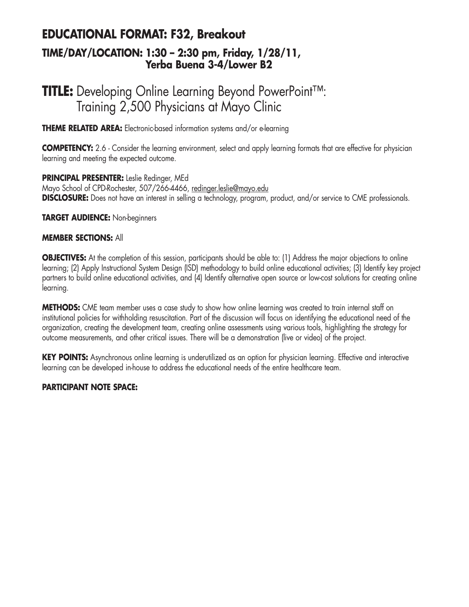### **EDUCATIONAL FORMAT: F32, Breakout TIME/DAY/LOCATION: 1:30 – 2:30 pm, Friday, 1/28/11, Yerba Buena 3-4/Lower B2**

## **TITLE:** Developing Online Learning Beyond PowerPoint™: Training 2,500 Physicians at Mayo Clinic

**THEME RELATED AREA:** Electronic-based information systems and/or e-learning

**COMPETENCY:** 2.6 - Consider the learning environment, select and apply learning formats that are effective for physician learning and meeting the expected outcome.

**PRINCIPAL PRESENTER:** Leslie Redinger, MEd Mayo School of CPD-Rochester, 507/266-4466, redinger.leslie@mayo.edu **DISCLOSURE:** Does not have an interest in selling a technology, program, product, and/or service to CME professionals.

**TARGET AUDIENCE:** Non-beginners

#### **MEMBER SECTIONS:** All

**OBJECTIVES:** At the completion of this session, participants should be able to: (1) Address the major objections to online learning; (2) Apply Instructional System Design (ISD) methodology to build online educational activities; (3) Identify key project partners to build online educational activities, and (4) Identify alternative open source or low-cost solutions for creating online learning.

**METHODS:** CME team member uses a case study to show how online learning was created to train internal staff on institutional policies for withholding resuscitation. Part of the discussion will focus on identifying the educational need of the organization, creating the development team, creating online assessments using various tools, highlighting the strategy for outcome measurements, and other critical issues. There will be a demonstration (live or video) of the project.

**KEY POINTS:** Asynchronous online learning is underutilized as an option for physician learning. Effective and interactive learning can be developed in-house to address the educational needs of the entire healthcare team.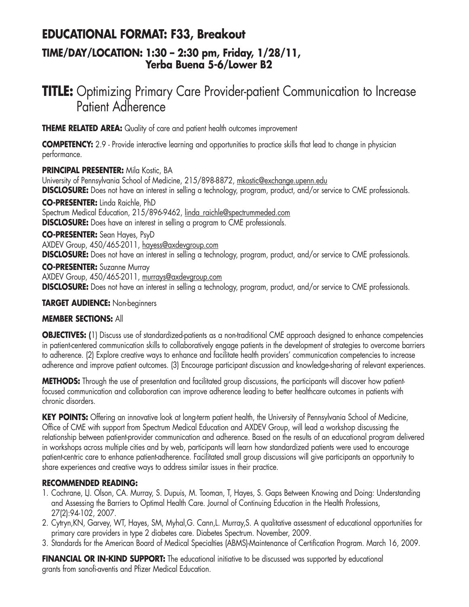### **EDUCATIONAL FORMAT: F33, Breakout**

### **TIME/DAY/LOCATION: 1:30 – 2:30 pm, Friday, 1/28/11, Yerba Buena 5-6/Lower B2**

## **TITLE:** Optimizing Primary Care Provider-patient Communication to Increase Patient Adherence

**THEME RELATED AREA:** Quality of care and patient health outcomes improvement

**COMPETENCY:** 2.9 - Provide interactive learning and opportunities to practice skills that lead to change in physician performance.

**PRINCIPAL PRESENTER:** Mila Kostic, BA University of Pennsylvania School of Medicine, 215/898-8872, mkostic@exchange.upenn.edu **DISCLOSURE:** Does not have an interest in selling a technology, program, product, and/or service to CME professionals.

**CO-PRESENTER:** Linda Raichle, PhD Spectrum Medical Education, 215/896-9462, linda\_raichle@spectrummeded.com **DISCLOSURE:** Does have an interest in selling a program to CME professionals.

**CO-PRESENTER:** Sean Hayes, PsyD AXDEV Group, 450/465-2011, hayess@axdevgroup.com **DISCLOSURE:** Does not have an interest in selling a technology, program, product, and/or service to CME professionals.

**CO-PRESENTER:** Suzanne Murray AXDEV Group, 450/465-2011, murrays@axdevgroup.com **DISCLOSURE:** Does not have an interest in selling a technology, program, product, and/or service to CME professionals.

#### **TARGET AUDIENCE:** Non-beginners

#### **MEMBER SECTIONS:** All

**OBJECTIVES: (**1) Discuss use of standardized-patients as a non-traditional CME approach designed to enhance competencies in patient-centered communication skills to collaboratively engage patients in the development of strategies to overcome barriers to adherence. (2) Explore creative ways to enhance and facilitate health providers' communication competencies to increase adherence and improve patient outcomes. (3) Encourage participant discussion and knowledge-sharing of relevant experiences.

**METHODS:** Through the use of presentation and facilitated group discussions, the participants will discover how patientfocused communication and collaboration can improve adherence leading to better healthcare outcomes in patients with chronic disorders.

KEY POINTS: Offering an innovative look at long-term patient health, the University of Pennsylvania School of Medicine, Office of CME with support from Spectrum Medical Education and AXDEV Group, will lead a workshop discussing the relationship between patient-provider communication and adherence. Based on the results of an educational program delivered in workshops across multiple cities and by web, participants will learn how standardized patients were used to encourage patient-centric care to enhance patient-adherence. Facilitated small group discussions will give participants an opportunity to share experiences and creative ways to address similar issues in their practice.

#### **RECOMMENDED READING:**

- 1. Cochrane, LJ. Olson, CA. Murray, S. Dupuis, M. Tooman, T, Hayes, S. Gaps Between Knowing and Doing: Understanding and Assessing the Barriers to Optimal Health Care. Journal of Continuing Education in the Health Professions, 27(2):94-102, 2007.
- 2. Cytryn,KN, Garvey, WT, Hayes, SM, Myhal,G. Cann,L. Murray,S. A qualitative assessment of educational opportunities for primary care providers in type 2 diabetes care. Diabetes Spectrum. November, 2009.
- 3. Standards for the American Board of Medical Specialties (ABMS)-Maintenance of Certification Program. March 16, 2009.

**FINANCIAL OR IN-KIND SUPPORT:** The educational initiative to be discussed was supported by educational grants from sanofi-aventis and Pfizer Medical Education.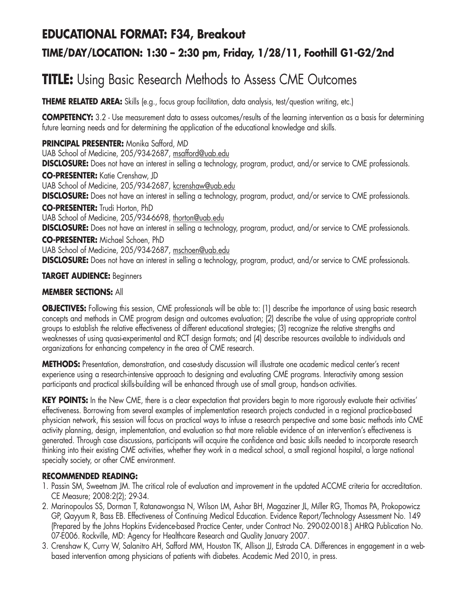### **EDUCATIONAL FORMAT: F34, Breakout**

### **TIME/DAY/LOCATION: 1:30 – 2:30 pm, Friday, 1/28/11, Foothill G1-G2/2nd**

# **TITLE:** Using Basic Research Methods to Assess CME Outcomes

**THEME RELATED AREA:** Skills (e.g., focus group facilitation, data analysis, test/question writing, etc.)

**COMPETENCY:** 3.2 - Use measurement data to assess outcomes/results of the learning intervention as a basis for determining future learning needs and for determining the application of the educational knowledge and skills.

**PRINCIPAL PRESENTER:** Monika Safford, MD UAB School of Medicine, 205/934-2687, msafford@uab.edu **DISCLOSURE:** Does not have an interest in selling a technology, program, product, and/or service to CME professionals. **CO-PRESENTER:** Katie Crenshaw, JD UAB School of Medicine, 205/934-2687, kcrenshaw@uab.edu **DISCLOSURE:** Does not have an interest in selling a technology, program, product, and/or service to CME professionals. **CO-PRESENTER:** Trudi Horton, PhD UAB School of Medicine, 205/934-6698, thorton@uab.edu **DISCLOSURE:** Does not have an interest in selling a technology, program, product, and/or service to CME professionals. **CO-PRESENTER:** Michael Schoen, PhD UAB School of Medicine, 205/934-2687, mschoen@uab.edu **DISCLOSURE:** Does not have an interest in selling a technology, program, product, and/or service to CME professionals.

#### **TARGET AUDIENCE:** Beginners

#### **MEMBER SECTIONS:** All

**OBJECTIVES:** Following this session, CME professionals will be able to: (1) describe the importance of using basic research concepts and methods in CME program design and outcomes evaluation; (2) describe the value of using appropriate control groups to establish the relative effectiveness of different educational strategies; (3) recognize the relative strengths and weaknesses of using quasi-experimental and RCT design formats; and (4) describe resources available to individuals and organizations for enhancing competency in the area of CME research.

**METHODS:** Presentation, demonstration, and case-study discussion will illustrate one academic medical center's recent experience using a research-intensive approach to designing and evaluating CME programs. Interactivity among session participants and practical skills-building will be enhanced through use of small group, hands-on activities.

KEY POINTS: In the New CME, there is a clear expectation that providers begin to more rigorously evaluate their activities' effectiveness. Borrowing from several examples of implementation research projects conducted in a regional practice-based physician network, this session will focus on practical ways to infuse a research perspective and some basic methods into CME activity planning, design, implementation, and evaluation so that more reliable evidence of an intervention's effectiveness is generated. Through case discussions, participants will acquire the confidence and basic skills needed to incorporate research thinking into their existing CME activities, whether they work in a medical school, a small regional hospital, a large national specialty society, or other CME environment.

#### **RECOMMENDED READING:**

- 1. Passin SM, Sweetnam JM. The critical role of evaluation and improvement in the updated ACCME criteria for accreditation. CE Measure; 2008:2(2); 29-34.
- 2. Marinopoulos SS, Dorman T, Ratanawongsa N, Wilson LM, Ashar BH, Magaziner JL, Miller RG, Thomas PA, Prokopowicz GP, Qayyum R, Bass EB. Effectiveness of Continuing Medical Education. Evidence Report/Technology Assessment No. 149 (Prepared by the Johns Hopkins Evidence-based Practice Center, under Contract No. 290-02-0018.) AHRQ Publication No. 07-E006. Rockville, MD: Agency for Healthcare Research and Quality January 2007.
- 3. Crenshaw K, Curry W, Salanitro AH, Safford MM, Houston TK, Allison JJ, Estrada CA. Differences in engagement in a webbased intervention among physicians of patients with diabetes. Academic Med 2010, in press.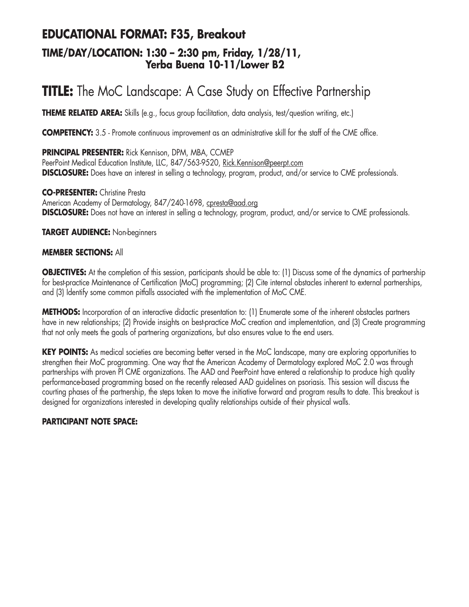### **EDUCATIONAL FORMAT: F35, Breakout TIME/DAY/LOCATION: 1:30 – 2:30 pm, Friday, 1/28/11, Yerba Buena 10-11/Lower B2**

# **TITLE:** The MoC Landscape: A Case Study on Effective Partnership

**THEME RELATED AREA:** Skills (e.g., focus group facilitation, data analysis, test/question writing, etc.)

**COMPETENCY:** 3.5 - Promote continuous improvement as an administrative skill for the staff of the CME office.

**PRINCIPAL PRESENTER:** Rick Kennison, DPM, MBA, CCMEP PeerPoint Medical Education Institute, LLC, 847/563-9520, Rick.Kennison@peerpt.com **DISCLOSURE:** Does have an interest in selling a technology, program, product, and/or service to CME professionals.

**CO-PRESENTER:** Christine Presta American Academy of Dermatology, 847/240-1698, cpresta@aad.org **DISCLOSURE:** Does not have an interest in selling a technology, program, product, and/or service to CME professionals.

**TARGET AUDIENCE:** Non-beginners

#### **MEMBER SECTIONS:** All

**OBJECTIVES:** At the completion of this session, participants should be able to: (1) Discuss some of the dynamics of partnership for best-practice Maintenance of Certification (MoC) programming; (2) Cite internal obstacles inherent to external partnerships, and (3) Identify some common pitfalls associated with the implementation of MoC CME.

**METHODS:** Incorporation of an interactive didactic presentation to: (1) Enumerate some of the inherent obstacles partners have in new relationships; (2) Provide insights on best-practice MoC creation and implementation, and (3) Create programming that not only meets the goals of partnering organizations, but also ensures value to the end users.

**KEY POINTS:** As medical societies are becoming better versed in the MoC landscape, many are exploring opportunities to strengthen their MoC programming. One way that the American Academy of Dermatology explored MoC 2.0 was through partnerships with proven PI CME organizations. The AAD and PeerPoint have entered a relationship to produce high quality performance-based programming based on the recently released AAD guidelines on psoriasis. This session will discuss the courting phases of the partnership, the steps taken to move the initiative forward and program results to date. This breakout is designed for organizations interested in developing quality relationships outside of their physical walls.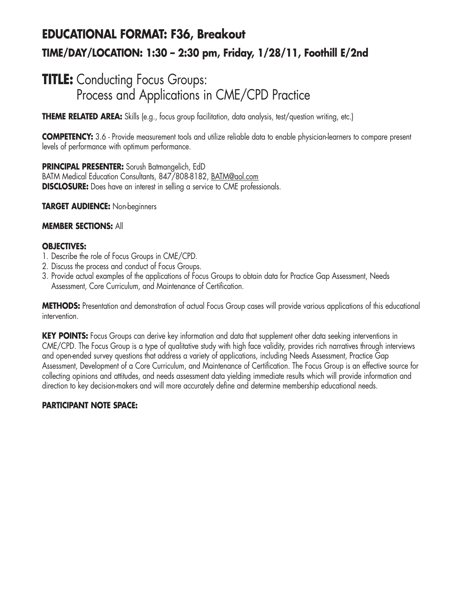# **EDUCATIONAL FORMAT: F36, Breakout TIME/DAY/LOCATION: 1:30 – 2:30 pm, Friday, 1/28/11, Foothill E/2nd**

## **TITLE:** Conducting Focus Groups: Process and Applications in CME/CPD Practice

**THEME RELATED AREA:** Skills (e.g., focus group facilitation, data analysis, test/question writing, etc.)

**COMPETENCY:** 3.6 - Provide measurement tools and utilize reliable data to enable physician-learners to compare present levels of performance with optimum performance.

**PRINCIPAL PRESENTER:** Sorush Batmangelich, EdD BATM Medical Education Consultants, 847/808-8182, BATM@aol.com **DISCLOSURE:** Does have an interest in selling a service to CME professionals.

#### **TARGET AUDIENCE:** Non-beginners

#### **MEMBER SECTIONS:** All

#### **OBJECTIVES:**

- 1. Describe the role of Focus Groups in CME/CPD.
- 2. Discuss the process and conduct of Focus Groups.
- 3. Provide actual examples of the applications of Focus Groups to obtain data for Practice Gap Assessment, Needs Assessment, Core Curriculum, and Maintenance of Certification.

**METHODS:** Presentation and demonstration of actual Focus Group cases will provide various applications of this educational intervention.

**KEY POINTS:** Focus Groups can derive key information and data that supplement other data seeking interventions in CME/CPD. The Focus Group is a type of qualitative study with high face validity, provides rich narratives through interviews and open-ended survey questions that address a variety of applications, including Needs Assessment, Practice Gap Assessment, Development of a Core Curriculum, and Maintenance of Certification. The Focus Group is an effective source for collecting opinions and attitudes, and needs assessment data yielding immediate results which will provide information and direction to key decision-makers and will more accurately define and determine membership educational needs.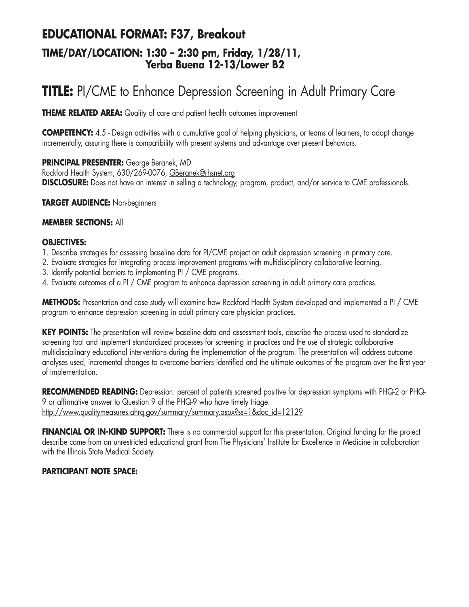### **EDUCATIONAL FORMAT: F37, Breakout TIME/DAY/LOCATION: 1:30 – 2:30 pm, Friday, 1/28/11, Yerba Buena 12-13/Lower B2**

# **TITLE:** PI/CME to Enhance Depression Screening in Adult Primary Care

**THEME RELATED AREA:** Quality of care and patient health outcomes improvement

**COMPETENCY:** 4.5 - Design activities with a cumulative goal of helping physicians, or teams of learners, to adopt change incrementally, assuring there is compatibility with present systems and advantage over present behaviors.

**PRINCIPAL PRESENTER:** George Beranek, MD Rockford Health System, 630/269-0076, GBeranek@rhsnet.org **DISCLOSURE:** Does not have an interest in selling a technology, program, product, and/or service to CME professionals.

**TARGET AUDIENCE:** Non-beginners

#### **MEMBER SECTIONS:** All

#### **OBJECTIVES:**

- 1. Describe strategies for assessing baseline data for PI/CME project on adult depression screening in primary care.
- 2. Evaluate strategies for integrating process improvement programs with multidisciplinary collaborative learning.
- 3. Identify potential barriers to implementing PI / CME programs.
- 4. Evaluate outcomes of a PI / CME program to enhance depression screening in adult primary care practices.

**METHODS:** Presentation and case study will examine how Rockford Health System developed and implemented a PI / CME program to enhance depression screening in adult primary care physician practices.

**KEY POINTS:** The presentation will review baseline data and assessment tools, describe the process used to standardize screening tool and implement standardized processes for screening in practices and the use of strategic collaborative multidisciplinary educational interventions during the implementation of the program. The presentation will address outcome analyses used, incremental changes to overcome barriers identified and the ultimate outcomes of the program over the first year of implementation.

**RECOMMENDED READING:** Depression: percent of patients screened positive for depression symptoms with PHQ-2 or PHQ-9 or affirmative answer to Question 9 of the PHQ-9 who have timely triage. http://www.qualitymeasures.ahrq.gov/summary/summary.aspx?ss=1&doc\_id=12129

**FINANCIAL OR IN-KIND SUPPORT:** There is no commercial support for this presentation. Original funding for the project describe came from an unrestricted educational grant from The Physicians' Institute for Excellence in Medicine in collaboration with the Illinois State Medical Society.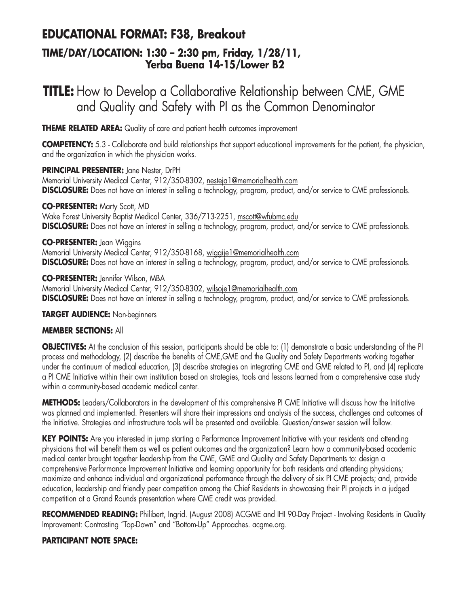## **EDUCATIONAL FORMAT: F38, Breakout**

### **TIME/DAY/LOCATION: 1:30 – 2:30 pm, Friday, 1/28/11, Yerba Buena 14-15/Lower B2**

## **TITLE:** How to Develop a Collaborative Relationship between CME, GME and Quality and Safety with PI as the Common Denominator

**THEME RELATED AREA:** Quality of care and patient health outcomes improvement

**COMPETENCY:** 5.3 - Collaborate and build relationships that support educational improvements for the patient, the physician, and the organization in which the physician works.

#### **PRINCIPAL PRESENTER:** Jane Nester, DrPH

Memorial University Medical Center, 912/350-8302, nesteja1@memorialhealth.com **DISCLOSURE:** Does not have an interest in selling a technology, program, product, and/or service to CME professionals.

#### **CO-PRESENTER:** Marty Scott, MD

Wake Forest University Baptist Medical Center, 336/713-2251, mscott@wfubmc.edu **DISCLOSURE:** Does not have an interest in selling a technology, program, product, and/or service to CME professionals.

#### **CO-PRESENTER:** Jean Wiggins

Memorial University Medical Center, 912/350-8168, wiggije1@memorialhealth.com **DISCLOSURE:** Does not have an interest in selling a technology, program, product, and/or service to CME professionals.

**CO-PRESENTER:** Jennifer Wilson, MBA Memorial University Medical Center, 912/350-8302, wilsoje1@memorialhealth.com **DISCLOSURE:** Does not have an interest in selling a technology, program, product, and/or service to CME professionals.

#### **TARGET AUDIENCE:** Non-beginners

#### **MEMBER SECTIONS:** All

**OBJECTIVES:** At the conclusion of this session, participants should be able to: (1) demonstrate a basic understanding of the PI process and methodology, (2) describe the benefits of CME,GME and the Quality and Safety Departments working together under the continuum of medical education, (3) describe strategies on integrating CME and GME related to PI, and (4) replicate a PI CME Initiative within their own institution based on strategies, tools and lessons learned from a comprehensive case study within a community-based academic medical center.

**METHODS:** Leaders/Collaborators in the development of this comprehensive PI CME Initiative will discuss how the Initiative was planned and implemented. Presenters will share their impressions and analysis of the success, challenges and outcomes of the Initiative. Strategies and infrastructure tools will be presented and available. Question/answer session will follow.

**KEY POINTS:** Are you interested in jump starting a Performance Improvement Initiative with your residents and attending physicians that will benefit them as well as patient outcomes and the organization? Learn how a community-based academic medical center brought together leadership from the CME, GME and Quality and Safety Departments to: design a comprehensive Performance Improvement Initiative and learning opportunity for both residents and attending physicians; maximize and enhance individual and organizational performance through the delivery of six PI CME projects; and, provide education, leadership and friendly peer competition among the Chief Residents in showcasing their PI projects in a judged competition at a Grand Rounds presentation where CME credit was provided.

RECOMMENDED READING: Philibert, Ingrid. (August 2008) ACGME and IHI 90-Day Project - Involving Residents in Quality Improvement: Contrasting "Top-Down" and "Bottom-Up" Approaches. acgme.org.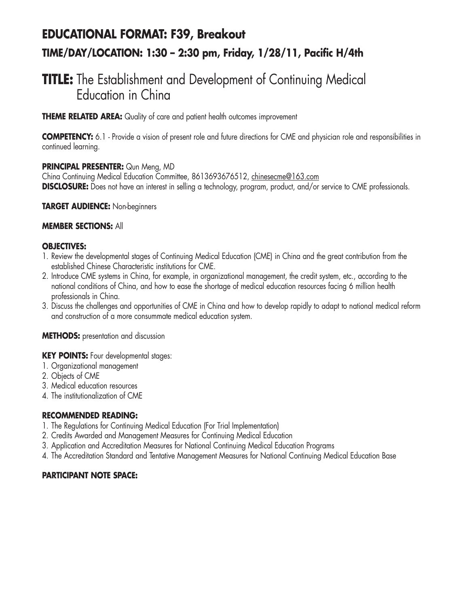# **EDUCATIONAL FORMAT: F39, Breakout TIME/DAY/LOCATION: 1:30 – 2:30 pm, Friday, 1/28/11, Pacific H/4th**

## **TITLE:** The Establishment and Development of Continuing Medical Education in China

**THEME RELATED AREA:** Quality of care and patient health outcomes improvement

**COMPETENCY:** 6.1 - Provide a vision of present role and future directions for CME and physician role and responsibilities in continued learning.

#### **PRINCIPAL PRESENTER:** Qun Meng, MD

China Continuing Medical Education Committee, 8613693676512, chinesecme@163.com **DISCLOSURE:** Does not have an interest in selling a technology, program, product, and/or service to CME professionals.

#### **TARGET AUDIENCE:** Non-beginners

#### **MEMBER SECTIONS:** All

#### **OBJECTIVES:**

- 1. Review the developmental stages of Continuing Medical Education (CME) in China and the great contribution from the established Chinese Characteristic institutions for CME.
- 2. Introduce CME systems in China, for example, in organizational management, the credit system, etc., according to the national conditions of China, and how to ease the shortage of medical education resources facing 6 million health professionals in China.
- 3. Discuss the challenges and opportunities of CME in China and how to develop rapidly to adapt to national medical reform and construction of a more consummate medical education system.

#### **METHODS:** presentation and discussion

#### **KEY POINTS:** Four developmental stages:

- 1. Organizational management
- 2. Objects of CME
- 3. Medical education resources
- 4. The institutionalization of CME

#### **RECOMMENDED READING:**

- 1. The Regulations for Continuing Medical Education (For Trial Implementation)
- 2. Credits Awarded and Management Measures for Continuing Medical Education
- 3. Application and Accreditation Measures for National Continuing Medical Education Programs
- 4. The Accreditation Standard and Tentative Management Measures for National Continuing Medical Education Base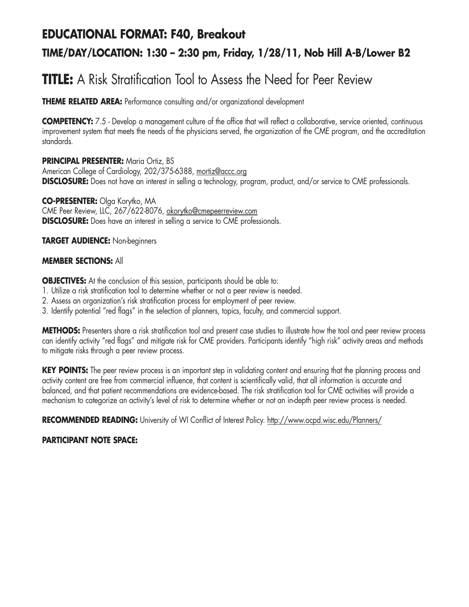### **EDUCATIONAL FORMAT: F40, Breakout**

### **TIME/DAY/LOCATION: 1:30 – 2:30 pm, Friday, 1/28/11, Nob Hill A-B/Lower B2**

# **TITLE:** A Risk Stratification Tool to Assess the Need for Peer Review

**THEME RELATED AREA:** Performance consulting and/or organizational development

**COMPETENCY:** 7.5 - Develop a management culture of the office that will reflect a collaborative, service oriented, continuous improvement system that meets the needs of the physicians served, the organization of the CME program, and the accreditation standards.

**PRINCIPAL PRESENTER: Maria Ortiz, BS** American College of Cardiology, 202/375-6388, mortiz@accc.org **DISCLOSURE:** Does not have an interest in selling a technology, program, product, and/or service to CME professionals.

**CO-PRESENTER:** Olga Korytko, MA CME Peer Review, LLC, 267/622-8076, okorytko@cmepeerreview.com **DISCLOSURE:** Does have an interest in selling a service to CME professionals.

**TARGET AUDIENCE:** Non-beginners

#### **MEMBER SECTIONS:** All

**OBJECTIVES:** At the conclusion of this session, participants should be able to:

- 1. Utilize a risk stratification tool to determine whether or not a peer review is needed.
- 2. Assess an organization's risk stratification process for employment of peer review.
- 3. Identify potential "red flags" in the selection of planners, topics, faculty, and commercial support.

**METHODS:** Presenters share a risk stratification tool and present case studies to illustrate how the tool and peer review process can identify activity "red flags" and mitigate risk for CME providers. Participants identify "high risk" activity areas and methods to mitigate risks through a peer review process.

KEY POINTS: The peer review process is an important step in validating content and ensuring that the planning process and activity content are free from commercial influence, that content is scientifically valid, that all information is accurate and balanced, and that patient recommendations are evidence-based. The risk stratification tool for CME activities will provide a mechanism to categorize an activity's level of risk to determine whether or not an in-depth peer review process is needed.

**RECOMMENDED READING:** University of WI Conflict of Interest Policy. http://www.ocpd.wisc.edu/Planners/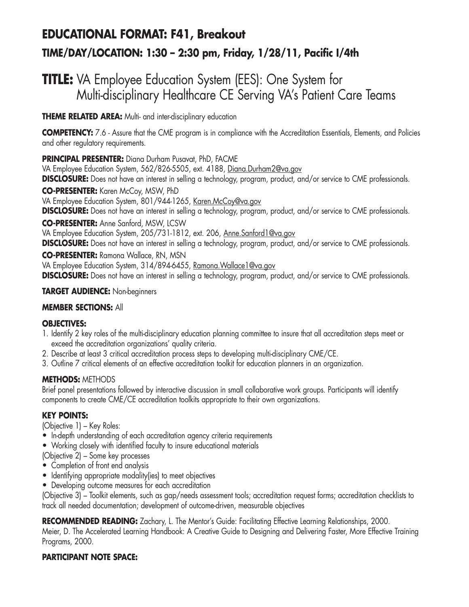# **EDUCATIONAL FORMAT: F41, Breakout TIME/DAY/LOCATION: 1:30 – 2:30 pm, Friday, 1/28/11, Pacific I/4th**

## **TITLE:** VA Employee Education System (EES): One System for Multi-disciplinary Healthcare CE Serving VA's Patient Care Teams

#### **THEME RELATED AREA:** Multi- and inter-disciplinary education

**COMPETENCY:** 7.6 - Assure that the CME program is in compliance with the Accreditation Essentials, Elements, and Policies and other regulatory requirements.

#### **PRINCIPAL PRESENTER:** Diana Durham Pusavat, PhD, FACME

VA Employee Education System, 562/826-5505, ext. 4188, Diana.Durham2@va.gov **DISCLOSURE:** Does not have an interest in selling a technology, program, product, and/or service to CME professionals.

**CO-PRESENTER:** Karen McCoy, MSW, PhD

VA Employee Education System, 801/944-1265, Karen.McCoy@va.gov

**DISCLOSURE:** Does not have an interest in selling a technology, program, product, and/or service to CME professionals.

**CO-PRESENTER:** Anne Sanford, MSW, LCSW

VA Employee Education System, 205/731-1812, ext. 206, Anne.Sanford1@va.gov

**DISCLOSURE:** Does not have an interest in selling a technology, program, product, and/or service to CME professionals.

#### **CO-PRESENTER:** Ramona Wallace, RN, MSN

VA Employee Education System, 314/894-6455, Ramona. Wallace1@va.gov **DISCLOSURE:** Does not have an interest in selling a technology, program, product, and/or service to CME professionals.

#### **TARGET AUDIENCE:** Non-beginners

#### **MEMBER SECTIONS:** All

#### **OBJECTIVES:**

- 1. Identify 2 key roles of the multi-disciplinary education planning committee to insure that all accreditation steps meet or exceed the accreditation organizations' quality criteria.
- 2. Describe at least 3 critical accreditation process steps to developing multi-disciplinary CME/CE.
- 3. Outline 7 critical elements of an effective accreditation toolkit for education planners in an organization.

#### **METHODS:** METHODS

Brief panel presentations followed by interactive discussion in small collaborative work groups. Participants will identify components to create CME/CE accreditation toolkits appropriate to their own organizations.

#### **KEY POINTS:**

(Objective 1) – Key Roles:

- In-depth understanding of each accreditation agency criteria requirements
- Working closely with identified faculty to insure educational materials
- (Objective 2) Some key processes
- Completion of front end analysis
- Identifying appropriate modality(ies) to meet objectives
- Developing outcome measures for each accreditation

(Objective 3) – Toolkit elements, such as gap/needs assessment tools; accreditation request forms; accreditation checklists to track all needed documentation; development of outcome-driven, measurable objectives

RECOMMENDED READING: Zachary, L. The Mentor's Guide: Facilitating Effective Learning Relationships, 2000.

Meier, D. The Accelerated Learning Handbook: A Creative Guide to Designing and Delivering Faster, More Effective Training Programs, 2000.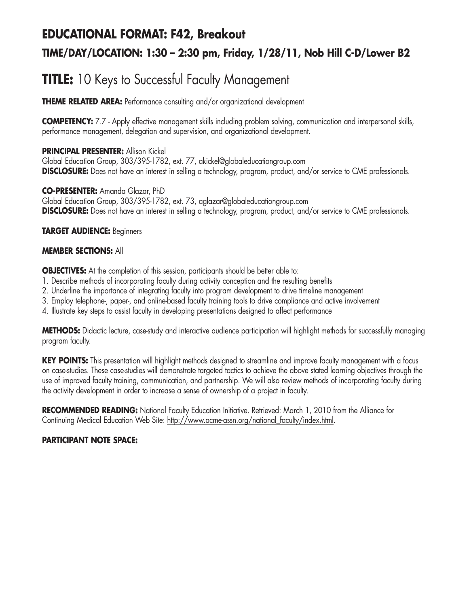## **EDUCATIONAL FORMAT: F42, Breakout TIME/DAY/LOCATION: 1:30 – 2:30 pm, Friday, 1/28/11, Nob Hill C-D/Lower B2**

# **TITLE:** 10 Keys to Successful Faculty Management

**THEME RELATED AREA:** Performance consulting and/or organizational development

**COMPETENCY:** 7.7 - Apply effective management skills including problem solving, communication and interpersonal skills, performance management, delegation and supervision, and organizational development.

#### **PRINCIPAL PRESENTER:** Allison Kickel

Global Education Group, 303/395-1782, ext. 77, akickel@globaleducationgroup.com **DISCLOSURE:** Does not have an interest in selling a technology, program, product, and/or service to CME professionals.

**CO-PRESENTER:** Amanda Glazar, PhD Global Education Group, 303/395-1782, ext. 73, aglazar@globaleducationgroup.com **DISCLOSURE:** Does not have an interest in selling a technology, program, product, and/or service to CME professionals.

#### **TARGET AUDIENCE:** Beginners

#### **MEMBER SECTIONS:** All

**OBJECTIVES:** At the completion of this session, participants should be better able to:

- 1. Describe methods of incorporating faculty during activity conception and the resulting benefits
- 2. Underline the importance of integrating faculty into program development to drive timeline management
- 3. Employ telephone-, paper-, and online-based faculty training tools to drive compliance and active involvement
- 4. Illustrate key steps to assist faculty in developing presentations designed to affect performance

**METHODS:** Didactic lecture, case-study and interactive audience participation will highlight methods for successfully managing program faculty.

**KEY POINTS:** This presentation will highlight methods designed to streamline and improve faculty management with a focus on case-studies. These case-studies will demonstrate targeted tactics to achieve the above stated learning objectives through the use of improved faculty training, communication, and partnership. We will also review methods of incorporating faculty during the activity development in order to increase a sense of ownership of a project in faculty.

**RECOMMENDED READING:** National Faculty Education Initiative. Retrieved: March 1, 2010 from the Alliance for Continuing Medical Education Web Site: http://www.acme-assn.org/national\_faculty/index.html.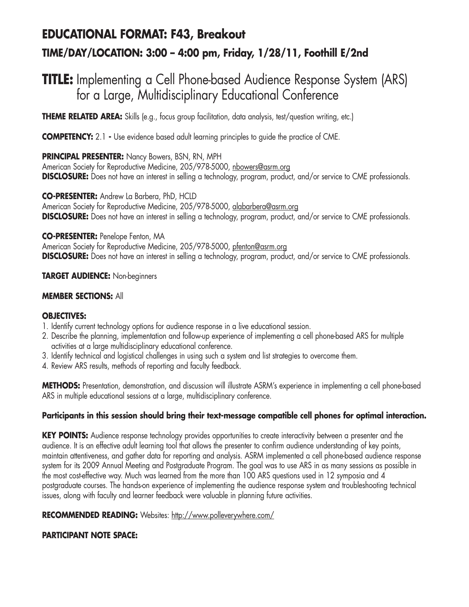# **EDUCATIONAL FORMAT: F43, Breakout TIME/DAY/LOCATION: 3:00 – 4:00 pm, Friday, 1/28/11, Foothill E/2nd**

## **TITLE:** Implementing a Cell Phone-based Audience Response System (ARS) for a Large, Multidisciplinary Educational Conference

**THEME RELATED AREA:** Skills (e.g., focus group facilitation, data analysis, test/question writing, etc.)

**COMPETENCY:** 2.1 **-** Use evidence based adult learning principles to guide the practice of CME.

**PRINCIPAL PRESENTER:** Nancy Bowers, BSN, RN, MPH

American Society for Reproductive Medicine, 205/978-5000, nbowers@asrm.org **DISCLOSURE:** Does not have an interest in selling a technology, program, product, and/or service to CME professionals.

**CO-PRESENTER:** Andrew La Barbera, PhD, HCLD

American Society for Reproductive Medicine, 205/978-5000, alabarbera@asrm.org **DISCLOSURE:** Does not have an interest in selling a technology, program, product, and/or service to CME professionals.

#### **CO-PRESENTER:** Penelope Fenton, MA

American Society for Reproductive Medicine, 205/978-5000, pfenton@asrm.org **DISCLOSURE:** Does not have an interest in selling a technology, program, product, and/or service to CME professionals.

#### **TARGET AUDIENCE:** Non-beginners

#### **MEMBER SECTIONS:** All

#### **OBJECTIVES:**

- 1. Identify current technology options for audience response in a live educational session.
- 2. Describe the planning, implementation and follow-up experience of implementing a cell phone-based ARS for multiple activities at a large multidisciplinary educational conference.
- 3. Identify technical and logistical challenges in using such a system and list strategies to overcome them.
- 4. Review ARS results, methods of reporting and faculty feedback.

**METHODS:** Presentation, demonstration, and discussion will illustrate ASRM's experience in implementing a cell phone-based ARS in multiple educational sessions at a large, multidisciplinary conference.

#### **Participants in this session should bring their text-message compatible cell phones for optimal interaction.**

KEY POINTS: Audience response technology provides opportunities to create interactivity between a presenter and the audience. It is an effective adult learning tool that allows the presenter to confirm audience understanding of key points, maintain attentiveness, and gather data for reporting and analysis. ASRM implemented a cell phone-based audience response system for its 2009 Annual Meeting and Postgraduate Program. The goal was to use ARS in as many sessions as possible in the most cost-effective way. Much was learned from the more than 100 ARS questions used in 12 symposia and 4 postgraduate courses. The hands-on experience of implementing the audience response system and troubleshooting technical issues, along with faculty and learner feedback were valuable in planning future activities.

#### **RECOMMENDED READING:** Websites: http://www.polleverywhere.com/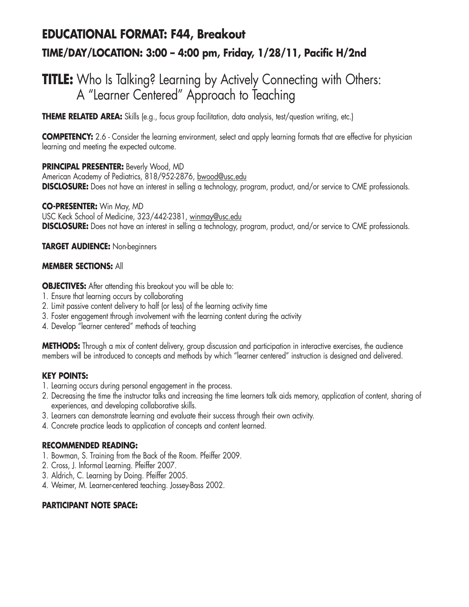# **EDUCATIONAL FORMAT: F44, Breakout TIME/DAY/LOCATION: 3:00 – 4:00 pm, Friday, 1/28/11, Pacific H/2nd**

## **TITLE:** Who Is Talking? Learning by Actively Connecting with Others: A "Learner Centered" Approach to Teaching

**THEME RELATED AREA:** Skills (e.g., focus group facilitation, data analysis, test/question writing, etc.)

**COMPETENCY:** 2.6 - Consider the learning environment, select and apply learning formats that are effective for physician learning and meeting the expected outcome.

**PRINCIPAL PRESENTER:** Beverly Wood, MD American Academy of Pediatrics, 818/952-2876, bwood@usc.edu **DISCLOSURE:** Does not have an interest in selling a technology, program, product, and/or service to CME professionals.

**CO-PRESENTER:** Win May, MD USC Keck School of Medicine, 323/442-2381, winmay@usc.edu **DISCLOSURE:** Does not have an interest in selling a technology, program, product, and/or service to CME professionals.

**TARGET AUDIENCE:** Non-beginners

#### **MEMBER SECTIONS:** All

**OBJECTIVES:** After attending this breakout you will be able to:

- 1. Ensure that learning occurs by collaborating
- 2. Limit passive content delivery to half (or less) of the learning activity time
- 3. Foster engagement through involvement with the learning content during the activity
- 4. Develop "learner centered" methods of teaching

**METHODS:** Through a mix of content delivery, group discussion and participation in interactive exercises, the audience members will be introduced to concepts and methods by which "learner centered" instruction is designed and delivered.

#### **KEY POINTS:**

- 1. Learning occurs during personal engagement in the process.
- 2. Decreasing the time the instructor talks and increasing the time learners talk aids memory, application of content, sharing of experiences, and developing collaborative skills.
- 3. Learners can demonstrate learning and evaluate their success through their own activity.
- 4. Concrete practice leads to application of concepts and content learned.

#### **RECOMMENDED READING:**

- 1. Bowman, S. Training from the Back of the Room. Pfeiffer 2009.
- 2. Cross, J. Informal Learning. Pfeiffer 2007.
- 3. Aldrich, C. Learning by Doing. Pfeiffer 2005.
- 4. Weimer, M. Learner-centered teaching. Jossey-Bass 2002.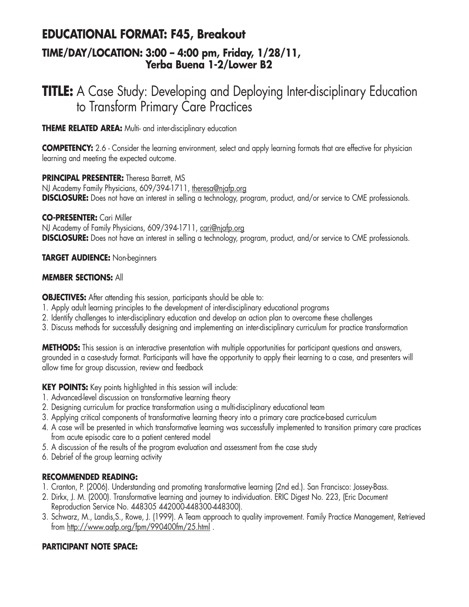### **EDUCATIONAL FORMAT: F45, Breakout TIME/DAY/LOCATION: 3:00 – 4:00 pm, Friday, 1/28/11, Yerba Buena 1-2/Lower B2**

## **TITLE:** A Case Study: Developing and Deploying Inter-disciplinary Education to Transform Primary Care Practices

**THEME RELATED AREA:** Multi- and inter-disciplinary education

**COMPETENCY:** 2.6 - Consider the learning environment, select and apply learning formats that are effective for physician learning and meeting the expected outcome.

#### **PRINCIPAL PRESENTER:** Theresa Barrett, MS

NJ Academy Family Physicians, 609/394-1711, theresa@njafp.org **DISCLOSURE:** Does not have an interest in selling a technology, program, product, and/or service to CME professionals.

#### **CO-PRESENTER:** Cari Miller

NJ Academy of Family Physicians, 609/394-1711, cari@njafp.org **DISCLOSURE:** Does not have an interest in selling a technology, program, product, and/or service to CME professionals.

#### **TARGET AUDIENCE:** Non-beginners

#### **MEMBER SECTIONS:** All

**OBJECTIVES:** After attending this session, participants should be able to:

- 1. Apply adult learning principles to the development of inter-disciplinary educational programs
- 2. Identify challenges to inter-disciplinary education and develop an action plan to overcome these challenges
- 3. Discuss methods for successfully designing and implementing an inter-disciplinary curriculum for practice transformation

**METHODS:** This session is an interactive presentation with multiple opportunities for participant questions and answers, grounded in a case-study format. Participants will have the opportunity to apply their learning to a case, and presenters will allow time for group discussion, review and feedback

**KEY POINTS:** Key points highlighted in this session will include:

- 1. Advanced-level discussion on transformative learning theory
- 2. Designing curriculum for practice transformation using a multi-disciplinary educational team
- 3. Applying critical components of transformative learning theory into a primary care practice-based curriculum
- 4. A case will be presented in which transformative learning was successfully implemented to transition primary care practices from acute episodic care to a patient centered model
- 5. A discussion of the results of the program evaluation and assessment from the case study
- 6. Debrief of the group learning activity

#### **RECOMMENDED READING:**

- 1. Cranton, P. (2006). Understanding and promoting transformative learning (2nd ed.). San Francisco: Jossey-Bass.
- 2. Dirkx, J. M. (2000). Transformative learning and journey to individuation. ERIC Digest No. 223, (Eric Document Reproduction Service No. 448305 442000-448300-448300).
- 3. Schwarz, M., Landis,S., Rowe, J. (1999). A Team approach to quality improvement. Family Practice Management, Retrieved from http://www.aafp.org/fpm/990400fm/25.html .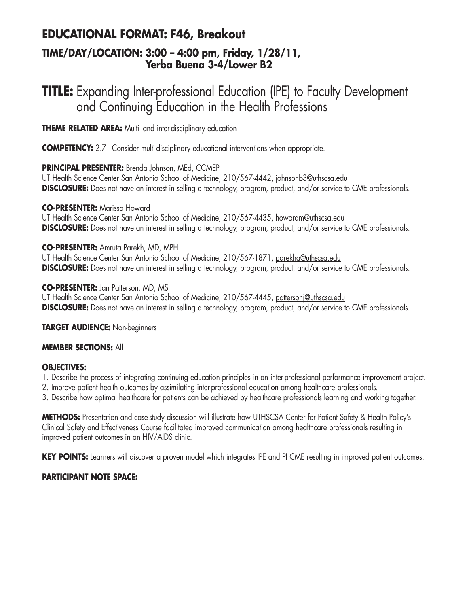### **EDUCATIONAL FORMAT: F46, Breakout**

### **TIME/DAY/LOCATION: 3:00 – 4:00 pm, Friday, 1/28/11, Yerba Buena 3-4/Lower B2**

# **TITLE:** Expanding Inter-professional Education (IPE) to Faculty Development and Continuing Education in the Health Professions

**THEME RELATED AREA:** Multi- and inter-disciplinary education

**COMPETENCY:** 2.7 - Consider multi-disciplinary educational interventions when appropriate.

### **PRINCIPAL PRESENTER:** Brenda Johnson, MEd, CCMEP

UT Health Science Center San Antonio School of Medicine, 210/567-4442, johnsonb3@uthscsa.edu **DISCLOSURE:** Does not have an interest in selling a technology, program, product, and/or service to CME professionals.

#### **CO-PRESENTER:** Marissa Howard

UT Health Science Center San Antonio School of Medicine, 210/567-4435, howardm@uthscsa.edu **DISCLOSURE:** Does not have an interest in selling a technology, program, product, and/or service to CME professionals.

### **CO-PRESENTER:** Amruta Parekh, MD, MPH

UT Health Science Center San Antonio School of Medicine, 210/567-1871, parekha@uthscsa.edu **DISCLOSURE:** Does not have an interest in selling a technology, program, product, and/or service to CME professionals.

#### **CO-PRESENTER:** Jan Patterson, MD, MS

UT Health Science Center San Antonio School of Medicine, 210/567-4445, pattersonj@uthscsa.edu **DISCLOSURE:** Does not have an interest in selling a technology, program, product, and/or service to CME professionals.

**TARGET AUDIENCE:** Non-beginners

### **MEMBER SECTIONS:** All

### **OBJECTIVES:**

- 1. Describe the process of integrating continuing education principles in an inter-professional performance improvement project.
- 2. Improve patient health outcomes by assimilating inter-professional education among healthcare professionals.
- 3. Describe how optimal healthcare for patients can be achieved by healthcare professionals learning and working together.

**METHODS:** Presentation and case-study discussion will illustrate how UTHSCSA Center for Patient Safety & Health Policy's Clinical Safety and Effectiveness Course facilitated improved communication among healthcare professionals resulting in improved patient outcomes in an HIV/AIDS clinic.

KEY POINTS: Learners will discover a proven model which integrates IPE and PI CME resulting in improved patient outcomes.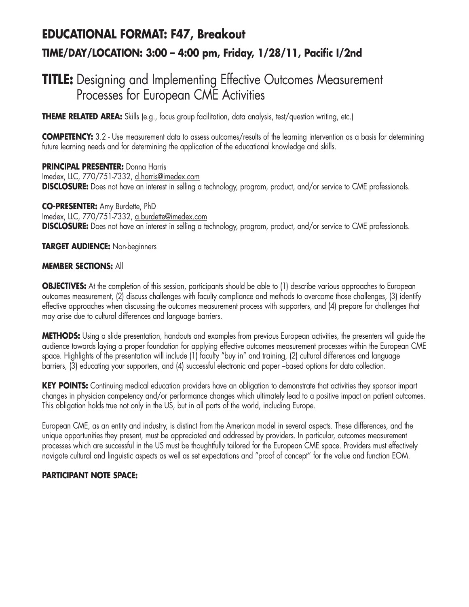# **EDUCATIONAL FORMAT: F47, Breakout TIME/DAY/LOCATION: 3:00 – 4:00 pm, Friday, 1/28/11, Pacific I/2nd**

## **TITLE:** Designing and Implementing Effective Outcomes Measurement Processes for European CME Activities

**THEME RELATED AREA:** Skills (e.g., focus group facilitation, data analysis, test/question writing, etc.)

**COMPETENCY:** 3.2 - Use measurement data to assess outcomes/results of the learning intervention as a basis for determining future learning needs and for determining the application of the educational knowledge and skills.

**PRINCIPAL PRESENTER:** Donna Harris Imedex, LLC, 770/751-7332, d.harris@imedex.com **DISCLOSURE:** Does not have an interest in selling a technology, program, product, and/or service to CME professionals.

**CO-PRESENTER:** Amy Burdette, PhD Imedex, LLC, 770/751-7332, a.burdette@imedex.com **DISCLOSURE:** Does not have an interest in selling a technology, program, product, and/or service to CME professionals.

**TARGET AUDIENCE:** Non-beginners

#### **MEMBER SECTIONS:** All

**OBJECTIVES:** At the completion of this session, participants should be able to (1) describe various approaches to European outcomes measurement, (2) discuss challenges with faculty compliance and methods to overcome those challenges, (3) identify effective approaches when discussing the outcomes measurement process with supporters, and (4) prepare for challenges that may arise due to cultural differences and language barriers.

**METHODS:** Using a slide presentation, handouts and examples from previous European activities, the presenters will guide the audience towards laying a proper foundation for applying effective outcomes measurement processes within the European CME space. Highlights of the presentation will include (1) faculty "buy in" and training, (2) cultural differences and language barriers, (3) educating your supporters, and (4) successful electronic and paper –based options for data collection.

**KEY POINTS:** Continuing medical education providers have an obligation to demonstrate that activities they sponsor impart changes in physician competency and/or performance changes which ultimately lead to a positive impact on patient outcomes. This obligation holds true not only in the US, but in all parts of the world, including Europe.

European CME, as an entity and industry, is distinct from the American model in several aspects. These differences, and the unique opportunities they present, must be appreciated and addressed by providers. In particular, outcomes measurement processes which are successful in the US must be thoughtfully tailored for the European CME space. Providers must effectively navigate cultural and linguistic aspects as well as set expectations and "proof of concept" for the value and function EOM.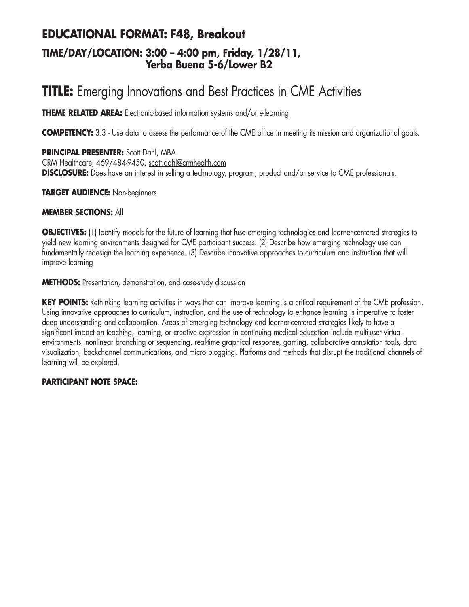### **EDUCATIONAL FORMAT: F48, Breakout TIME/DAY/LOCATION: 3:00 – 4:00 pm, Friday, 1/28/11, Yerba Buena 5-6/Lower B2**

# **TITLE:** Emerging Innovations and Best Practices in CME Activities

**THEME RELATED AREA:** Electronic-based information systems and/or e-learning

**COMPETENCY:** 3.3 - Use data to assess the performance of the CME office in meeting its mission and organizational goals.

**PRINCIPAL PRESENTER:** Scott Dahl, MBA CRM Healthcare, 469/484-9450, scott.dahl@crmhealth.com **DISCLOSURE:** Does have an interest in selling a technology, program, product and/or service to CME professionals.

**TARGET AUDIENCE:** Non-beginners

#### **MEMBER SECTIONS:** All

**OBJECTIVES:** (1) Identify models for the future of learning that fuse emerging technologies and learner-centered strategies to yield new learning environments designed for CME participant success. (2) Describe how emerging technology use can fundamentally redesign the learning experience. (3) Describe innovative approaches to curriculum and instruction that will improve learning

**METHODS:** Presentation, demonstration, and case-study discussion

**KEY POINTS:** Rethinking learning activities in ways that can improve learning is a critical requirement of the CME profession. Using innovative approaches to curriculum, instruction, and the use of technology to enhance learning is imperative to foster deep understanding and collaboration. Areas of emerging technology and learner-centered strategies likely to have a significant impact on teaching, learning, or creative expression in continuing medical education include multi-user virtual environments, nonlinear branching or sequencing, real-time graphical response, gaming, collaborative annotation tools, data visualization, backchannel communications, and micro blogging. Platforms and methods that disrupt the traditional channels of learning will be explored.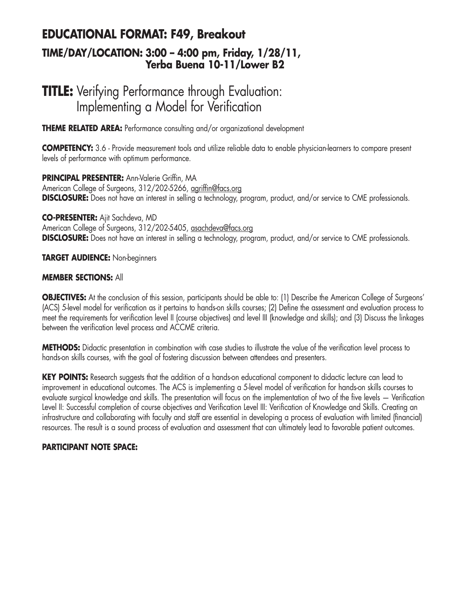### **EDUCATIONAL FORMAT: F49, Breakout TIME/DAY/LOCATION: 3:00 – 4:00 pm, Friday, 1/28/11, Yerba Buena 10-11/Lower B2**

## **TITLE:** Verifying Performance through Evaluation: Implementing a Model for Verification

**THEME RELATED AREA:** Performance consulting and/or organizational development

**COMPETENCY:** 3.6 - Provide measurement tools and utilize reliable data to enable physician-learners to compare present levels of performance with optimum performance.

**PRINCIPAL PRESENTER:** Ann-Valerie Griffin, MA American College of Surgeons, 312/202-5266, agriffin@facs.org **DISCLOSURE:** Does not have an interest in selling a technology, program, product, and/or service to CME professionals.

**CO-PRESENTER:** Ajit Sachdeva, MD American College of Surgeons, 312/202-5405, asachdeva@facs.org **DISCLOSURE:** Does not have an interest in selling a technology, program, product, and/or service to CME professionals.

**TARGET AUDIENCE:** Non-beginners

#### **MEMBER SECTIONS:** All

**OBJECTIVES:** At the conclusion of this session, participants should be able to: (1) Describe the American College of Surgeons' (ACS) 5-level model for verification as it pertains to hands-on skills courses; (2) Define the assessment and evaluation process to meet the requirements for verification level II (course objectives) and level III (knowledge and skills); and (3) Discuss the linkages between the verification level process and ACCME criteria.

**METHODS:** Didactic presentation in combination with case studies to illustrate the value of the verification level process to hands-on skills courses, with the goal of fostering discussion between attendees and presenters.

**KEY POINTS:** Research suggests that the addition of a hands-on educational component to didactic lecture can lead to improvement in educational outcomes. The ACS is implementing a 5-level model of verification for hands-on skills courses to evaluate surgical knowledge and skills. The presentation will focus on the implementation of two of the five levels — Verification Level II: Successful completion of course objectives and Verification Level III: Verification of Knowledge and Skills. Creating an infrastructure and collaborating with faculty and staff are essential in developing a process of evaluation with limited (financial) resources. The result is a sound process of evaluation and assessment that can ultimately lead to favorable patient outcomes.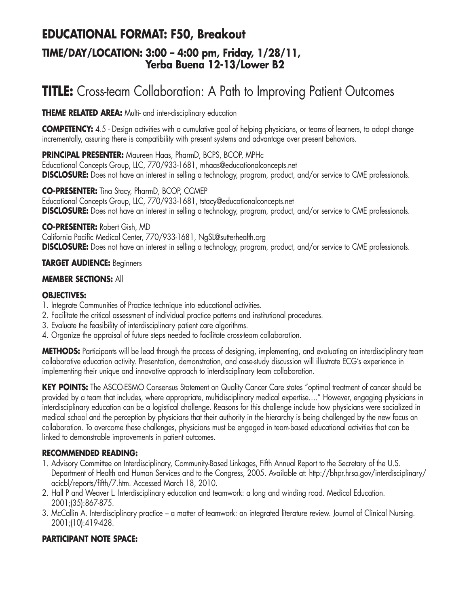### **EDUCATIONAL FORMAT: F50, Breakout TIME/DAY/LOCATION: 3:00 – 4:00 pm, Friday, 1/28/11, Yerba Buena 12-13/Lower B2**

# **TITLE:** Cross-team Collaboration: A Path to Improving Patient Outcomes

**THEME RELATED AREA:** Multi- and inter-disciplinary education

**COMPETENCY:** 4.5 - Design activities with a cumulative goal of helping physicians, or teams of learners, to adopt change incrementally, assuring there is compatibility with present systems and advantage over present behaviors.

**PRINCIPAL PRESENTER:** Maureen Haas, PharmD, BCPS, BCOP, MPHc Educational Concepts Group, LLC, 770/933-1681, mhaas@educationalconcepts.net **DISCLOSURE:** Does not have an interest in selling a technology, program, product, and/or service to CME professionals.

**CO-PRESENTER:** Tina Stacy, PharmD, BCOP, CCMEP Educational Concepts Group, LLC, 770/933-1681, tstacy@educationalconcepts.net **DISCLOSURE:** Does not have an interest in selling a technology, program, product, and/or service to CME professionals.

#### **CO-PRESENTER:** Robert Gish, MD

California Pacific Medical Center, 770/933-1681, NgSL@sutterhealth.org **DISCLOSURE:** Does not have an interest in selling a technology, program, product, and/or service to CME professionals.

#### **TARGET AUDIENCE:** Beginners

#### **MEMBER SECTIONS:** All

#### **OBJECTIVES:**

- 1. Integrate Communities of Practice technique into educational activities.
- 2. Facilitate the critical assessment of individual practice patterns and institutional procedures.
- 3. Evaluate the feasibility of interdisciplinary patient care algorithms.
- 4. Organize the appraisal of future steps needed to facilitate cross-team collaboration.

**METHODS:** Participants will be lead through the process of designing, implementing, and evaluating an interdisciplinary team collaborative education activity. Presentation, demonstration, and case-study discussion will illustrate ECG's experience in implementing their unique and innovative approach to interdisciplinary team collaboration.

**KEY POINTS:** The ASCO-ESMO Consensus Statement on Quality Cancer Care states "optimal treatment of cancer should be provided by a team that includes, where appropriate, multidisciplinary medical expertise…." However, engaging physicians in interdisciplinary education can be a logistical challenge. Reasons for this challenge include how physicians were socialized in medical school and the perception by physicians that their authority in the hierarchy is being challenged by the new focus on collaboration. To overcome these challenges, physicians must be engaged in team-based educational activities that can be linked to demonstrable improvements in patient outcomes.

#### **RECOMMENDED READING:**

- 1. Advisory Committee on Interdisciplinary, Community-Based Linkages, Fifth Annual Report to the Secretary of the U.S. Department of Health and Human Services and to the Congress, 2005. Available at: http://bhpr.hrsa.gov/interdisciplinary/ acicbl/reports/fifth/7.htm. Accessed March 18, 2010.
- 2. Hall P and Weaver L. Interdisciplinary education and teamwork: a long and winding road. Medical Education. 2001;(35):867-875.
- 3. McCallin A. Interdisciplinary practice a matter of teamwork: an integrated literature review. Journal of Clinical Nursing. 2001;(10):419-428.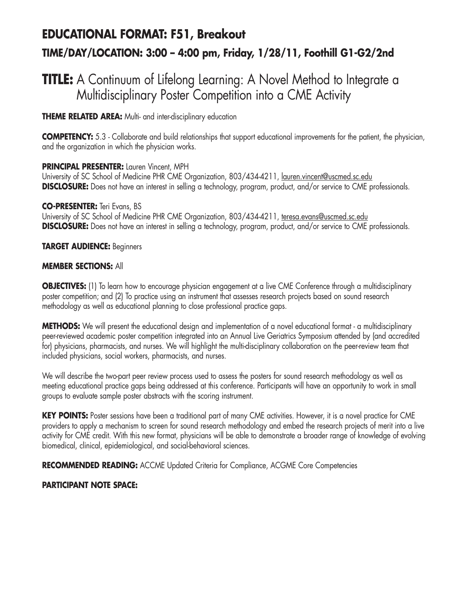## **EDUCATIONAL FORMAT: F51, Breakout TIME/DAY/LOCATION: 3:00 – 4:00 pm, Friday, 1/28/11, Foothill G1-G2/2nd**

## **TITLE:** A Continuum of Lifelong Learning: A Novel Method to Integrate a Multidisciplinary Poster Competition into a CME Activity

**THEME RELATED AREA:** Multi- and inter-disciplinary education

**COMPETENCY:** 5.3 - Collaborate and build relationships that support educational improvements for the patient, the physician, and the organization in which the physician works.

### **PRINCIPAL PRESENTER:** Lauren Vincent, MPH

University of SC School of Medicine PHR CME Organization, 803/434-4211, lauren.vincent@uscmed.sc.edu **DISCLOSURE:** Does not have an interest in selling a technology, program, product, and/or service to CME professionals.

#### **CO-PRESENTER:** Teri Evans, BS

University of SC School of Medicine PHR CME Organization, 803/434-4211, teresa.evans@uscmed.sc.edu **DISCLOSURE:** Does not have an interest in selling a technology, program, product, and/or service to CME professionals.

### **TARGET AUDIENCE:** Beginners

### **MEMBER SECTIONS:** All

**OBJECTIVES:** (1) To learn how to encourage physician engagement at a live CME Conference through a multidisciplinary poster competition; and (2) To practice using an instrument that assesses research projects based on sound research methodology as well as educational planning to close professional practice gaps.

**METHODS:** We will present the educational design and implementation of a novel educational format - a multidisciplinary peer-reviewed academic poster competition integrated into an Annual Live Geriatrics Symposium attended by (and accredited for) physicians, pharmacists, and nurses. We will highlight the multi-disciplinary collaboration on the peer-review team that included physicians, social workers, pharmacists, and nurses.

We will describe the two-part peer review process used to assess the posters for sound research methodology as well as meeting educational practice gaps being addressed at this conference. Participants will have an opportunity to work in small groups to evaluate sample poster abstracts with the scoring instrument.

**KEY POINTS:** Poster sessions have been a traditional part of many CME activities. However, it is a novel practice for CME providers to apply a mechanism to screen for sound research methodology and embed the research projects of merit into a live activity for CME credit. With this new format, physicians will be able to demonstrate a broader range of knowledge of evolving biomedical, clinical, epidemiological, and social-behavioral sciences.

**RECOMMENDED READING:** ACCME Updated Criteria for Compliance, ACGME Core Competencies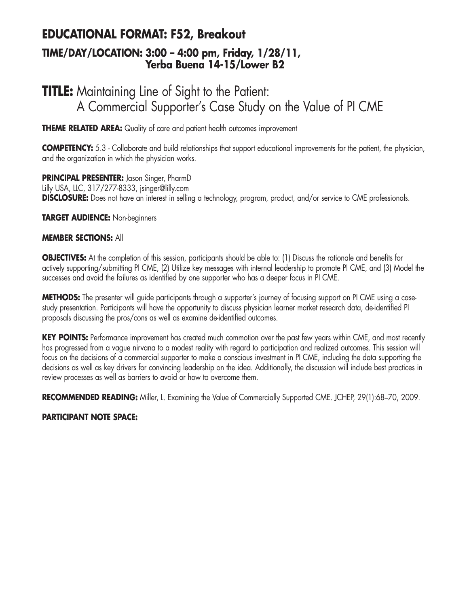### **EDUCATIONAL FORMAT: F52, Breakout TIME/DAY/LOCATION: 3:00 – 4:00 pm, Friday, 1/28/11, Yerba Buena 14-15/Lower B2**

## **TITLE:** Maintaining Line of Sight to the Patient: A Commercial Supporter's Case Study on the Value of PI CME

**THEME RELATED AREA:** Quality of care and patient health outcomes improvement

**COMPETENCY:** 5.3 - Collaborate and build relationships that support educational improvements for the patient, the physician, and the organization in which the physician works.

**PRINCIPAL PRESENTER:** Jason Singer, PharmD Lilly USA, LLC, 317/277-8333, jsinger@lilly.com **DISCLOSURE:** Does not have an interest in selling a technology, program, product, and/or service to CME professionals.

**TARGET AUDIENCE:** Non-beginners

### **MEMBER SECTIONS:** All

**OBJECTIVES:** At the completion of this session, participants should be able to: (1) Discuss the rationale and benefits for actively supporting/submitting PI CME, (2) Utilize key messages with internal leadership to promote PI CME, and (3) Model the successes and avoid the failures as identified by one supporter who has a deeper focus in PI CME.

**METHODS:** The presenter will guide participants through a supporter's journey of focusing support on PI CME using a casestudy presentation. Participants will have the opportunity to discuss physician learner market research data, de-identified PI proposals discussing the pros/cons as well as examine de-identified outcomes.

**KEY POINTS:** Performance improvement has created much commotion over the past few years within CME, and most recently has progressed from a vague nirvana to a modest reality with regard to participation and realized outcomes. This session will focus on the decisions of a commercial supporter to make a conscious investment in PI CME, including the data supporting the decisions as well as key drivers for convincing leadership on the idea. Additionally, the discussion will include best practices in review processes as well as barriers to avoid or how to overcome them.

**RECOMMENDED READING:** Miller, L. Examining the Value of Commercially Supported CME. JCHEP, 29(1):68–70, 2009.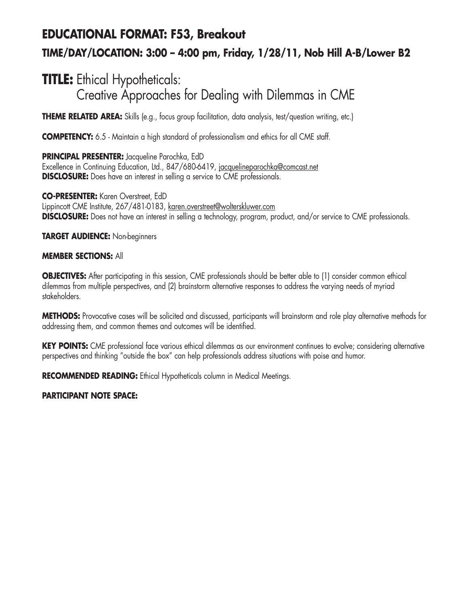## **EDUCATIONAL FORMAT: F53, Breakout TIME/DAY/LOCATION: 3:00 – 4:00 pm, Friday, 1/28/11, Nob Hill A-B/Lower B2**

## **TITLE:** Ethical Hypotheticals: Creative Approaches for Dealing with Dilemmas in CME

**THEME RELATED AREA:** Skills (e.g., focus group facilitation, data analysis, test/question writing, etc.)

**COMPETENCY:** 6.5 - Maintain a high standard of professionalism and ethics for all CME staff.

**PRINCIPAL PRESENTER:** Jacqueline Parochka, EdD Excellence in Continuing Education, Ltd., 847/680-6419, jacquelineparochka@comcast.net **DISCLOSURE:** Does have an interest in selling a service to CME professionals.

**CO-PRESENTER:** Karen Overstreet, EdD Lippincott CME Institute, 267/481-0183, karen.overstreet@wolterskluwer.com **DISCLOSURE:** Does not have an interest in selling a technology, program, product, and/or service to CME professionals.

**TARGET AUDIENCE:** Non-beginners

### **MEMBER SECTIONS:** All

**OBJECTIVES:** After participating in this session, CME professionals should be better able to (1) consider common ethical dilemmas from multiple perspectives, and (2) brainstorm alternative responses to address the varying needs of myriad stakeholders.

**METHODS:** Provocative cases will be solicited and discussed, participants will brainstorm and role play alternative methods for addressing them, and common themes and outcomes will be identified.

KEY POINTS: CME professional face various ethical dilemmas as our environment continues to evolve; considering alternative perspectives and thinking "outside the box" can help professionals address situations with poise and humor.

**RECOMMENDED READING:** Ethical Hypotheticals column in Medical Meetings.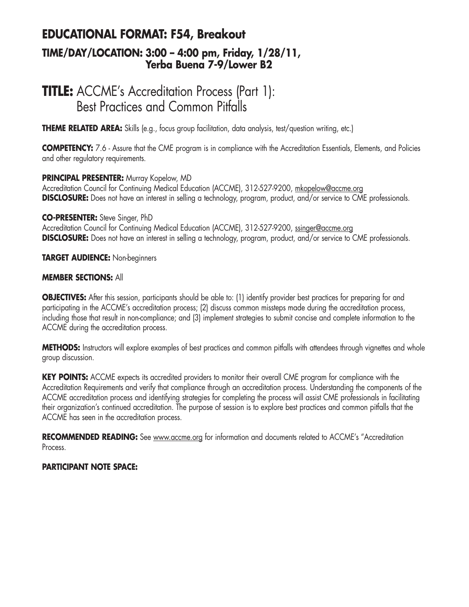### **EDUCATIONAL FORMAT: F54, Breakout TIME/DAY/LOCATION: 3:00 – 4:00 pm, Friday, 1/28/11, Yerba Buena 7-9/Lower B2**

## **TITLE:** ACCME's Accreditation Process (Part 1): Best Practices and Common Pitfalls

**THEME RELATED AREA:** Skills (e.g., focus group facilitation, data analysis, test/question writing, etc.)

**COMPETENCY:** 7.6 - Assure that the CME program is in compliance with the Accreditation Essentials, Elements, and Policies and other regulatory requirements.

### **PRINCIPAL PRESENTER:** Murray Kopelow, MD

Accreditation Council for Continuing Medical Education (ACCME), 312-527-9200, mkopelow@accme.org **DISCLOSURE:** Does not have an interest in selling a technology, program, product, and/or service to CME professionals.

### **CO-PRESENTER:** Steve Singer, PhD

Accreditation Council for Continuing Medical Education (ACCME), 312-527-9200, ssinger@accme.org **DISCLOSURE:** Does not have an interest in selling a technology, program, product, and/or service to CME professionals.

### **TARGET AUDIENCE:** Non-beginners

### **MEMBER SECTIONS:** All

**OBJECTIVES:** After this session, participants should be able to: (1) identify provider best practices for preparing for and participating in the ACCME's accreditation process; (2) discuss common missteps made during the accreditation process, including those that result in non-compliance; and (3) implement strategies to submit concise and complete information to the ACCME during the accreditation process.

**METHODS:** Instructors will explore examples of best practices and common pitfalls with attendees through vignettes and whole group discussion.

**KEY POINTS:** ACCME expects its accredited providers to monitor their overall CME program for compliance with the Accreditation Requirements and verify that compliance through an accreditation process. Understanding the components of the ACCME accreditation process and identifying strategies for completing the process will assist CME professionals in facilitating their organization's continued accreditation. The purpose of session is to explore best practices and common pitfalls that the ACCME has seen in the accreditation process.

RECOMMENDED READING: See www.accme.org for information and documents related to ACCME's "Accreditation Process.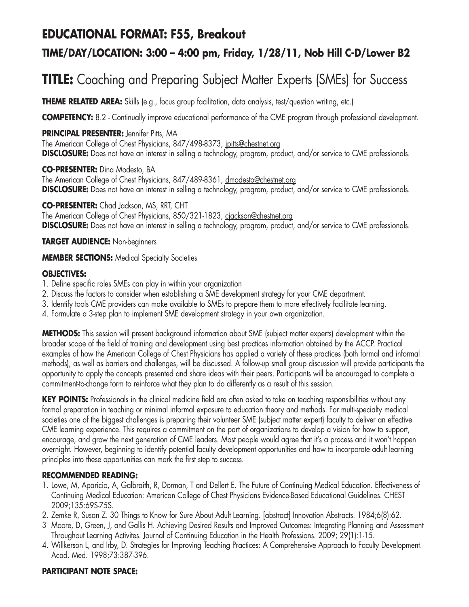## **EDUCATIONAL FORMAT: F55, Breakout**

### **TIME/DAY/LOCATION: 3:00 – 4:00 pm, Friday, 1/28/11, Nob Hill C-D/Lower B2**

## **TITLE:** Coaching and Preparing Subject Matter Experts (SMEs) for Success

**THEME RELATED AREA:** Skills (e.g., focus group facilitation, data analysis, test/question writing, etc.)

**COMPETENCY:** 8.2 - Continually improve educational performance of the CME program through professional development.

### **PRINCIPAL PRESENTER:** Jennifer Pitts, MA

The American College of Chest Physicians, 847/498-8373, jpitts@chestnet.org **DISCLOSURE:** Does not have an interest in selling a technology, program, product, and/or service to CME professionals.

**CO-PRESENTER:** Dina Modesto, BA

The American College of Chest Physicians, 847/489-8361, dmodesto@chestnet.org **DISCLOSURE:** Does not have an interest in selling a technology, program, product, and/or service to CME professionals.

**CO-PRESENTER:** Chad Jackson, MS, RRT, CHT The American College of Chest Physicians, 850/321-1823, cjackson@chestnet.org **DISCLOSURE:** Does not have an interest in selling a technology, program, product, and/or service to CME professionals.

### **TARGET AUDIENCE:** Non-beginners

**MEMBER SECTIONS:** Medical Specialty Societies

### **OBJECTIVES:**

- 1. Define specific roles SMEs can play in within your organization
- 2. Discuss the factors to consider when establishing a SME development strategy for your CME department.
- 3. Identify tools CME providers can make available to SMEs to prepare them to more effectively facilitate learning.
- 4. Formulate a 3-step plan to implement SME development strategy in your own organization.

**METHODS:** This session will present background information about SME (subject matter experts) development within the broader scope of the field of training and development using best practices information obtained by the ACCP. Practical examples of how the American College of Chest Physicians has applied a variety of these practices (both formal and informal methods), as well as barriers and challenges, will be discussed. A follow-up small group discussion will provide participants the opportunity to apply the concepts presented and share ideas with their peers. Participants will be encouraged to complete a commitment-to-change form to reinforce what they plan to do differently as a result of this session.

KEY POINTS: Professionals in the clinical medicine field are often asked to take on teaching responsibilities without any formal preparation in teaching or minimal informal exposure to education theory and methods. For multi-specialty medical societies one of the biggest challenges is preparing their volunteer SME (subject matter expert) faculty to deliver an effective CME learning experience. This requires a commitment on the part of organizations to develop a vision for how to support, encourage, and grow the next generation of CME leaders. Most people would agree that it's a process and it won't happen overnight. However, beginning to identify potential faculty development opportunities and how to incorporate adult learning principles into these opportunities can mark the first step to success.

### **RECOMMENDED READING:**

- 1. Lowe, M, Aparicio, A, Galbraith, R, Dorman, T and Dellert E. The Future of Continuing Medical Education. Effectiveness of Continuing Medical Education: American College of Chest Physicians Evidence-Based Educational Guidelines. CHEST 2009;135:69S-75S.
- 2. Zemke R, Susan Z. 30 Things to Know for Sure About Adult Learning. [abstract] Innovation Abstracts. 1984;6(8):62.
- 3 Moore, D, Green, J, and Gallis H. Achieving Desired Results and Improved Outcomes: Integrating Planning and Assessment Throughout Learning Activites. Journal of Continuing Education in the Health Professions. 2009; 29(1):1-15.
- 4. Willkerson L, and Irby, D. Strategies for Improving Teaching Practices: A Comprehensive Approach to Faculty Development. Acad. Med. 1998;73:387-396.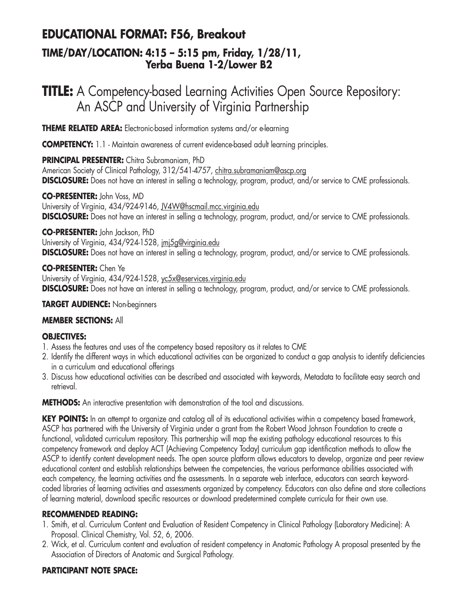### **EDUCATIONAL FORMAT: F56, Breakout**

### **TIME/DAY/LOCATION: 4:15 – 5:15 pm, Friday, 1/28/11, Yerba Buena 1-2/Lower B2**

## **TITLE:** A Competency-based Learning Activities Open Source Repository: An ASCP and University of Virginia Partnership

**THEME RELATED AREA:** Electronic-based information systems and/or e-learning

**COMPETENCY:** 1.1 - Maintain awareness of current evidence-based adult learning principles.

**PRINCIPAL PRESENTER:** Chitra Subramaniam, PhD

American Society of Clinical Pathology, 312/541-4757, chitra.subramaniam@ascp.org **DISCLOSURE:** Does not have an interest in selling a technology, program, product, and/or service to CME professionals.

### **CO-PRESENTER:** John Voss, MD

University of Virginia, 434/924-9146, JV4W@hscmail.mcc.virginia.edu **DISCLOSURE:** Does not have an interest in selling a technology, program, product, and/or service to CME professionals.

### **CO-PRESENTER:** John Jackson, PhD

University of Virginia, 434/924-1528, imi5g@virginia.edu **DISCLOSURE:** Does not have an interest in selling a technology, program, product, and/or service to CME professionals.

**CO-PRESENTER:** Chen Ye University of Virginia, 434/924-1528, yc5x@eservices.virginia.edu **DISCLOSURE:** Does not have an interest in selling a technology, program, product, and/or service to CME professionals.

### **TARGET AUDIENCE:** Non-beginners

### **MEMBER SECTIONS:** All

### **OBJECTIVES:**

- 1. Assess the features and uses of the competency based repository as it relates to CME
- 2. Identify the different ways in which educational activities can be organized to conduct a gap analysis to identify deficiencies in a curriculum and educational offerings
- 3. Discuss how educational activities can be described and associated with keywords, Metadata to facilitate easy search and retrieval.

**METHODS:** An interactive presentation with demonstration of the tool and discussions.

**KEY POINTS:** In an attempt to organize and catalog all of its educational activities within a competency based framework, ASCP has partnered with the University of Virginia under a grant from the Robert Wood Johnson Foundation to create a functional, validated curriculum repository. This partnership will map the existing pathology educational resources to this competency framework and deploy ACT (Achieving Competency Today) curriculum gap identification methods to allow the ASCP to identify content development needs. The open source platform allows educators to develop, organize and peer review educational content and establish relationships between the competencies, the various performance abilities associated with each competency, the learning activities and the assessments. In a separate web interface, educators can search keywordcoded libraries of learning activities and assessments organized by competency. Educators can also define and store collections of learning material, download specific resources or download predetermined complete curricula for their own use.

### **RECOMMENDED READING:**

- 1. Smith, et al. Curriculum Content and Evaluation of Resident Competency in Clinical Pathology (Laboratory Medicine): A Proposal. Clinical Chemistry, Vol. 52, 6, 2006.
- 2. Wick, et al. Curriculum content and evaluation of resident competency in Anatomic Pathology A proposal presented by the Association of Directors of Anatomic and Surgical Pathology.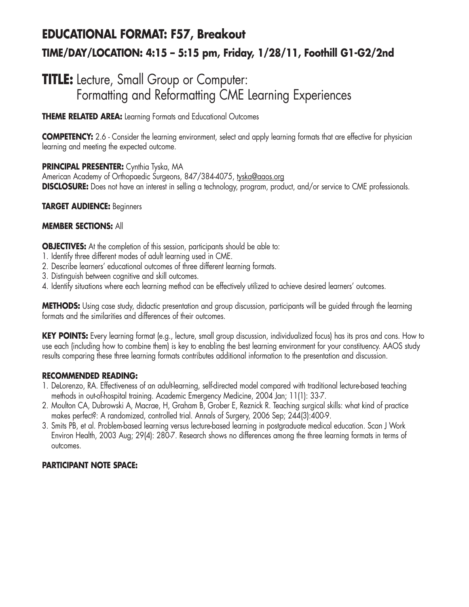## **EDUCATIONAL FORMAT: F57, Breakout TIME/DAY/LOCATION: 4:15 – 5:15 pm, Friday, 1/28/11, Foothill G1-G2/2nd**

## **TITLE:** Lecture, Small Group or Computer: Formatting and Reformatting CME Learning Experiences

**THEME RELATED AREA:** Learning Formats and Educational Outcomes

**COMPETENCY:** 2.6 - Consider the learning environment, select and apply learning formats that are effective for physician learning and meeting the expected outcome.

**PRINCIPAL PRESENTER:** Cynthia Tyska, MA

American Academy of Orthopaedic Surgeons, 847/384-4075, tyska@aaos.org **DISCLOSURE:** Does not have an interest in selling a technology, program, product, and/or service to CME professionals.

### **TARGET AUDIENCE:** Beginners

### **MEMBER SECTIONS:** All

**OBJECTIVES:** At the completion of this session, participants should be able to:

- 1. Identify three different modes of adult learning used in CME.
- 2. Describe learners' educational outcomes of three different learning formats.
- 3. Distinguish between cognitive and skill outcomes.
- 4. Identify situations where each learning method can be effectively utilized to achieve desired learners' outcomes.

**METHODS:** Using case study, didactic presentation and group discussion, participants will be guided through the learning formats and the similarities and differences of their outcomes.

**KEY POINTS:** Every learning format (e.g., lecture, small group discussion, individualized focus) has its pros and cons. How to use each (including how to combine them) is key to enabling the best learning environment for your constituency. AAOS study results comparing these three learning formats contributes additional information to the presentation and discussion.

### **RECOMMENDED READING:**

- 1. DeLorenzo, RA. Effectiveness of an adult-learning, self-directed model compared with traditional lecture-based teaching methods in out-of-hospital training. Academic Emergency Medicine, 2004 Jan; 11(1): 33-7.
- 2. Moulton CA, Dubrowski A, Macrae, H, Graham B, Grober E, Reznick R. Teaching surgical skills: what kind of practice makes perfect?: A randomized, controlled trial. Annals of Surgery, 2006 Sep; 244(3):400-9.
- 3. Smits PB, et al. Problem-based learning versus lecture-based learning in postgraduate medical education. Scan J Work Environ Health, 2003 Aug; 29(4): 280-7. Research shows no differences among the three learning formats in terms of outcomes.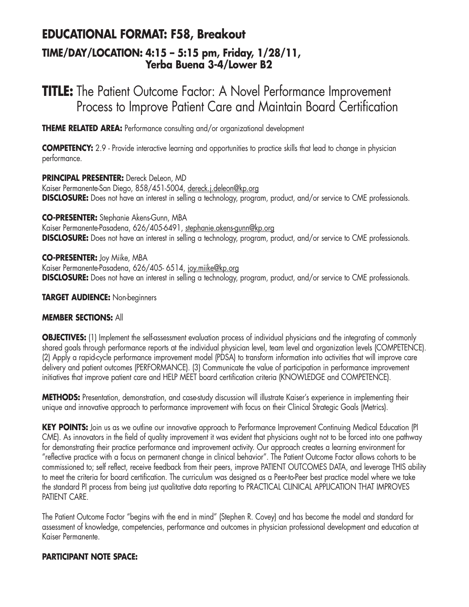## **EDUCATIONAL FORMAT: F58, Breakout**

### **TIME/DAY/LOCATION: 4:15 – 5:15 pm, Friday, 1/28/11, Yerba Buena 3-4/Lower B2**

## **TITLE:** The Patient Outcome Factor: A Novel Performance Improvement Process to Improve Patient Care and Maintain Board Certification

**THEME RELATED AREA:** Performance consulting and/or organizational development

**COMPETENCY:** 2.9 - Provide interactive learning and opportunities to practice skills that lead to change in physician performance.

**PRINCIPAL PRESENTER:** Dereck DeLeon, MD Kaiser Permanente-San Diego, 858/451-5004, dereck.j.deleon@kp.org **DISCLOSURE:** Does not have an interest in selling a technology, program, product, and/or service to CME professionals.

**CO-PRESENTER:** Stephanie Akens-Gunn, MBA

Kaiser Permanente-Pasadena, 626/405-6491, stephanie.akens-gunn@kp.org **DISCLOSURE:** Does not have an interest in selling a technology, program, product, and/or service to CME professionals.

**CO-PRESENTER:** Joy Miike, MBA Kaiser Permanente-Pasadena, 626/405-6514, joy.miike@kp.org **DISCLOSURE:** Does not have an interest in selling a technology, program, product, and/or service to CME professionals.

### **TARGET AUDIENCE:** Non-beginners

### **MEMBER SECTIONS:** All

**OBJECTIVES:** (1) Implement the self-assessment evaluation process of individual physicians and the integrating of commonly shared goals through performance reports at the individual physician level, team level and organization levels (COMPETENCE). (2) Apply a rapid-cycle performance improvement model (PDSA) to transform information into activities that will improve care delivery and patient outcomes (PERFORMANCE). (3) Communicate the value of participation in performance improvement initiatives that improve patient care and HELP MEET board certification criteria (KNOWLEDGE and COMPETENCE).

**METHODS:** Presentation, demonstration, and case-study discussion will illustrate Kaiser's experience in implementing their unique and innovative approach to performance improvement with focus on their Clinical Strategic Goals (Metrics).

KEY POINTS: Join us as we outline our innovative approach to Performance Improvement Continuing Medical Education (PI CME). As innovators in the field of quality improvement it was evident that physicians ought not to be forced into one pathway for demonstrating their practice performance and improvement activity. Our approach creates a learning environment for "reflective practice with a focus on permanent change in clinical behavior". The Patient Outcome Factor allows cohorts to be commissioned to; self reflect, receive feedback from their peers, improve PATIENT OUTCOMES DATA, and leverage THIS ability to meet the criteria for board certification. The curriculum was designed as a Peer-to-Peer best practice model where we take the standard PI process from being just qualitative data reporting to PRACTICAL CLINICAL APPLICATION THAT IMPROVES PATIENT CARE.

The Patient Outcome Factor "begins with the end in mind" (Stephen R. Covey) and has become the model and standard for assessment of knowledge, competencies, performance and outcomes in physician professional development and education at Kaiser Permanente.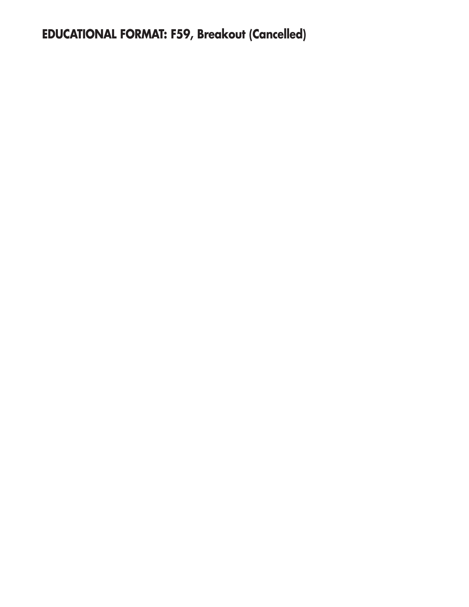**EDUCATIONAL FORMAT: F59, Breakout (Cancelled)**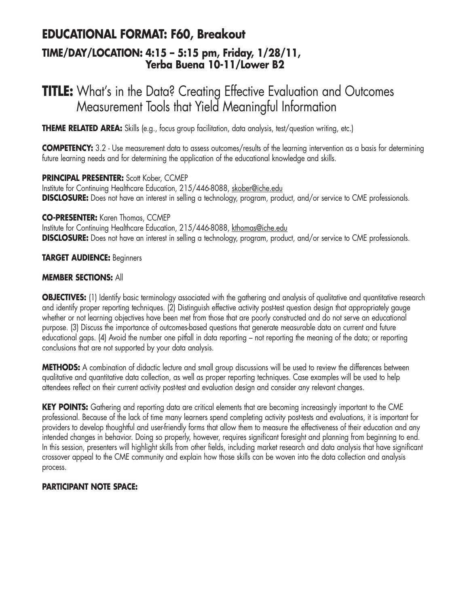### **EDUCATIONAL FORMAT: F60, Breakout TIME/DAY/LOCATION: 4:15 – 5:15 pm, Friday, 1/28/11, Yerba Buena 10-11/Lower B2**

## **TITLE:** What's in the Data? Creating Effective Evaluation and Outcomes Measurement Tools that Yield Meaningful Information

**THEME RELATED AREA:** Skills (e.g., focus group facilitation, data analysis, test/question writing, etc.)

**COMPETENCY:** 3.2 - Use measurement data to assess outcomes/results of the learning intervention as a basis for determining future learning needs and for determining the application of the educational knowledge and skills.

**PRINCIPAL PRESENTER:** Scott Kober, CCMEP Institute for Continuing Healthcare Education, 215/446-8088, skober@iche.edu **DISCLOSURE:** Does not have an interest in selling a technology, program, product, and/or service to CME professionals.

**CO-PRESENTER:** Karen Thomas, CCMEP

Institute for Continuing Healthcare Education, 215/446-8088, kthomas@iche.edu **DISCLOSURE:** Does not have an interest in selling a technology, program, product, and/or service to CME professionals.

#### **TARGET AUDIENCE:** Beginners

#### **MEMBER SECTIONS:** All

**OBJECTIVES:** (1) Identify basic terminology associated with the gathering and analysis of qualitative and quantitative research and identify proper reporting techniques. (2) Distinguish effective activity post-test question design that appropriately gauge whether or not learning objectives have been met from those that are poorly constructed and do not serve an educational purpose. (3) Discuss the importance of outcomes-based questions that generate measurable data on current and future educational gaps. (4) Avoid the number one pitfall in data reporting – not reporting the meaning of the data; or reporting conclusions that are not supported by your data analysis.

**METHODS:** A combination of didactic lecture and small group discussions will be used to review the differences between qualitative and quantitative data collection, as well as proper reporting techniques. Case examples will be used to help attendees reflect on their current activity post-test and evaluation design and consider any relevant changes.

**KEY POINTS:** Gathering and reporting data are critical elements that are becoming increasingly important to the CME professional. Because of the lack of time many learners spend completing activity post-tests and evaluations, it is important for providers to develop thoughtful and user-friendly forms that allow them to measure the effectiveness of their education and any intended changes in behavior. Doing so properly, however, requires significant foresight and planning from beginning to end. In this session, presenters will highlight skills from other fields, including market research and data analysis that have significant crossover appeal to the CME community and explain how those skills can be woven into the data collection and analysis process.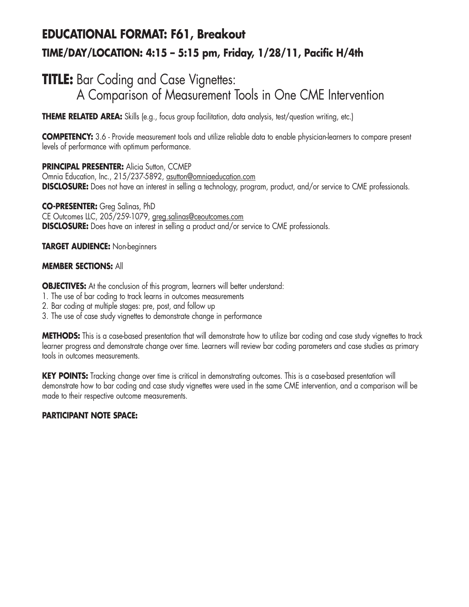## **EDUCATIONAL FORMAT: F61, Breakout TIME/DAY/LOCATION: 4:15 – 5:15 pm, Friday, 1/28/11, Pacific H/4th**

## **TITLE:** Bar Coding and Case Vignettes: A Comparison of Measurement Tools in One CME Intervention

**THEME RELATED AREA:** Skills (e.g., focus group facilitation, data analysis, test/question writing, etc.)

**COMPETENCY:** 3.6 - Provide measurement tools and utilize reliable data to enable physician-learners to compare present levels of performance with optimum performance.

**PRINCIPAL PRESENTER: Alicia Sutton, CCMEP** Omnia Education, Inc., 215/237-5892, asutton@omniaeducation.com **DISCLOSURE:** Does not have an interest in selling a technology, program, product, and/or service to CME professionals.

**CO-PRESENTER:** Greg Salinas, PhD CE Outcomes LLC, 205/259-1079, greg.salinas@ceoutcomes.com **DISCLOSURE:** Does have an interest in selling a product and/or service to CME professionals.

**TARGET AUDIENCE:** Non-beginners

#### **MEMBER SECTIONS:** All

**OBJECTIVES:** At the conclusion of this program, learners will better understand:

- 1. The use of bar coding to track learns in outcomes measurements
- 2. Bar coding at multiple stages: pre, post, and follow up
- 3. The use of case study vignettes to demonstrate change in performance

**METHODS:** This is a case-based presentation that will demonstrate how to utilize bar coding and case study vignettes to track learner progress and demonstrate change over time. Learners will review bar coding parameters and case studies as primary tools in outcomes measurements.

**KEY POINTS:** Tracking change over time is critical in demonstrating outcomes. This is a case-based presentation will demonstrate how to bar coding and case study vignettes were used in the same CME intervention, and a comparison will be made to their respective outcome measurements.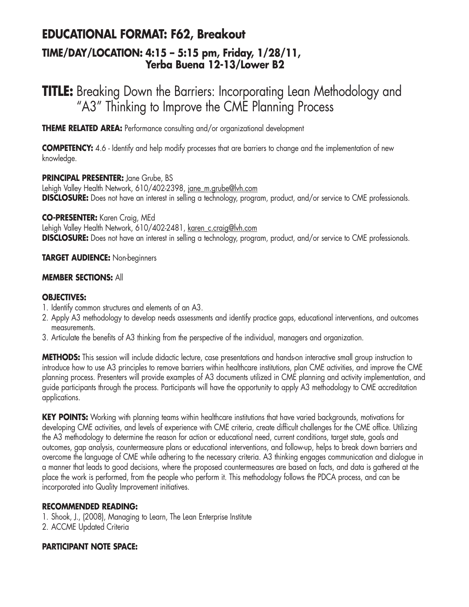## **EDUCATIONAL FORMAT: F62, Breakout**

### **TIME/DAY/LOCATION: 4:15 – 5:15 pm, Friday, 1/28/11, Yerba Buena 12-13/Lower B2**

## **TITLE:** Breaking Down the Barriers: Incorporating Lean Methodology and "A3" Thinking to Improve the CME Planning Process

**THEME RELATED AREA:** Performance consulting and/or organizational development

**COMPETENCY:** 4.6 - Identify and help modify processes that are barriers to change and the implementation of new knowledge.

**PRINCIPAL PRESENTER:** Jane Grube, BS Lehigh Valley Health Network, 610/402-2398, jane\_m.grube@lvh.com **DISCLOSURE:** Does not have an interest in selling a technology, program, product, and/or service to CME professionals.

**CO-PRESENTER:** Karen Craig, MEd

Lehigh Valley Health Network, 610/402-2481, karen\_c.craig@lvh.com **DISCLOSURE:** Does not have an interest in selling a technology, program, product, and/or service to CME professionals.

### **TARGET AUDIENCE:** Non-beginners

### **MEMBER SECTIONS:** All

### **OBJECTIVES:**

- 1. Identify common structures and elements of an A3.
- 2. Apply A3 methodology to develop needs assessments and identify practice gaps, educational interventions, and outcomes measurements.
- 3. Articulate the benefits of A3 thinking from the perspective of the individual, managers and organization.

**METHODS:** This session will include didactic lecture, case presentations and hands-on interactive small group instruction to introduce how to use A3 principles to remove barriers within healthcare institutions, plan CME activities, and improve the CME planning process. Presenters will provide examples of A3 documents utilized in CME planning and activity implementation, and guide participants through the process. Participants will have the opportunity to apply A3 methodology to CME accreditation applications.

KEY POINTS: Working with planning teams within healthcare institutions that have varied backgrounds, motivations for developing CME activities, and levels of experience with CME criteria, create difficult challenges for the CME office. Utilizing the A3 methodology to determine the reason for action or educational need, current conditions, target state, goals and outcomes, gap analysis, countermeasure plans or educational interventions, and follow-up, helps to break down barriers and overcome the language of CME while adhering to the necessary criteria. A3 thinking engages communication and dialogue in a manner that leads to good decisions, where the proposed countermeasures are based on facts, and data is gathered at the place the work is performed, from the people who perform it. This methodology follows the PDCA process, and can be incorporated into Quality Improvement initiatives.

### **RECOMMENDED READING:**

1. Shook, J., (2008), Managing to Learn, The Lean Enterprise Institute

2. ACCME Updated Criteria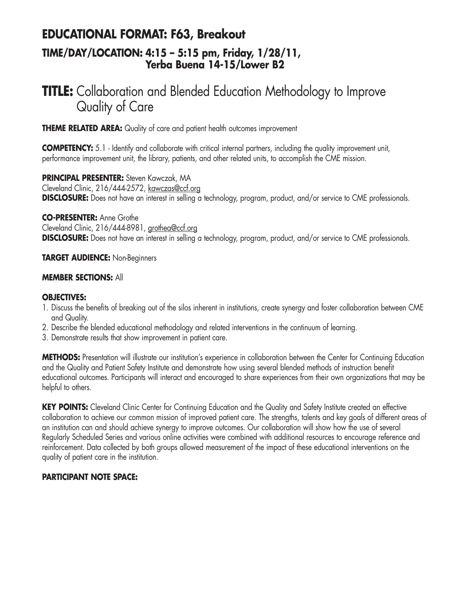### **EDUCATIONAL FORMAT: F63, Breakout TIME/DAY/LOCATION: 4:15 – 5:15 pm, Friday, 1/28/11, Yerba Buena 14-15/Lower B2**

## **TITLE:** Collaboration and Blended Education Methodology to Improve Quality of Care

**THEME RELATED AREA:** Quality of care and patient health outcomes improvement

**COMPETENCY:** 5.1 - Identify and collaborate with critical internal partners, including the quality improvement unit, performance improvement unit, the library, patients, and other related units, to accomplish the CME mission.

**PRINCIPAL PRESENTER:** Steven Kawczak, MA Cleveland Clinic, 216/444-2572, kawczas@ccf.org **DISCLOSURE:** Does not have an interest in selling a technology, program, product, and/or service to CME professionals.

**CO-PRESENTER:** Anne Grothe Cleveland Clinic, 216/444-8981, grothea@ccf.org **DISCLOSURE:** Does not have an interest in selling a technology, program, product, and/or service to CME professionals.

#### **TARGET AUDIENCE:** Non-Beginners

### **MEMBER SECTIONS:** All

### **OBJECTIVES:**

- 1. Discuss the benefits of breaking out of the silos inherent in institutions, create synergy and foster collaboration between CME and Quality.
- 2. Describe the blended educational methodology and related interventions in the continuum of learning.
- 3. Demonstrate results that show improvement in patient care.

**METHODS:** Presentation will illustrate our institution's experience in collaboration between the Center for Continuing Education and the Quality and Patient Safety Institute and demonstrate how using several blended methods of instruction benefit educational outcomes. Participants will interact and encouraged to share experiences from their own organizations that may be helpful to others.

**KEY POINTS:** Cleveland Clinic Center for Continuing Education and the Quality and Safety Institute created an effective collaboration to achieve our common mission of improved patient care. The strengths, talents and key goals of different areas of an institution can and should achieve synergy to improve outcomes. Our collaboration will show how the use of several Regularly Scheduled Series and various online activities were combined with additional resources to encourage reference and reinforcement. Data collected by both groups allowed measurement of the impact of these educational interventions on the quality of patient care in the institution.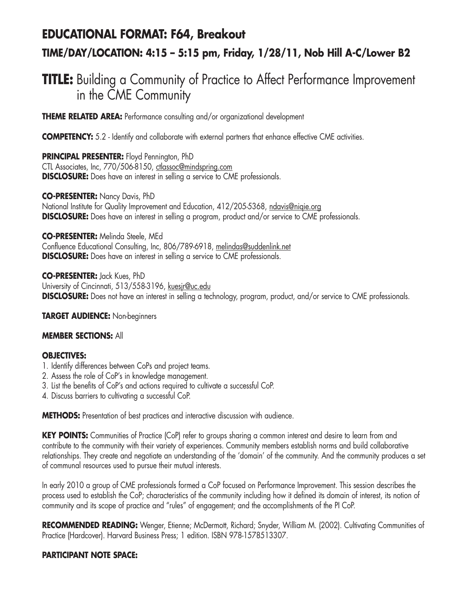## **EDUCATIONAL FORMAT: F64, Breakout TIME/DAY/LOCATION: 4:15 – 5:15 pm, Friday, 1/28/11, Nob Hill A-C/Lower B2**

## **TITLE:** Building a Community of Practice to Affect Performance Improvement in the CME Community

**THEME RELATED AREA:** Performance consulting and/or organizational development

**COMPETENCY:** 5.2 - Identify and collaborate with external partners that enhance effective CME activities.

**PRINCIPAL PRESENTER:** Floyd Pennington, PhD CTL Associates, Inc, 770/506-8150, ctlassoc@mindspring.com **DISCLOSURE:** Does have an interest in selling a service to CME professionals.

**CO-PRESENTER:** Nancy Davis, PhD

National Institute for Quality Improvement and Education, 412/205-5368, ndavis@nigie.org **DISCLOSURE:** Does have an interest in selling a program, product and/or service to CME professionals.

**CO-PRESENTER:** Melinda Steele, MEd

Confluence Educational Consulting, Inc, 806/789-6918, melindas@suddenlink.net **DISCLOSURE:** Does have an interest in selling a service to CME professionals.

**CO-PRESENTER:** Jack Kues, PhD University of Cincinnati, 513/558-3196, kuesjr@uc.edu **DISCLOSURE:** Does not have an interest in selling a technology, program, product, and/or service to CME professionals.

**TARGET AUDIENCE:** Non-beginners

#### **MEMBER SECTIONS:** All

#### **OBJECTIVES:**

- 1. Identify differences between CoPs and project teams.
- 2. Assess the role of CoP's in knowledge management.
- 3. List the benefits of CoP's and actions required to cultivate a successful CoP.
- 4. Discuss barriers to cultivating a successful CoP.

**METHODS:** Presentation of best practices and interactive discussion with audience.

**KEY POINTS:** Communities of Practice (CoP) refer to groups sharing a common interest and desire to learn from and contribute to the community with their variety of experiences. Community members establish norms and build collaborative relationships. They create and negotiate an understanding of the 'domain' of the community. And the community produces a set of communal resources used to pursue their mutual interests.

In early 2010 a group of CME professionals formed a CoP focused on Performance Improvement. This session describes the process used to establish the CoP; characteristics of the community including how it defined its domain of interest, its notion of community and its scope of practice and "rules" of engagement; and the accomplishments of the PI CoP.

**RECOMMENDED READING:** Wenger, Etienne; McDermott, Richard; Snyder, William M. (2002). Cultivating Communities of Practice (Hardcover). Harvard Business Press; 1 edition. ISBN 978-1578513307.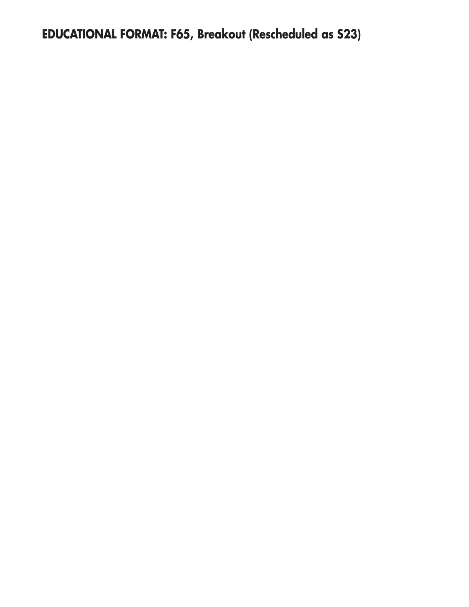**EDUCATIONAL FORMAT: F65, Breakout (Rescheduled as S23)**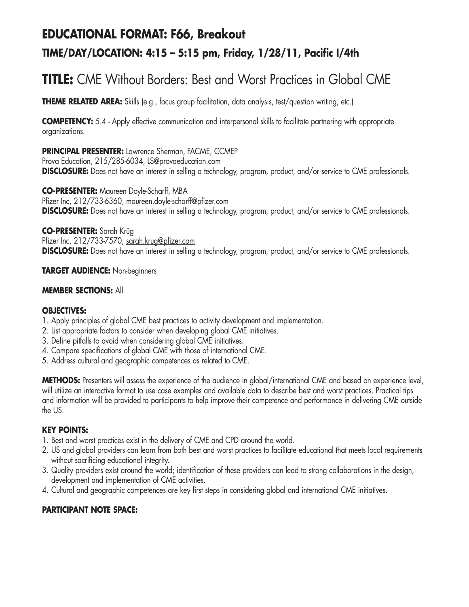## **EDUCATIONAL FORMAT: F66, Breakout TIME/DAY/LOCATION: 4:15 – 5:15 pm, Friday, 1/28/11, Pacific I/4th**

## **TITLE:** CME Without Borders: Best and Worst Practices in Global CME

**THEME RELATED AREA:** Skills (e.g., focus group facilitation, data analysis, test/question writing, etc.)

**COMPETENCY:** 5.4 - Apply effective communication and interpersonal skills to facilitate partnering with appropriate organizations.

### **PRINCIPAL PRESENTER:** Lawrence Sherman, FACME, CCMEP

Prova Education, 215/285-6034, LS@provaeducation.com **DISCLOSURE:** Does not have an interest in selling a technology, program, product, and/or service to CME professionals.

**CO-PRESENTER:** Maureen Doyle-Scharff, MBA Pfizer Inc, 212/733-6360, maureen.doyle-scharff@pfizer.com **DISCLOSURE:** Does not have an interest in selling a technology, program, product, and/or service to CME professionals.

**CO-PRESENTER:** Sarah Krüg Pfizer Inc, 212/733-7570, sarah.krug@pfizer.com **DISCLOSURE:** Does not have an interest in selling a technology, program, product, and/or service to CME professionals.

### **TARGET AUDIENCE:** Non-beginners

### **MEMBER SECTIONS:** All

### **OBJECTIVES:**

- 1. Apply principles of global CME best practices to activity development and implementation.
- 2. List appropriate factors to consider when developing global CME initiatives.
- 3. Define pitfalls to avoid when considering global CME initiatives.
- 4. Compare specifications of global CME with those of international CME.
- 5. Address cultural and geographic competences as related to CME.

**METHODS:** Presenters will assess the experience of the audience in global/international CME and based on experience level, will utilize an interactive format to use case examples and available data to describe best and worst practices. Practical tips and information will be provided to participants to help improve their competence and performance in delivering CME outside the US.

### **KEY POINTS:**

- 1. Best and worst practices exist in the delivery of CME and CPD around the world.
- 2. US and global providers can learn from both best and worst practices to facilitate educational that meets local requirements without sacrificing educational integrity.
- 3. Quality providers exist around the world; identification of these providers can lead to strong collaborations in the design, development and implementation of CME activities.
- 4. Cultural and geographic competences are key first steps in considering global and international CME initiatives.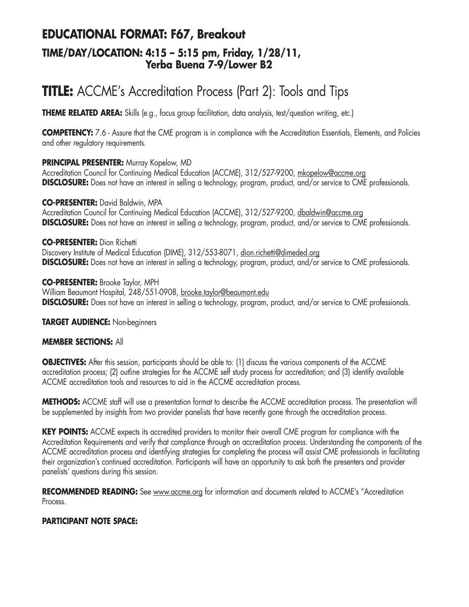## **EDUCATIONAL FORMAT: F67, Breakout**

### **TIME/DAY/LOCATION: 4:15 – 5:15 pm, Friday, 1/28/11, Yerba Buena 7-9/Lower B2**

## **TITLE:** ACCME's Accreditation Process (Part 2): Tools and Tips

**THEME RELATED AREA:** Skills (e.g., focus group facilitation, data analysis, test/question writing, etc.)

**COMPETENCY:** 7.6 - Assure that the CME program is in compliance with the Accreditation Essentials, Elements, and Policies and other regulatory requirements.

### **PRINCIPAL PRESENTER:** Murray Kopelow, MD

Accreditation Council for Continuing Medical Education (ACCME), 312/527-9200, mkopelow@accme.org **DISCLOSURE:** Does not have an interest in selling a technology, program, product, and/or service to CME professionals.

### **CO-PRESENTER:** David Baldwin, MPA

Accreditation Council for Continuing Medical Education (ACCME), 312/527-9200, dbaldwin@accme.org **DISCLOSURE:** Does not have an interest in selling a technology, program, product, and/or service to CME professionals.

### **CO-PRESENTER:** Dion Richetti

Discovery Institute of Medical Education (DIME), 312/553-8071, dion.richetti@dimeded.org **DISCLOSURE:** Does not have an interest in selling a technology, program, product, and/or service to CME professionals.

### **CO-PRESENTER:** Brooke Taylor, MPH

William Beaumont Hospital, 248/551-0908, brooke.taylor@beaumont.edu **DISCLOSURE:** Does not have an interest in selling a technology, program, product, and/or service to CME professionals.

### **TARGET AUDIENCE:** Non-beginners

### **MEMBER SECTIONS:** All

**OBJECTIVES:** After this session, participants should be able to: (1) discuss the various components of the ACCME accreditation process; (2) outline strategies for the ACCME self study process for accreditation; and (3) identify available ACCME accreditation tools and resources to aid in the ACCME accreditation process.

**METHODS:** ACCME staff will use a presentation format to describe the ACCME accreditation process. The presentation will be supplemented by insights from two provider panelists that have recently gone through the accreditation process.

**KEY POINTS:** ACCME expects its accredited providers to monitor their overall CME program for compliance with the Accreditation Requirements and verify that compliance through an accreditation process. Understanding the components of the ACCME accreditation process and identifying strategies for completing the process will assist CME professionals in facilitating their organization's continued accreditation. Participants will have an opportunity to ask both the presenters and provider panelists' questions during this session.

**RECOMMENDED READING:** See www.accme.org for information and documents related to ACCME's "Accreditation Process.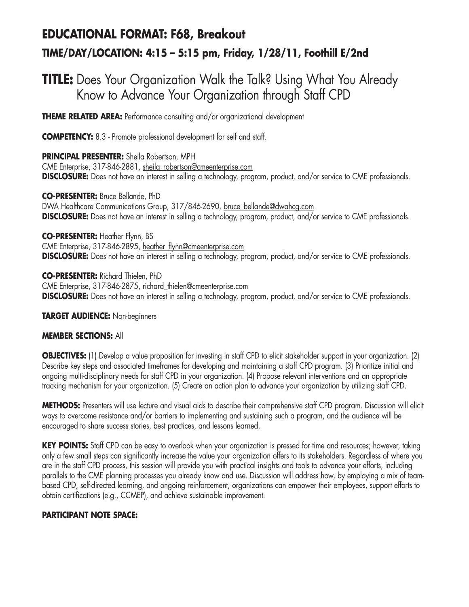## **EDUCATIONAL FORMAT: F68, Breakout TIME/DAY/LOCATION: 4:15 – 5:15 pm, Friday, 1/28/11, Foothill E/2nd**

## **TITLE:** Does Your Organization Walk the Talk? Using What You Already Know to Advance Your Organization through Staff CPD

**THEME RELATED AREA:** Performance consulting and/or organizational development

**COMPETENCY:** 8.3 - Promote professional development for self and staff.

### **PRINCIPAL PRESENTER:** Sheila Robertson, MPH

CME Enterprise, 317-846-2881, sheila\_robertson@cmeenterprise.com **DISCLOSURE:** Does not have an interest in selling a technology, program, product, and/or service to CME professionals.

### **CO-PRESENTER:** Bruce Bellande, PhD

DWA Healthcare Communications Group, 317/846-2690, bruce\_bellande@dwahcg.com **DISCLOSURE:** Does not have an interest in selling a technology, program, product, and/or service to CME professionals.

### **CO-PRESENTER:** Heather Flynn, BS

CME Enterprise, 317-846-2895, heather\_flynn@cmeenterprise.com **DISCLOSURE:** Does not have an interest in selling a technology, program, product, and/or service to CME professionals.

**CO-PRESENTER:** Richard Thielen, PhD CME Enterprise, 317-846-2875, richard\_thielen@cmeenterprise.com **DISCLOSURE:** Does not have an interest in selling a technology, program, product, and/or service to CME professionals.

**TARGET AUDIENCE:** Non-beginners

### **MEMBER SECTIONS:** All

**OBJECTIVES:** (1) Develop a value proposition for investing in staff CPD to elicit stakeholder support in your organization. (2) Describe key steps and associated timeframes for developing and maintaining a staff CPD program. (3) Prioritize initial and ongoing multi-disciplinary needs for staff CPD in your organization. (4) Propose relevant interventions and an appropriate tracking mechanism for your organization. (5) Create an action plan to advance your organization by utilizing staff CPD.

**METHODS:** Presenters will use lecture and visual aids to describe their comprehensive staff CPD program. Discussion will elicit ways to overcome resistance and/or barriers to implementing and sustaining such a program, and the audience will be encouraged to share success stories, best practices, and lessons learned.

**KEY POINTS:** Staff CPD can be easy to overlook when your organization is pressed for time and resources; however, taking only a few small steps can significantly increase the value your organization offers to its stakeholders. Regardless of where you are in the staff CPD process, this session will provide you with practical insights and tools to advance your efforts, including parallels to the CME planning processes you already know and use. Discussion will address how, by employing a mix of teambased CPD, self-directed learning, and ongoing reinforcement, organizations can empower their employees, support efforts to obtain certifications (e.g., CCMEP), and achieve sustainable improvement.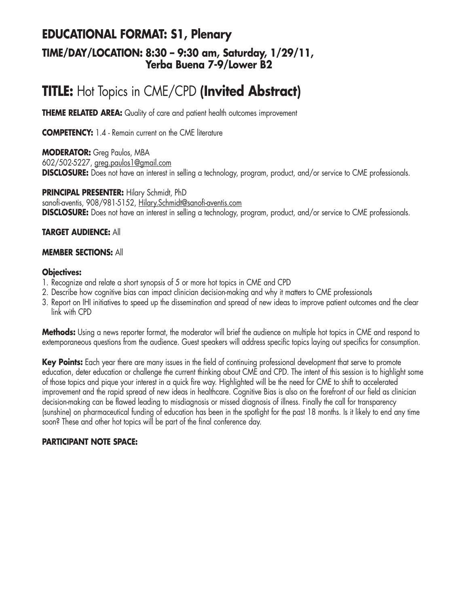### **EDUCATIONAL FORMAT: S1, Plenary TIME/DAY/LOCATION: 8:30 – 9:30 am, Saturday, 1/29/11, Yerba Buena 7-9/Lower B2**

## **TITLE:** Hot Topics in CME/CPD **(Invited Abstract)**

**THEME RELATED AREA:** Quality of care and patient health outcomes improvement

**COMPETENCY:** 1.4 - Remain current on the CME literature

**MODERATOR:** Greg Paulos, MBA 602/502-5227, greg.paulos1@gmail.com **DISCLOSURE:** Does not have an interest in selling a technology, program, product, and/or service to CME professionals.

**PRINCIPAL PRESENTER:** Hilary Schmidt, PhD sanofi-aventis, 908/981-5152, Hilary.Schmidt@sanofi-aventis.com **DISCLOSURE:** Does not have an interest in selling a technology, program, product, and/or service to CME professionals.

#### **TARGET AUDIENCE:** All

#### **MEMBER SECTIONS:** All

#### **Objectives:**

- 1. Recognize and relate a short synopsis of 5 or more hot topics in CME and CPD
- 2. Describe how cognitive bias can impact clinician decision-making and why it matters to CME professionals
- 3. Report on IHI initiatives to speed up the dissemination and spread of new ideas to improve patient outcomes and the clear link with CPD

**Methods:** Using a news reporter format, the moderator will brief the audience on multiple hot topics in CME and respond to extemporaneous questions from the audience. Guest speakers will address specific topics laying out specifics for consumption.

**Key Points:** Each year there are many issues in the field of continuing professional development that serve to promote education, deter education or challenge the current thinking about CME and CPD. The intent of this session is to highlight some of those topics and pique your interest in a quick fire way. Highlighted will be the need for CME to shift to accelerated improvement and the rapid spread of new ideas in healthcare. Cognitive Bias is also on the forefront of our field as clinician decision-making can be flawed leading to misdiagnosis or missed diagnosis of illness. Finally the call for transparency (sunshine) on pharmaceutical funding of education has been in the spotlight for the past 18 months. Is it likely to end any time soon? These and other hot topics will be part of the final conference day.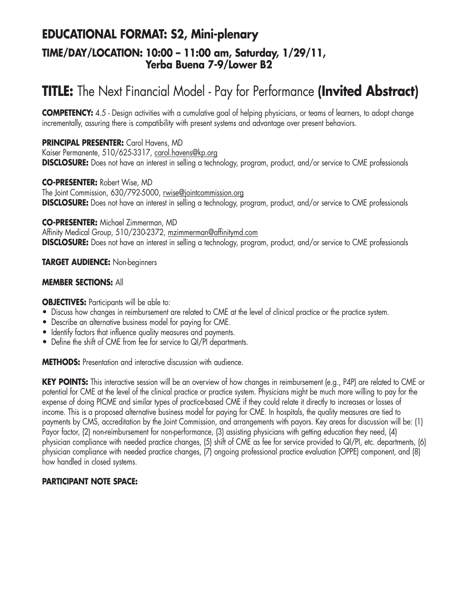### **EDUCATIONAL FORMAT: S2, Mini-plenary TIME/DAY/LOCATION: 10:00 – 11:00 am, Saturday, 1/29/11, Yerba Buena 7-9/Lower B2**

## **TITLE:** The Next Financial Model - Pay for Performance **(Invited Abstract)**

**COMPETENCY:** 4.5 - Design activities with a cumulative goal of helping physicians, or teams of learners, to adopt change incrementally, assuring there is compatibility with present systems and advantage over present behaviors.

### **PRINCIPAL PRESENTER:** Carol Havens, MD

Kaiser Permanente, 510/625-3317, carol.havens@kp.org **DISCLOSURE:** Does not have an interest in selling a technology, program, product, and/or service to CME professionals

#### **CO-PRESENTER:** Robert Wise, MD

The Joint Commission, 630/792-5000, rwise@jointcommission.org **DISCLOSURE:** Does not have an interest in selling a technology, program, product, and/or service to CME professionals

### **CO-PRESENTER:** Michael Zimmerman, MD

Affinity Medical Group, 510/230-2372, mzimmerman@affinitymd.com **DISCLOSURE:** Does not have an interest in selling a technology, program, product, and/or service to CME professionals

### **TARGET AUDIENCE:** Non-beginners

### **MEMBER SECTIONS:** All

**OBJECTIVES:** Participants will be able to:

- Discuss how changes in reimbursement are related to CME at the level of clinical practice or the practice system.
- Describe an alternative business model for paying for CME.
- Identify factors that influence quality measures and payments.
- Define the shift of CME from fee for service to QI/PI departments.

**METHODS:** Presentation and interactive discussion with audience.

**KEY POINTS:** This interactive session will be an overview of how changes in reimbursement (e.g., P4P) are related to CME or potential for CME at the level of the clinical practice or practice system. Physicians might be much more willing to pay for the expense of doing PICME and similar types of practice-based CME if they could relate it directly to increases or losses of income. This is a proposed alternative business model for paying for CME. In hospitals, the quality measures are tied to payments by CMS, accreditation by the Joint Commission, and arrangements with payors. Key areas for discussion will be: (1) Payor factor, (2) non-reimbursement for non-performance, (3) assisting physicians with getting education they need, (4) physician compliance with needed practice changes, (5) shift of CME as fee for service provided to QI/PI, etc. departments, (6) physician compliance with needed practice changes, (7) ongoing professional practice evaluation (OPPE) component, and (8) how handled in closed systems.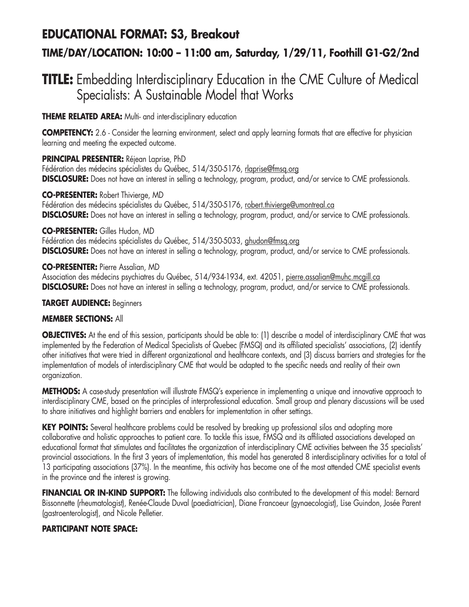### **EDUCATIONAL FORMAT: S3, Breakout**

### **TIME/DAY/LOCATION: 10:00 – 11:00 am, Saturday, 1/29/11, Foothill G1-G2/2nd**

## **TITLE:** Embedding Interdisciplinary Education in the CME Culture of Medical Specialists: A Sustainable Model that Works

**THEME RELATED AREA:** Multi- and inter-disciplinary education

**COMPETENCY:** 2.6 - Consider the learning environment, select and apply learning formats that are effective for physician learning and meeting the expected outcome.

### **PRINCIPAL PRESENTER:** Réjean Laprise, PhD

Fédération des médecins spécialistes du Québec, 514/350-5176, rlaprise@fmsq.org **DISCLOSURE:** Does not have an interest in selling a technology, program, product, and/or service to CME professionals.

### **CO-PRESENTER:** Robert Thivierge, MD

Fédération des médecins spécialistes du Québec, 514/350-5176, robert.thivierge@umontreal.ca **DISCLOSURE:** Does not have an interest in selling a technology, program, product, and/or service to CME professionals.

### **CO-PRESENTER:** Gilles Hudon, MD

Fédération des médecins spécialistes du Québec, 514/350-5033, ghudon@fmsq.org **DISCLOSURE:** Does not have an interest in selling a technology, program, product, and/or service to CME professionals.

### **CO-PRESENTER:** Pierre Assalian, MD

Association des médecins psychiatres du Québec, 514/934-1934, ext. 42051, pierre.assalian@muhc.mcgill.ca **DISCLOSURE:** Does not have an interest in selling a technology, program, product, and/or service to CME professionals.

### **TARGET AUDIENCE:** Beginners

### **MEMBER SECTIONS:** All

**OBJECTIVES:** At the end of this session, participants should be able to: (1) describe a model of interdisciplinary CME that was implemented by the Federation of Medical Specialists of Quebec (FMSQ) and its affiliated specialists' associations, (2) identify other initiatives that were tried in different organizational and healthcare contexts, and (3) discuss barriers and strategies for the implementation of models of interdisciplinary CME that would be adapted to the specific needs and reality of their own organization.

**METHODS:** A case-study presentation will illustrate FMSQ's experience in implementing a unique and innovative approach to interdisciplinary CME, based on the principles of interprofessional education. Small group and plenary discussions will be used to share initiatives and highlight barriers and enablers for implementation in other settings.

**KEY POINTS:** Several healthcare problems could be resolved by breaking up professional silos and adopting more collaborative and holistic approaches to patient care. To tackle this issue, FMSQ and its affiliated associations developed an educational format that stimulates and facilitates the organization of interdisciplinary CME activities between the 35 specialists' provincial associations. In the first 3 years of implementation, this model has generated 8 interdisciplinary activities for a total of 13 participating associations (37%). In the meantime, this activity has become one of the most attended CME specialist events in the province and the interest is growing.

**FINANCIAL OR IN-KIND SUPPORT:** The following individuals also contributed to the development of this model: Bernard Bissonnette (rheumatologist), Renée-Claude Duval (paediatrician), Diane Francoeur (gynaecologist), Lise Guindon, Josée Parent (gastroenterologist), and Nicole Pelletier.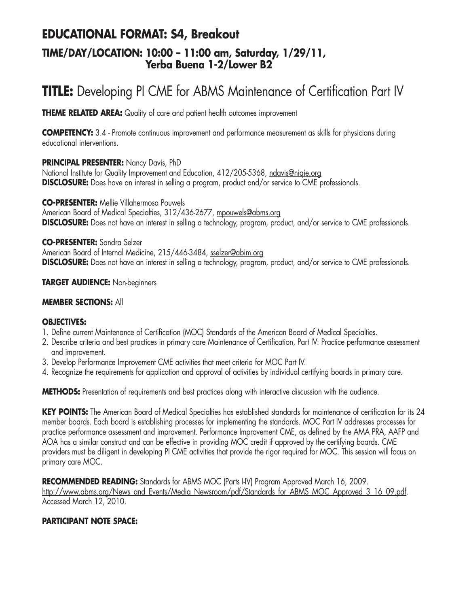### **EDUCATIONAL FORMAT: S4, Breakout TIME/DAY/LOCATION: 10:00 – 11:00 am, Saturday, 1/29/11, Yerba Buena 1-2/Lower B2**

## **TITLE:** Developing PI CME for ABMS Maintenance of Certification Part IV

**THEME RELATED AREA:** Quality of care and patient health outcomes improvement

**COMPETENCY:** 3.4 - Promote continuous improvement and performance measurement as skills for physicians during educational interventions.

### **PRINCIPAL PRESENTER:** Nancy Davis, PhD

National Institute for Quality Improvement and Education, 412/205-5368, ndavis@niqie.org **DISCLOSURE:** Does have an interest in selling a program, product and/or service to CME professionals.

**CO-PRESENTER:** Mellie Villahermosa Pouwels

American Board of Medical Specialties, 312/436-2677, mpouwels@abms.org **DISCLOSURE:** Does not have an interest in selling a technology, program, product, and/or service to CME professionals.

**CO-PRESENTER:** Sandra Selzer American Board of Internal Medicine, 215/446-3484, sselzer@abim.org **DISCLOSURE:** Does not have an interest in selling a technology, program, product, and/or service to CME professionals.

### **TARGET AUDIENCE:** Non-beginners

#### **MEMBER SECTIONS:** All

#### **OBJECTIVES:**

- 1. Define current Maintenance of Certification (MOC) Standards of the American Board of Medical Specialties.
- 2. Describe criteria and best practices in primary care Maintenance of Certification, Part IV: Practice performance assessment and improvement.
- 3. Develop Performance Improvement CME activities that meet criteria for MOC Part IV.
- 4. Recognize the requirements for application and approval of activities by individual certifying boards in primary care.

**METHODS:** Presentation of requirements and best practices along with interactive discussion with the audience.

**KEY POINTS:** The American Board of Medical Specialties has established standards for maintenance of certification for its 24 member boards. Each board is establishing processes for implementing the standards. MOC Part IV addresses processes for practice performance assessment and improvement. Performance Improvement CME, as defined by the AMA PRA, AAFP and AOA has a similar construct and can be effective in providing MOC credit if approved by the certifying boards. CME providers must be diligent in developing PI CME activities that provide the rigor required for MOC. This session will focus on primary care MOC.

RECOMMENDED READING: Standards for ABMS MOC (Parts I-IV) Program Approved March 16, 2009. http://www.abms.org/News\_and\_Events/Media\_Newsroom/pdf/Standards\_for\_ABMS\_MOC\_Approved\_3\_16\_09.pdf. Accessed March 12, 2010.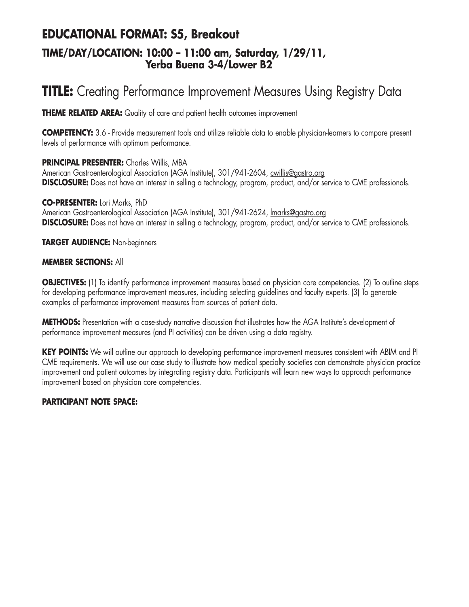### **EDUCATIONAL FORMAT: S5, Breakout TIME/DAY/LOCATION: 10:00 – 11:00 am, Saturday, 1/29/11, Yerba Buena 3-4/Lower B2**

## **TITLE:** Creating Performance Improvement Measures Using Registry Data

**THEME RELATED AREA:** Quality of care and patient health outcomes improvement

**COMPETENCY:** 3.6 - Provide measurement tools and utilize reliable data to enable physician-learners to compare present levels of performance with optimum performance.

### **PRINCIPAL PRESENTER:** Charles Willis, MBA

American Gastroenterological Association (AGA Institute), 301/941-2604, cwillis@gastro.org **DISCLOSURE:** Does not have an interest in selling a technology, program, product, and/or service to CME professionals.

**CO-PRESENTER:** Lori Marks, PhD American Gastroenterological Association (AGA Institute), 301/941-2624, *Imarks@gastro.org* **DISCLOSURE:** Does not have an interest in selling a technology, program, product, and/or service to CME professionals.

**TARGET AUDIENCE:** Non-beginners

### **MEMBER SECTIONS:** All

**OBJECTIVES:** (1) To identify performance improvement measures based on physician core competencies. (2) To outline steps for developing performance improvement measures, including selecting guidelines and faculty experts. (3) To generate examples of performance improvement measures from sources of patient data.

**METHODS:** Presentation with a case-study narrative discussion that illustrates how the AGA Institute's development of performance improvement measures (and PI activities) can be driven using a data registry.

**KEY POINTS:** We will outline our approach to developing performance improvement measures consistent with ABIM and PI CME requirements. We will use our case study to illustrate how medical specialty societies can demonstrate physician practice improvement and patient outcomes by integrating registry data. Participants will learn new ways to approach performance improvement based on physician core competencies.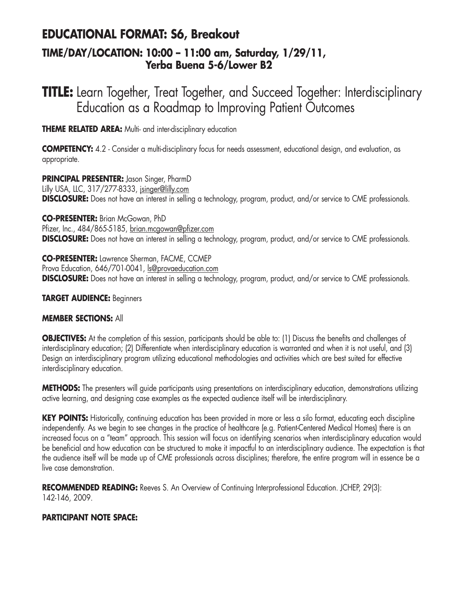## **EDUCATIONAL FORMAT: S6, Breakout**

### **TIME/DAY/LOCATION: 10:00 – 11:00 am, Saturday, 1/29/11, Yerba Buena 5-6/Lower B2**

## **TITLE:** Learn Together, Treat Together, and Succeed Together: Interdisciplinary Education as a Roadmap to Improving Patient Outcomes

**THEME RELATED AREA:** Multi- and inter-disciplinary education

**COMPETENCY:** 4.2 - Consider a multi-disciplinary focus for needs assessment, educational design, and evaluation, as appropriate.

**PRINCIPAL PRESENTER:** Jason Singer, PharmD Lilly USA, LLC, 317/277-8333, jsinger@lilly.com **DISCLOSURE:** Does not have an interest in selling a technology, program, product, and/or service to CME professionals.

**CO-PRESENTER:** Brian McGowan, PhD Pfizer, Inc., 484/865-5185, brian.mcgowan@pfizer.com **DISCLOSURE:** Does not have an interest in selling a technology, program, product, and/or service to CME professionals.

**CO-PRESENTER:** Lawrence Sherman, FACME, CCMEP Prova Education, 646/701-0041, ls@provaeducation.com **DISCLOSURE:** Does not have an interest in selling a technology, program, product, and/or service to CME professionals.

### **TARGET AUDIENCE:** Beginners

### **MEMBER SECTIONS:** All

**OBJECTIVES:** At the completion of this session, participants should be able to: (1) Discuss the benefits and challenges of interdisciplinary education; (2) Differentiate when interdisciplinary education is warranted and when it is not useful, and (3) Design an interdisciplinary program utilizing educational methodologies and activities which are best suited for effective interdisciplinary education.

**METHODS:** The presenters will guide participants using presentations on interdisciplinary education, demonstrations utilizing active learning, and designing case examples as the expected audience itself will be interdisciplinary.

**KEY POINTS:** Historically, continuing education has been provided in more or less a silo format, educating each discipline independently. As we begin to see changes in the practice of healthcare (e.g. Patient-Centered Medical Homes) there is an increased focus on a "team" approach. This session will focus on identifying scenarios when interdisciplinary education would be beneficial and how education can be structured to make it impactful to an interdisciplinary audience. The expectation is that the audience itself will be made up of CME professionals across disciplines; therefore, the entire program will in essence be a live case demonstration.

**RECOMMENDED READING:** Reeves S. An Overview of Continuing Interprofessional Education. JCHEP, 29(3): 142-146, 2009.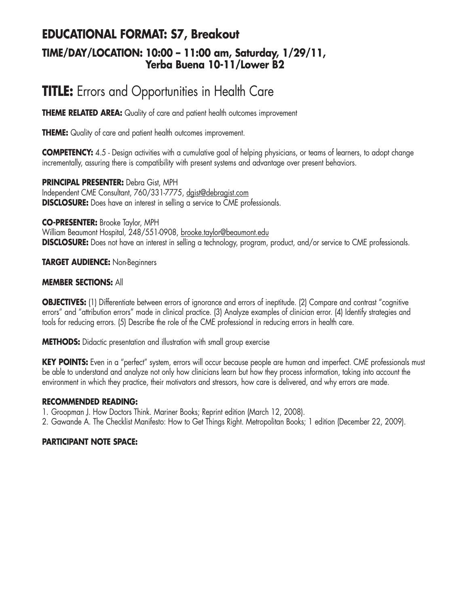### **EDUCATIONAL FORMAT: S7, Breakout TIME/DAY/LOCATION: 10:00 – 11:00 am, Saturday, 1/29/11, Yerba Buena 10-11/Lower B2**

## **TITLE:** Errors and Opportunities in Health Care

**THEME RELATED AREA:** Quality of care and patient health outcomes improvement

**THEME:** Quality of care and patient health outcomes improvement.

**COMPETENCY:** 4.5 - Design activities with a cumulative goal of helping physicians, or teams of learners, to adopt change incrementally, assuring there is compatibility with present systems and advantage over present behaviors.

**PRINCIPAL PRESENTER:** Debra Gist, MPH Independent CME Consultant, 760/331-7775, dgist@debragist.com **DISCLOSURE:** Does have an interest in selling a service to CME professionals.

**CO-PRESENTER:** Brooke Taylor, MPH

William Beaumont Hospital, 248/551-0908, brooke.taylor@beaumont.edu **DISCLOSURE:** Does not have an interest in selling a technology, program, product, and/or service to CME professionals.

### **TARGET AUDIENCE:** Non-Beginners

#### **MEMBER SECTIONS:** All

**OBJECTIVES:** (1) Differentiate between errors of ignorance and errors of ineptitude. (2) Compare and contrast "cognitive errors" and "attribution errors" made in clinical practice. (3) Analyze examples of clinician error. (4) Identify strategies and tools for reducing errors. (5) Describe the role of the CME professional in reducing errors in health care.

**METHODS:** Didactic presentation and illustration with small group exercise

**KEY POINTS:** Even in a "perfect" system, errors will occur because people are human and imperfect. CME professionals must be able to understand and analyze not only how clinicians learn but how they process information, taking into account the environment in which they practice, their motivators and stressors, how care is delivered, and why errors are made.

#### **RECOMMENDED READING:**

1. Groopman J. How Doctors Think. Mariner Books; Reprint edition (March 12, 2008).

2. Gawande A. The Checklist Manifesto: How to Get Things Right. Metropolitan Books; 1 edition (December 22, 2009).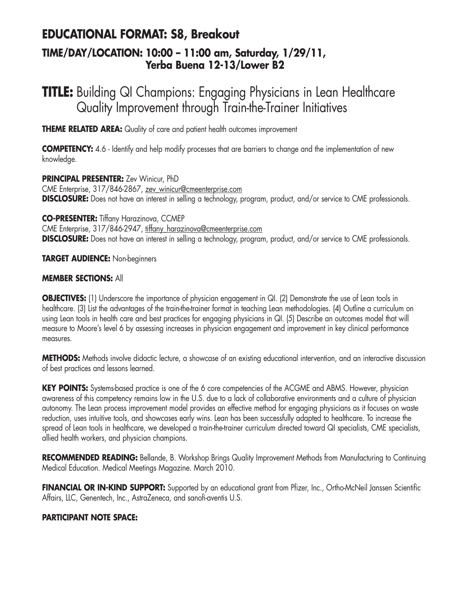### **EDUCATIONAL FORMAT: S8, Breakout TIME/DAY/LOCATION: 10:00 – 11:00 am, Saturday, 1/29/11, Yerba Buena 12-13/Lower B2**

## **TITLE:** Building QI Champions: Engaging Physicians in Lean Healthcare Quality Improvement through Train-the-Trainer Initiatives

**THEME RELATED AREA:** Quality of care and patient health outcomes improvement

**COMPETENCY:** 4.6 - Identify and help modify processes that are barriers to change and the implementation of new knowledge.

**PRINCIPAL PRESENTER:** Zev Winicur, PhD CME Enterprise, 317/846-2867, zev\_winicur@cmeenterprise.com **DISCLOSURE:** Does not have an interest in selling a technology, program, product, and/or service to CME professionals.

**CO-PRESENTER:** Tiffany Harazinova, CCMEP CME Enterprise, 317/846-2947, tiffany\_harazinova@cmeenterprise.com **DISCLOSURE:** Does not have an interest in selling a technology, program, product, and/or service to CME professionals.

**TARGET AUDIENCE:** Non-beginners

### **MEMBER SECTIONS:** All

**OBJECTIVES:** (1) Underscore the importance of physician engagement in QI. (2) Demonstrate the use of Lean tools in healthcare. (3) List the advantages of the train-the-trainer format in teaching Lean methodologies. (4) Outline a curriculum on using Lean tools in health care and best practices for engaging physicians in QI. (5) Describe an outcomes model that will measure to Moore's level 6 by assessing increases in physician engagement and improvement in key clinical performance measures.

**METHODS:** Methods involve didactic lecture, a showcase of an existing educational intervention, and an interactive discussion of best practices and lessons learned.

**KEY POINTS:** Systems-based practice is one of the 6 core competencies of the ACGME and ABMS. However, physician awareness of this competency remains low in the U.S. due to a lack of collaborative environments and a culture of physician autonomy. The Lean process improvement model provides an effective method for engaging physicians as it focuses on waste reduction, uses intuitive tools, and showcases early wins. Lean has been successfully adapted to healthcare. To increase the spread of Lean tools in healthcare, we developed a train-the-trainer curriculum directed toward QI specialists, CME specialists, allied health workers, and physician champions.

**RECOMMENDED READING:** Bellande, B. Workshop Brings Quality Improvement Methods from Manufacturing to Continuing Medical Education. Medical Meetings Magazine. March 2010.

**FINANCIAL OR IN-KIND SUPPORT:** Supported by an educational grant from Pfizer, Inc., Ortho-McNeil Janssen Scientific Affairs, LLC, Genentech, Inc., AstraZeneca, and sanofi-aventis U.S.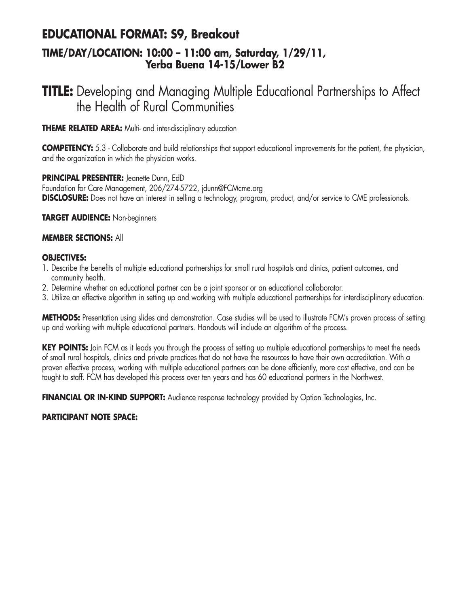### **EDUCATIONAL FORMAT: S9, Breakout TIME/DAY/LOCATION: 10:00 – 11:00 am, Saturday, 1/29/11, Yerba Buena 14-15/Lower B2**

## **TITLE:** Developing and Managing Multiple Educational Partnerships to Affect the Health of Rural Communities

**THEME RELATED AREA:** Multi- and inter-disciplinary education

**COMPETENCY:** 5.3 - Collaborate and build relationships that support educational improvements for the patient, the physician, and the organization in which the physician works.

**PRINCIPAL PRESENTER:** Jeanette Dunn, EdD Foundation for Care Management, 206/274-5722, jdunn@FCMcme.org

**DISCLOSURE:** Does not have an interest in selling a technology, program, product, and/or service to CME professionals.

**TARGET AUDIENCE:** Non-beginners

### **MEMBER SECTIONS:** All

### **OBJECTIVES:**

- 1. Describe the benefits of multiple educational partnerships for small rural hospitals and clinics, patient outcomes, and community health.
- 2. Determine whether an educational partner can be a joint sponsor or an educational collaborator.
- 3. Utilize an effective algorithm in setting up and working with multiple educational partnerships for interdisciplinary education.

**METHODS:** Presentation using slides and demonstration. Case studies will be used to illustrate FCM's proven process of setting up and working with multiple educational partners. Handouts will include an algorithm of the process.

**KEY POINTS:** Join FCM as it leads you through the process of setting up multiple educational partnerships to meet the needs of small rural hospitals, clinics and private practices that do not have the resources to have their own accreditation. With a proven effective process, working with multiple educational partners can be done efficiently, more cost effective, and can be taught to staff. FCM has developed this process over ten years and has 60 educational partners in the Northwest.

**FINANCIAL OR IN-KIND SUPPORT:** Audience response technology provided by Option Technologies, Inc.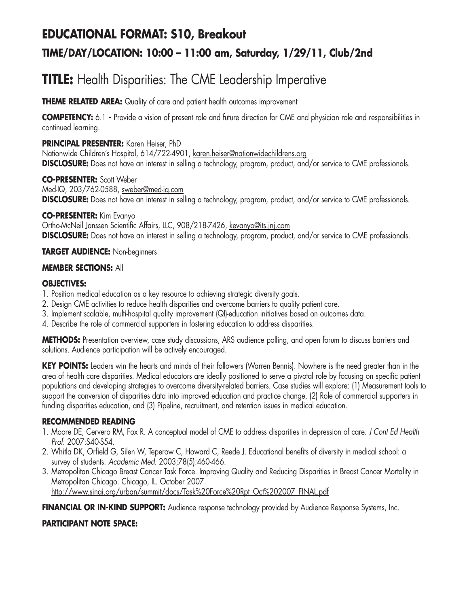## **EDUCATIONAL FORMAT: S10, Breakout TIME/DAY/LOCATION: 10:00 – 11:00 am, Saturday, 1/29/11, Club/2nd**

## **TITLE:** Health Disparities: The CME Leadership Imperative

**THEME RELATED AREA:** Quality of care and patient health outcomes improvement

**COMPETENCY:** 6.1 **-** Provide a vision of present role and future direction for CME and physician role and responsibilities in continued learning.

### **PRINCIPAL PRESENTER:** Karen Heiser, PhD

Nationwide Children's Hospital, 614/722-4901, karen.heiser@nationwidechildrens.org **DISCLOSURE:** Does not have an interest in selling a technology, program, product, and/or service to CME professionals.

#### **CO-PRESENTER:** Scott Weber Med-IQ, 203/762-0588, sweber@med-iq.com **DISCLOSURE:** Does not have an interest in selling a technology, program, product, and/or service to CME professionals.

**CO-PRESENTER:** Kim Evanyo Ortho-McNeil Janssen Scientific Affairs, LLC, 908/218-7426, kevanyo@its.jnj.com **DISCLOSURE:** Does not have an interest in selling a technology, program, product, and/or service to CME professionals.

### **TARGET AUDIENCE:** Non-beginners

### **MEMBER SECTIONS:** All

### **OBJECTIVES:**

- 1. Position medical education as a key resource to achieving strategic diversity goals.
- 2. Design CME activities to reduce health disparities and overcome barriers to quality patient care.
- 3. Implement scalable, multi-hospital quality improvement (QI)-education initiatives based on outcomes data.
- 4. Describe the role of commercial supporters in fostering education to address disparities.

**METHODS:** Presentation overview, case study discussions, ARS audience polling, and open forum to discuss barriers and solutions. Audience participation will be actively encouraged.

**KEY POINTS:** Leaders win the hearts and minds of their followers (Warren Bennis). Nowhere is the need greater than in the area of health care disparities. Medical educators are ideally positioned to serve a pivotal role by focusing on specific patient populations and developing strategies to overcome diversity-related barriers. Case studies will explore: (1) Measurement tools to support the conversion of disparities data into improved education and practice change, (2) Role of commercial supporters in funding disparities education, and (3) Pipeline, recruitment, and retention issues in medical education.

### **RECOMMENDED READING**

- 1. Moore DE, Cervero RM, Fox R. A conceptual model of CME to address disparities in depression of care. *J Cont Ed Health Prof.* 2007:S40-S54.
- 2. Whitla DK, Orfield G, Silen W, Teperow C, Howard C, Reede J. Educational benefits of diversity in medical school: a survey of students. *Academic Med.* 2003;78(5):460-466.
- 3. Metropolitan Chicago Breast Cancer Task Force. Improving Quality and Reducing Disparities in Breast Cancer Mortality in Metropolitan Chicago. Chicago, IL. October 2007. http://www.sinai.org/urban/summit/docs/Task%20Force%20Rpt\_Oct%202007\_FINAL.pdf

FINANCIAL OR IN-KIND SUPPORT: Audience response technology provided by Audience Response Systems, Inc.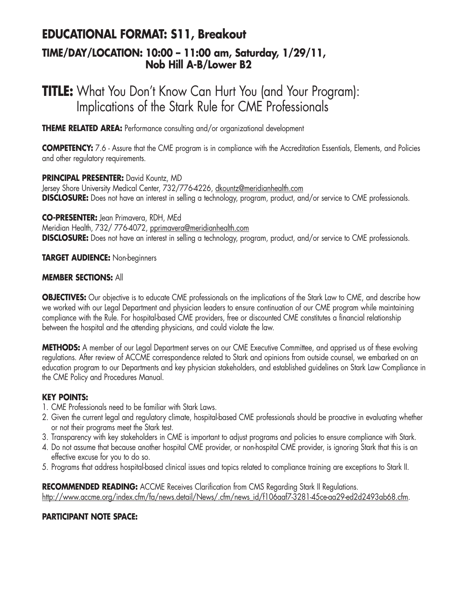### **EDUCATIONAL FORMAT: S11, Breakout TIME/DAY/LOCATION: 10:00 – 11:00 am, Saturday, 1/29/11, Nob Hill A-B/Lower B2**

## **TITLE:** What You Don't Know Can Hurt You (and Your Program): Implications of the Stark Rule for CME Professionals

**THEME RELATED AREA:** Performance consulting and/or organizational development

**COMPETENCY:** 7.6 - Assure that the CME program is in compliance with the Accreditation Essentials, Elements, and Policies and other regulatory requirements.

**PRINCIPAL PRESENTER:** David Kountz, MD Jersey Shore University Medical Center, 732/776-4226, dkountz@meridianhealth.com **DISCLOSURE:** Does not have an interest in selling a technology, program, product, and/or service to CME professionals.

**CO-PRESENTER:** Jean Primavera, RDH, MEd

Meridian Health, 732/776-4072, pprimavera@meridianhealth.com **DISCLOSURE:** Does not have an interest in selling a technology, program, product, and/or service to CME professionals.

**TARGET AUDIENCE:** Non-beginners

### **MEMBER SECTIONS:** All

**OBJECTIVES:** Our objective is to educate CME professionals on the implications of the Stark Law to CME, and describe how we worked with our Legal Department and physician leaders to ensure continuation of our CME program while maintaining compliance with the Rule. For hospital-based CME providers, free or discounted CME constitutes a financial relationship between the hospital and the attending physicians, and could violate the law.

**METHODS:** A member of our Legal Department serves on our CME Executive Committee, and apprised us of these evolving regulations. After review of ACCME correspondence related to Stark and opinions from outside counsel, we embarked on an education program to our Departments and key physician stakeholders, and established guidelines on Stark Law Compliance in the CME Policy and Procedures Manual.

### **KEY POINTS:**

- 1. CME Professionals need to be familiar with Stark Laws.
- 2. Given the current legal and regulatory climate, hospital-based CME professionals should be proactive in evaluating whether or not their programs meet the Stark test.
- 3. Transparency with key stakeholders in CME is important to adjust programs and policies to ensure compliance with Stark.
- 4. Do not assume that because another hospital CME provider, or non-hospital CME provider, is ignoring Stark that this is an effective excuse for you to do so.
- 5. Programs that address hospital-based clinical issues and topics related to compliance training are exceptions to Stark II.

**RECOMMENDED READING:** ACCME Receives Clarification from CMS Regarding Stark II Regulations. http://www.accme.org/index.cfm/fa/news.detail/News/.cfm/news\_id/f106aaf7-3281-45ce-aa29-ed2d2493ab68.cfm.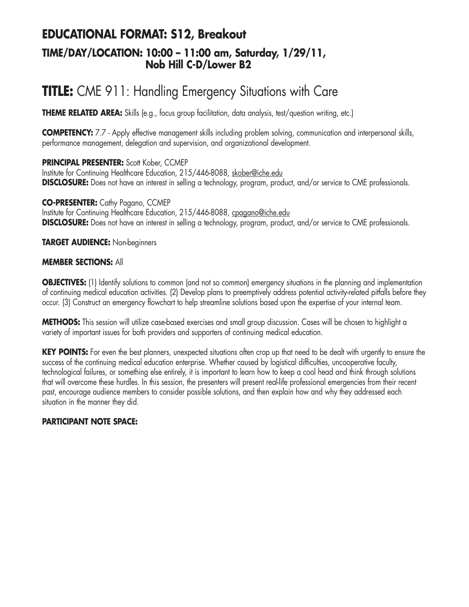### **EDUCATIONAL FORMAT: S12, Breakout TIME/DAY/LOCATION: 10:00 – 11:00 am, Saturday, 1/29/11, Nob Hill C-D/Lower B2**

## **TITLE:** CME 911: Handling Emergency Situations with Care

**THEME RELATED AREA:** Skills (e.g., focus group facilitation, data analysis, test/question writing, etc.)

**COMPETENCY:** 7.7 - Apply effective management skills including problem solving, communication and interpersonal skills, performance management, delegation and supervision, and organizational development.

**PRINCIPAL PRESENTER:** Scott Kober, CCMEP Institute for Continuing Healthcare Education, 215/446-8088, skober@iche.edu **DISCLOSURE:** Does not have an interest in selling a technology, program, product, and/or service to CME professionals.

**CO-PRESENTER:** Cathy Pagano, CCMEP Institute for Continuing Healthcare Education, 215/446-8088, cpagano@iche.edu **DISCLOSURE:** Does not have an interest in selling a technology, program, product, and/or service to CME professionals.

**TARGET AUDIENCE:** Non-beginners

#### **MEMBER SECTIONS:** All

**OBJECTIVES:** (1) Identify solutions to common (and not so common) emergency situations in the planning and implementation of continuing medical education activities. (2) Develop plans to preemptively address potential activity-related pitfalls before they occur. (3) Construct an emergency flowchart to help streamline solutions based upon the expertise of your internal team.

**METHODS:** This session will utilize case-based exercises and small group discussion. Cases will be chosen to highlight a variety of important issues for both providers and supporters of continuing medical education.

**KEY POINTS:** For even the best planners, unexpected situations often crop up that need to be dealt with urgently to ensure the success of the continuing medical education enterprise. Whether caused by logistical difficulties, uncooperative faculty, technological failures, or something else entirely, it is important to learn how to keep a cool head and think through solutions that will overcome these hurdles. In this session, the presenters will present real-life professional emergencies from their recent past, encourage audience members to consider possible solutions, and then explain how and why they addressed each situation in the manner they did.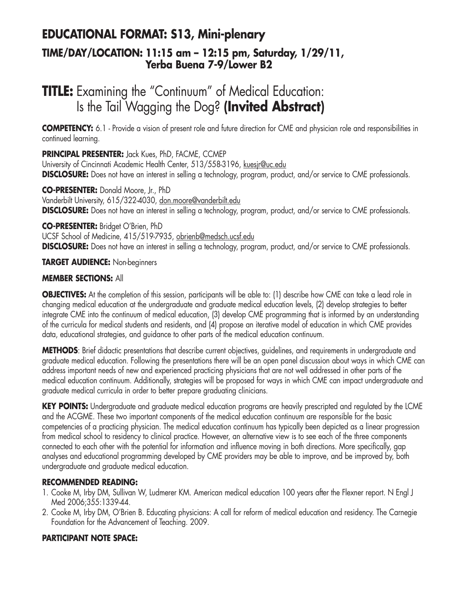### **EDUCATIONAL FORMAT: S13, Mini-plenary TIME/DAY/LOCATION: 11:15 am – 12:15 pm, Saturday, 1/29/11, Yerba Buena 7-9/Lower B2**

## **TITLE:** Examining the "Continuum" of Medical Education: Is the Tail Wagging the Dog? **(Invited Abstract)**

**COMPETENCY:** 6.1 - Provide a vision of present role and future direction for CME and physician role and responsibilities in continued learning.

**PRINCIPAL PRESENTER:** Jack Kues, PhD, FACME, CCMEP University of Cincinnati Academic Health Center, 513/558-3196, kuesjr@uc.edu **DISCLOSURE:** Does not have an interest in selling a technology, program, product, and/or service to CME professionals.

**CO-PRESENTER:** Donald Moore, Jr., PhD Vanderbilt University, 615/322-4030, don.moore@vanderbilt.edu **DISCLOSURE:** Does not have an interest in selling a technology, program, product, and/or service to CME professionals.

**CO-PRESENTER:** Bridget O'Brien, PhD

UCSF School of Medicine, 415/519-7935, obrienb@medsch.ucsf.edu **DISCLOSURE:** Does not have an interest in selling a technology, program, product, and/or service to CME professionals.

**TARGET AUDIENCE:** Non-beginners

### **MEMBER SECTIONS:** All

**OBJECTIVES:** At the completion of this session, participants will be able to: (1) describe how CME can take a lead role in changing medical education at the undergraduate and graduate medical education levels, (2) develop strategies to better integrate CME into the continuum of medical education, (3) develop CME programming that is informed by an understanding of the curricula for medical students and residents, and (4) propose an iterative model of education in which CME provides data, educational strategies, and guidance to other parts of the medical education continuum.

**METHODS**: Brief didactic presentations that describe current objectives, guidelines, and requirements in undergraduate and graduate medical education. Following the presentations there will be an open panel discussion about ways in which CME can address important needs of new and experienced practicing physicians that are not well addressed in other parts of the medical education continuum. Additionally, strategies will be proposed for ways in which CME can impact undergraduate and graduate medical curricula in order to better prepare graduating clinicians.

**KEY POINTS:** Undergraduate and graduate medical education programs are heavily prescripted and regulated by the LCME and the ACGME. These two important components of the medical education continuum are responsible for the basic competencies of a practicing physician. The medical education continuum has typically been depicted as a linear progression from medical school to residency to clinical practice. However, an alternative view is to see each of the three components connected to each other with the potential for information and influence moving in both directions. More specifically, gap analyses and educational programming developed by CME providers may be able to improve, and be improved by, both undergraduate and graduate medical education.

### **RECOMMENDED READING:**

- 1. Cooke M, Irby DM, Sullivan W, Ludmerer KM. American medical education 100 years after the Flexner report. N Engl J Med 2006;355:1339-44.
- 2. Cooke M, Irby DM, O'Brien B. Educating physicians: A call for reform of medical education and residency. The Carnegie Foundation for the Advancement of Teaching. 2009.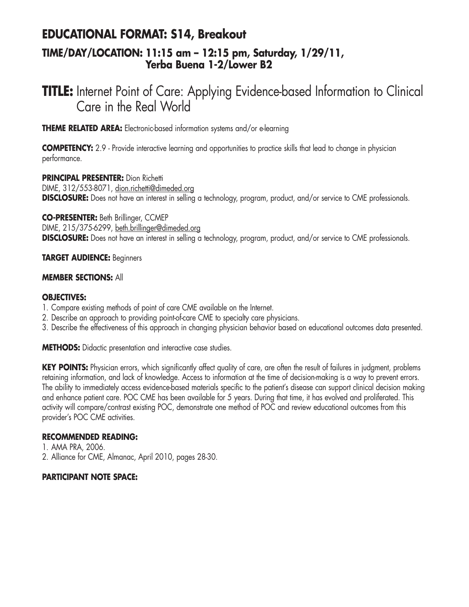### **EDUCATIONAL FORMAT: S14, Breakout**

### **TIME/DAY/LOCATION: 11:15 am – 12:15 pm, Saturday, 1/29/11, Yerba Buena 1-2/Lower B2**

## **TITLE:** Internet Point of Care: Applying Evidence-based Information to Clinical Care in the Real World

**THEME RELATED AREA:** Electronic-based information systems and/or e-learning

**COMPETENCY:** 2.9 - Provide interactive learning and opportunities to practice skills that lead to change in physician performance.

**PRINCIPAL PRESENTER:** Dion Richetti DIME, 312/553-8071, dion.richetti@dimeded.org **DISCLOSURE:** Does not have an interest in selling a technology, program, product, and/or service to CME professionals.

**CO-PRESENTER:** Beth Brillinger, CCMEP DIME, 215/375-6299, beth.brillinger@dimeded.org **DISCLOSURE:** Does not have an interest in selling a technology, program, product, and/or service to CME professionals.

#### **TARGET AUDIENCE:** Beginners

### **MEMBER SECTIONS:** All

### **OBJECTIVES:**

- 1. Compare existing methods of point of care CME available on the Internet.
- 2. Describe an approach to providing point-of-care CME to specialty care physicians.
- 3. Describe the effectiveness of this approach in changing physician behavior based on educational outcomes data presented.

**METHODS:** Didactic presentation and interactive case studies.

**KEY POINTS:** Physician errors, which significantly affect quality of care, are often the result of failures in judgment, problems retaining information, and lack of knowledge. Access to information at the time of decision-making is a way to prevent errors. The ability to immediately access evidence-based materials specific to the patient's disease can support clinical decision making and enhance patient care. POC CME has been available for 5 years. During that time, it has evolved and proliferated. This activity will compare/contrast existing POC, demonstrate one method of POC and review educational outcomes from this provider's POC CME activities.

#### **RECOMMENDED READING:**

1. AMA PRA, 2006. 2. Alliance for CME, Almanac, April 2010, pages 28-30.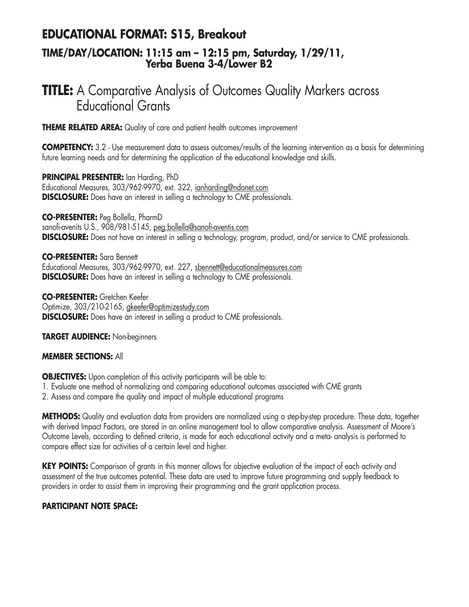### **EDUCATIONAL FORMAT: S15, Breakout**

### **TIME/DAY/LOCATION: 11:15 am – 12:15 pm, Saturday, 1/29/11, Yerba Buena 3-4/Lower B2**

## **TITLE:** A Comparative Analysis of Outcomes Quality Markers across Educational Grants

**THEME RELATED AREA:** Quality of care and patient health outcomes improvement

**COMPETENCY:** 3.2 - Use measurement data to assess outcomes/results of the learning intervention as a basis for determining future learning needs and for determining the application of the educational knowledge and skills.

**PRINCIPAL PRESENTER:** Ian Harding, PhD Educational Measures, 303/962-9970, ext. 322, ianharding@ndonet.com **DISCLOSURE:** Does have an interest in selling a technology to CME professionals.

**CO-PRESENTER:** Peg Bollella, PharmD sanofi-avenits U.S., 908/981-5145, peg.bollella@sanofi-aventis.com **DISCLOSURE:** Does not have an interest in selling a technology, program, product, and/or service to CME professionals.

**CO-PRESENTER:** Sara Bennett Educational Measures, 303/962-9970, ext. 227, sbennett@educationalmeasures.com **DISCLOSURE:** Does have an interest in selling a technology to CME professionals.

**CO-PRESENTER:** Gretchen Keefer Optimize, 303/210-2165, gkeefer@optimizestudy.com **DISCLOSURE:** Does have an interest in selling a product to CME professionals.

**TARGET AUDIENCE:** Non-beginners

#### **MEMBER SECTIONS:** All

**OBJECTIVES:** Upon completion of this activity participants will be able to:

- 1. Evaluate one method of normalizing and comparing educational outcomes associated with CME grants
- 2. Assess and compare the quality and impact of multiple educational programs

**METHODS:** Quality and evaluation data from providers are normalized using a step-by-step procedure. These data, together with derived Impact Factors, are stored in an online management tool to allow comparative analysis. Assessment of Moore's Outcome Levels, according to defined criteria, is made for each educational activity and a meta- analysis is performed to compare effect size for activities of a certain level and higher.

**KEY POINTS:** Comparison of grants in this manner allows for objective evaluation of the impact of each activity and assessment of the true outcomes potential. These data are used to improve future programming and supply feedback to providers in order to assist them in improving their programming and the grant application process.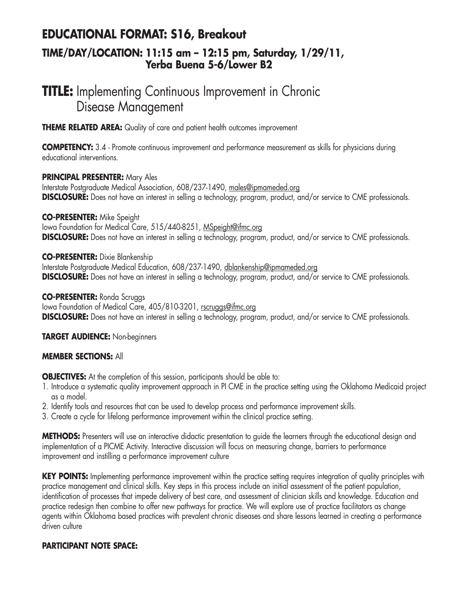# **EDUCATIONAL FORMAT: S16, Breakout**

### **TIME/DAY/LOCATION: 11:15 am – 12:15 pm, Saturday, 1/29/11, Yerba Buena 5-6/Lower B2**

## **TITLE:** Implementing Continuous Improvement in Chronic Disease Management

**THEME RELATED AREA:** Quality of care and patient health outcomes improvement

**COMPETENCY:** 3.4 - Promote continuous improvement and performance measurement as skills for physicians during educational interventions.

**PRINCIPAL PRESENTER:** Mary Ales

Interstate Postgraduate Medical Association, 608/237-1490, males@ipmameded.org **DISCLOSURE:** Does not have an interest in selling a technology, program, product, and/or service to CME professionals.

**CO-PRESENTER:** Mike Speight

lowa Foundation for Medical Care, 515/440-8251, MSpeight@ifmc.org **DISCLOSURE:** Does not have an interest in selling a technology, program, product, and/or service to CME professionals.

### **CO-PRESENTER:** Dixie Blankenship

Interstate Postgraduate Medical Education, 608/237-1490, dblankenship@ipmameded.org **DISCLOSURE:** Does not have an interest in selling a technology, program, product, and/or service to CME professionals.

### **CO-PRESENTER:** Ronda Scruggs

lowa Foundation of Medical Care, 405/810-3201, rscruggs@ifmc.org **DISCLOSURE:** Does not have an interest in selling a technology, program, product, and/or service to CME professionals.

### **TARGET AUDIENCE:** Non-beginners

### **MEMBER SECTIONS:** All

**OBJECTIVES:** At the completion of this session, participants should be able to:

- 1. Introduce a systematic quality improvement approach in PI CME in the practice setting using the Oklahoma Medicaid project as a model.
- 2. Identify tools and resources that can be used to develop process and performance improvement skills.
- 3. Create a cycle for lifelong performance improvement within the clinical practice setting.

**METHODS:** Presenters will use an interactive didactic presentation to guide the learners through the educational design and implementation of a PICME Activity. Interactive discussion will focus on measuring change, barriers to performance improvement and instilling a performance improvement culture

**KEY POINTS:** Implementing performance improvement within the practice setting requires integration of quality principles with practice management and clinical skills. Key steps in this process include an initial assessment of the patient population, identification of processes that impede delivery of best care, and assessment of clinician skills and knowledge. Education and practice redesign then combine to offer new pathways for practice. We will explore use of practice facilitators as change agents within Oklahoma based practices with prevalent chronic diseases and share lessons learned in creating a performance driven culture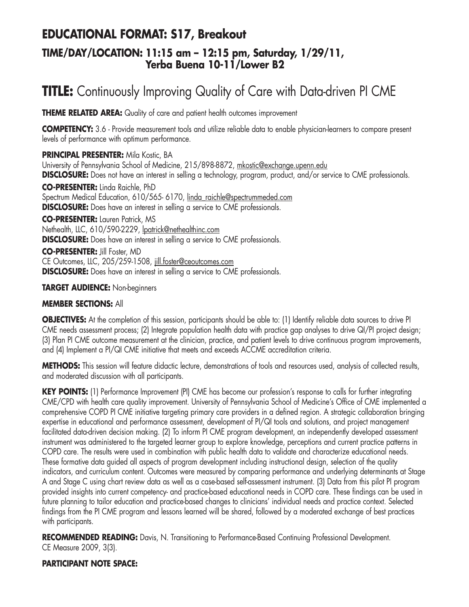## **EDUCATIONAL FORMAT: S17, Breakout**

### **TIME/DAY/LOCATION: 11:15 am – 12:15 pm, Saturday, 1/29/11, Yerba Buena 10-11/Lower B2**

## **TITLE:** Continuously Improving Quality of Care with Data-driven PI CME

**THEME RELATED AREA:** Quality of care and patient health outcomes improvement

**COMPETENCY:** 3.6 - Provide measurement tools and utilize reliable data to enable physician-learners to compare present levels of performance with optimum performance.

**PRINCIPAL PRESENTER:** Mila Kostic, BA University of Pennsylvania School of Medicine, 215/898-8872, mkostic@exchange.upenn.edu **DISCLOSURE:** Does not have an interest in selling a technology, program, product, and/or service to CME professionals. **CO-PRESENTER:** Linda Raichle, PhD Spectrum Medical Education, 610/565- 6170, linda\_raichle@spectrummeded.com **DISCLOSURE:** Does have an interest in selling a service to CME professionals. **CO-PRESENTER:** Lauren Patrick, MS Nethealth, LLC, 610/590-2229, lpatrick@nethealthinc.com **DISCLOSURE:** Does have an interest in selling a service to CME professionals. **CO-PRESENTER:** Jill Foster, MD CE Outcomes, LLC, 205/259-1508, jill.foster@ceoutcomes.com

**DISCLOSURE:** Does have an interest in selling a service to CME professionals.

### **TARGET AUDIENCE:** Non-beginners

### **MEMBER SECTIONS:** All

**OBJECTIVES:** At the completion of this session, participants should be able to: (1) Identify reliable data sources to drive PI CME needs assessment process; (2) Integrate population health data with practice gap analyses to drive QI/PI project design; (3) Plan PI CME outcome measurement at the clinician, practice, and patient levels to drive continuous program improvements, and (4) Implement a PI/QI CME initiative that meets and exceeds ACCME accreditation criteria.

**METHODS:** This session will feature didactic lecture, demonstrations of tools and resources used, analysis of collected results, and moderated discussion with all participants.

**KEY POINTS:** (1) Performance Improvement (PI) CME has become our profession's response to calls for further integrating CME/CPD with health care quality improvement. University of Pennsylvania School of Medicine's Office of CME implemented a comprehensive COPD PI CME initiative targeting primary care providers in a defined region. A strategic collaboration bringing expertise in educational and performance assessment, development of PI/QI tools and solutions, and project management facilitated data-driven decision making. (2) To inform PI CME program development, an independently developed assessment instrument was administered to the targeted learner group to explore knowledge, perceptions and current practice patterns in COPD care. The results were used in combination with public health data to validate and characterize educational needs. These formative data guided all aspects of program development including instructional design, selection of the quality indicators, and curriculum content. Outcomes were measured by comparing performance and underlying determinants at Stage A and Stage C using chart review data as well as a case-based self-assessment instrument. (3) Data from this pilot PI program provided insights into current competency- and practice-based educational needs in COPD care. These findings can be used in future planning to tailor education and practice-based changes to clinicians' individual needs and practice context. Selected findings from the PI CME program and lessons learned will be shared, followed by a moderated exchange of best practices with participants.

**RECOMMENDED READING:** Davis, N. Transitioning to Performance-Based Continuing Professional Development. CE Measure 2009, 3(3).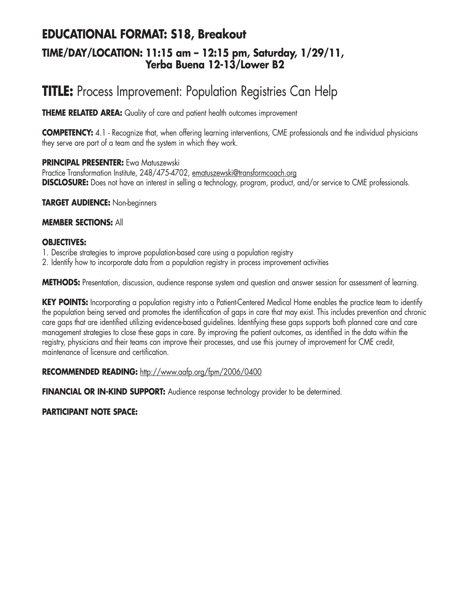### **EDUCATIONAL FORMAT: S18, Breakout TIME/DAY/LOCATION: 11:15 am – 12:15 pm, Saturday, 1/29/11, Yerba Buena 12-13/Lower B2**

## **TITLE:** Process Improvement: Population Registries Can Help

**THEME RELATED AREA:** Quality of care and patient health outcomes improvement

**COMPETENCY:** 4.1 - Recognize that, when offering learning interventions, CME professionals and the individual physicians they serve are part of a team and the system in which they work.

### **PRINCIPAL PRESENTER:** Ewa Matuszewski

Practice Transformation Institute, 248/475-4702, ematuszewski@transformcoach.org **DISCLOSURE:** Does not have an interest in selling a technology, program, product, and/or service to CME professionals.

**TARGET AUDIENCE:** Non-beginners

### **MEMBER SECTIONS:** All

### **OBJECTIVES:**

- 1. Describe strategies to improve population-based care using a population registry
- 2. Identify how to incorporate data from a population registry in process improvement activities

**METHODS:** Presentation, discussion, audience response system and question and answer session for assessment of learning.

KEY POINTS: Incorporating a population registry into a Patient-Centered Medical Home enables the practice team to identify the population being served and promotes the identification of gaps in care that may exist. This includes prevention and chronic care gaps that are identified utilizing evidence-based guidelines. Identifying these gaps supports both planned care and care management strategies to close these gaps in care. By improving the patient outcomes, as identified in the data within the registry, physicians and their teams can improve their processes, and use this journey of improvement for CME credit, maintenance of licensure and certification.

#### **RECOMMENDED READING:** http://www.aafp.org/fpm/2006/0400

**FINANCIAL OR IN-KIND SUPPORT:** Audience response technology provider to be determined.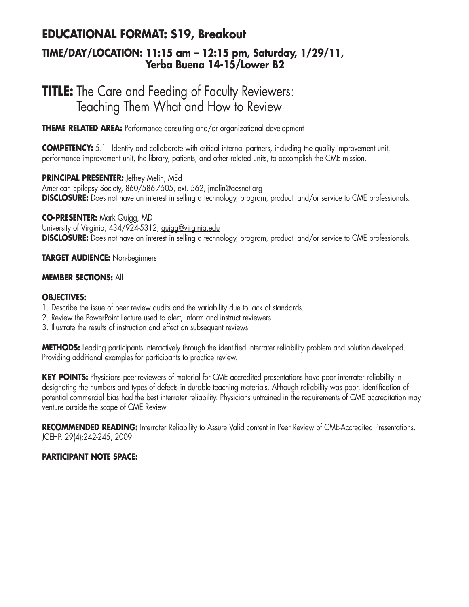# **EDUCATIONAL FORMAT: S19, Breakout**

### **TIME/DAY/LOCATION: 11:15 am – 12:15 pm, Saturday, 1/29/11, Yerba Buena 14-15/Lower B2**

## **TITLE:** The Care and Feeding of Faculty Reviewers: Teaching Them What and How to Review

**THEME RELATED AREA:** Performance consulting and/or organizational development

**COMPETENCY:** 5.1 - Identify and collaborate with critical internal partners, including the quality improvement unit, performance improvement unit, the library, patients, and other related units, to accomplish the CME mission.

**PRINCIPAL PRESENTER:** Jeffrey Melin, MEd American Epilepsy Society, 860/586-7505, ext. 562, imelin@aesnet.org **DISCLOSURE:** Does not have an interest in selling a technology, program, product, and/or service to CME professionals.

**CO-PRESENTER:** Mark Quigg, MD University of Virginia, 434/924-5312, quigg@virginia.edu **DISCLOSURE:** Does not have an interest in selling a technology, program, product, and/or service to CME professionals.

#### **TARGET AUDIENCE:** Non-beginners

#### **MEMBER SECTIONS:** All

#### **OBJECTIVES:**

- 1. Describe the issue of peer review audits and the variability due to lack of standards.
- 2. Review the PowerPoint Lecture used to alert, inform and instruct reviewers.
- 3. Illustrate the results of instruction and effect on subsequent reviews.

**METHODS:** Leading participants interactively through the identified interrater reliability problem and solution developed. Providing additional examples for participants to practice review.

**KEY POINTS:** Physicians peer-reviewers of material for CME accredited presentations have poor interrater reliability in designating the numbers and types of defects in durable teaching materials. Although reliability was poor, identification of potential commercial bias had the best interrater reliability. Physicians untrained in the requirements of CME accreditation may venture outside the scope of CME Review.

**RECOMMENDED READING:** Interrater Reliability to Assure Valid content in Peer Review of CME-Accredited Presentations. JCEHP, 29(4):242-245, 2009.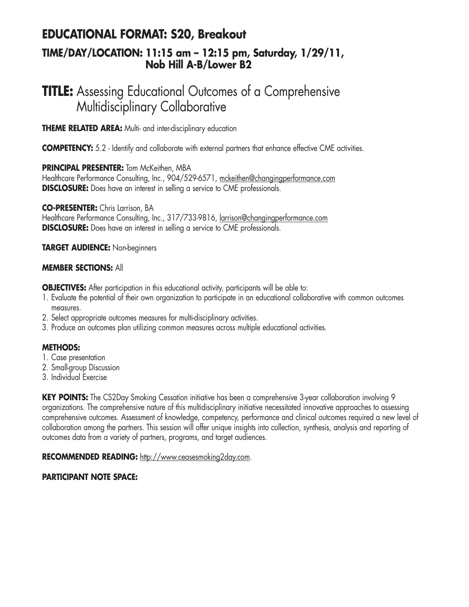### **EDUCATIONAL FORMAT: S20, Breakout TIME/DAY/LOCATION: 11:15 am – 12:15 pm, Saturday, 1/29/11, Nob Hill A-B/Lower B2**

## **TITLE:** Assessing Educational Outcomes of a Comprehensive Multidisciplinary Collaborative

**THEME RELATED AREA:** Multi- and inter-disciplinary education

**COMPETENCY:** 5.2 - Identify and collaborate with external partners that enhance effective CME activities.

#### **PRINCIPAL PRESENTER:** Tom McKeithen, MBA

Healthcare Performance Consulting, Inc., 904/529-6571, mckeithen@changingperformance.com **DISCLOSURE:** Does have an interest in selling a service to CME professionals.

**CO-PRESENTER:** Chris Larrison, BA Healthcare Performance Consulting, Inc., 317/733-9816, larrison@changingperformance.com **DISCLOSURE:** Does have an interest in selling a service to CME professionals.

#### **TARGET AUDIENCE:** Non-beginners

#### **MEMBER SECTIONS:** All

**OBJECTIVES:** After participation in this educational activity, participants will be able to:

- 1. Evaluate the potential of their own organization to participate in an educational collaborative with common outcomes measures.
- 2. Select appropriate outcomes measures for multi-disciplinary activities.
- 3. Produce an outcomes plan utilizing common measures across multiple educational activities.

#### **METHODS:**

- 1. Case presentation
- 2. Small-group Discussion
- 3. Individual Exercise

**KEY POINTS:** The CS2Day Smoking Cessation initiative has been a comprehensive 3-year collaboration involving 9 organizations. The comprehensive nature of this multidisciplinary initiative necessitated innovative approaches to assessing comprehensive outcomes. Assessment of knowledge, competency, performance and clinical outcomes required a new level of collaboration among the partners. This session will offer unique insights into collection, synthesis, analysis and reporting of outcomes data from a variety of partners, programs, and target audiences.

**RECOMMENDED READING:** http://www.ceasesmoking2day.com.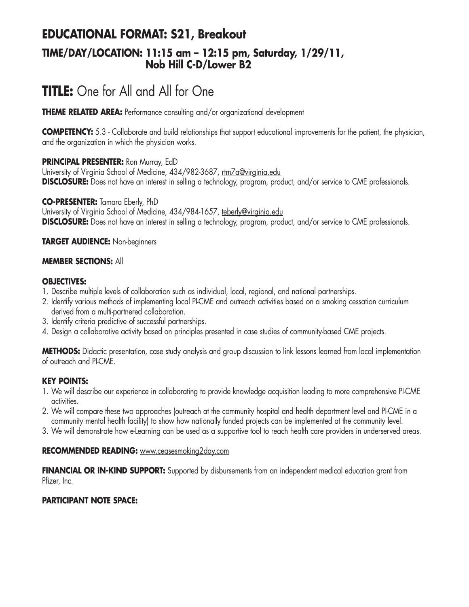### **EDUCATIONAL FORMAT: S21, Breakout TIME/DAY/LOCATION: 11:15 am – 12:15 pm, Saturday, 1/29/11, Nob Hill C-D/Lower B2**

# **TITLE:** One for All and All for One

**THEME RELATED AREA:** Performance consulting and/or organizational development

**COMPETENCY:** 5.3 - Collaborate and build relationships that support educational improvements for the patient, the physician, and the organization in which the physician works.

#### **PRINCIPAL PRESENTER:** Ron Murray, EdD

University of Virginia School of Medicine, 434/982-3687, rtm7a@virginia.edu **DISCLOSURE:** Does not have an interest in selling a technology, program, product, and/or service to CME professionals.

**CO-PRESENTER:** Tamara Eberly, PhD University of Virginia School of Medicine, 434/984-1657, teberly@virginia.edu **DISCLOSURE:** Does not have an interest in selling a technology, program, product, and/or service to CME professionals.

#### **TARGET AUDIENCE:** Non-beginners

#### **MEMBER SECTIONS:** All

#### **OBJECTIVES:**

- 1. Describe multiple levels of collaboration such as individual, local, regional, and national partnerships.
- 2. Identify various methods of implementing local PI-CME and outreach activities based on a smoking cessation curriculum derived from a multi-partnered collaboration.
- 3. Identify criteria predictive of successful partnerships.
- 4. Design a collaborative activity based on principles presented in case studies of community-based CME projects.

**METHODS:** Didactic presentation, case study analysis and group discussion to link lessons learned from local implementation of outreach and PI-CME.

#### **KEY POINTS:**

- 1. We will describe our experience in collaborating to provide knowledge acquisition leading to more comprehensive PI-CME activities.
- 2. We will compare these two approaches (outreach at the community hospital and health department level and PI-CME in a community mental health facility) to show how nationally funded projects can be implemented at the community level.
- 3. We will demonstrate how e-Learning can be used as a supportive tool to reach health care providers in underserved areas.

#### **RECOMMENDED READING:** www.ceasesmoking2day.com

FINANCIAL OR IN-KIND SUPPORT: Supported by disbursements from an independent medical education grant from Pfizer, Inc.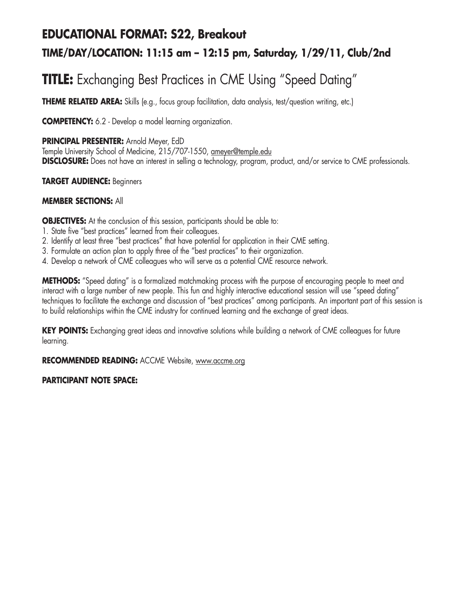# **EDUCATIONAL FORMAT: S22, Breakout TIME/DAY/LOCATION: 11:15 am – 12:15 pm, Saturday, 1/29/11, Club/2nd**

# **TITLE:** Exchanging Best Practices in CME Using "Speed Dating"

**THEME RELATED AREA:** Skills (e.g., focus group facilitation, data analysis, test/question writing, etc.)

**COMPETENCY:** 6.2 - Develop a model learning organization.

**PRINCIPAL PRESENTER:** Arnold Meyer, EdD

Temple University School of Medicine, 215/707-1550, ameyer@temple.edu **DISCLOSURE:** Does not have an interest in selling a technology, program, product, and/or service to CME professionals.

#### **TARGET AUDIENCE:** Beginners

#### **MEMBER SECTIONS:** All

**OBJECTIVES:** At the conclusion of this session, participants should be able to:

- 1. State five "best practices" learned from their colleagues.
- 2. Identify at least three "best practices" that have potential for application in their CME setting.
- 3. Formulate an action plan to apply three of the "best practices" to their organization.
- 4. Develop a network of CME colleagues who will serve as a potential CME resource network.

**METHODS:** "Speed dating" is a formalized matchmaking process with the purpose of encouraging people to meet and interact with a large number of new people. This fun and highly interactive educational session will use "speed dating" techniques to facilitate the exchange and discussion of "best practices" among participants. An important part of this session is to build relationships within the CME industry for continued learning and the exchange of great ideas.

**KEY POINTS:** Exchanging great ideas and innovative solutions while building a network of CME colleagues for future learning.

**RECOMMENDED READING:** ACCME Website, www.accme.org